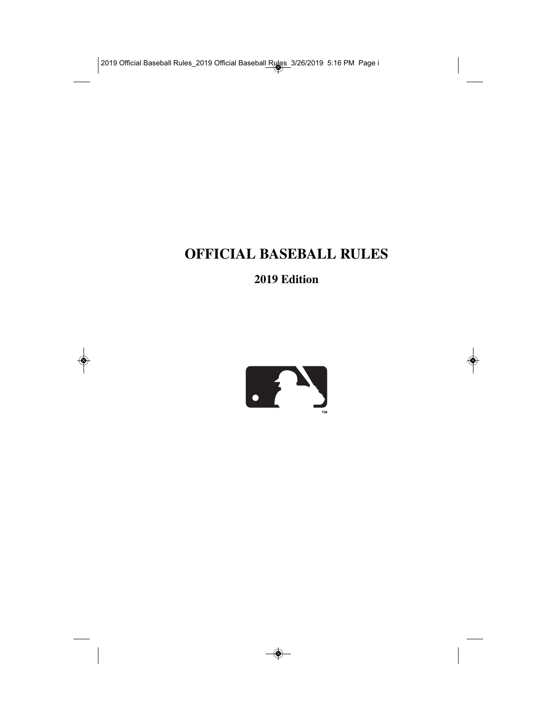# **OFFICIAL BASEBALL RULES**

# **2019 Edition**

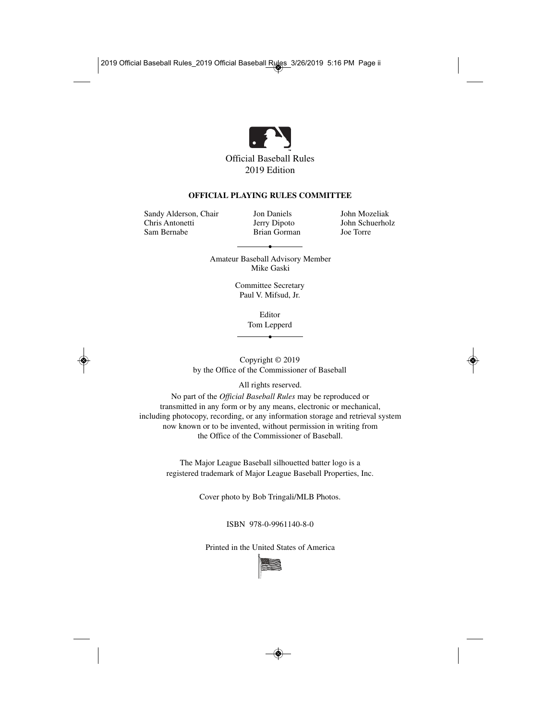

#### **OFFICIAL PLAYING RULES COMMITTEE**

Sandy Alderson, Chair Jon Daniels John Mozeliak<br>Chris Antonetti Jerry Dipoto John Schuerholz Chris Antonetti Jerry Dipoto John Schuerholz

Brian Gorman

Amateur Baseball Advisory Member Mike Gaski

> Committee Secretary Paul V. Mifsud, Jr.

> > Editor Tom Lepperd

Copyright © 2019 by the Office of the Commissioner of Baseball

All rights reserved.

No part of the *Official Baseball Rules* may be reproduced or transmitted in any form or by any means, electronic or mechanical, including photocopy, recording, or any information storage and retrieval system now known or to be invented, without permission in writing from the Office of the Commissioner of Baseball.

> The Major League Baseball silhouetted batter logo is a registered trademark of Major League Baseball Properties, Inc.

> > Cover photo by Bob Tringali/MLB Photos.

ISBN 978-0-9961140-8-0

Printed in the United States of America

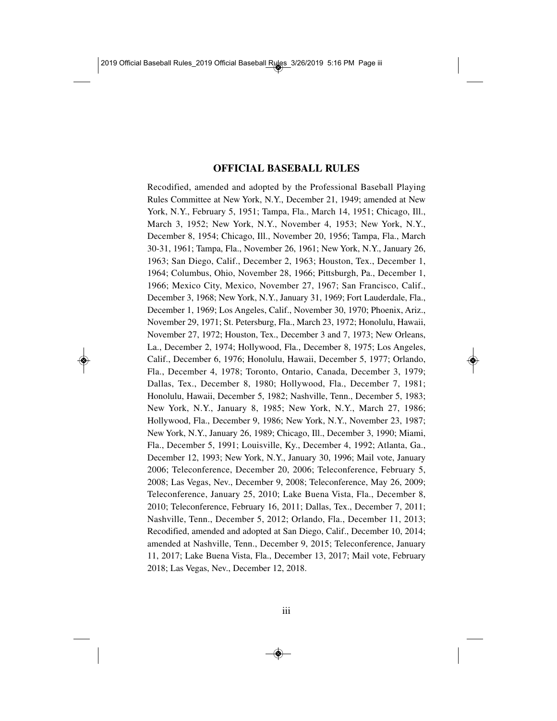#### **OFFICIAL BASEBALL RULES**

Recodified, amended and adopted by the Professional Baseball Playing Rules Committee at New York, N.Y., December 21, 1949; amended at New York, N.Y., February 5, 1951; Tampa, Fla., March 14, 1951; Chicago, Ill., March 3, 1952; New York, N.Y., November 4, 1953; New York, N.Y., December 8, 1954; Chicago, Ill., November 20, 1956; Tampa, Fla., March 30-31, 1961; Tampa, Fla., November 26, 1961; New York, N.Y., January 26, 1963; San Diego, Calif., December 2, 1963; Houston, Tex., December 1, 1964; Columbus, Ohio, November 28, 1966; Pittsburgh, Pa., December 1, 1966; Mexico City, Mexico, November 27, 1967; San Francisco, Calif., December 3, 1968; New York, N.Y., January 31, 1969; Fort Lauderdale, Fla., December 1, 1969; Los Angeles, Calif., November 30, 1970; Phoenix, Ariz., November 29, 1971; St. Petersburg, Fla., March 23, 1972; Honolulu, Hawaii, November 27, 1972; Houston, Tex., December 3 and 7, 1973; New Orleans, La., December 2, 1974; Hollywood, Fla., December 8, 1975; Los Angeles, Calif., December 6, 1976; Honolulu, Hawaii, December 5, 1977; Orlando, Fla., December 4, 1978; Toronto, Ontario, Canada, December 3, 1979; Dallas, Tex., December 8, 1980; Hollywood, Fla., December 7, 1981; Honolulu, Hawaii, December 5, 1982; Nashville, Tenn., December 5, 1983; New York, N.Y., January 8, 1985; New York, N.Y., March 27, 1986; Hollywood, Fla., December 9, 1986; New York, N.Y., November 23, 1987; New York, N.Y., January 26, 1989; Chicago, Ill., December 3, 1990; Miami, Fla., December 5, 1991; Louisville, Ky., December 4, 1992; Atlanta, Ga., December 12, 1993; New York, N.Y., January 30, 1996; Mail vote, January 2006; Teleconference, December 20, 2006; Teleconference, February 5, 2008; Las Vegas, Nev., December 9, 2008; Teleconference, May 26, 2009; Teleconference, January 25, 2010; Lake Buena Vista, Fla., December 8, 2010; Teleconference, February 16, 2011; Dallas, Tex., December 7, 2011; Nashville, Tenn., December 5, 2012; Orlando, Fla., December 11, 2013; Recodified, amended and adopted at San Diego, Calif., December 10, 2014; amended at Nashville, Tenn., December 9, 2015; Teleconference, January 11, 2017; Lake Buena Vista, Fla., December 13, 2017; Mail vote, February 2018; Las Vegas, Nev., December 12, 2018.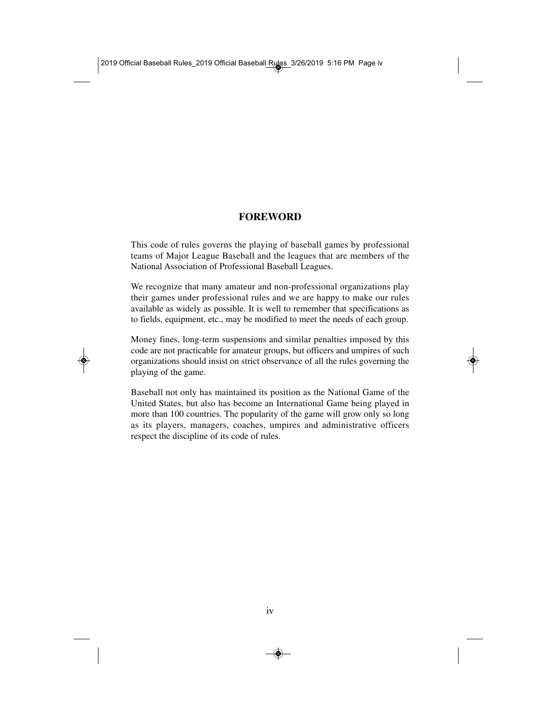# **FOREWORD**

This code of rules governs the playing of baseball games by professional teams of Major League Baseball and the leagues that are members of the National Association of Professional Baseball Leagues.

We recognize that many amateur and non-professional organizations play their games under professional rules and we are happy to make our rules available as widely as possible. It is well to remember that specifications as to fields, equipment, etc., may be modified to meet the needs of each group.

Money fines, long-term suspensions and similar penalties imposed by this code are not practicable for amateur groups, but officers and umpires of such organizations should insist on strict observance of all the rules governing the playing of the game.

Baseball not only has maintained its position as the National Game of the United States, but also has become an International Game being played in more than 100 countries. The popularity of the game will grow only so long as its players, managers, coaches, umpires and administrative officers respect the discipline of its code of rules.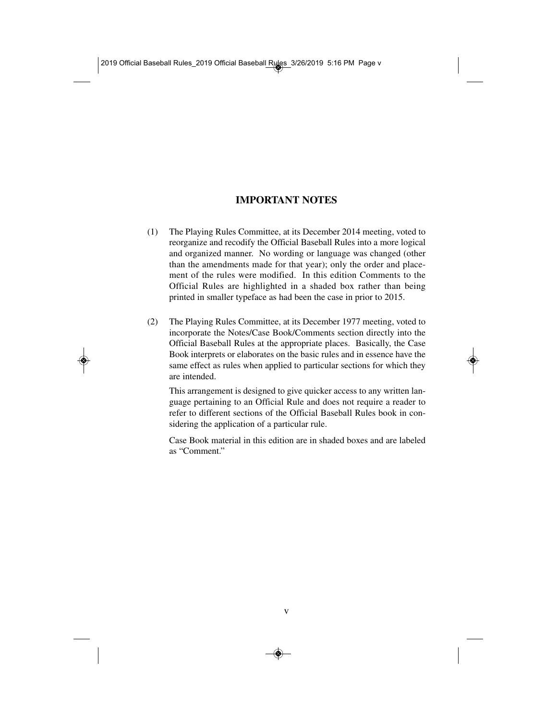# **IMPORTANT NOTES**

- (1) The Playing Rules Committee, at its December 2014 meeting, voted to reorganize and recodify the Official Baseball Rules into a more logical and organized manner. No wording or language was changed (other than the amendments made for that year); only the order and placement of the rules were modified. In this edition Comments to the Official Rules are highlighted in a shaded box rather than being printed in smaller typeface as had been the case in prior to 2015.
- (2) The Playing Rules Committee, at its December 1977 meeting, voted to incorporate the Notes/Case Book/Comments section directly into the Official Baseball Rules at the appropriate places. Basically, the Case Book interprets or elaborates on the basic rules and in essence have the same effect as rules when applied to particular sections for which they are intended.

This arrangement is designed to give quicker access to any written language pertaining to an Official Rule and does not require a reader to refer to different sections of the Official Baseball Rules book in considering the application of a particular rule.

Case Book material in this edition are in shaded boxes and are labeled as "Comment."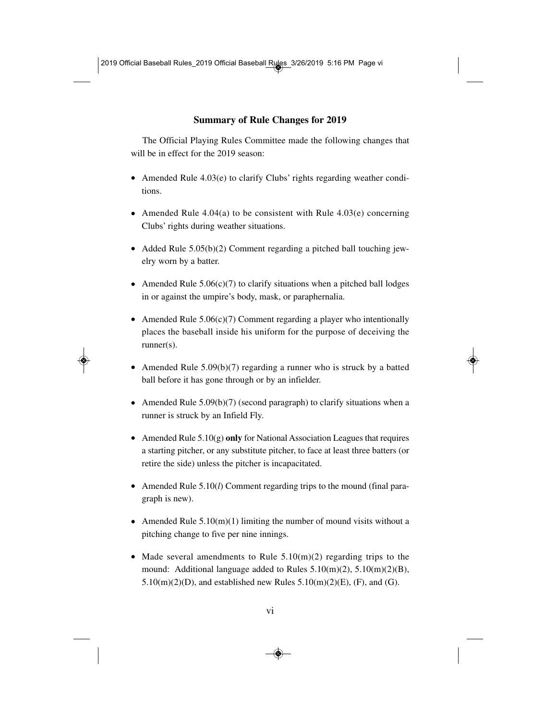### **Summary of Rule Changes for 2019**

The Official Playing Rules Committee made the following changes that will be in effect for the 2019 season:

- Amended Rule 4.03(e) to clarify Clubs' rights regarding weather conditions.
- Amended Rule 4.04(a) to be consistent with Rule  $4.03(e)$  concerning Clubs' rights during weather situations.
- Added Rule 5.05(b)(2) Comment regarding a pitched ball touching jewelry worn by a batter.
- Amended Rule  $5.06(c)(7)$  to clarify situations when a pitched ball lodges in or against the umpire's body, mask, or paraphernalia.
- Amended Rule  $5.06(c)(7)$  Comment regarding a player who intentionally places the baseball inside his uniform for the purpose of deceiving the runner(s).
- Amended Rule 5.09(b)(7) regarding a runner who is struck by a batted ball before it has gone through or by an infielder.
- Amended Rule  $5.09(b)(7)$  (second paragraph) to clarify situations when a runner is struck by an Infield Fly.
- Amended Rule 5.10(g) **only** for National Association Leagues that requires a starting pitcher, or any substitute pitcher, to face at least three batters (or retire the side) unless the pitcher is incapacitated.
- Amended Rule 5.10(*l*) Comment regarding trips to the mound (final paragraph is new).
- Amended Rule  $5.10(m)(1)$  limiting the number of mound visits without a pitching change to five per nine innings.
- Made several amendments to Rule  $5.10(m)(2)$  regarding trips to the mound: Additional language added to Rules 5.10(m)(2), 5.10(m)(2)(B),  $5.10(m)(2)(D)$ , and established new Rules  $5.10(m)(2)(E)$ , (F), and (G).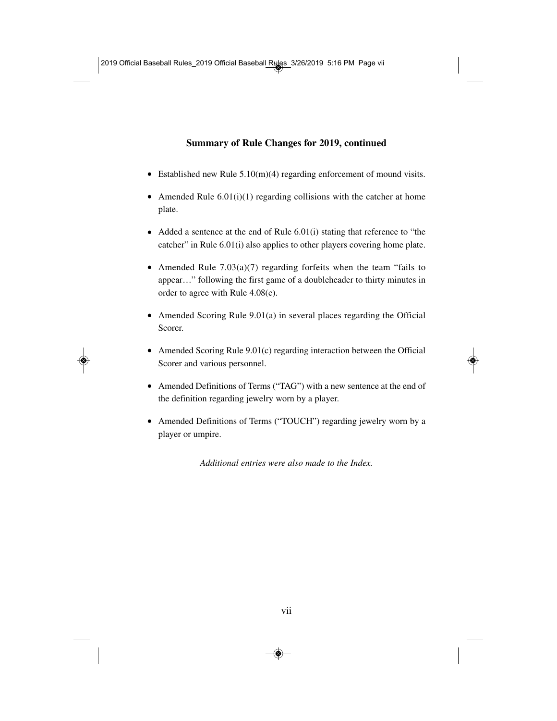# **Summary of Rule Changes for 2019, continued**

- Established new Rule  $5.10(m)(4)$  regarding enforcement of mound visits.
- Amended Rule  $6.01(i)(1)$  regarding collisions with the catcher at home plate.
- Added a sentence at the end of Rule 6.01(i) stating that reference to "the catcher" in Rule 6.01(i) also applies to other players covering home plate.
- Amended Rule  $7.03(a)(7)$  regarding forfeits when the team "fails to appear…" following the first game of a doubleheader to thirty minutes in order to agree with Rule 4.08(c).
- Amended Scoring Rule 9.01(a) in several places regarding the Official Scorer.
- Amended Scoring Rule 9.01(c) regarding interaction between the Official Scorer and various personnel.
- Amended Definitions of Terms ("TAG") with a new sentence at the end of the definition regarding jewelry worn by a player.
- Amended Definitions of Terms ("TOUCH") regarding jewelry worn by a player or umpire.

*Additional entries were also made to the Index.*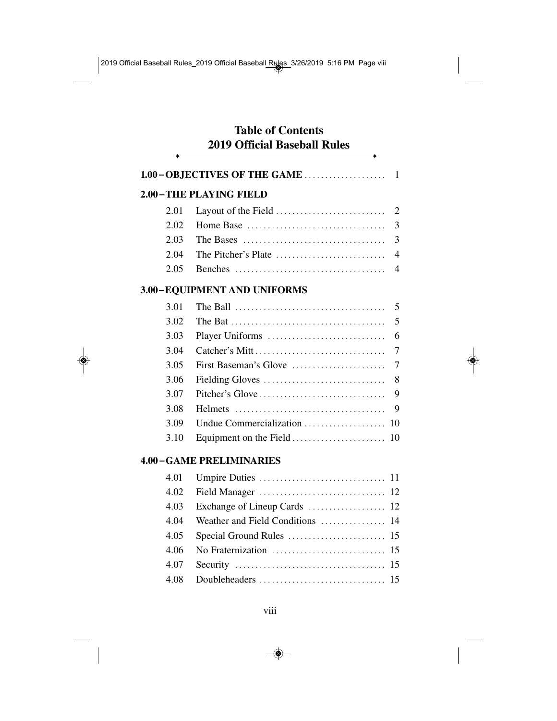# **Table of Contents 2019 Official Baseball Rules**

|      | <b>2.00-THE PLAYING FIELD</b>                                       |                |
|------|---------------------------------------------------------------------|----------------|
| 2.01 | Layout of the Field                                                 | $\overline{2}$ |
| 2.02 |                                                                     | 3              |
| 2.03 |                                                                     | 3              |
| 2.04 | The Pitcher's Plate $\dots\dots\dots\dots\dots\dots\dots\dots\dots$ | $\overline{4}$ |
| 2.05 |                                                                     | $\overline{4}$ |
|      | 3.00-EQUIPMENT AND UNIFORMS                                         |                |
| 3.01 |                                                                     | 5              |
| 3.02 |                                                                     | 5              |
| 3.03 |                                                                     | 6              |
| 3.04 |                                                                     | $\overline{7}$ |
| 3.05 | First Baseman's Glove                                               | $\overline{7}$ |
| 3.06 | Fielding Gloves                                                     | 8              |
| 3.07 | Pitcher's Glove                                                     | 9              |
| 3.08 |                                                                     | 9              |
| 3.09 | Undue Commercialization                                             | 10             |
| 3.10 | Equipment on the Field                                              | 10             |
|      | <b>4.00-GAME PRELIMINARIES</b>                                      |                |
| 4.01 | Umpire Duties                                                       | 11             |
| 4.02 | Field Manager                                                       | 12             |
| 4.03 | Exchange of Lineup Cards                                            | 12             |
| 4.04 | Weather and Field Conditions                                        | 14             |
| 4.05 | Special Ground Rules<br>15                                          |                |
| 4.06 | No Fraternization<br>15                                             |                |
| 4.07 | 15                                                                  |                |
| 4.08 | 15<br>Doubleheaders                                                 |                |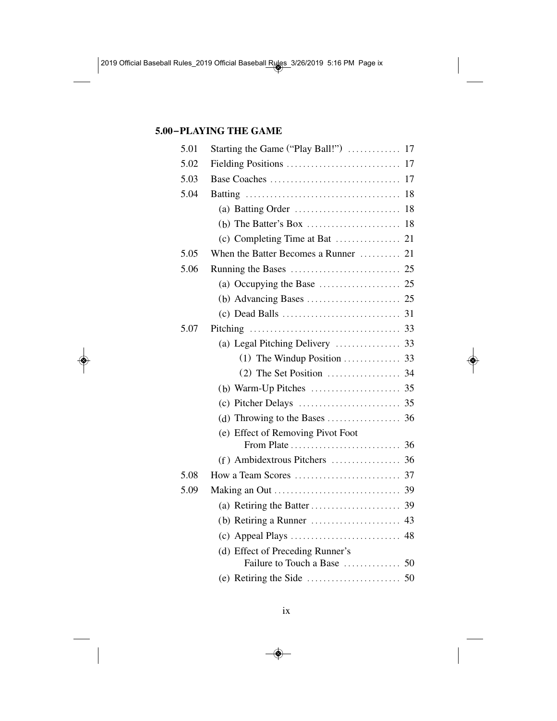# **5.00–PLAYING THE GAME**

| 5.01 |                                                                      |
|------|----------------------------------------------------------------------|
| 5.02 | Fielding Positions<br>17                                             |
| 5.03 | 17                                                                   |
| 5.04 | 18                                                                   |
|      | 18                                                                   |
|      | (b) The Batter's Box $\dots\dots\dots\dots\dots\dots\dots$<br>18     |
|      | (c) Completing Time at Bat $\dots\dots\dots\dots\dots$ 21            |
| 5.05 | When the Batter Becomes a Runner  21                                 |
| 5.06 |                                                                      |
|      |                                                                      |
|      |                                                                      |
|      |                                                                      |
| 5.07 |                                                                      |
|      |                                                                      |
|      |                                                                      |
|      |                                                                      |
|      |                                                                      |
|      |                                                                      |
|      |                                                                      |
|      | (e) Effect of Removing Pivot Foot                                    |
|      |                                                                      |
|      |                                                                      |
| 5.08 |                                                                      |
| 5.09 |                                                                      |
|      |                                                                      |
|      | (b) Retiring a Runner $\dots\dots\dots\dots\dots\dots$ 43            |
|      |                                                                      |
|      | (d) Effect of Preceding Runner's                                     |
|      |                                                                      |
|      | (e) Retiring the Side $\dots \dots \dots \dots \dots \dots \dots$ 50 |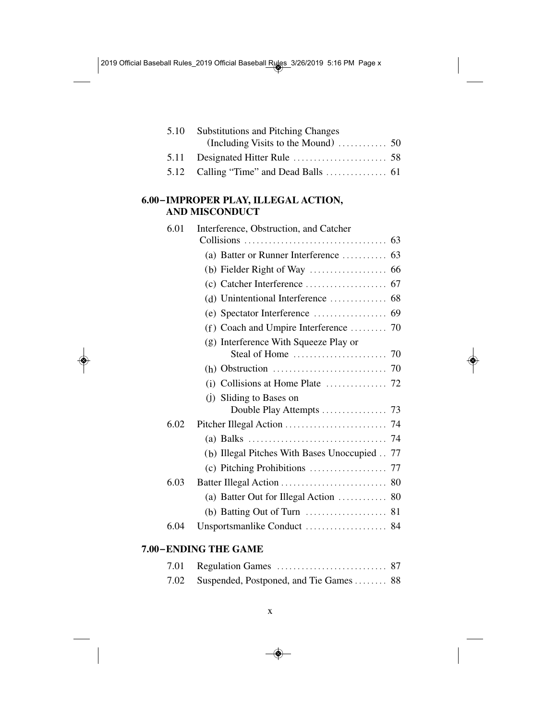| 5.10 | <b>Substitutions and Pitching Changes</b>   |  |
|------|---------------------------------------------|--|
|      | (Including Visits to the Mound) $\ldots$ 50 |  |
|      |                                             |  |
|      |                                             |  |

# **6.00–IMPROPER PLAY, ILLEGAL ACTION, AND MISCONDUCT**

| 6.01 | Interference, Obstruction, and Catcher                           |
|------|------------------------------------------------------------------|
|      |                                                                  |
|      |                                                                  |
|      |                                                                  |
|      |                                                                  |
|      |                                                                  |
|      |                                                                  |
|      |                                                                  |
|      | (g) Interference With Squeeze Play or                            |
|      | Steal of Home $\dots \dots \dots \dots \dots \dots \dots$ 70     |
|      |                                                                  |
|      | (i) Collisions at Home Plate $\dots \dots \dots \dots$ 72        |
|      | (j) Sliding to Bases on                                          |
|      |                                                                  |
| 6.02 |                                                                  |
|      |                                                                  |
|      | (b) Illegal Pitches With Bases Unoccupied . 77                   |
|      |                                                                  |
| 6.03 |                                                                  |
|      | (a) Batter Out for Illegal Action  80                            |
|      | (b) Batting Out of Turn $\dots \dots \dots \dots \dots \dots$ 81 |
| 6.04 |                                                                  |
|      |                                                                  |

# **7.00–ENDING THE GAME**

| 7.02 Suspended, Postponed, and Tie Games 88 |  |
|---------------------------------------------|--|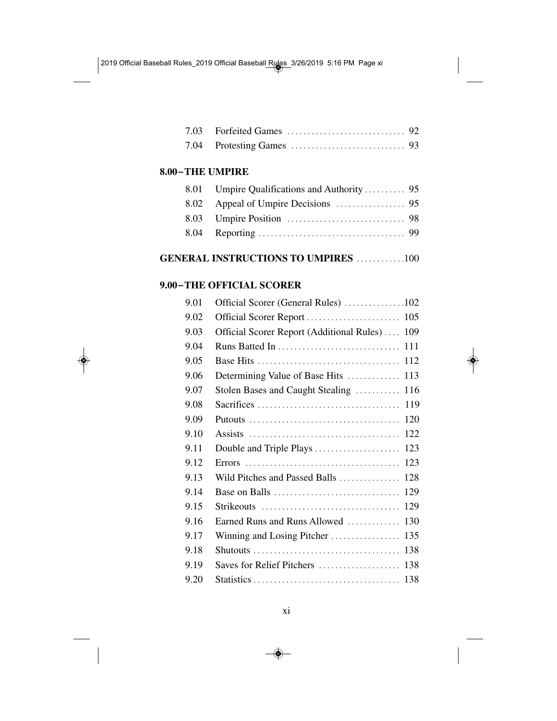# **8.00–THE UMPIRE**

| 8.01 |  |
|------|--|
|      |  |
|      |  |
|      |  |
|      |  |

# **GENERAL INSTRUCTIONS TO UMPIRES** ............100

# **9.00–THE OFFICIAL SCORER**

| 9.01 | Official Scorer (General Rules) 102            |     |
|------|------------------------------------------------|-----|
| 9.02 |                                                |     |
| 9.03 | Official Scorer Report (Additional Rules)  109 |     |
| 9.04 |                                                |     |
| 9.05 |                                                |     |
| 9.06 |                                                |     |
| 9.07 | Stolen Bases and Caught Stealing  116          |     |
| 9.08 |                                                |     |
| 9.09 |                                                | 120 |
| 9.10 |                                                |     |
| 9.11 |                                                |     |
| 9.12 |                                                |     |
| 9.13 |                                                |     |
| 9.14 |                                                | 129 |
| 9.15 | Strikeouts                                     | 129 |
| 9.16 | Earned Runs and Runs Allowed                   | 130 |
| 9.17 | Winning and Losing Pitcher                     | 135 |
| 9.18 |                                                |     |
| 9.19 | Saves for Relief Pitchers                      | 138 |
| 9.20 |                                                |     |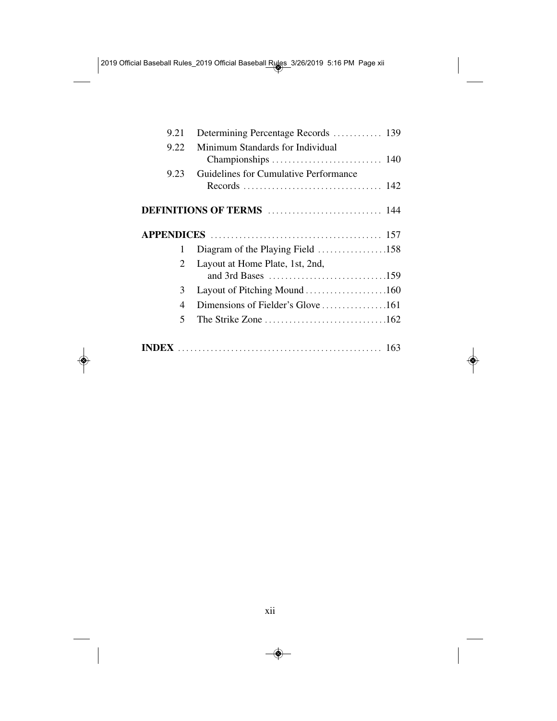| 9.21        |                                                                                               |  |
|-------------|-----------------------------------------------------------------------------------------------|--|
| 9.22        | Minimum Standards for Individual<br>Championships  140                                        |  |
| 9.23        | Guidelines for Cumulative Performance                                                         |  |
|             |                                                                                               |  |
|             |                                                                                               |  |
| 1           |                                                                                               |  |
| 2           | Layout at Home Plate, 1st, 2nd,                                                               |  |
| 3           |                                                                                               |  |
| 4           |                                                                                               |  |
| 5           | The Strike Zone $\dots \dots \dots \dots \dots \dots \dots \dots \dots \dots \dots \dots 162$ |  |
| <b>NDEX</b> |                                                                                               |  |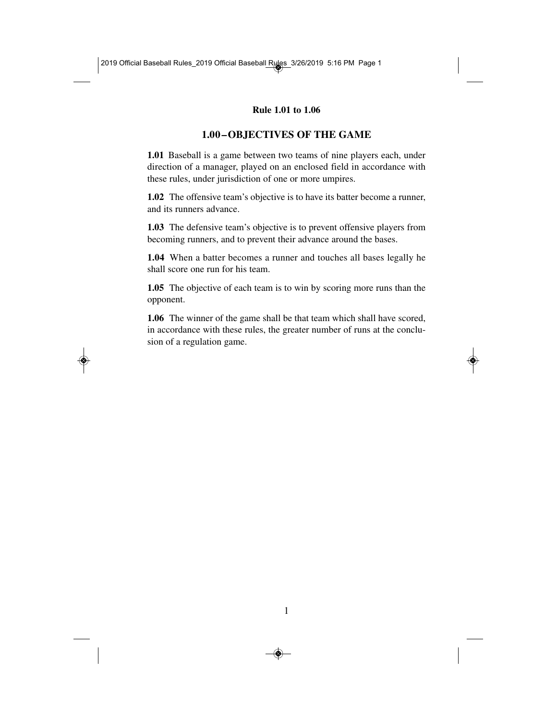# **1.00–OBJECTIVES OF THE GAME**

**1.01** Baseball is a game between two teams of nine players each, under direction of a manager, played on an enclosed field in accordance with these rules, under jurisdiction of one or more umpires.

**1.02** The offensive team's objective is to have its batter become a runner, and its runners advance.

**1.03** The defensive team's objective is to prevent offensive players from becoming runners, and to prevent their advance around the bases.

**1.04** When a batter becomes a runner and touches all bases legally he shall score one run for his team.

**1.05** The objective of each team is to win by scoring more runs than the opponent.

**1.06** The winner of the game shall be that team which shall have scored, in accordance with these rules, the greater number of runs at the conclusion of a regulation game.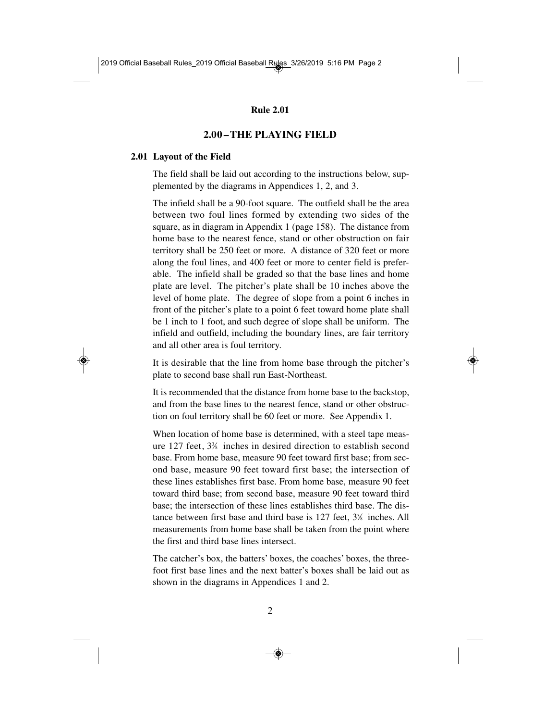#### **Rule 2.01**

# **2.00 –THE PLAYING FIELD**

#### **2.01 Layout of the Field**

The field shall be laid out according to the instructions below, supplemented by the diagrams in Appendices 1, 2, and 3.

The infield shall be a 90-foot square. The outfield shall be the area between two foul lines formed by extending two sides of the square, as in diagram in Appendix 1 (page 158). The distance from home base to the nearest fence, stand or other obstruction on fair territory shall be 250 feet or more. A distance of 320 feet or more along the foul lines, and 400 feet or more to center field is preferable. The infield shall be graded so that the base lines and home plate are level. The pitcher's plate shall be 10 inches above the level of home plate. The degree of slope from a point 6 inches in front of the pitcher's plate to a point 6 feet toward home plate shall be 1 inch to 1 foot, and such degree of slope shall be uniform. The infield and outfield, including the boundary lines, are fair territory and all other area is foul territory.

It is desirable that the line from home base through the pitcher's plate to second base shall run East-Northeast.

It is recommended that the distance from home base to the backstop, and from the base lines to the nearest fence, stand or other obstruction on foul territory shall be 60 feet or more. See Appendix 1.

When location of home base is determined, with a steel tape measure 127 feet, 33 ⁄8 inches in desired direction to establish second base. From home base, measure 90 feet toward first base; from second base, measure 90 feet toward first base; the intersection of these lines establishes first base. From home base, measure 90 feet toward third base; from second base, measure 90 feet toward third base; the intersection of these lines establishes third base. The distance between first base and third base is 127 feet, 33 ⁄8 inches. All measurements from home base shall be taken from the point where the first and third base lines intersect.

The catcher's box, the batters' boxes, the coaches' boxes, the threefoot first base lines and the next batter's boxes shall be laid out as shown in the diagrams in Appendices 1 and 2.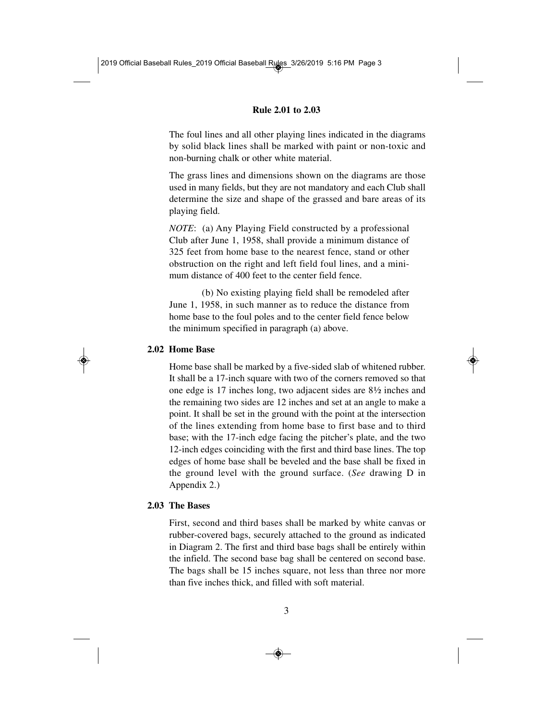The foul lines and all other playing lines indicated in the diagrams by solid black lines shall be marked with paint or non-toxic and non-burning chalk or other white material.

The grass lines and dimensions shown on the diagrams are those used in many fields, but they are not mandatory and each Club shall determine the size and shape of the grassed and bare areas of its playing field.

*NOTE*: (a) Any Playing Field constructed by a professional Club after June 1, 1958, shall provide a minimum distance of 325 feet from home base to the nearest fence, stand or other obstruction on the right and left field foul lines, and a minimum distance of 400 feet to the center field fence.

(b) No existing playing field shall be remodeled after June 1, 1958, in such manner as to reduce the distance from home base to the foul poles and to the center field fence below the minimum specified in paragraph (a) above.

# **2.02 Home Base**

Home base shall be marked by a five-sided slab of whitened rubber. It shall be a 17-inch square with two of the corners removed so that one edge is 17 inches long, two adjacent sides are 8½ inches and the remaining two sides are 12 inches and set at an angle to make a point. It shall be set in the ground with the point at the intersection of the lines extending from home base to first base and to third base; with the 17-inch edge facing the pitcher's plate, and the two 12-inch edges coinciding with the first and third base lines. The top edges of home base shall be beveled and the base shall be fixed in the ground level with the ground surface. (*See* drawing D in Appendix 2.)

#### **2.03 The Bases**

First, second and third bases shall be marked by white canvas or rubber-covered bags, securely attached to the ground as indicated in Diagram 2. The first and third base bags shall be entirely within the infield. The second base bag shall be centered on second base. The bags shall be 15 inches square, not less than three nor more than five inches thick, and filled with soft material.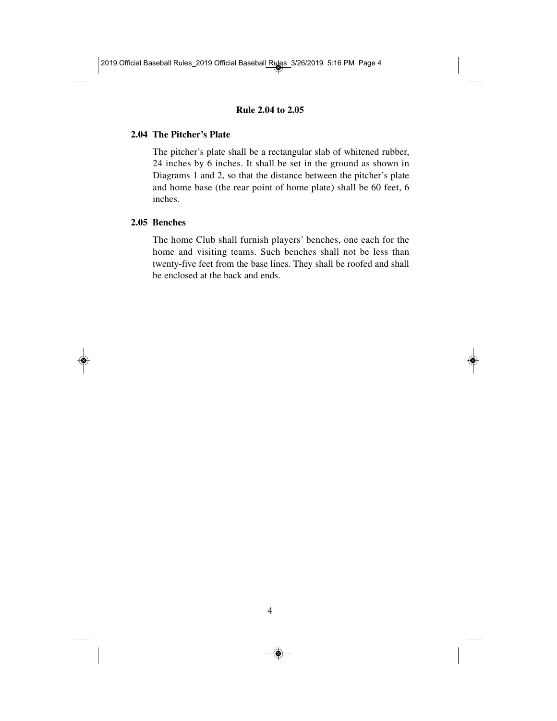# **2.04 The Pitcher's Plate**

The pitcher's plate shall be a rectangular slab of whitened rubber, 24 inches by 6 inches. It shall be set in the ground as shown in Diagrams 1 and 2, so that the distance between the pitcher's plate and home base (the rear point of home plate) shall be 60 feet, 6 inches.

# **2.05 Benches**

The home Club shall furnish players' benches, one each for the home and visiting teams. Such benches shall not be less than twenty-five feet from the base lines. They shall be roofed and shall be enclosed at the back and ends.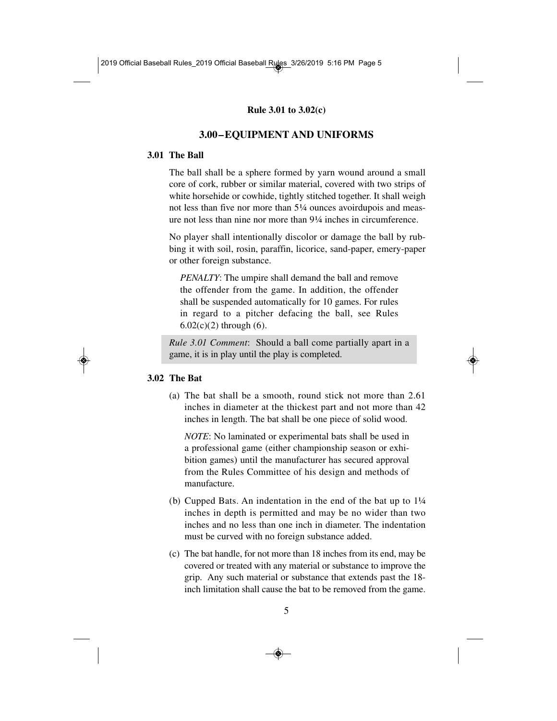# **3.00–EQUIPMENT AND UNIFORMS**

#### **3.01 The Ball**

The ball shall be a sphere formed by yarn wound around a small core of cork, rubber or similar material, covered with two strips of white horsehide or cowhide, tightly stitched together. It shall weigh not less than five nor more than 5¼ ounces avoirdupois and measure not less than nine nor more than 9¼ inches in circumference.

No player shall intentionally discolor or damage the ball by rubbing it with soil, rosin, paraffin, licorice, sand-paper, emery-paper or other foreign substance.

*PENALTY*: The umpire shall demand the ball and remove the offender from the game. In addition, the offender shall be suspended automatically for 10 games. For rules in regard to a pitcher defacing the ball, see Rules  $6.02(c)(2)$  through  $(6)$ .

*Rule 3.01 Comment*: Should a ball come partially apart in a game, it is in play until the play is completed.

#### **3.02 The Bat**

(a) The bat shall be a smooth, round stick not more than 2.61 inches in diameter at the thickest part and not more than 42 inches in length. The bat shall be one piece of solid wood.

*NOTE*: No laminated or experimental bats shall be used in a professional game (either championship season or exhibition games) until the manufacturer has secured approval from the Rules Committee of his design and methods of manufacture.

- (b) Cupped Bats. An indentation in the end of the bat up to 1¼ inches in depth is permitted and may be no wider than two inches and no less than one inch in diameter. The indentation must be curved with no foreign substance added.
- (c) The bat handle, for not more than 18 inches from its end, may be covered or treated with any material or substance to improve the grip. Any such material or substance that extends past the 18 inch limitation shall cause the bat to be removed from the game.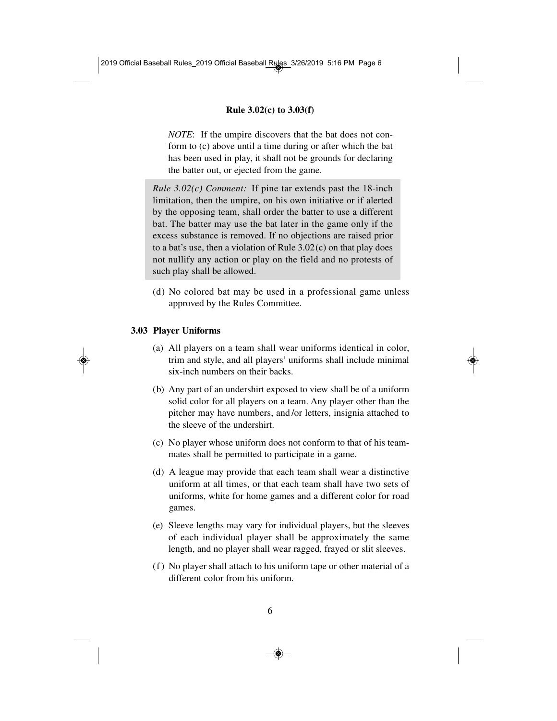*NOTE*: If the umpire discovers that the bat does not conform to (c) above until a time during or after which the bat has been used in play, it shall not be grounds for declaring the batter out, or ejected from the game.

*Rule 3.02(c) Comment:* If pine tar extends past the 18-inch limitation, then the umpire, on his own initiative or if alerted by the opposing team, shall order the batter to use a different bat. The batter may use the bat later in the game only if the excess substance is removed. If no objections are raised prior to a bat's use, then a violation of Rule 3.02(c) on that play does not nullify any action or play on the field and no protests of such play shall be allowed.

(d) No colored bat may be used in a professional game unless approved by the Rules Committee.

# **3.03 Player Uniforms**

- (a) All players on a team shall wear uniforms identical in color, trim and style, and all players' uniforms shall include minimal six-inch numbers on their backs.
- (b) Any part of an undershirt exposed to view shall be of a uniform solid color for all players on a team. Any player other than the pitcher may have numbers, and /or letters, insignia attached to the sleeve of the undershirt.
- (c) No player whose uniform does not conform to that of his teammates shall be permitted to participate in a game.
- (d) A league may provide that each team shall wear a distinctive uniform at all times, or that each team shall have two sets of uniforms, white for home games and a different color for road games.
- (e) Sleeve lengths may vary for individual players, but the sleeves of each individual player shall be approximately the same length, and no player shall wear ragged, frayed or slit sleeves.
- (f ) No player shall attach to his uniform tape or other material of a different color from his uniform.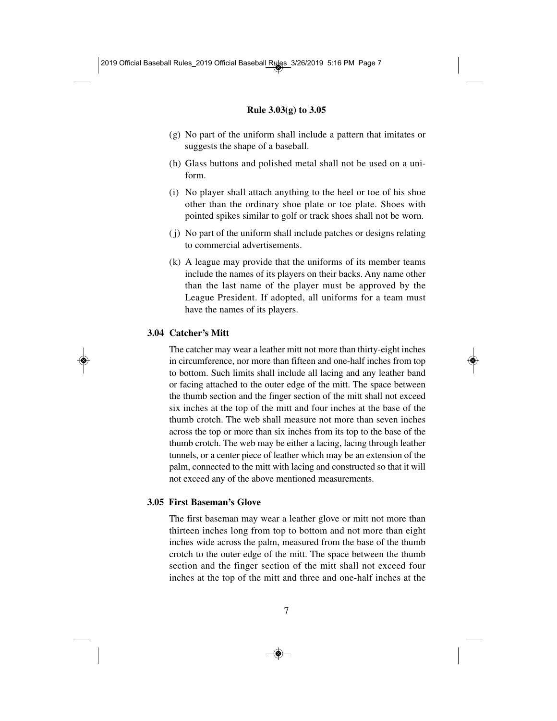- (g) No part of the uniform shall include a pattern that imitates or suggests the shape of a baseball.
- (h) Glass buttons and polished metal shall not be used on a uniform.
- (i) No player shall attach anything to the heel or toe of his shoe other than the ordinary shoe plate or toe plate. Shoes with pointed spikes similar to golf or track shoes shall not be worn.
- ( j) No part of the uniform shall include patches or designs relating to commercial advertisements.
- (k) A league may provide that the uniforms of its member teams include the names of its players on their backs. Any name other than the last name of the player must be approved by the League President. If adopted, all uniforms for a team must have the names of its players.

#### **3.04 Catcher's Mitt**

The catcher may wear a leather mitt not more than thirty-eight inches in circumference, nor more than fifteen and one-half inches from top to bottom. Such limits shall include all lacing and any leather band or facing attached to the outer edge of the mitt. The space between the thumb section and the finger section of the mitt shall not exceed six inches at the top of the mitt and four inches at the base of the thumb crotch. The web shall measure not more than seven inches across the top or more than six inches from its top to the base of the thumb crotch. The web may be either a lacing, lacing through leather tunnels, or a center piece of leather which may be an extension of the palm, connected to the mitt with lacing and constructed so that it will not exceed any of the above mentioned measurements.

#### **3.05 First Baseman's Glove**

The first baseman may wear a leather glove or mitt not more than thirteen inches long from top to bottom and not more than eight inches wide across the palm, measured from the base of the thumb crotch to the outer edge of the mitt. The space between the thumb section and the finger section of the mitt shall not exceed four inches at the top of the mitt and three and one-half inches at the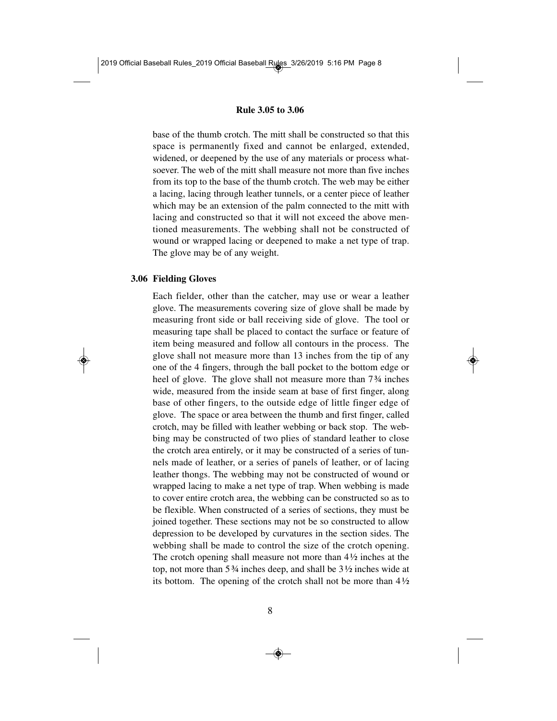base of the thumb crotch. The mitt shall be constructed so that this space is permanently fixed and cannot be enlarged, extended, widened, or deepened by the use of any materials or process whatsoever. The web of the mitt shall measure not more than five inches from its top to the base of the thumb crotch. The web may be either a lacing, lacing through leather tunnels, or a center piece of leather which may be an extension of the palm connected to the mitt with lacing and constructed so that it will not exceed the above mentioned measurements. The webbing shall not be constructed of wound or wrapped lacing or deepened to make a net type of trap. The glove may be of any weight.

#### **3.06 Fielding Gloves**

Each fielder, other than the catcher, may use or wear a leather glove. The measurements covering size of glove shall be made by measuring front side or ball receiving side of glove. The tool or measuring tape shall be placed to contact the surface or feature of item being measured and follow all contours in the process. The glove shall not measure more than 13 inches from the tip of any one of the 4 fingers, through the ball pocket to the bottom edge or heel of glove. The glove shall not measure more than  $7\frac{3}{4}$  inches wide, measured from the inside seam at base of first finger, along base of other fingers, to the outside edge of little finger edge of glove. The space or area between the thumb and first finger, called crotch, may be filled with leather webbing or back stop. The webbing may be constructed of two plies of standard leather to close the crotch area entirely, or it may be constructed of a series of tunnels made of leather, or a series of panels of leather, or of lacing leather thongs. The webbing may not be constructed of wound or wrapped lacing to make a net type of trap. When webbing is made to cover entire crotch area, the webbing can be constructed so as to be flexible. When constructed of a series of sections, they must be joined together. These sections may not be so constructed to allow depression to be developed by curvatures in the section sides. The webbing shall be made to control the size of the crotch opening. The crotch opening shall measure not more than  $4\frac{1}{2}$  inches at the top, not more than 5 ¾ inches deep, and shall be 3 ½ inches wide at its bottom. The opening of the crotch shall not be more than  $4\frac{1}{2}$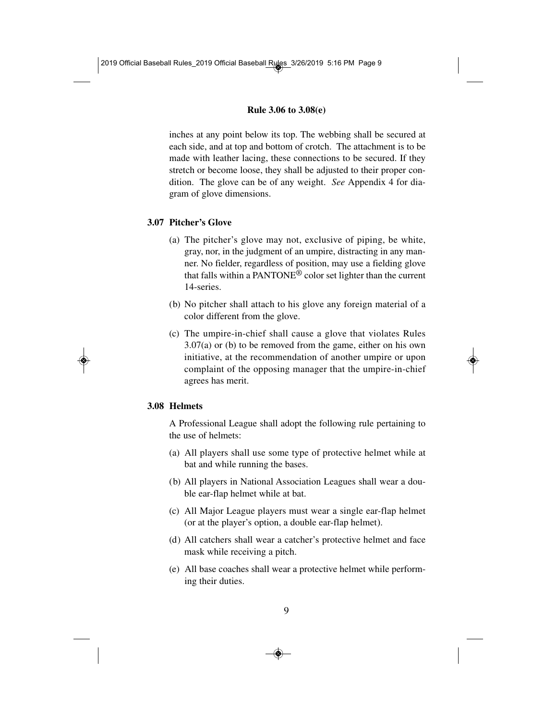inches at any point below its top. The webbing shall be secured at each side, and at top and bottom of crotch. The attachment is to be made with leather lacing, these connections to be secured. If they stretch or become loose, they shall be adjusted to their proper condition. The glove can be of any weight. *See* Appendix 4 for diagram of glove dimensions.

# **3.07 Pitcher's Glove**

- (a) The pitcher's glove may not, exclusive of piping, be white, gray, nor, in the judgment of an umpire, distracting in any manner. No fielder, regardless of position, may use a fielding glove that falls within a PANTONE® color set lighter than the current 14-series.
- (b) No pitcher shall attach to his glove any foreign material of a color different from the glove.
- (c) The umpire-in-chief shall cause a glove that violates Rules 3.07(a) or (b) to be removed from the game, either on his own initiative, at the recommendation of another umpire or upon complaint of the opposing manager that the umpire-in-chief agrees has merit.

#### **3.08 Helmets**

A Professional League shall adopt the following rule pertaining to the use of helmets:

- (a) All players shall use some type of protective helmet while at bat and while running the bases.
- (b) All players in National Association Leagues shall wear a double ear-flap helmet while at bat.
- (c) All Major League players must wear a single ear-flap helmet (or at the player's option, a double ear-flap helmet).
- (d) All catchers shall wear a catcher's protective helmet and face mask while receiving a pitch.
- (e) All base coaches shall wear a protective helmet while performing their duties.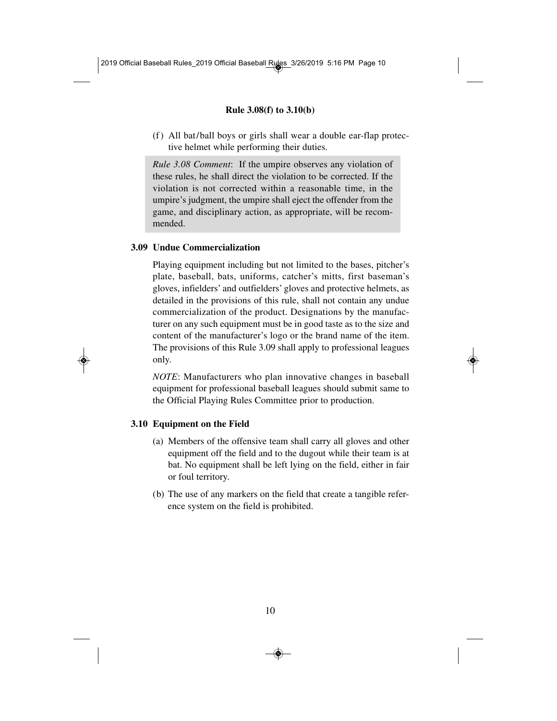(f ) All bat/ball boys or girls shall wear a double ear-flap protective helmet while performing their duties.

*Rule 3.08 Comment*: If the umpire observes any violation of these rules, he shall direct the violation to be corrected. If the violation is not corrected within a reasonable time, in the umpire's judgment, the umpire shall eject the offender from the game, and disciplinary action, as appropriate, will be recommended.

# **3.09 Undue Commercialization**

Playing equipment including but not limited to the bases, pitcher's plate, baseball, bats, uniforms, catcher's mitts, first baseman's gloves, infielders' and outfielders' gloves and protective helmets, as detailed in the provisions of this rule, shall not contain any undue commercialization of the product. Designations by the manufacturer on any such equipment must be in good taste as to the size and content of the manufacturer's logo or the brand name of the item. The provisions of this Rule 3.09 shall apply to professional leagues only.

*NOTE*: Manufacturers who plan innovative changes in baseball equipment for professional baseball leagues should submit same to the Official Playing Rules Committee prior to production.

# **3.10 Equipment on the Field**

- (a) Members of the offensive team shall carry all gloves and other equipment off the field and to the dugout while their team is at bat. No equipment shall be left lying on the field, either in fair or foul territory.
- (b) The use of any markers on the field that create a tangible reference system on the field is prohibited.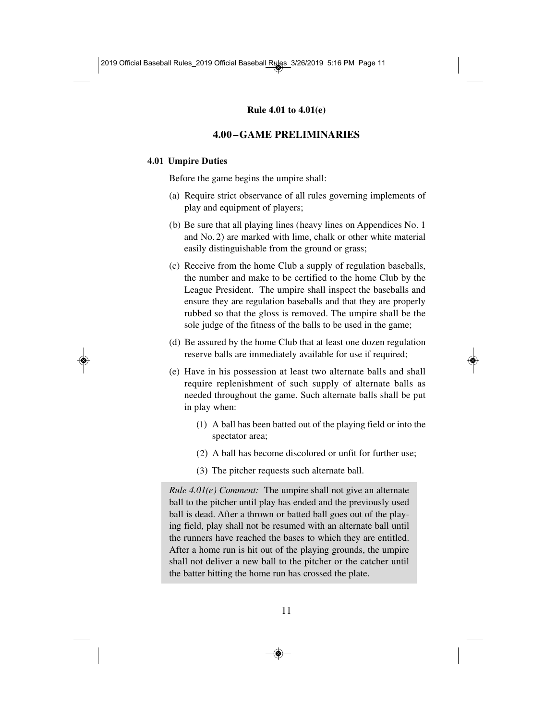# **4.00 –GAME PRELIMINARIES**

#### **4.01 Umpire Duties**

Before the game begins the umpire shall:

- (a) Require strict observance of all rules governing implements of play and equipment of players;
- (b) Be sure that all playing lines (heavy lines on Appendices No. 1 and No. 2) are marked with lime, chalk or other white material easily distinguishable from the ground or grass;
- (c) Receive from the home Club a supply of regulation baseballs, the number and make to be certified to the home Club by the League President. The umpire shall inspect the baseballs and ensure they are regulation baseballs and that they are properly rubbed so that the gloss is removed. The umpire shall be the sole judge of the fitness of the balls to be used in the game;
- (d) Be assured by the home Club that at least one dozen regulation reserve balls are immediately available for use if required;
- (e) Have in his possession at least two alternate balls and shall require replenishment of such supply of alternate balls as needed throughout the game. Such alternate balls shall be put in play when:
	- (1) A ball has been batted out of the playing field or into the spectator area;
	- (2) A ball has become discolored or unfit for further use;
	- (3) The pitcher requests such alternate ball.

*Rule 4.01(e) Comment:* The umpire shall not give an alternate ball to the pitcher until play has ended and the previously used ball is dead. After a thrown or batted ball goes out of the playing field, play shall not be resumed with an alternate ball until the runners have reached the bases to which they are entitled. After a home run is hit out of the playing grounds, the umpire shall not deliver a new ball to the pitcher or the catcher until the batter hitting the home run has crossed the plate.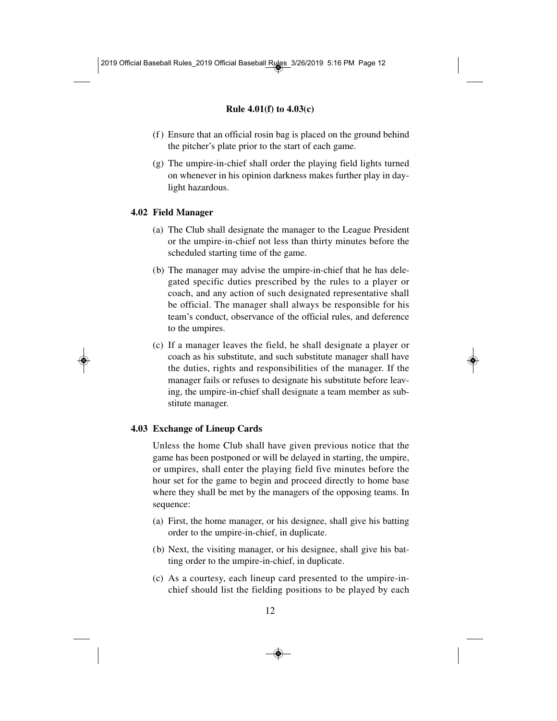- (f ) Ensure that an official rosin bag is placed on the ground behind the pitcher's plate prior to the start of each game.
- (g) The umpire-in-chief shall order the playing field lights turned on whenever in his opinion darkness makes further play in daylight hazardous.

## **4.02 Field Manager**

- (a) The Club shall designate the manager to the League President or the umpire-in-chief not less than thirty minutes before the scheduled starting time of the game.
- (b) The manager may advise the umpire-in-chief that he has delegated specific duties prescribed by the rules to a player or coach, and any action of such designated representative shall be official. The manager shall always be responsible for his team's conduct, observance of the official rules, and deference to the umpires.
- (c) If a manager leaves the field, he shall designate a player or coach as his substitute, and such substitute manager shall have the duties, rights and responsibilities of the manager. If the manager fails or refuses to designate his substitute before leaving, the umpire-in-chief shall designate a team member as substitute manager.

#### **4.03 Exchange of Lineup Cards**

Unless the home Club shall have given previous notice that the game has been postponed or will be delayed in starting, the umpire, or umpires, shall enter the playing field five minutes before the hour set for the game to begin and proceed directly to home base where they shall be met by the managers of the opposing teams. In sequence:

- (a) First, the home manager, or his designee, shall give his batting order to the umpire-in-chief, in duplicate.
- (b) Next, the visiting manager, or his designee, shall give his batting order to the umpire-in-chief, in duplicate.
- (c) As a courtesy, each lineup card presented to the umpire-inchief should list the fielding positions to be played by each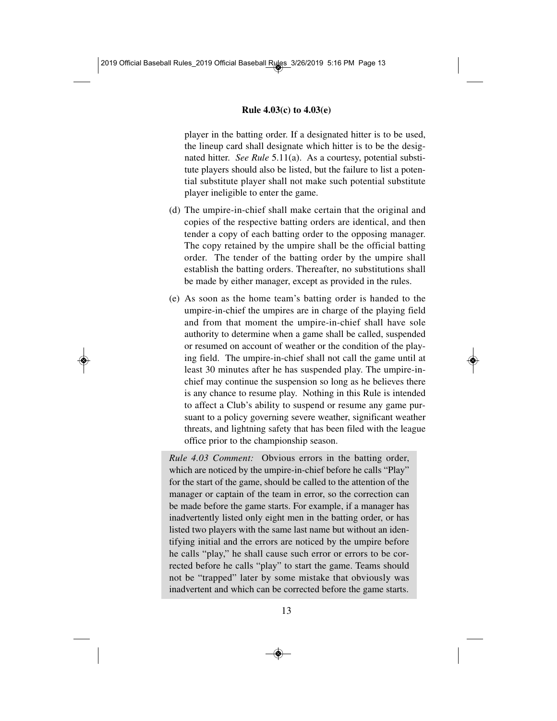player in the batting order. If a designated hitter is to be used, the lineup card shall designate which hitter is to be the designated hitter. *See Rule* 5.11(a). As a courtesy, potential substitute players should also be listed, but the failure to list a potential substitute player shall not make such potential substitute player ineligible to enter the game.

- (d) The umpire-in-chief shall make certain that the original and copies of the respective batting orders are identical, and then tender a copy of each batting order to the opposing manager. The copy retained by the umpire shall be the official batting order. The tender of the batting order by the umpire shall establish the batting orders. Thereafter, no substitutions shall be made by either manager, except as provided in the rules.
- (e) As soon as the home team's batting order is handed to the umpire-in-chief the umpires are in charge of the playing field and from that moment the umpire-in-chief shall have sole authority to determine when a game shall be called, suspended or resumed on account of weather or the condition of the playing field. The umpire-in-chief shall not call the game until at least 30 minutes after he has suspended play. The umpire-inchief may continue the suspension so long as he believes there is any chance to resume play. Nothing in this Rule is intended to affect a Club's ability to suspend or resume any game pursuant to a policy governing severe weather, significant weather threats, and lightning safety that has been filed with the league office prior to the championship season.

*Rule 4.03 Comment:* Obvious errors in the batting order, which are noticed by the umpire-in-chief before he calls "Play" for the start of the game, should be called to the attention of the manager or captain of the team in error, so the correction can be made before the game starts. For example, if a manager has inadvertently listed only eight men in the batting order, or has listed two players with the same last name but without an identifying initial and the errors are noticed by the umpire before he calls "play," he shall cause such error or errors to be corrected before he calls "play" to start the game. Teams should not be "trapped" later by some mistake that obviously was inadvertent and which can be corrected before the game starts.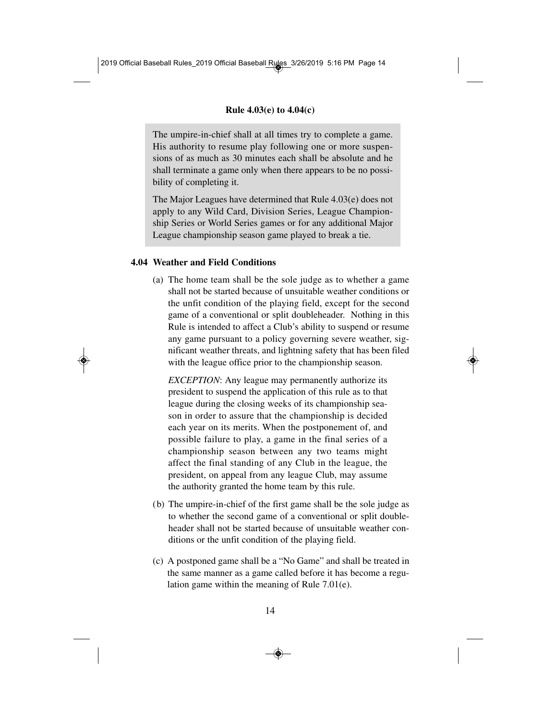The umpire-in-chief shall at all times try to complete a game. His authority to resume play following one or more suspensions of as much as 30 minutes each shall be absolute and he shall terminate a game only when there appears to be no possibility of completing it.

The Major Leagues have determined that Rule 4.03(e) does not apply to any Wild Card, Division Series, League Championship Series or World Series games or for any additional Major League championship season game played to break a tie.

### **4.04 Weather and Field Conditions**

(a) The home team shall be the sole judge as to whether a game shall not be started because of unsuitable weather conditions or the unfit condition of the playing field, except for the second game of a conventional or split doubleheader. Nothing in this Rule is intended to affect a Club's ability to suspend or resume any game pursuant to a policy governing severe weather, significant weather threats, and lightning safety that has been filed with the league office prior to the championship season.

*EXCEPTION*: Any league may permanently authorize its president to suspend the application of this rule as to that league during the closing weeks of its championship season in order to assure that the championship is decided each year on its merits. When the postponement of, and possible failure to play, a game in the final series of a championship season between any two teams might affect the final standing of any Club in the league, the president, on appeal from any league Club, may assume the authority granted the home team by this rule.

- (b) The umpire-in-chief of the first game shall be the sole judge as to whether the second game of a conventional or split doubleheader shall not be started because of unsuitable weather conditions or the unfit condition of the playing field.
- (c) A postponed game shall be a "No Game" and shall be treated in the same manner as a game called before it has become a regulation game within the meaning of Rule 7.01(e).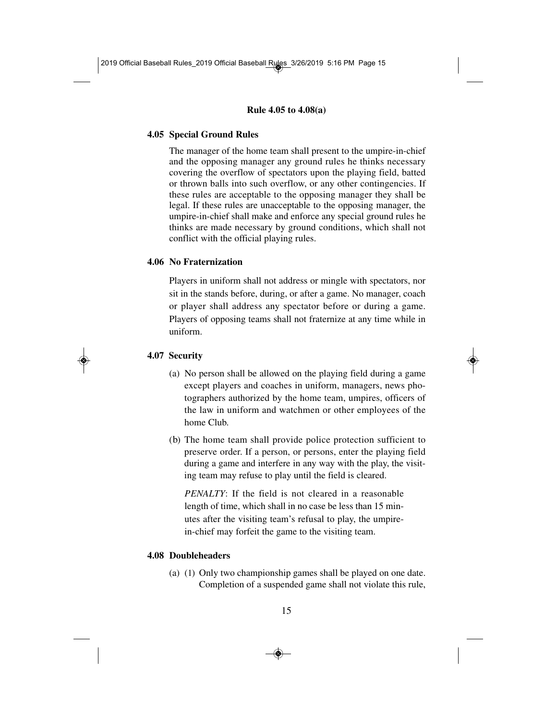### **4.05 Special Ground Rules**

The manager of the home team shall present to the umpire-in-chief and the opposing manager any ground rules he thinks necessary covering the overflow of spectators upon the playing field, batted or thrown balls into such overflow, or any other contingencies. If these rules are acceptable to the opposing manager they shall be legal. If these rules are unacceptable to the opposing manager, the umpire-in-chief shall make and enforce any special ground rules he thinks are made necessary by ground conditions, which shall not conflict with the official playing rules.

### **4.06 No Fraternization**

Players in uniform shall not address or mingle with spectators, nor sit in the stands before, during, or after a game. No manager, coach or player shall address any spectator before or during a game. Players of opposing teams shall not fraternize at any time while in uniform.

#### **4.07 Security**

- (a) No person shall be allowed on the playing field during a game except players and coaches in uniform, managers, news photographers authorized by the home team, umpires, officers of the law in uniform and watchmen or other employees of the home Club.
- (b) The home team shall provide police protection sufficient to preserve order. If a person, or persons, enter the playing field during a game and interfere in any way with the play, the visiting team may refuse to play until the field is cleared.

*PENALTY*: If the field is not cleared in a reasonable length of time, which shall in no case be less than 15 minutes after the visiting team's refusal to play, the umpirein-chief may forfeit the game to the visiting team.

#### **4.08 Doubleheaders**

(a) (1) Only two championship games shall be played on one date. Completion of a suspended game shall not violate this rule,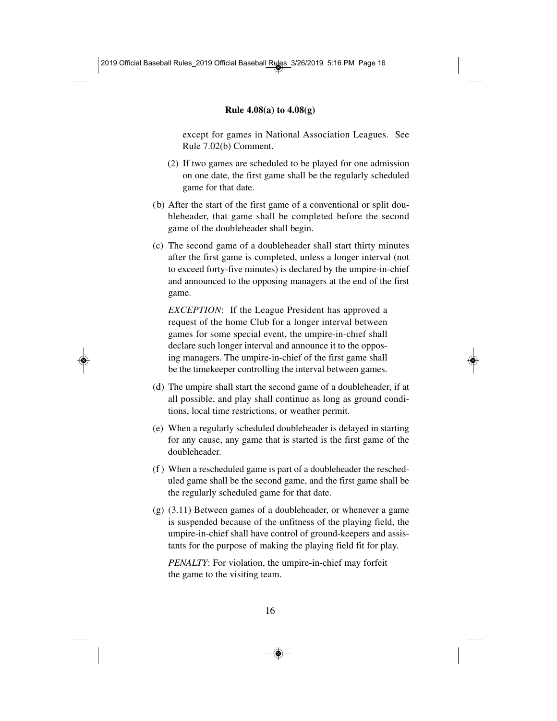except for games in National Association Leagues. See Rule 7.02(b) Comment.

- $(2)$  If two games are scheduled to be played for one admission on one date, the first game shall be the regularly scheduled game for that date.
- (b) After the start of the first game of a conventional or split doubleheader, that game shall be completed before the second game of the doubleheader shall begin.
- (c) The second game of a doubleheader shall start thirty minutes after the first game is completed, unless a longer interval (not to exceed forty-five minutes) is declared by the umpire-in-chief and announced to the opposing managers at the end of the first game.

*EXCEPTION*: If the League President has approved a request of the home Club for a longer interval between games for some special event, the umpire-in-chief shall declare such longer interval and announce it to the opposing managers. The umpire-in-chief of the first game shall be the timekeeper controlling the interval between games.

- (d) The umpire shall start the second game of a doubleheader, if at all possible, and play shall continue as long as ground conditions, local time restrictions, or weather permit.
- (e) When a regularly scheduled doubleheader is delayed in starting for any cause, any game that is started is the first game of the doubleheader.
- (f ) When a rescheduled game is part of a doubleheader the rescheduled game shall be the second game, and the first game shall be the regularly scheduled game for that date.
- (g) (3.11) Between games of a doubleheader, or whenever a game is suspended because of the unfitness of the playing field, the umpire-in-chief shall have control of ground-keepers and assistants for the purpose of making the playing field fit for play.

*PENALTY*: For violation, the umpire-in-chief may forfeit the game to the visiting team.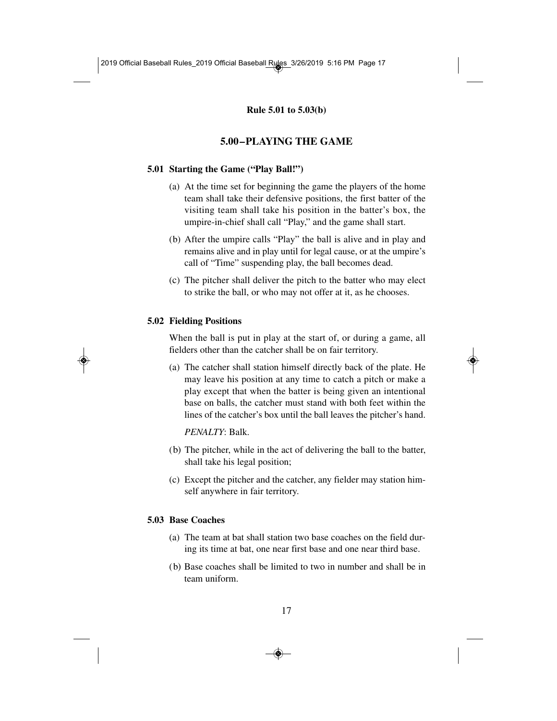# **5.00–PLAYING THE GAME**

#### **5.01 Starting the Game ("Play Ball!")**

- (a) At the time set for beginning the game the players of the home team shall take their defensive positions, the first batter of the visiting team shall take his position in the batter's box, the umpire-in-chief shall call "Play," and the game shall start.
- (b) After the umpire calls "Play" the ball is alive and in play and remains alive and in play until for legal cause, or at the umpire's call of "Time" suspending play, the ball becomes dead.
- (c) The pitcher shall deliver the pitch to the batter who may elect to strike the ball, or who may not offer at it, as he chooses.

#### **5.02 Fielding Positions**

When the ball is put in play at the start of, or during a game, all fielders other than the catcher shall be on fair territory.

(a) The catcher shall station himself directly back of the plate. He may leave his position at any time to catch a pitch or make a play except that when the batter is being given an intentional base on balls, the catcher must stand with both feet within the lines of the catcher's box until the ball leaves the pitcher's hand.

*PENALTY*: Balk.

- (b) The pitcher, while in the act of delivering the ball to the batter, shall take his legal position;
- (c) Except the pitcher and the catcher, any fielder may station himself anywhere in fair territory.

#### **5.03 Base Coaches**

- (a) The team at bat shall station two base coaches on the field during its time at bat, one near first base and one near third base.
- (b) Base coaches shall be limited to two in number and shall be in team uniform.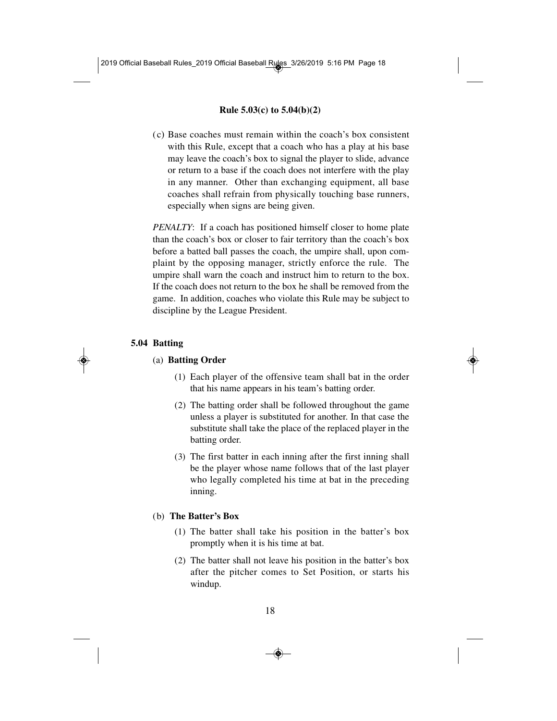(c) Base coaches must remain within the coach's box consistent with this Rule, except that a coach who has a play at his base may leave the coach's box to signal the player to slide, advance or return to a base if the coach does not interfere with the play in any manner. Other than exchanging equipment, all base coaches shall refrain from physically touching base runners, especially when signs are being given.

*PENALTY*: If a coach has positioned himself closer to home plate than the coach's box or closer to fair territory than the coach's box before a batted ball passes the coach, the umpire shall, upon complaint by the opposing manager, strictly enforce the rule. The umpire shall warn the coach and instruct him to return to the box. If the coach does not return to the box he shall be removed from the game. In addition, coaches who violate this Rule may be subject to discipline by the League President.

# **5.04 Batting**

## (a) **Batting Order**

- (1) Each player of the offensive team shall bat in the order that his name appears in his team's batting order.
- (2) The batting order shall be followed throughout the game unless a player is substituted for another. In that case the substitute shall take the place of the replaced player in the batting order.
- (3) The first batter in each inning after the first inning shall be the player whose name follows that of the last player who legally completed his time at bat in the preceding inning.

#### (b) **The Batter's Box**

- (1) The batter shall take his position in the batter's box promptly when it is his time at bat.
- (2) The batter shall not leave his position in the batter's box after the pitcher comes to Set Position, or starts his windup.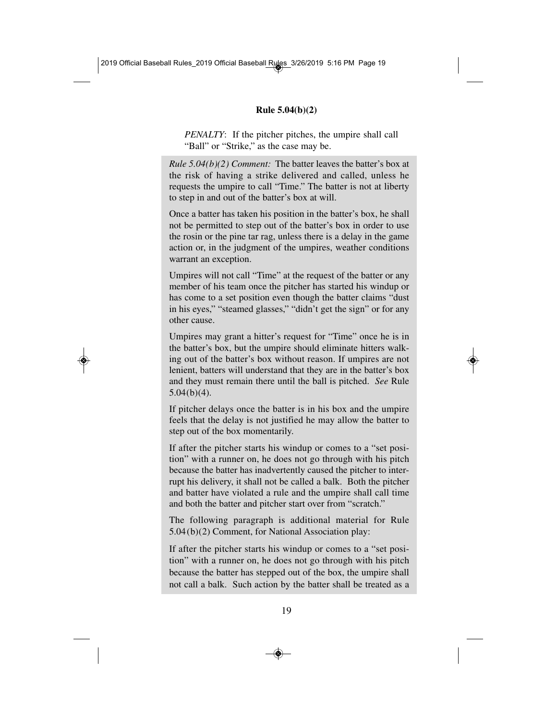*PENALTY*: If the pitcher pitches, the umpire shall call "Ball" or "Strike," as the case may be.

*Rule 5.04(b)(2) Comment:* The batter leaves the batter's box at the risk of having a strike delivered and called, unless he requests the umpire to call "Time." The batter is not at liberty to step in and out of the batter's box at will.

Once a batter has taken his position in the batter's box, he shall not be permitted to step out of the batter's box in order to use the rosin or the pine tar rag, unless there is a delay in the game action or, in the judgment of the umpires, weather conditions warrant an exception.

Umpires will not call "Time" at the request of the batter or any member of his team once the pitcher has started his windup or has come to a set position even though the batter claims "dust in his eyes," "steamed glasses," "didn't get the sign" or for any other cause.

Umpires may grant a hitter's request for "Time" once he is in the batter's box, but the umpire should eliminate hitters walking out of the batter's box without reason. If umpires are not lenient, batters will understand that they are in the batter's box and they must remain there until the ball is pitched. *See* Rule  $5.04(b)(4)$ .

If pitcher delays once the batter is in his box and the umpire feels that the delay is not justified he may allow the batter to step out of the box momentarily.

If after the pitcher starts his windup or comes to a "set position" with a runner on, he does not go through with his pitch because the batter has inadvertently caused the pitcher to interrupt his delivery, it shall not be called a balk. Both the pitcher and batter have violated a rule and the umpire shall call time and both the batter and pitcher start over from "scratch."

The following paragraph is additional material for Rule 5.04(b)(2) Comment, for National Association play:

If after the pitcher starts his windup or comes to a "set position" with a runner on, he does not go through with his pitch because the batter has stepped out of the box, the umpire shall not call a balk. Such action by the batter shall be treated as a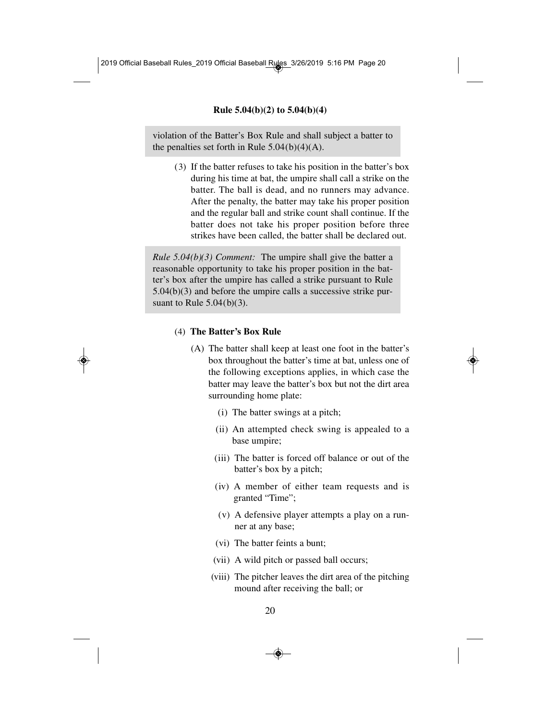violation of the Batter's Box Rule and shall subject a batter to the penalties set forth in Rule  $5.04(b)(4)(A)$ .

(3) If the batter refuses to take his position in the batter's box during his time at bat, the umpire shall call a strike on the batter. The ball is dead, and no runners may advance. After the penalty, the batter may take his proper position and the regular ball and strike count shall continue. If the batter does not take his proper position before three strikes have been called, the batter shall be declared out.

*Rule 5.04(b)(3) Comment:* The umpire shall give the batter a reasonable opportunity to take his proper position in the batter's box after the umpire has called a strike pursuant to Rule 5.04(b)(3) and before the umpire calls a successive strike pursuant to Rule  $5.04(b)(3)$ .

#### (4) **The Batter's Box Rule**

- (A) The batter shall keep at least one foot in the batter's box throughout the batter's time at bat, unless one of the following exceptions applies, in which case the batter may leave the batter's box but not the dirt area surrounding home plate:
	- (i) The batter swings at a pitch;
	- (ii) An attempted check swing is appealed to a base umpire;
	- (iii) The batter is forced off balance or out of the batter's box by a pitch;
	- (iv) A member of either team requests and is granted "Time";
	- (v) A defensive player attempts a play on a runner at any base;
	- (vi) The batter feints a bunt;
	- (vii) A wild pitch or passed ball occurs;
	- (viii) The pitcher leaves the dirt area of the pitching mound after receiving the ball; or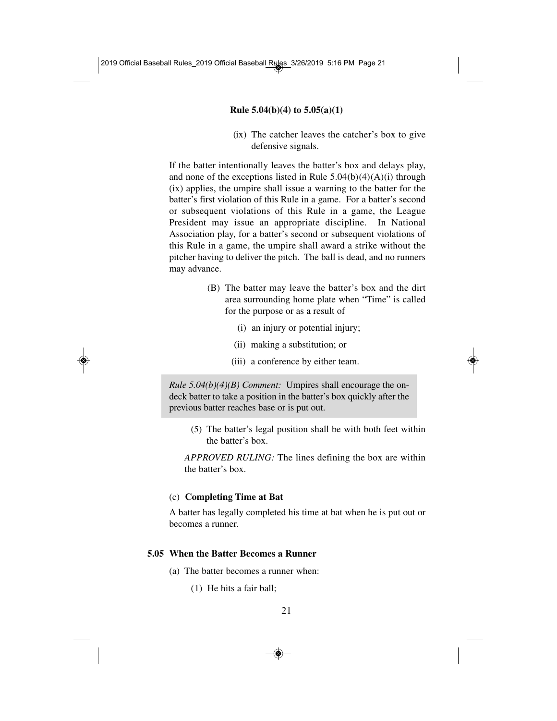#### **Rule 5.04(b)(4) to 5.05(a)(1)**

(ix) The catcher leaves the catcher's box to give defensive signals.

If the batter intentionally leaves the batter's box and delays play, and none of the exceptions listed in Rule  $5.04(b)(4)(A)(i)$  through (ix) applies, the umpire shall issue a warning to the batter for the batter's first violation of this Rule in a game. For a batter's second or subsequent violations of this Rule in a game, the League President may issue an appropriate discipline. In National Association play, for a batter's second or subsequent violations of this Rule in a game, the umpire shall award a strike without the pitcher having to deliver the pitch. The ball is dead, and no runners may advance.

- (B) The batter may leave the batter's box and the dirt area surrounding home plate when "Time" is called for the purpose or as a result of
	- (i) an injury or potential injury;
	- (ii) making a substitution; or
	- (iii) a conference by either team.

*Rule 5.04(b)(4)(B) Comment:* Umpires shall encourage the ondeck batter to take a position in the batter's box quickly after the previous batter reaches base or is put out.

(5) The batter's legal position shall be with both feet within the batter's box.

*APPROVED RULING:* The lines defining the box are within the batter's box.

#### (c) **Completing Time at Bat**

A batter has legally completed his time at bat when he is put out or becomes a runner.

#### **5.05 When the Batter Becomes a Runner**

- (a) The batter becomes a runner when:
	- (1) He hits a fair ball;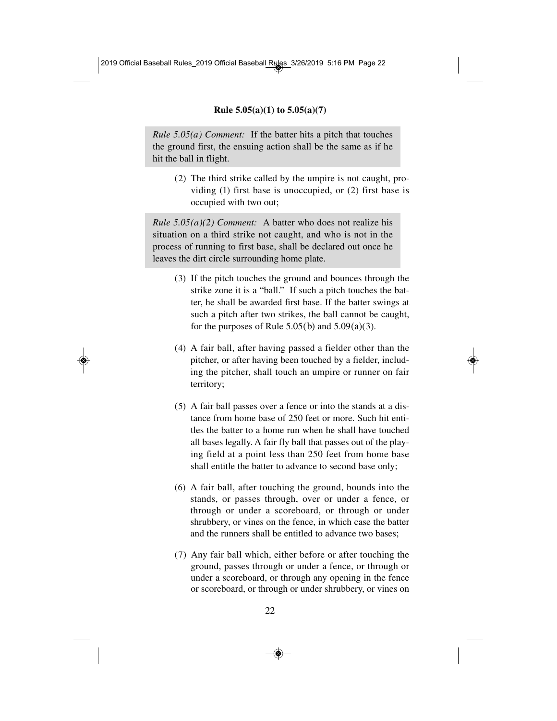*Rule 5.05(a) Comment:* If the batter hits a pitch that touches the ground first, the ensuing action shall be the same as if he hit the ball in flight.

(2) The third strike called by the umpire is not caught, providing (1) first base is unoccupied, or (2) first base is occupied with two out;

*Rule 5.05(a)(2) Comment:* A batter who does not realize his situation on a third strike not caught, and who is not in the process of running to first base, shall be declared out once he leaves the dirt circle surrounding home plate.

- (3) If the pitch touches the ground and bounces through the strike zone it is a "ball." If such a pitch touches the batter, he shall be awarded first base. If the batter swings at such a pitch after two strikes, the ball cannot be caught, for the purposes of Rule  $5.05(b)$  and  $5.09(a)(3)$ .
- (4) A fair ball, after having passed a fielder other than the pitcher, or after having been touched by a fielder, including the pitcher, shall touch an umpire or runner on fair territory;
- (5) A fair ball passes over a fence or into the stands at a distance from home base of 250 feet or more. Such hit entitles the batter to a home run when he shall have touched all bases legally. A fair fly ball that passes out of the playing field at a point less than 250 feet from home base shall entitle the batter to advance to second base only;
- (6) A fair ball, after touching the ground, bounds into the stands, or passes through, over or under a fence, or through or under a scoreboard, or through or under shrubbery, or vines on the fence, in which case the batter and the runners shall be entitled to advance two bases;
- (7) Any fair ball which, either before or after touching the ground, passes through or under a fence, or through or under a scoreboard, or through any opening in the fence or scoreboard, or through or under shrubbery, or vines on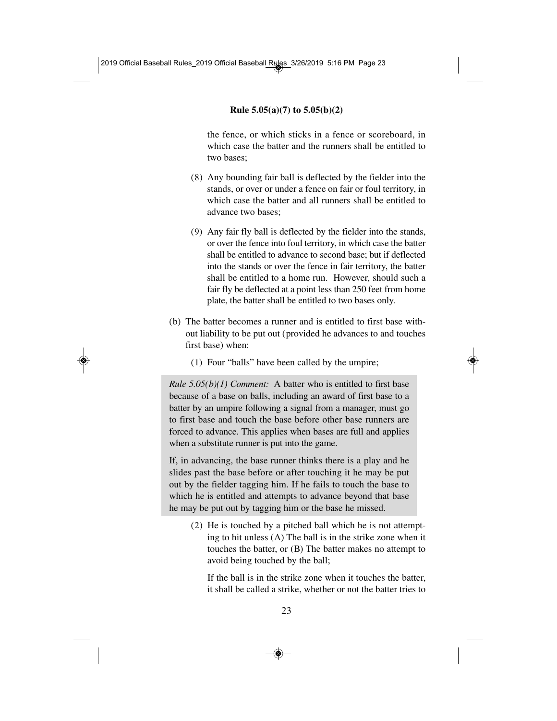#### **Rule 5.05(a)(7) to 5.05(b)(2)**

the fence, or which sticks in a fence or scoreboard, in which case the batter and the runners shall be entitled to two bases;

- (8) Any bounding fair ball is deflected by the fielder into the stands, or over or under a fence on fair or foul territory, in which case the batter and all runners shall be entitled to advance two bases;
- (9) Any fair fly ball is deflected by the fielder into the stands, or over the fence into foul territory, in which case the batter shall be entitled to advance to second base; but if deflected into the stands or over the fence in fair territory, the batter shall be entitled to a home run. However, should such a fair fly be deflected at a point less than 250 feet from home plate, the batter shall be entitled to two bases only.
- (b) The batter becomes a runner and is entitled to first base without liability to be put out (provided he advances to and touches first base) when:
	- (1) Four "balls" have been called by the umpire;

*Rule 5.05(b)(1) Comment:* A batter who is entitled to first base because of a base on balls, including an award of first base to a batter by an umpire following a signal from a manager, must go to first base and touch the base before other base runners are forced to advance. This applies when bases are full and applies when a substitute runner is put into the game.

If, in advancing, the base runner thinks there is a play and he slides past the base before or after touching it he may be put out by the fielder tagging him. If he fails to touch the base to which he is entitled and attempts to advance beyond that base he may be put out by tagging him or the base he missed.

(2) He is touched by a pitched ball which he is not attempting to hit unless (A) The ball is in the strike zone when it touches the batter, or (B) The batter makes no attempt to avoid being touched by the ball;

If the ball is in the strike zone when it touches the batter, it shall be called a strike, whether or not the batter tries to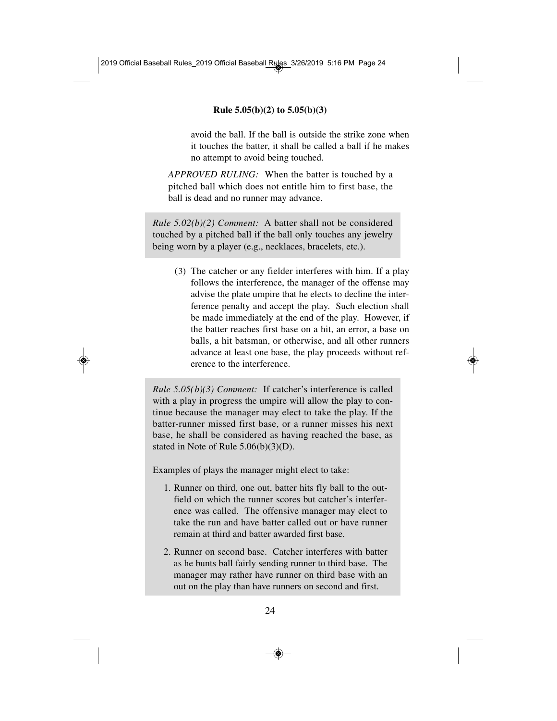### **Rule 5.05(b)(2) to 5.05(b)(3)**

avoid the ball. If the ball is outside the strike zone when it touches the batter, it shall be called a ball if he makes no attempt to avoid being touched.

*APPROVED RULING:* When the batter is touched by a pitched ball which does not entitle him to first base, the ball is dead and no runner may advance.

*Rule 5.02(b)(2) Comment:* A batter shall not be considered touched by a pitched ball if the ball only touches any jewelry being worn by a player (e.g., necklaces, bracelets, etc.).

(3) The catcher or any fielder interferes with him. If a play follows the interference, the manager of the offense may advise the plate umpire that he elects to decline the interference penalty and accept the play. Such election shall be made immediately at the end of the play. However, if the batter reaches first base on a hit, an error, a base on balls, a hit batsman, or otherwise, and all other runners advance at least one base, the play proceeds without reference to the interference.

*Rule 5.05(b)(3) Comment:* If catcher's interference is called with a play in progress the umpire will allow the play to continue because the manager may elect to take the play. If the batter-runner missed first base, or a runner misses his next base, he shall be considered as having reached the base, as stated in Note of Rule 5.06(b)(3)(D).

Examples of plays the manager might elect to take:

- 1. Runner on third, one out, batter hits fly ball to the outfield on which the runner scores but catcher's interference was called. The offensive manager may elect to take the run and have batter called out or have runner remain at third and batter awarded first base.
- 2. Runner on second base. Catcher interferes with batter as he bunts ball fairly sending runner to third base. The manager may rather have runner on third base with an out on the play than have runners on second and first.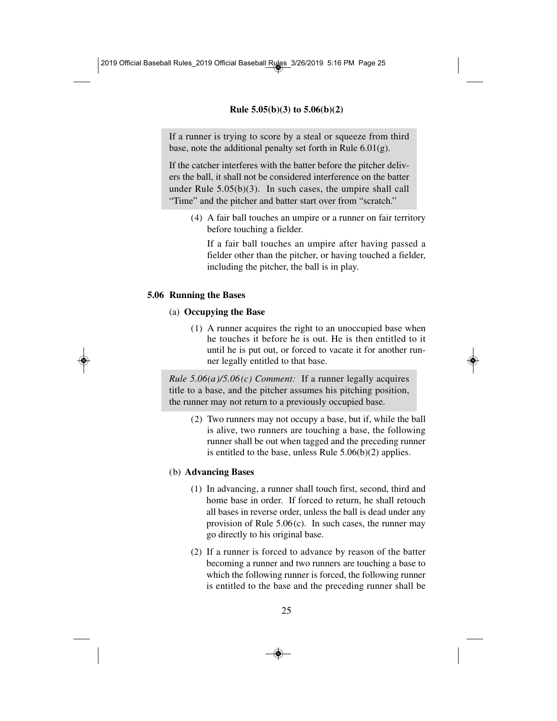If a runner is trying to score by a steal or squeeze from third base, note the additional penalty set forth in Rule 6.01(g).

If the catcher interferes with the batter before the pitcher delivers the ball, it shall not be considered interference on the batter under Rule 5.05(b)(3). In such cases, the umpire shall call "Time" and the pitcher and batter start over from "scratch."

(4) A fair ball touches an umpire or a runner on fair territory before touching a fielder.

If a fair ball touches an umpire after having passed a fielder other than the pitcher, or having touched a fielder, including the pitcher, the ball is in play.

## **5.06 Running the Bases**

## (a) **Occupying the Base**

(1) A runner acquires the right to an unoccupied base when he touches it before he is out. He is then entitled to it until he is put out, or forced to vacate it for another runner legally entitled to that base.

*Rule 5.06(a)/5.06(c) Comment:* If a runner legally acquires title to a base, and the pitcher assumes his pitching position, the runner may not return to a previously occupied base.

(2) Two runners may not occupy a base, but if, while the ball is alive, two runners are touching a base, the following runner shall be out when tagged and the preceding runner is entitled to the base, unless Rule 5.06(b)(2) applies.

### (b) **Advancing Bases**

- (1) In advancing, a runner shall touch first, second, third and home base in order. If forced to return, he shall retouch all bases in reverse order, unless the ball is dead under any provision of Rule  $5.06(c)$ . In such cases, the runner may go directly to his original base.
- (2) If a runner is forced to advance by reason of the batter becoming a runner and two runners are touching a base to which the following runner is forced, the following runner is entitled to the base and the preceding runner shall be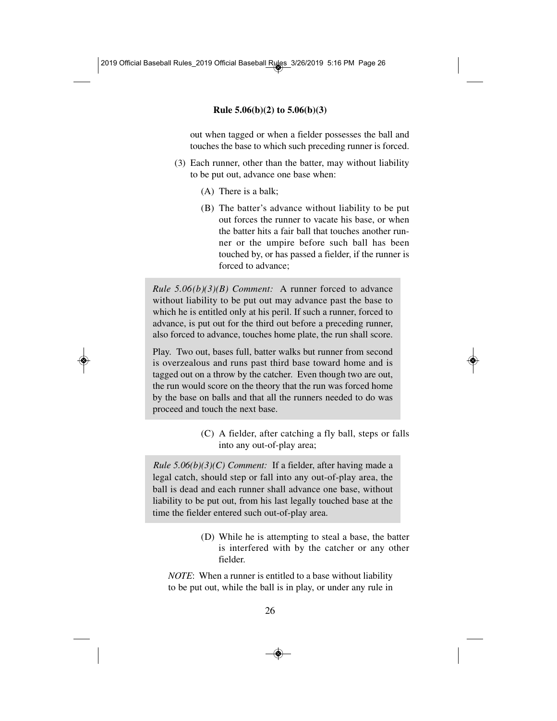### **Rule 5.06(b)(2) to 5.06(b)(3)**

out when tagged or when a fielder possesses the ball and touches the base to which such preceding runner is forced.

- (3) Each runner, other than the batter, may without liability to be put out, advance one base when:
	- (A) There is a balk;
	- (B) The batter's advance without liability to be put out forces the runner to vacate his base, or when the batter hits a fair ball that touches another runner or the umpire before such ball has been touched by, or has passed a fielder, if the runner is forced to advance;

*Rule 5.06(b)(3)(B) Comment:* A runner forced to advance without liability to be put out may advance past the base to which he is entitled only at his peril. If such a runner, forced to advance, is put out for the third out before a preceding runner, also forced to advance, touches home plate, the run shall score.

Play. Two out, bases full, batter walks but runner from second is overzealous and runs past third base toward home and is tagged out on a throw by the catcher. Even though two are out, the run would score on the theory that the run was forced home by the base on balls and that all the runners needed to do was proceed and touch the next base.

> (C) A fielder, after catching a fly ball, steps or falls into any out-of-play area;

*Rule 5.06(b)(3)(C) Comment:* If a fielder, after having made a legal catch, should step or fall into any out-of-play area, the ball is dead and each runner shall advance one base, without liability to be put out, from his last legally touched base at the time the fielder entered such out-of-play area.

> (D) While he is attempting to steal a base, the batter is interfered with by the catcher or any other fielder.

*NOTE*: When a runner is entitled to a base without liability to be put out, while the ball is in play, or under any rule in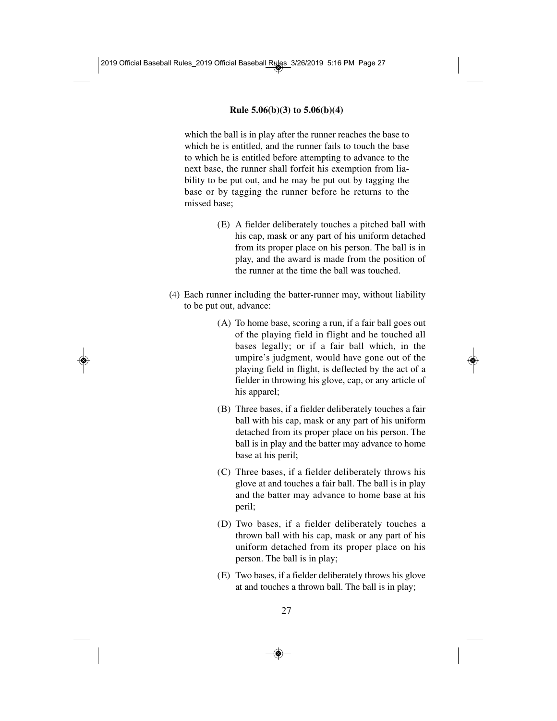which the ball is in play after the runner reaches the base to which he is entitled, and the runner fails to touch the base to which he is entitled before attempting to advance to the next base, the runner shall forfeit his exemption from liability to be put out, and he may be put out by tagging the base or by tagging the runner before he returns to the missed base;

- (E) A fielder deliberately touches a pitched ball with his cap, mask or any part of his uniform detached from its proper place on his person. The ball is in play, and the award is made from the position of the runner at the time the ball was touched.
- (4) Each runner including the batter-runner may, without liability to be put out, advance:
	- (A) To home base, scoring a run, if a fair ball goes out of the playing field in flight and he touched all bases legally; or if a fair ball which, in the umpire's judgment, would have gone out of the playing field in flight, is deflected by the act of a fielder in throwing his glove, cap, or any article of his apparel;
	- (B) Three bases, if a fielder deliberately touches a fair ball with his cap, mask or any part of his uniform detached from its proper place on his person. The ball is in play and the batter may advance to home base at his peril;
	- (C) Three bases, if a fielder deliberately throws his glove at and touches a fair ball. The ball is in play and the batter may advance to home base at his peril;
	- (D) Two bases, if a fielder deliberately touches a thrown ball with his cap, mask or any part of his uniform detached from its proper place on his person. The ball is in play;
	- (E) Two bases, if a fielder deliberately throws his glove at and touches a thrown ball. The ball is in play;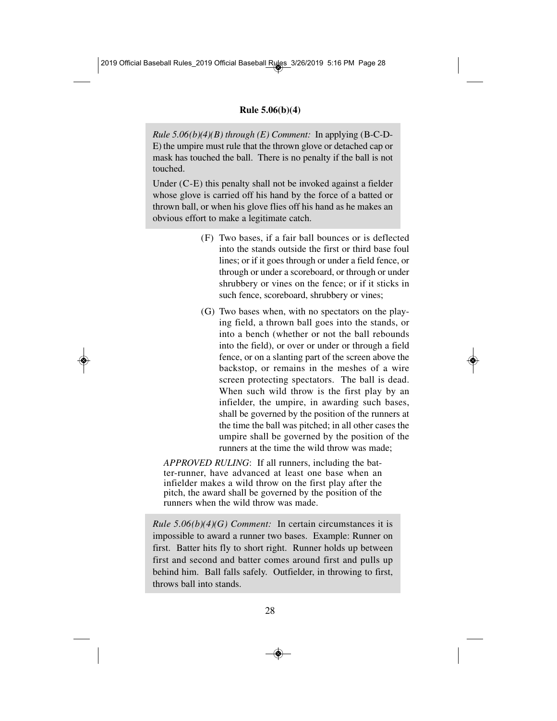*Rule 5.06(b)(4)(B) through (E) Comment:* In applying (B-C-D-E) the umpire must rule that the thrown glove or detached cap or mask has touched the ball. There is no penalty if the ball is not touched.

Under (C-E) this penalty shall not be invoked against a fielder whose glove is carried off his hand by the force of a batted or thrown ball, or when his glove flies off his hand as he makes an obvious effort to make a legitimate catch.

- (F) Two bases, if a fair ball bounces or is deflected into the stands outside the first or third base foul lines; or if it goes through or under a field fence, or through or under a scoreboard, or through or under shrubbery or vines on the fence; or if it sticks in such fence, scoreboard, shrubbery or vines;
- (G) Two bases when, with no spectators on the playing field, a thrown ball goes into the stands, or into a bench (whether or not the ball rebounds into the field), or over or under or through a field fence, or on a slanting part of the screen above the backstop, or remains in the meshes of a wire screen protecting spectators. The ball is dead. When such wild throw is the first play by an infielder, the umpire, in awarding such bases, shall be governed by the position of the runners at the time the ball was pitched; in all other cases the umpire shall be governed by the position of the runners at the time the wild throw was made;

*APPROVED RULING*: If all runners, including the batter-runner, have advanced at least one base when an infielder makes a wild throw on the first play after the pitch, the award shall be governed by the position of the runners when the wild throw was made.

*Rule 5.06(b)(4)(G) Comment:* In certain circumstances it is impossible to award a runner two bases. Example: Runner on first. Batter hits fly to short right. Runner holds up between first and second and batter comes around first and pulls up behind him. Ball falls safely. Outfielder, in throwing to first, throws ball into stands.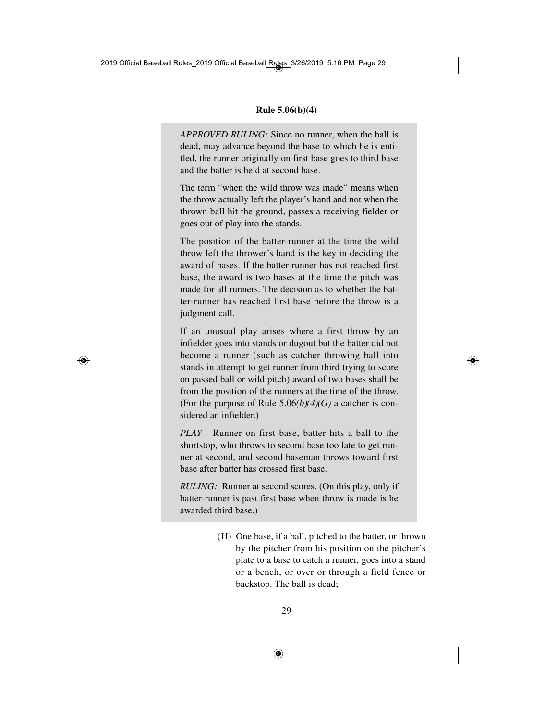### **Rule 5.06(b)(4)**

*APPROVED RULING:* Since no runner, when the ball is dead, may advance beyond the base to which he is entitled, the runner originally on first base goes to third base and the batter is held at second base.

The term "when the wild throw was made" means when the throw actually left the player's hand and not when the thrown ball hit the ground, passes a receiving fielder or goes out of play into the stands.

The position of the batter-runner at the time the wild throw left the thrower's hand is the key in deciding the award of bases. If the batter-runner has not reached first base, the award is two bases at the time the pitch was made for all runners. The decision as to whether the batter-runner has reached first base before the throw is a judgment call.

If an unusual play arises where a first throw by an infielder goes into stands or dugout but the batter did not become a runner (such as catcher throwing ball into stands in attempt to get runner from third trying to score on passed ball or wild pitch) award of two bases shall be from the position of the runners at the time of the throw. (For the purpose of Rule 5.06*(b)(4)(G)* a catcher is considered an infielder.)

*PLAY*—Runner on first base, batter hits a ball to the shortstop, who throws to second base too late to get runner at second, and second baseman throws toward first base after batter has crossed first base.

*RULING:* Runner at second scores. (On this play, only if batter-runner is past first base when throw is made is he awarded third base.)

> (H) One base, if a ball, pitched to the batter, or thrown by the pitcher from his position on the pitcher's plate to a base to catch a runner, goes into a stand or a bench, or over or through a field fence or backstop. The ball is dead;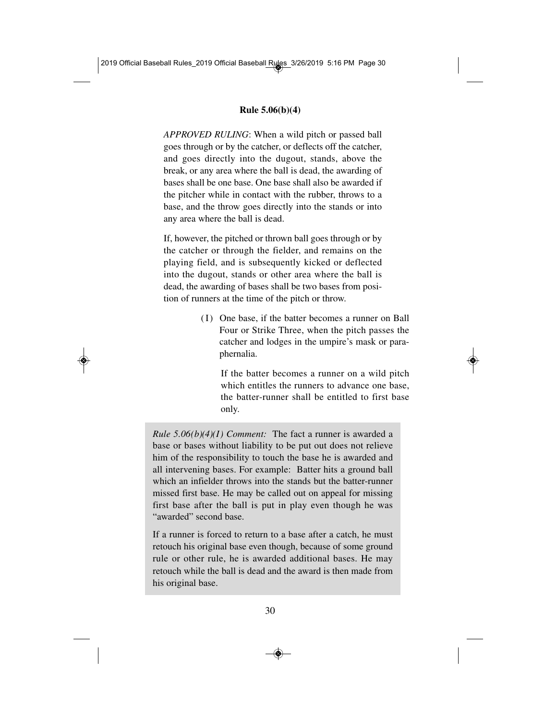# **Rule 5.06(b)(4)**

*APPROVED RULING*: When a wild pitch or passed ball goes through or by the catcher, or deflects off the catcher, and goes directly into the dugout, stands, above the break, or any area where the ball is dead, the awarding of bases shall be one base. One base shall also be awarded if the pitcher while in contact with the rubber, throws to a base, and the throw goes directly into the stands or into any area where the ball is dead.

If, however, the pitched or thrown ball goes through or by the catcher or through the fielder, and remains on the playing field, and is subsequently kicked or deflected into the dugout, stands or other area where the ball is dead, the awarding of bases shall be two bases from position of runners at the time of the pitch or throw.

> ( I) One base, if the batter becomes a runner on Ball Four or Strike Three, when the pitch passes the catcher and lodges in the umpire's mask or paraphernalia.

If the batter becomes a runner on a wild pitch which entitles the runners to advance one base, the batter-runner shall be entitled to first base only.

*Rule 5.06(b)(4)(I) Comment:* The fact a runner is awarded a base or bases without liability to be put out does not relieve him of the responsibility to touch the base he is awarded and all intervening bases. For example: Batter hits a ground ball which an infielder throws into the stands but the batter-runner missed first base. He may be called out on appeal for missing first base after the ball is put in play even though he was "awarded" second base.

If a runner is forced to return to a base after a catch, he must retouch his original base even though, because of some ground rule or other rule, he is awarded additional bases. He may retouch while the ball is dead and the award is then made from his original base.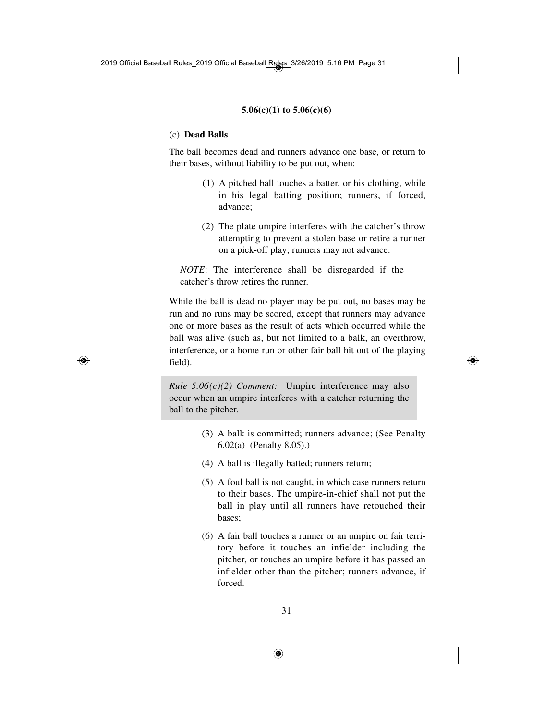## (c) **Dead Balls**

The ball becomes dead and runners advance one base, or return to their bases, without liability to be put out, when:

- (1) A pitched ball touches a batter, or his clothing, while in his legal batting position; runners, if forced, advance;
- (2) The plate umpire interferes with the catcher's throw attempting to prevent a stolen base or retire a runner on a pick-off play; runners may not advance.

*NOTE*: The interference shall be disregarded if the catcher's throw retires the runner.

While the ball is dead no player may be put out, no bases may be run and no runs may be scored, except that runners may advance one or more bases as the result of acts which occurred while the ball was alive (such as, but not limited to a balk, an overthrow, interference, or a home run or other fair ball hit out of the playing field).

*Rule 5.06(c)(2) Comment:* Umpire interference may also occur when an umpire interferes with a catcher returning the ball to the pitcher.

- (3) A balk is committed; runners advance; (See Penalty 6.02(a) (Penalty 8.05).)
- (4) A ball is illegally batted; runners return;
- (5) A foul ball is not caught, in which case runners return to their bases. The umpire-in-chief shall not put the ball in play until all runners have retouched their bases;
- (6) A fair ball touches a runner or an umpire on fair territory before it touches an infielder including the pitcher, or touches an umpire before it has passed an infielder other than the pitcher; runners advance, if forced.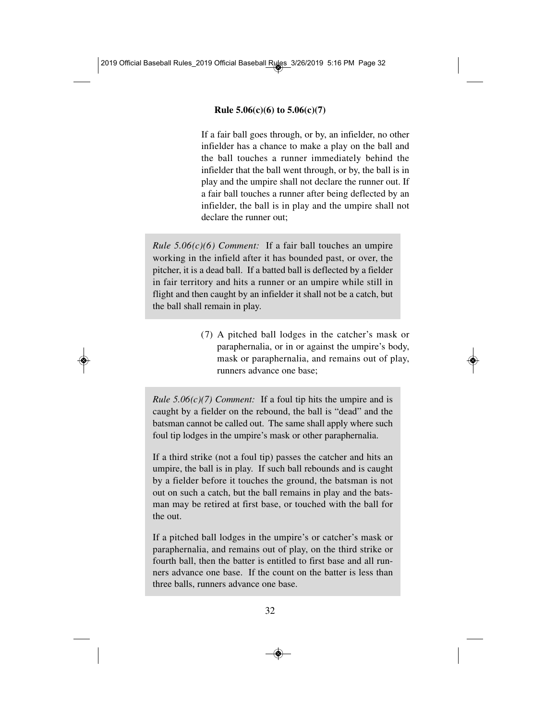## **Rule 5.06(c)(6) to 5.06(c)(7)**

If a fair ball goes through, or by, an infielder, no other infielder has a chance to make a play on the ball and the ball touches a runner immediately behind the infielder that the ball went through, or by, the ball is in play and the umpire shall not declare the runner out. If a fair ball touches a runner after being deflected by an infielder, the ball is in play and the umpire shall not declare the runner out;

*Rule 5.06(c)(6) Comment:* If a fair ball touches an umpire working in the infield after it has bounded past, or over, the pitcher, it is a dead ball. If a batted ball is deflected by a fielder in fair territory and hits a runner or an umpire while still in flight and then caught by an infielder it shall not be a catch, but the ball shall remain in play.

> (7) A pitched ball lodges in the catcher's mask or paraphernalia, or in or against the umpire's body, mask or paraphernalia, and remains out of play, runners advance one base;

*Rule 5.06(c)(7) Comment:* If a foul tip hits the umpire and is caught by a fielder on the rebound, the ball is "dead" and the batsman cannot be called out. The same shall apply where such foul tip lodges in the umpire's mask or other paraphernalia.

If a third strike (not a foul tip) passes the catcher and hits an umpire, the ball is in play. If such ball rebounds and is caught by a fielder before it touches the ground, the batsman is not out on such a catch, but the ball remains in play and the batsman may be retired at first base, or touched with the ball for the out.

If a pitched ball lodges in the umpire's or catcher's mask or paraphernalia, and remains out of play, on the third strike or fourth ball, then the batter is entitled to first base and all runners advance one base. If the count on the batter is less than three balls, runners advance one base.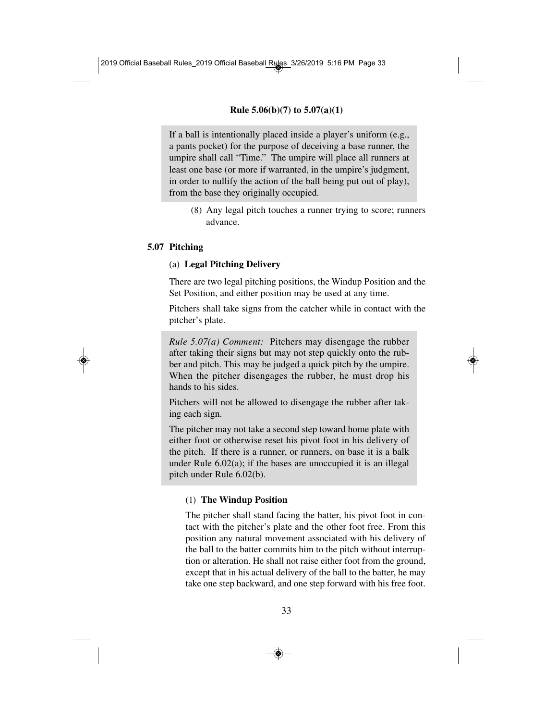If a ball is intentionally placed inside a player's uniform (e.g., a pants pocket) for the purpose of deceiving a base runner, the umpire shall call "Time." The umpire will place all runners at least one base (or more if warranted, in the umpire's judgment, in order to nullify the action of the ball being put out of play), from the base they originally occupied.

(8) Any legal pitch touches a runner trying to score; runners advance.

# **5.07 Pitching**

# (a) **Legal Pitching Delivery**

There are two legal pitching positions, the Windup Position and the Set Position, and either position may be used at any time.

Pitchers shall take signs from the catcher while in contact with the pitcher's plate.

*Rule 5.07(a) Comment:* Pitchers may disengage the rubber after taking their signs but may not step quickly onto the rubber and pitch. This may be judged a quick pitch by the umpire. When the pitcher disengages the rubber, he must drop his hands to his sides.

Pitchers will not be allowed to disengage the rubber after taking each sign.

The pitcher may not take a second step toward home plate with either foot or otherwise reset his pivot foot in his delivery of the pitch. If there is a runner, or runners, on base it is a balk under Rule 6.02(a); if the bases are unoccupied it is an illegal pitch under Rule 6.02(b).

# (1) **The Windup Position**

The pitcher shall stand facing the batter, his pivot foot in contact with the pitcher's plate and the other foot free. From this position any natural movement associated with his delivery of the ball to the batter commits him to the pitch without interruption or alteration. He shall not raise either foot from the ground, except that in his actual delivery of the ball to the batter, he may take one step backward, and one step forward with his free foot.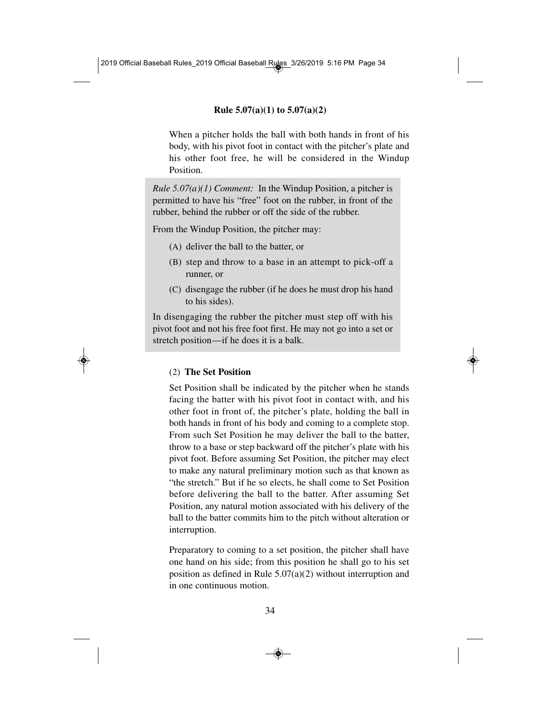When a pitcher holds the ball with both hands in front of his body, with his pivot foot in contact with the pitcher's plate and his other foot free, he will be considered in the Windup Position.

*Rule 5.07(a)(1) Comment:* In the Windup Position, a pitcher is permitted to have his "free" foot on the rubber, in front of the rubber, behind the rubber or off the side of the rubber.

From the Windup Position, the pitcher may:

- (A) deliver the ball to the batter, or
- (B) step and throw to a base in an attempt to pick-off a runner, or
- (C) disengage the rubber (if he does he must drop his hand to his sides).

In disengaging the rubber the pitcher must step off with his pivot foot and not his free foot first. He may not go into a set or stretch position—if he does it is a balk.

### (2) **The Set Position**

Set Position shall be indicated by the pitcher when he stands facing the batter with his pivot foot in contact with, and his other foot in front of, the pitcher's plate, holding the ball in both hands in front of his body and coming to a complete stop. From such Set Position he may deliver the ball to the batter, throw to a base or step backward off the pitcher's plate with his pivot foot. Before assuming Set Position, the pitcher may elect to make any natural preliminary motion such as that known as "the stretch." But if he so elects, he shall come to Set Position before delivering the ball to the batter. After assuming Set Position, any natural motion associated with his delivery of the ball to the batter commits him to the pitch without alteration or interruption.

Preparatory to coming to a set position, the pitcher shall have one hand on his side; from this position he shall go to his set position as defined in Rule 5.07(a)(2) without interruption and in one continuous motion.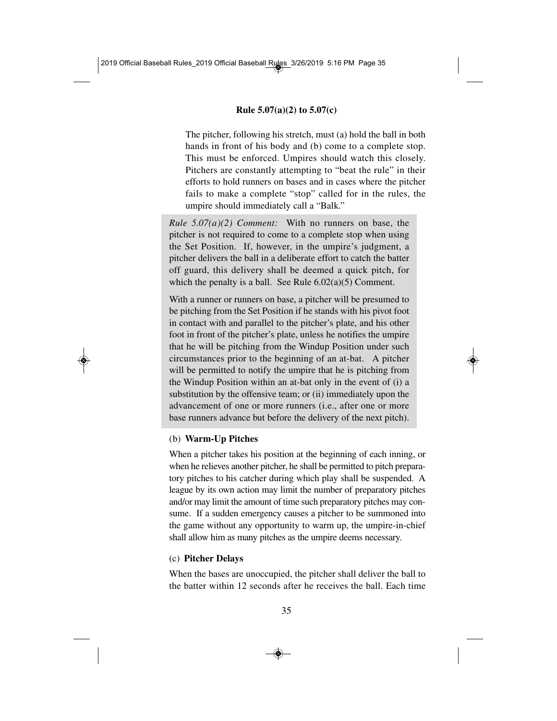The pitcher, following his stretch, must (a) hold the ball in both hands in front of his body and (b) come to a complete stop. This must be enforced. Umpires should watch this closely. Pitchers are constantly attempting to "beat the rule" in their efforts to hold runners on bases and in cases where the pitcher fails to make a complete "stop" called for in the rules, the umpire should immediately call a "Balk."

*Rule 5.07(a)(2) Comment:* With no runners on base, the pitcher is not required to come to a complete stop when using the Set Position. If, however, in the umpire's judgment, a pitcher delivers the ball in a deliberate effort to catch the batter off guard, this delivery shall be deemed a quick pitch, for which the penalty is a ball. See Rule 6.02(a)(5) Comment.

With a runner or runners on base, a pitcher will be presumed to be pitching from the Set Position if he stands with his pivot foot in contact with and parallel to the pitcher's plate, and his other foot in front of the pitcher's plate, unless he notifies the umpire that he will be pitching from the Windup Position under such circumstances prior to the beginning of an at-bat. A pitcher will be permitted to notify the umpire that he is pitching from the Windup Position within an at-bat only in the event of (i) a substitution by the offensive team; or (ii) immediately upon the advancement of one or more runners (i.e., after one or more base runners advance but before the delivery of the next pitch).

# (b) **Warm-Up Pitches**

When a pitcher takes his position at the beginning of each inning, or when he relieves another pitcher, he shall be permitted to pitch preparatory pitches to his catcher during which play shall be suspended. A league by its own action may limit the number of preparatory pitches and/or may limit the amount of time such preparatory pitches may consume. If a sudden emergency causes a pitcher to be summoned into the game without any opportunity to warm up, the umpire-in-chief shall allow him as many pitches as the umpire deems necessary.

# (c) **Pitcher Delays**

When the bases are unoccupied, the pitcher shall deliver the ball to the batter within 12 seconds after he receives the ball. Each time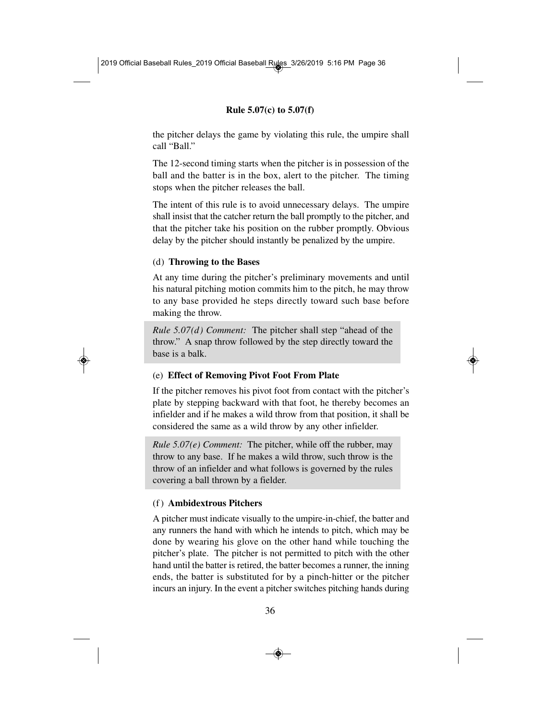the pitcher delays the game by violating this rule, the umpire shall call "Ball."

The 12-second timing starts when the pitcher is in possession of the ball and the batter is in the box, alert to the pitcher. The timing stops when the pitcher releases the ball.

The intent of this rule is to avoid unnecessary delays. The umpire shall insist that the catcher return the ball promptly to the pitcher, and that the pitcher take his position on the rubber promptly. Obvious delay by the pitcher should instantly be penalized by the umpire.

# (d) **Throwing to the Bases**

At any time during the pitcher's preliminary movements and until his natural pitching motion commits him to the pitch, he may throw to any base provided he steps directly toward such base before making the throw.

*Rule 5.07(d) Comment:* The pitcher shall step "ahead of the throw." A snap throw followed by the step directly toward the base is a balk.

## (e) **Effect of Removing Pivot Foot From Plate**

If the pitcher removes his pivot foot from contact with the pitcher's plate by stepping backward with that foot, he thereby becomes an infielder and if he makes a wild throw from that position, it shall be considered the same as a wild throw by any other infielder.

*Rule 5.07(e) Comment:* The pitcher, while off the rubber, may throw to any base. If he makes a wild throw, such throw is the throw of an infielder and what follows is governed by the rules covering a ball thrown by a fielder.

# (f ) **Ambidextrous Pitchers**

A pitcher must indicate visually to the umpire-in-chief, the batter and any runners the hand with which he intends to pitch, which may be done by wearing his glove on the other hand while touching the pitcher's plate. The pitcher is not permitted to pitch with the other hand until the batter is retired, the batter becomes a runner, the inning ends, the batter is substituted for by a pinch-hitter or the pitcher incurs an injury. In the event a pitcher switches pitching hands during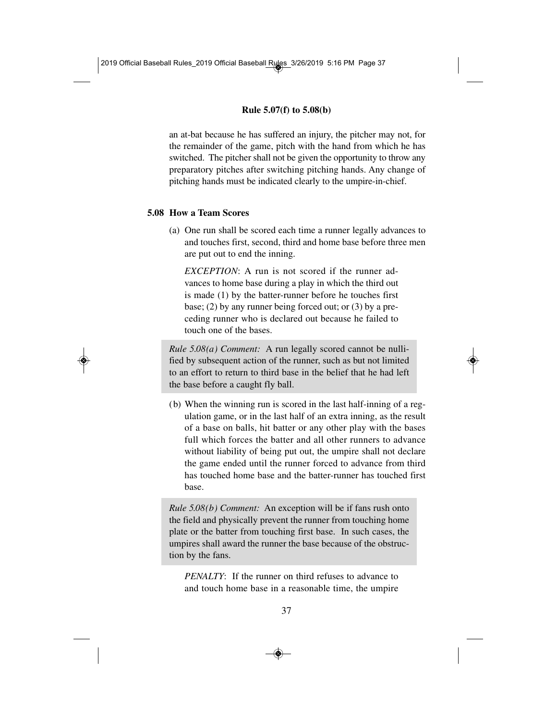an at-bat because he has suffered an injury, the pitcher may not, for the remainder of the game, pitch with the hand from which he has switched. The pitcher shall not be given the opportunity to throw any preparatory pitches after switching pitching hands. Any change of pitching hands must be indicated clearly to the umpire-in-chief.

## **5.08 How a Team Scores**

(a) One run shall be scored each time a runner legally advances to and touches first, second, third and home base before three men are put out to end the inning.

*EXCEPTION*: A run is not scored if the runner advances to home base during a play in which the third out is made (1) by the batter-runner before he touches first base; (2) by any runner being forced out; or (3) by a preceding runner who is declared out because he failed to touch one of the bases.

*Rule 5.08(a) Comment:* A run legally scored cannot be nullified by subsequent action of the runner, such as but not limited to an effort to return to third base in the belief that he had left the base before a caught fly ball.

(b) When the winning run is scored in the last half-inning of a regulation game, or in the last half of an extra inning, as the result of a base on balls, hit batter or any other play with the bases full which forces the batter and all other runners to advance without liability of being put out, the umpire shall not declare the game ended until the runner forced to advance from third has touched home base and the batter-runner has touched first base.

*Rule 5.08(b) Comment:* An exception will be if fans rush onto the field and physically prevent the runner from touching home plate or the batter from touching first base. In such cases, the umpires shall award the runner the base because of the obstruction by the fans.

*PENALTY*: If the runner on third refuses to advance to and touch home base in a reasonable time, the umpire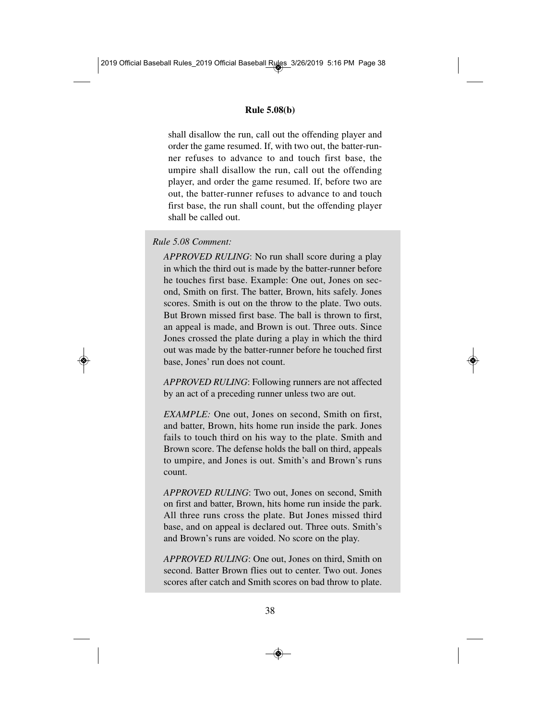shall disallow the run, call out the offending player and order the game resumed. If, with two out, the batter-runner refuses to advance to and touch first base, the umpire shall disallow the run, call out the offending player, and order the game resumed. If, before two are out, the batter-runner refuses to advance to and touch first base, the run shall count, but the offending player shall be called out.

#### *Rule 5.08 Comment:*

*APPROVED RULING*: No run shall score during a play in which the third out is made by the batter-runner before he touches first base. Example: One out, Jones on second, Smith on first. The batter, Brown, hits safely. Jones scores. Smith is out on the throw to the plate. Two outs. But Brown missed first base. The ball is thrown to first, an appeal is made, and Brown is out. Three outs. Since Jones crossed the plate during a play in which the third out was made by the batter-runner before he touched first base, Jones' run does not count.

*APPROVED RULING*: Following runners are not affected by an act of a preceding runner unless two are out.

*EXAMPLE:* One out, Jones on second, Smith on first, and batter, Brown, hits home run inside the park. Jones fails to touch third on his way to the plate. Smith and Brown score. The defense holds the ball on third, appeals to umpire, and Jones is out. Smith's and Brown's runs count.

*APPROVED RULING*: Two out, Jones on second, Smith on first and batter, Brown, hits home run inside the park. All three runs cross the plate. But Jones missed third base, and on appeal is declared out. Three outs. Smith's and Brown's runs are voided. No score on the play.

*APPROVED RULING*: One out, Jones on third, Smith on second. Batter Brown flies out to center. Two out. Jones scores after catch and Smith scores on bad throw to plate.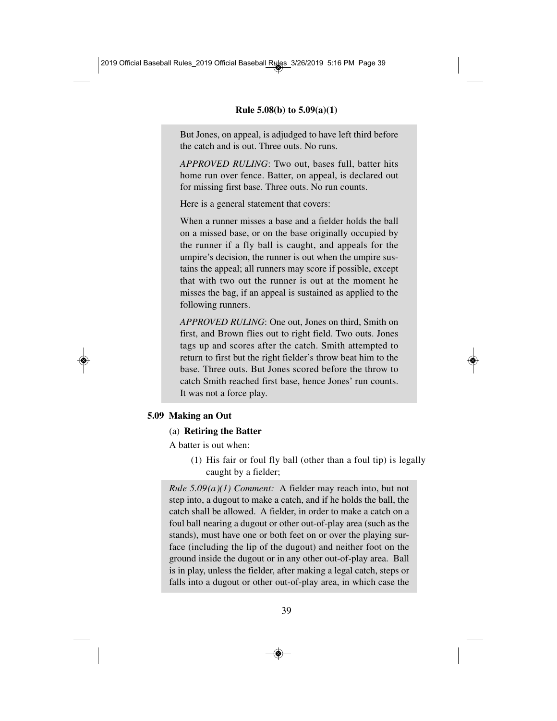But Jones, on appeal, is adjudged to have left third before the catch and is out. Three outs. No runs.

*APPROVED RULING*: Two out, bases full, batter hits home run over fence. Batter, on appeal, is declared out for missing first base. Three outs. No run counts.

Here is a general statement that covers:

When a runner misses a base and a fielder holds the ball on a missed base, or on the base originally occupied by the runner if a fly ball is caught, and appeals for the umpire's decision, the runner is out when the umpire sustains the appeal; all runners may score if possible, except that with two out the runner is out at the moment he misses the bag, if an appeal is sustained as applied to the following runners.

*APPROVED RULING*: One out, Jones on third, Smith on first, and Brown flies out to right field. Two outs. Jones tags up and scores after the catch. Smith attempted to return to first but the right fielder's throw beat him to the base. Three outs. But Jones scored before the throw to catch Smith reached first base, hence Jones' run counts. It was not a force play.

### **5.09 Making an Out**

#### (a) **Retiring the Batter**

A batter is out when:

(1) His fair or foul fly ball (other than a foul tip) is legally caught by a fielder;

*Rule 5.09(a)(1) Comment:* A fielder may reach into, but not step into, a dugout to make a catch, and if he holds the ball, the catch shall be allowed. A fielder, in order to make a catch on a foul ball nearing a dugout or other out-of-play area (such as the stands), must have one or both feet on or over the playing surface (including the lip of the dugout) and neither foot on the ground inside the dugout or in any other out-of-play area. Ball is in play, unless the fielder, after making a legal catch, steps or falls into a dugout or other out-of-play area, in which case the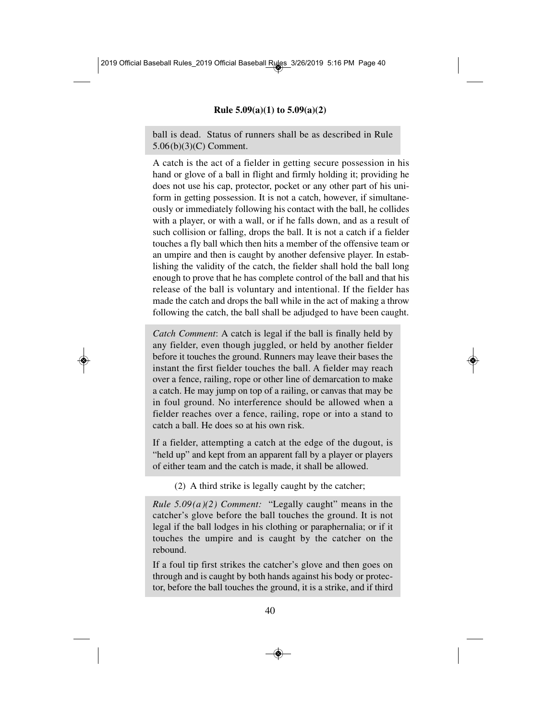ball is dead. Status of runners shall be as described in Rule 5.06(b)(3)(C) Comment.

A catch is the act of a fielder in getting secure possession in his hand or glove of a ball in flight and firmly holding it; providing he does not use his cap, protector, pocket or any other part of his uniform in getting possession. It is not a catch, however, if simultaneously or immediately following his contact with the ball, he collides with a player, or with a wall, or if he falls down, and as a result of such collision or falling, drops the ball. It is not a catch if a fielder touches a fly ball which then hits a member of the offensive team or an umpire and then is caught by another defensive player. In establishing the validity of the catch, the fielder shall hold the ball long enough to prove that he has complete control of the ball and that his release of the ball is voluntary and intentional. If the fielder has made the catch and drops the ball while in the act of making a throw following the catch, the ball shall be adjudged to have been caught.

*Catch Comment*: A catch is legal if the ball is finally held by any fielder, even though juggled, or held by another fielder before it touches the ground. Runners may leave their bases the instant the first fielder touches the ball. A fielder may reach over a fence, railing, rope or other line of demarcation to make a catch. He may jump on top of a railing, or canvas that may be in foul ground. No interference should be allowed when a fielder reaches over a fence, railing, rope or into a stand to catch a ball. He does so at his own risk.

If a fielder, attempting a catch at the edge of the dugout, is "held up" and kept from an apparent fall by a player or players of either team and the catch is made, it shall be allowed.

(2) A third strike is legally caught by the catcher;

*Rule 5.09(a)(2) Comment:* "Legally caught" means in the catcher's glove before the ball touches the ground. It is not legal if the ball lodges in his clothing or paraphernalia; or if it touches the umpire and is caught by the catcher on the rebound.

If a foul tip first strikes the catcher's glove and then goes on through and is caught by both hands against his body or protector, before the ball touches the ground, it is a strike, and if third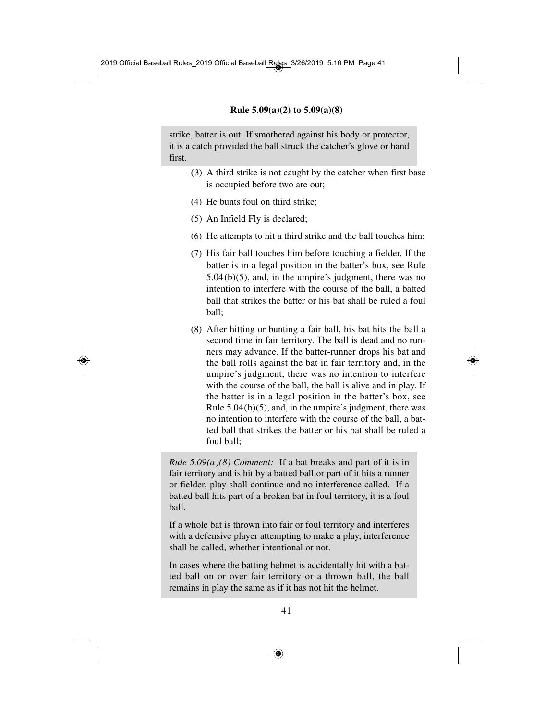strike, batter is out. If smothered against his body or protector, it is a catch provided the ball struck the catcher's glove or hand first.

- (3) A third strike is not caught by the catcher when first base is occupied before two are out;
- (4) He bunts foul on third strike;
- (5) An Infield Fly is declared;
- (6) He attempts to hit a third strike and the ball touches him;
- (7) His fair ball touches him before touching a fielder. If the batter is in a legal position in the batter's box, see Rule 5.04(b)(5), and, in the umpire's judgment, there was no intention to interfere with the course of the ball, a batted ball that strikes the batter or his bat shall be ruled a foul ball;
- (8) After hitting or bunting a fair ball, his bat hits the ball a second time in fair territory. The ball is dead and no runners may advance. If the batter-runner drops his bat and the ball rolls against the bat in fair territory and, in the umpire's judgment, there was no intention to interfere with the course of the ball, the ball is alive and in play. If the batter is in a legal position in the batter's box, see Rule  $5.04(b)(5)$ , and, in the umpire's judgment, there was no intention to interfere with the course of the ball, a batted ball that strikes the batter or his bat shall be ruled a foul ball;

*Rule 5.09(a)(8) Comment:* If a bat breaks and part of it is in fair territory and is hit by a batted ball or part of it hits a runner or fielder, play shall continue and no interference called. If a batted ball hits part of a broken bat in foul territory, it is a foul ball.

If a whole bat is thrown into fair or foul territory and interferes with a defensive player attempting to make a play, interference shall be called, whether intentional or not.

In cases where the batting helmet is accidentally hit with a batted ball on or over fair territory or a thrown ball, the ball remains in play the same as if it has not hit the helmet.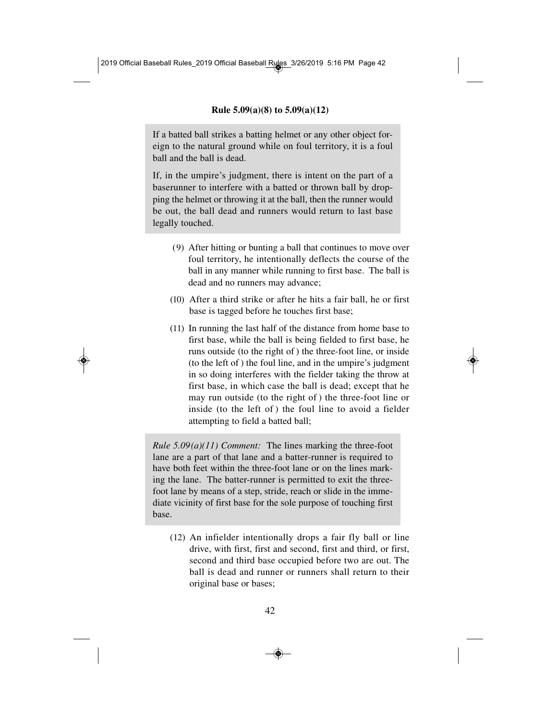If a batted ball strikes a batting helmet or any other object foreign to the natural ground while on foul territory, it is a foul ball and the ball is dead.

If, in the umpire's judgment, there is intent on the part of a baserunner to interfere with a batted or thrown ball by dropping the helmet or throwing it at the ball, then the runner would be out, the ball dead and runners would return to last base legally touched.

- (9) After hitting or bunting a ball that continues to move over foul territory, he intentionally deflects the course of the ball in any manner while running to first base. The ball is dead and no runners may advance;
- (10) After a third strike or after he hits a fair ball, he or first base is tagged before he touches first base;
- (11) In running the last half of the distance from home base to first base, while the ball is being fielded to first base, he runs outside (to the right of ) the three-foot line, or inside (to the left of ) the foul line, and in the umpire's judgment in so doing interferes with the fielder taking the throw at first base, in which case the ball is dead; except that he may run outside (to the right of ) the three-foot line or inside (to the left of ) the foul line to avoid a fielder attempting to field a batted ball;

*Rule 5.09(a)(11) Comment:* The lines marking the three-foot lane are a part of that lane and a batter-runner is required to have both feet within the three-foot lane or on the lines marking the lane. The batter-runner is permitted to exit the threefoot lane by means of a step, stride, reach or slide in the immediate vicinity of first base for the sole purpose of touching first base.

(12) An infielder intentionally drops a fair fly ball or line drive, with first, first and second, first and third, or first, second and third base occupied before two are out. The ball is dead and runner or runners shall return to their original base or bases;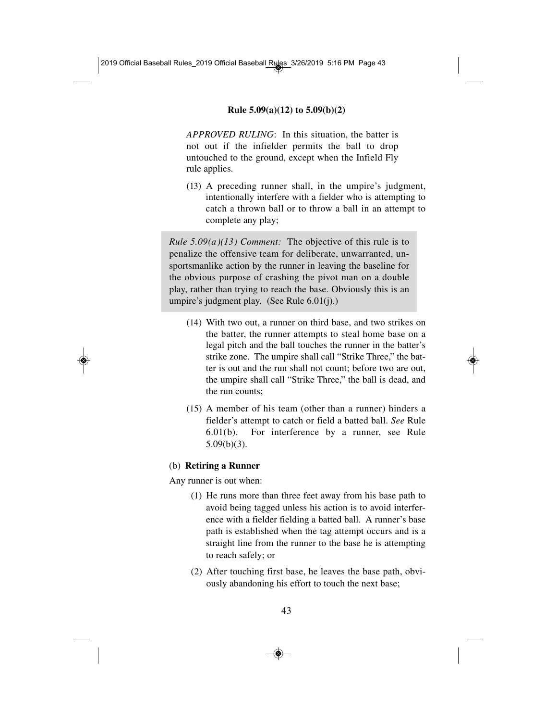## **Rule 5.09(a)(12) to 5.09(b)(2)**

*APPROVED RULING*: In this situation, the batter is not out if the infielder permits the ball to drop untouched to the ground, except when the Infield Fly rule applies.

(13) A preceding runner shall, in the umpire's judgment, intentionally interfere with a fielder who is attempting to catch a thrown ball or to throw a ball in an attempt to complete any play;

*Rule 5.09(a)(13) Comment:* The objective of this rule is to penalize the offensive team for deliberate, unwarranted, un sportsmanlike action by the runner in leaving the baseline for the obvious purpose of crashing the pivot man on a double play, rather than trying to reach the base. Obviously this is an umpire's judgment play. (See Rule 6.01(j).)

- (14) With two out, a runner on third base, and two strikes on the batter, the runner attempts to steal home base on a legal pitch and the ball touches the runner in the batter's strike zone. The umpire shall call "Strike Three," the batter is out and the run shall not count; before two are out, the umpire shall call "Strike Three," the ball is dead, and the run counts;
- (15) A member of his team (other than a runner) hinders a fielder's attempt to catch or field a batted ball. *See* Rule 6.01(b). For interference by a runner, see Rule 5.09(b)(3).

#### (b) **Retiring a Runner**

Any runner is out when:

- (1) He runs more than three feet away from his base path to avoid being tagged unless his action is to avoid interference with a fielder fielding a batted ball. A runner's base path is established when the tag attempt occurs and is a straight line from the runner to the base he is attempting to reach safely; or
- (2) After touching first base, he leaves the base path, obviously abandoning his effort to touch the next base;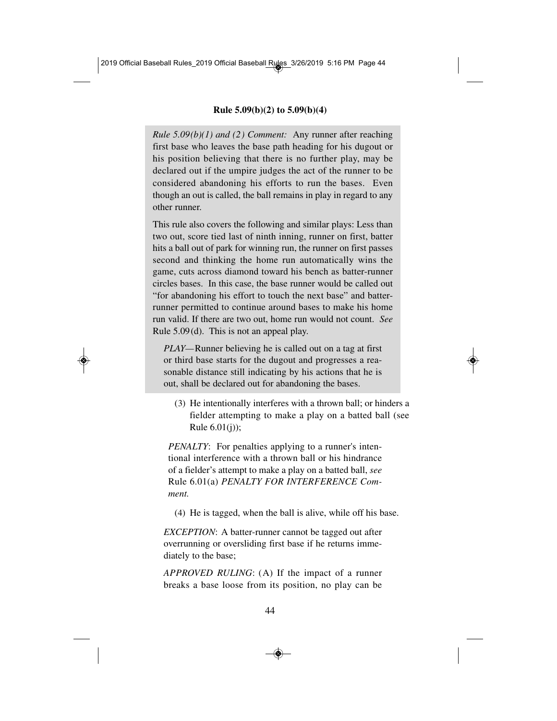*Rule 5.09(b)(1) and (2) Comment:* Any runner after reaching first base who leaves the base path heading for his dugout or his position believing that there is no further play, may be declared out if the umpire judges the act of the runner to be considered abandoning his efforts to run the bases. Even though an out is called, the ball remains in play in regard to any other runner.

This rule also covers the following and similar plays: Less than two out, score tied last of ninth inning, runner on first, batter hits a ball out of park for winning run, the runner on first passes second and thinking the home run automatically wins the game, cuts across diamond toward his bench as batter-runner circles bases. In this case, the base runner would be called out "for abandoning his effort to touch the next base" and batterrunner permitted to continue around bases to make his home run valid. If there are two out, home run would not count. *See* Rule 5.09(d). This is not an appeal play.

*PLAY—*Runner believing he is called out on a tag at first or third base starts for the dugout and progresses a reasonable distance still indicating by his actions that he is out, shall be declared out for abandoning the bases.

(3) He intentionally interferes with a thrown ball; or hinders a fielder attempting to make a play on a batted ball (see Rule 6.01(j));

*PENALTY*: For penalties applying to a runner's intentional interference with a thrown ball or his hindrance of a fielder's attempt to make a play on a batted ball, *see* Rule 6.01(a) *PENALTY FOR INTERFERENCE Com ment.*

(4) He is tagged, when the ball is alive, while off his base.

*EXCEPTION*: A batter-runner cannot be tagged out after overrunning or oversliding first base if he returns immediately to the base;

*APPROVED RULING*: (A) If the impact of a runner breaks a base loose from its position, no play can be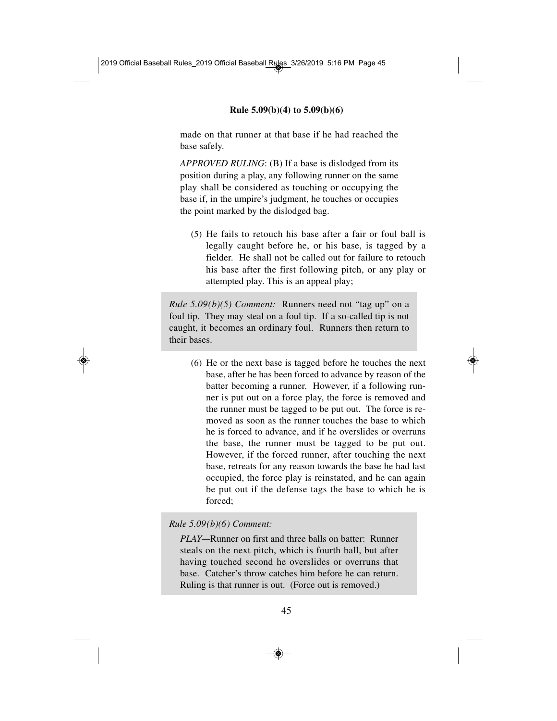made on that runner at that base if he had reached the base safely.

*APPROVED RULING*: (B) If a base is dislodged from its position during a play, any following runner on the same play shall be considered as touching or occupying the base if, in the umpire's judgment, he touches or occupies the point marked by the dislodged bag.

(5) He fails to retouch his base after a fair or foul ball is legally caught before he, or his base, is tagged by a fielder. He shall not be called out for failure to retouch his base after the first following pitch, or any play or attempted play. This is an appeal play;

*Rule 5.09(b)(5) Comment:* Runners need not "tag up" on a foul tip. They may steal on a foul tip. If a so-called tip is not caught, it becomes an ordinary foul. Runners then return to their bases.

(6) He or the next base is tagged before he touches the next base, after he has been forced to advance by reason of the batter becoming a runner. However, if a following runner is put out on a force play, the force is removed and the runner must be tagged to be put out. The force is removed as soon as the runner touches the base to which he is forced to advance, and if he overslides or overruns the base, the runner must be tagged to be put out. However, if the forced runner, after touching the next base, retreats for any reason towards the base he had last occupied, the force play is reinstated, and he can again be put out if the defense tags the base to which he is forced;

## *Rule 5.09(b)(6) Comment:*

*PLAY—*Runner on first and three balls on batter: Runner steals on the next pitch, which is fourth ball, but after having touched second he overslides or overruns that base. Catcher's throw catches him before he can return. Ruling is that runner is out. (Force out is removed.)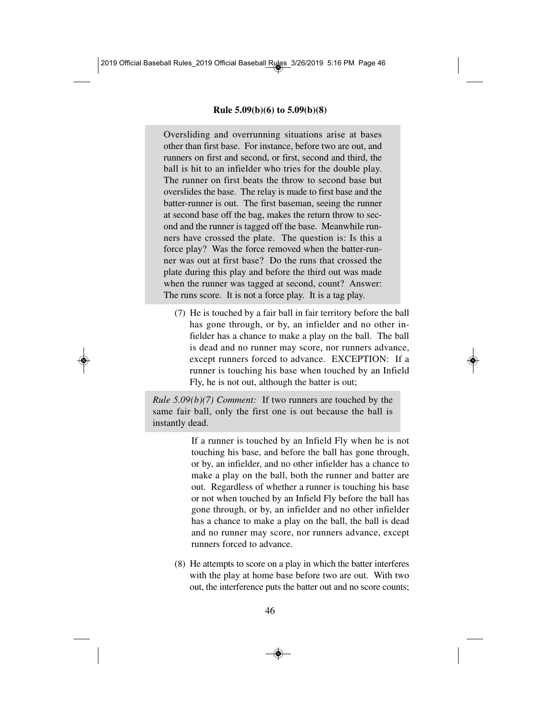Oversliding and overrunning situations arise at bases other than first base. For instance, before two are out, and runners on first and second, or first, second and third, the ball is hit to an infielder who tries for the double play. The runner on first beats the throw to second base but overslides the base. The relay is made to first base and the batter-runner is out. The first baseman, seeing the runner at second base off the bag, makes the return throw to second and the runner is tagged off the base. Meanwhile runners have crossed the plate. The question is: Is this a force play? Was the force removed when the batter-runner was out at first base? Do the runs that crossed the plate during this play and before the third out was made when the runner was tagged at second, count? Answer: The runs score. It is not a force play. It is a tag play.

(7) He is touched by a fair ball in fair territory before the ball has gone through, or by, an infielder and no other infielder has a chance to make a play on the ball. The ball is dead and no runner may score, nor runners advance, except runners forced to advance. EXCEPTION: If a runner is touching his base when touched by an Infield Fly, he is not out, although the batter is out;

*Rule 5.09(b)(7) Comment:* If two runners are touched by the same fair ball, only the first one is out because the ball is instantly dead.

> If a runner is touched by an Infield Fly when he is not touching his base, and before the ball has gone through, or by, an infielder, and no other infielder has a chance to make a play on the ball, both the runner and batter are out. Regardless of whether a runner is touching his base or not when touched by an Infield Fly before the ball has gone through, or by, an infielder and no other infielder has a chance to make a play on the ball, the ball is dead and no runner may score, nor runners advance, except runners forced to advance.

(8) He attempts to score on a play in which the batter interferes with the play at home base before two are out. With two out, the interference puts the batter out and no score counts;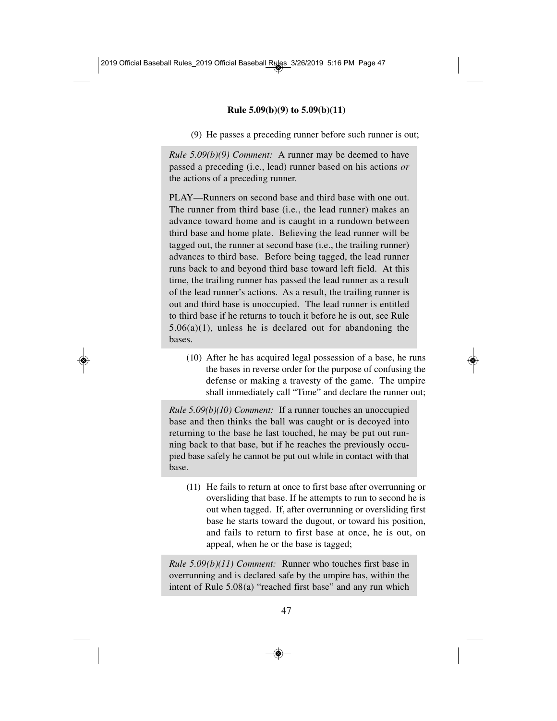### **Rule 5.09(b)(9) to 5.09(b)(11)**

(9) He passes a preceding runner before such runner is out;

*Rule 5.09(b)(9) Comment:* A runner may be deemed to have passed a preceding (i.e., lead) runner based on his actions *or* the actions of a preceding runner.

PLAY—Runners on second base and third base with one out. The runner from third base (i.e., the lead runner) makes an advance toward home and is caught in a rundown between third base and home plate. Believing the lead runner will be tagged out, the runner at second base (i.e., the trailing runner) advances to third base. Before being tagged, the lead runner runs back to and beyond third base toward left field. At this time, the trailing runner has passed the lead runner as a result of the lead runner's actions. As a result, the trailing runner is out and third base is unoccupied. The lead runner is entitled to third base if he returns to touch it before he is out, see Rule 5.06(a)(1), unless he is declared out for abandoning the bases.

(10) After he has acquired legal possession of a base, he runs the bases in reverse order for the purpose of confusing the defense or making a travesty of the game. The umpire shall immediately call "Time" and declare the runner out;

*Rule 5.09(b)(10) Comment:* If a runner touches an unoccupied base and then thinks the ball was caught or is decoyed into returning to the base he last touched, he may be put out running back to that base, but if he reaches the previously occupied base safely he cannot be put out while in contact with that base.

(11) He fails to return at once to first base after overrunning or oversliding that base. If he attempts to run to second he is out when tagged. If, after overrunning or oversliding first base he starts toward the dugout, or toward his position, and fails to return to first base at once, he is out, on appeal, when he or the base is tagged;

*Rule 5.09(b)(11) Comment:* Runner who touches first base in overrunning and is declared safe by the umpire has, within the intent of Rule 5.08(a) "reached first base" and any run which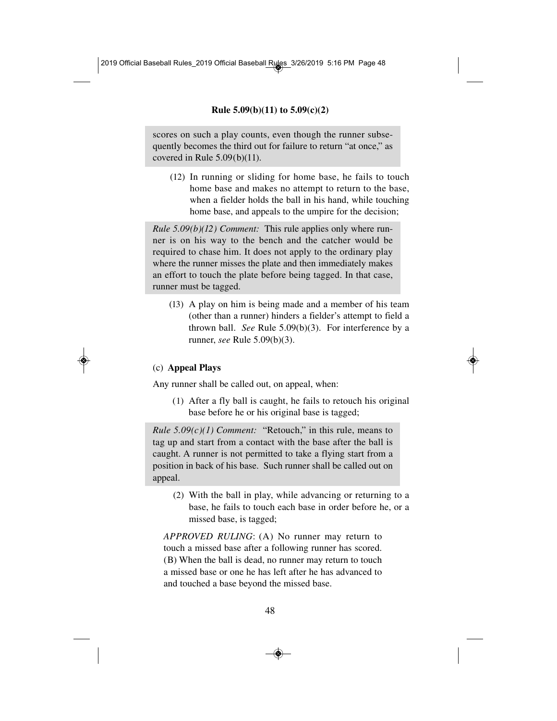scores on such a play counts, even though the runner subsequently becomes the third out for failure to return "at once," as covered in Rule  $5.09(b)(11)$ .

(12) In running or sliding for home base, he fails to touch home base and makes no attempt to return to the base, when a fielder holds the ball in his hand, while touching home base, and appeals to the umpire for the decision;

*Rule 5.09(b)(12) Comment:* This rule applies only where runner is on his way to the bench and the catcher would be required to chase him. It does not apply to the ordinary play where the runner misses the plate and then immediately makes an effort to touch the plate before being tagged. In that case, runner must be tagged.

(13) A play on him is being made and a member of his team (other than a runner) hinders a fielder's attempt to field a thrown ball. *See* Rule 5.09(b)(3). For interference by a runner, *see* Rule 5.09(b)(3).

## (c) **Appeal Plays**

Any runner shall be called out, on appeal, when:

(1) After a fly ball is caught, he fails to retouch his original base before he or his original base is tagged;

*Rule*  $5.09(c)(1)$  *Comment:* "Retouch," in this rule, means to tag up and start from a contact with the base after the ball is caught. A runner is not permitted to take a flying start from a position in back of his base. Such runner shall be called out on appeal.

(2) With the ball in play, while advancing or returning to a base, he fails to touch each base in order before he, or a missed base, is tagged;

*APPROVED RULING*: (A) No runner may return to touch a missed base after a following runner has scored. (B) When the ball is dead, no runner may return to touch a missed base or one he has left after he has advanced to and touched a base beyond the missed base.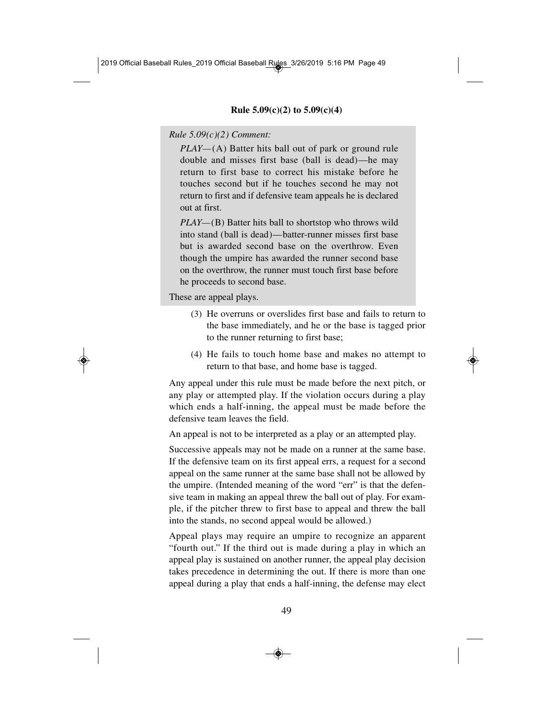# *Rule 5.09(c)(2) Comment:*

*PLAY—*(A) Batter hits ball out of park or ground rule double and misses first base (ball is dead)—he may return to first base to correct his mistake before he touches second but if he touches second he may not return to first and if defensive team appeals he is declared out at first.

*PLAY—*(B) Batter hits ball to shortstop who throws wild into stand (ball is dead)—batter-runner misses first base but is awarded second base on the overthrow. Even though the umpire has awarded the runner second base on the overthrow, the runner must touch first base before he proceeds to second base.

These are appeal plays.

- (3) He overruns or overslides first base and fails to return to the base immediately, and he or the base is tagged prior to the runner returning to first base;
- (4) He fails to touch home base and makes no attempt to return to that base, and home base is tagged.

Any appeal under this rule must be made before the next pitch, or any play or attempted play. If the violation occurs during a play which ends a half-inning, the appeal must be made before the defensive team leaves the field.

An appeal is not to be interpreted as a play or an attempted play.

Successive appeals may not be made on a runner at the same base. If the defensive team on its first appeal errs, a request for a second appeal on the same runner at the same base shall not be allowed by the umpire. (Intended meaning of the word "err" is that the defensive team in making an appeal threw the ball out of play. For example, if the pitcher threw to first base to appeal and threw the ball into the stands, no second appeal would be allowed.)

Appeal plays may require an umpire to recognize an apparent "fourth out." If the third out is made during a play in which an appeal play is sustained on another runner, the appeal play decision takes precedence in determining the out. If there is more than one appeal during a play that ends a half-inning, the defense may elect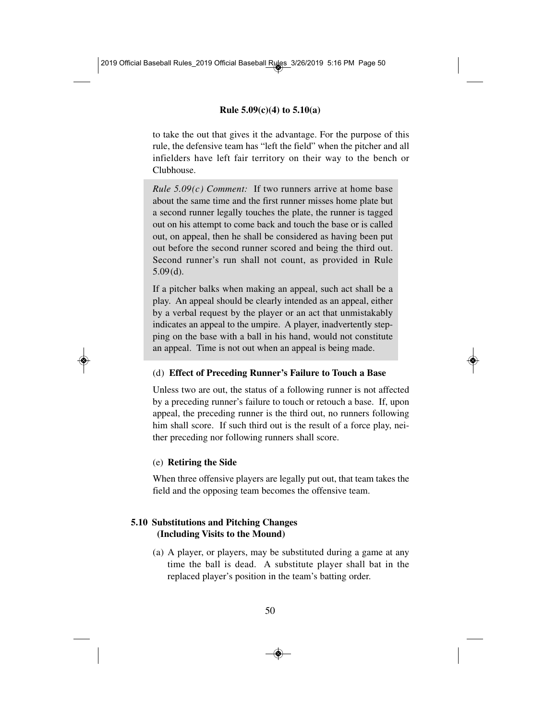to take the out that gives it the advantage. For the purpose of this rule, the defensive team has "left the field" when the pitcher and all infielders have left fair territory on their way to the bench or Clubhouse.

*Rule 5.09(c) Comment:* If two runners arrive at home base about the same time and the first runner misses home plate but a second runner legally touches the plate, the runner is tagged out on his attempt to come back and touch the base or is called out, on appeal, then he shall be considered as having been put out before the second runner scored and being the third out. Second runner's run shall not count, as provided in Rule  $5.09(d)$ .

If a pitcher balks when making an appeal, such act shall be a play. An appeal should be clearly intended as an appeal, either by a verbal request by the player or an act that unmistakably indicates an appeal to the umpire. A player, inadvertently stepping on the base with a ball in his hand, would not constitute an appeal. Time is not out when an appeal is being made.

# (d) **Effect of Preceding Runner's Failure to Touch a Base**

Unless two are out, the status of a following runner is not affected by a preceding runner's failure to touch or retouch a base. If, upon appeal, the preceding runner is the third out, no runners following him shall score. If such third out is the result of a force play, neither preceding nor following runners shall score.

# (e) **Retiring the Side**

When three offensive players are legally put out, that team takes the field and the opposing team becomes the offensive team.

# **5.10 Substitutions and Pitching Changes (Including Visits to the Mound)**

(a) A player, or players, may be substituted during a game at any time the ball is dead. A substitute player shall bat in the replaced player's position in the team's batting order.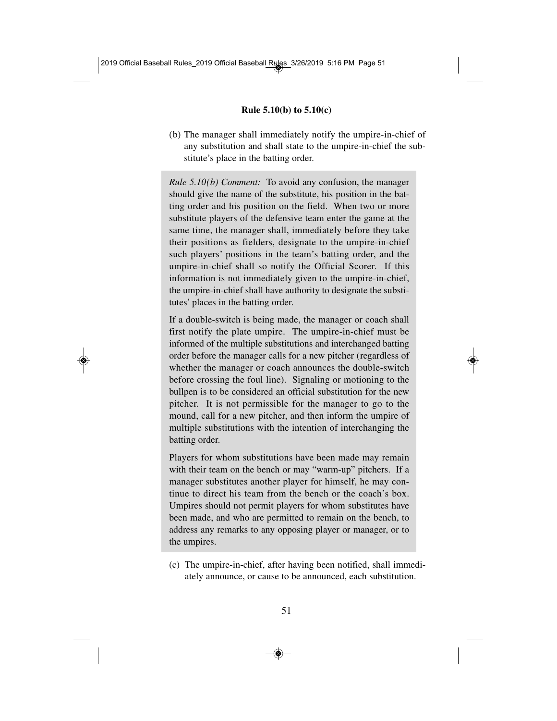(b) The manager shall immediately notify the umpire-in-chief of any substitution and shall state to the umpire-in-chief the substitute's place in the batting order.

*Rule 5.10(b) Comment:* To avoid any confusion, the manager should give the name of the substitute, his position in the batting order and his position on the field. When two or more substitute players of the defensive team enter the game at the same time, the manager shall, immediately before they take their positions as fielders, designate to the umpire-in-chief such players' positions in the team's batting order, and the umpire-in-chief shall so notify the Official Scorer. If this information is not immediately given to the umpire-in-chief, the umpire-in-chief shall have authority to designate the substitutes' places in the batting order.

If a double-switch is being made, the manager or coach shall first notify the plate umpire. The umpire-in-chief must be informed of the multiple substitutions and interchanged batting order before the manager calls for a new pitcher (regardless of whether the manager or coach announces the double-switch before crossing the foul line). Signaling or motioning to the bullpen is to be considered an official substitution for the new pitcher. It is not permissible for the manager to go to the mound, call for a new pitcher, and then inform the umpire of multiple substitutions with the intention of interchanging the batting order.

Players for whom substitutions have been made may remain with their team on the bench or may "warm-up" pitchers. If a manager substitutes another player for himself, he may continue to direct his team from the bench or the coach's box. Umpires should not permit players for whom substitutes have been made, and who are permitted to remain on the bench, to address any remarks to any opposing player or manager, or to the umpires.

(c) The umpire-in-chief, after having been notified, shall immediately announce, or cause to be announced, each substitution.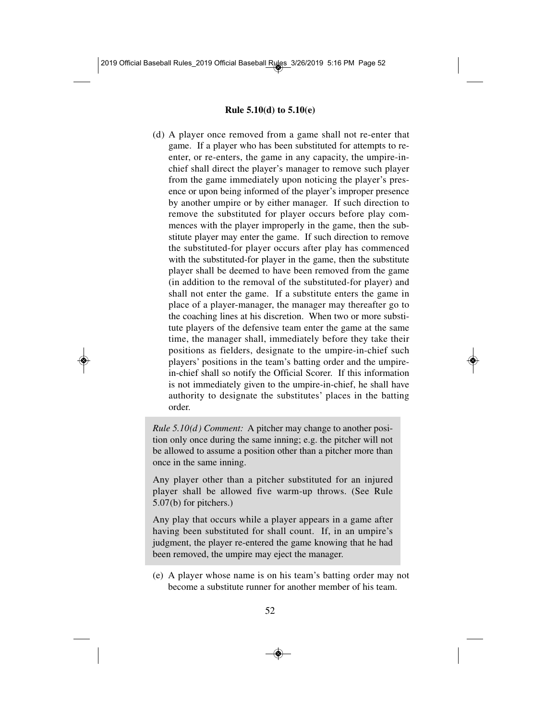(d) A player once removed from a game shall not re-enter that game. If a player who has been substituted for attempts to reenter, or re-enters, the game in any capacity, the umpire-inchief shall direct the player's manager to remove such player from the game immediately upon noticing the player's presence or upon being informed of the player's improper presence by another umpire or by either manager. If such direction to remove the substituted for player occurs before play commences with the player improperly in the game, then the substitute player may enter the game. If such direction to remove the substituted-for player occurs after play has commenced with the substituted-for player in the game, then the substitute player shall be deemed to have been removed from the game (in addition to the removal of the substituted-for player) and shall not enter the game. If a substitute enters the game in place of a player-manager, the manager may thereafter go to the coaching lines at his discretion. When two or more substitute players of the defensive team enter the game at the same time, the manager shall, immediately before they take their positions as fielders, designate to the umpire-in-chief such players' positions in the team's batting order and the umpirein-chief shall so notify the Official Scorer. If this information is not immediately given to the umpire-in-chief, he shall have authority to designate the substitutes' places in the batting order.

*Rule 5.10(d) Comment:* A pitcher may change to another position only once during the same inning; e.g. the pitcher will not be allowed to assume a position other than a pitcher more than once in the same inning.

Any player other than a pitcher substituted for an injured player shall be allowed five warm-up throws. (See Rule 5.07(b) for pitchers.)

Any play that occurs while a player appears in a game after having been substituted for shall count. If, in an umpire's judgment, the player re-entered the game knowing that he had been removed, the umpire may eject the manager.

(e) A player whose name is on his team's batting order may not become a substitute runner for another member of his team.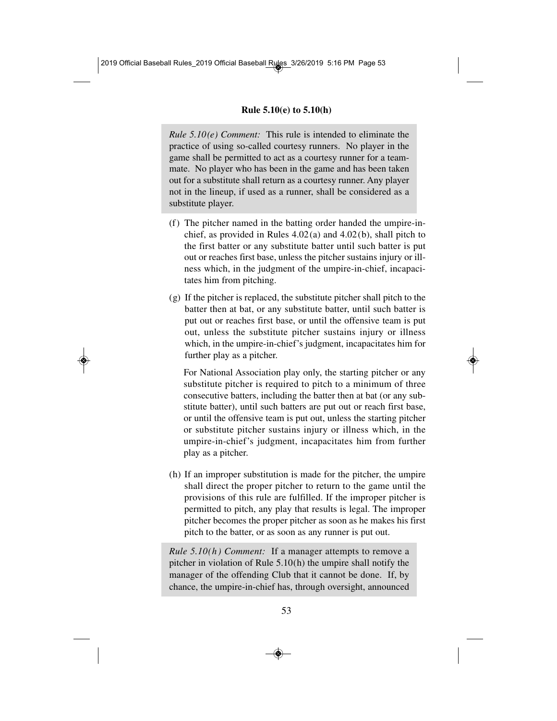*Rule 5.10(e) Comment:* This rule is intended to eliminate the practice of using so-called courtesy runners. No player in the game shall be permitted to act as a courtesy runner for a teammate. No player who has been in the game and has been taken out for a substitute shall return as a courtesy runner. Any player not in the lineup, if used as a runner, shall be considered as a substitute player.

- (f) The pitcher named in the batting order handed the umpire-inchief, as provided in Rules 4.02(a) and 4.02(b), shall pitch to the first batter or any substitute batter until such batter is put out or reaches first base, unless the pitcher sustains injury or illness which, in the judgment of the umpire-in-chief, incapacitates him from pitching.
- (g) If the pitcher is replaced, the substitute pitcher shall pitch to the batter then at bat, or any substitute batter, until such batter is put out or reaches first base, or until the offensive team is put out, unless the substitute pitcher sustains injury or illness which, in the umpire-in-chief's judgment, incapacitates him for further play as a pitcher.

For National Association play only, the starting pitcher or any substitute pitcher is required to pitch to a minimum of three consecutive batters, including the batter then at bat (or any substitute batter), until such batters are put out or reach first base, or until the offensive team is put out, unless the starting pitcher or substitute pitcher sustains injury or illness which, in the umpire-in-chief's judgment, incapacitates him from further play as a pitcher.

(h) If an improper substitution is made for the pitcher, the umpire shall direct the proper pitcher to return to the game until the provisions of this rule are fulfilled. If the improper pitcher is permitted to pitch, any play that results is legal. The improper pitcher becomes the proper pitcher as soon as he makes his first pitch to the batter, or as soon as any runner is put out.

*Rule 5.10(h) Comment:* If a manager attempts to remove a pitcher in violation of Rule 5.10(h) the umpire shall notify the manager of the offending Club that it cannot be done. If, by chance, the umpire-in-chief has, through oversight, announced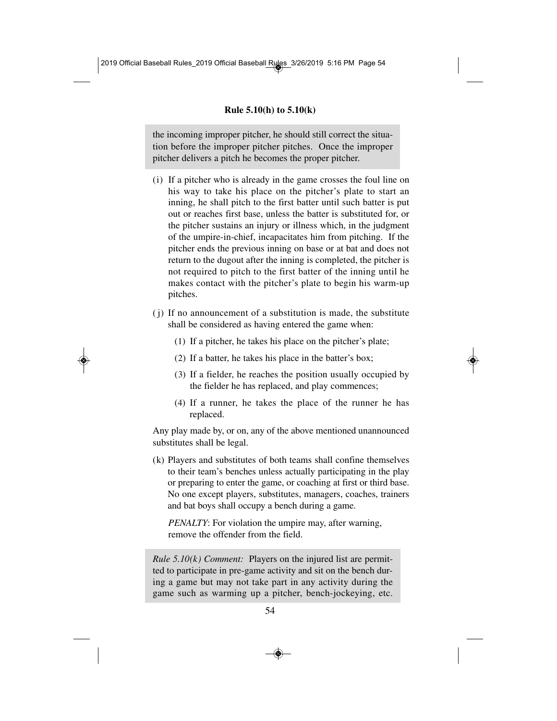the incoming improper pitcher, he should still correct the situation before the improper pitcher pitches. Once the improper pitcher delivers a pitch he becomes the proper pitcher.

- (i) If a pitcher who is already in the game crosses the foul line on his way to take his place on the pitcher's plate to start an inning, he shall pitch to the first batter until such batter is put out or reaches first base, unless the batter is substituted for, or the pitcher sustains an injury or illness which, in the judgment of the umpire-in-chief, incapacitates him from pitching. If the pitcher ends the previous inning on base or at bat and does not return to the dugout after the inning is completed, the pitcher is not required to pitch to the first batter of the inning until he makes contact with the pitcher's plate to begin his warm-up pitches.
- ( j) If no announcement of a substitution is made, the substitute shall be considered as having entered the game when:
	- (1) If a pitcher, he takes his place on the pitcher's plate;
	- (2) If a batter, he takes his place in the batter's box;
	- (3) If a fielder, he reaches the position usually occupied by the fielder he has replaced, and play commences;
	- (4) If a runner, he takes the place of the runner he has replaced.

Any play made by, or on, any of the above mentioned unannounced substitutes shall be legal.

(k) Players and substitutes of both teams shall confine themselves to their team's benches unless actually participating in the play or preparing to enter the game, or coaching at first or third base. No one except players, substitutes, managers, coaches, trainers and bat boys shall occupy a bench during a game.

*PENALTY*: For violation the umpire may, after warning, remove the offender from the field.

*Rule 5.10(k) Comment:* Players on the injured list are permitted to participate in pre-game activity and sit on the bench during a game but may not take part in any activity during the game such as warming up a pitcher, bench-jockeying, etc.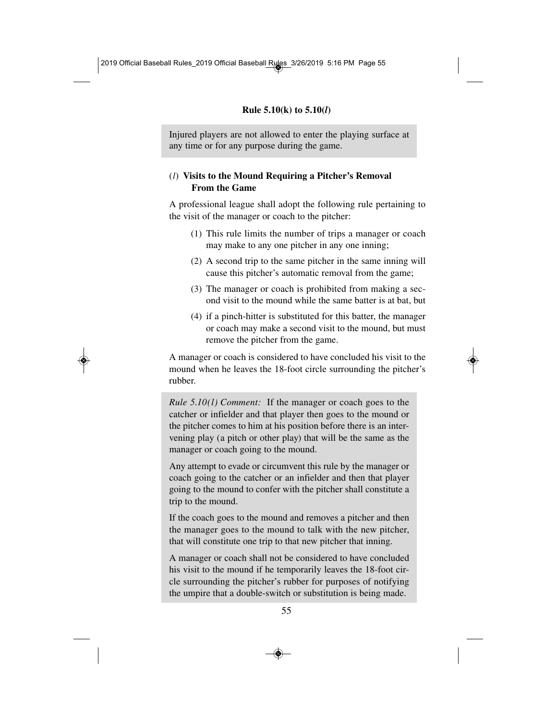Injured players are not allowed to enter the playing surface at any time or for any purpose during the game.

# (*l*) **Visits to the Mound Requiring a Pitcher's Removal From the Game**

A professional league shall adopt the following rule pertaining to the visit of the manager or coach to the pitcher:

- (1) This rule limits the number of trips a manager or coach may make to any one pitcher in any one inning;
- (2) A second trip to the same pitcher in the same inning will cause this pitcher's automatic removal from the game;
- (3) The manager or coach is prohibited from making a second visit to the mound while the same batter is at bat, but
- (4) if a pinch-hitter is substituted for this batter, the manager or coach may make a second visit to the mound, but must remove the pitcher from the game.

A manager or coach is considered to have concluded his visit to the mound when he leaves the 18-foot circle surrounding the pitcher's rubber.

*Rule 5.10(l) Comment:* If the manager or coach goes to the catcher or infielder and that player then goes to the mound or the pitcher comes to him at his position before there is an intervening play (a pitch or other play) that will be the same as the manager or coach going to the mound.

Any attempt to evade or circumvent this rule by the manager or coach going to the catcher or an infielder and then that player going to the mound to confer with the pitcher shall constitute a trip to the mound.

If the coach goes to the mound and removes a pitcher and then the manager goes to the mound to talk with the new pitcher, that will constitute one trip to that new pitcher that inning.

A manager or coach shall not be considered to have concluded his visit to the mound if he temporarily leaves the 18-foot circle surrounding the pitcher's rubber for purposes of notifying the umpire that a double-switch or substitution is being made.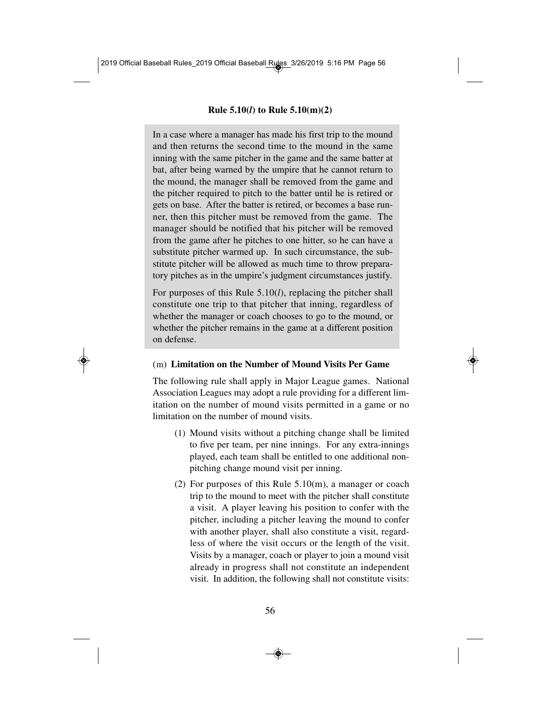In a case where a manager has made his first trip to the mound and then returns the second time to the mound in the same inning with the same pitcher in the game and the same batter at bat, after being warned by the umpire that he cannot return to the mound, the manager shall be removed from the game and the pitcher required to pitch to the batter until he is retired or gets on base. After the batter is retired, or becomes a base runner, then this pitcher must be removed from the game. The manager should be notified that his pitcher will be removed from the game after he pitches to one hitter, so he can have a substitute pitcher warmed up. In such circumstance, the substitute pitcher will be allowed as much time to throw preparatory pitches as in the umpire's judgment circumstances justify.

For purposes of this Rule 5.10(*l*), replacing the pitcher shall constitute one trip to that pitcher that inning, regardless of whether the manager or coach chooses to go to the mound, or whether the pitcher remains in the game at a different position on defense.

## (m) **Limitation on the Number of Mound Visits Per Game**

The following rule shall apply in Major League games. National Association Leagues may adopt a rule providing for a different limitation on the number of mound visits permitted in a game or no limitation on the number of mound visits.

- (1) Mound visits without a pitching change shall be limited to five per team, per nine innings. For any extra-innings played, each team shall be entitled to one additional nonpitching change mound visit per inning.
- (2) For purposes of this Rule 5.10(m), a manager or coach trip to the mound to meet with the pitcher shall constitute a visit. A player leaving his position to confer with the pitcher, including a pitcher leaving the mound to confer with another player, shall also constitute a visit, regardless of where the visit occurs or the length of the visit. Visits by a manager, coach or player to join a mound visit already in progress shall not constitute an independent visit. In addition, the following shall not constitute visits: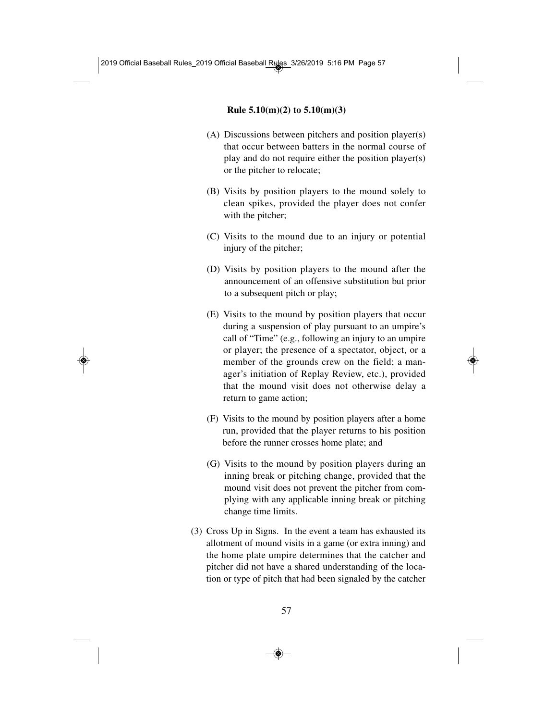#### **Rule 5.10(m)(2) to 5.10(m)(3)**

- (A) Discussions between pitchers and position player(s) that occur between batters in the normal course of play and do not require either the position player(s) or the pitcher to relocate;
- (B) Visits by position players to the mound solely to clean spikes, provided the player does not confer with the pitcher;
- (C) Visits to the mound due to an injury or potential injury of the pitcher;
- (D) Visits by position players to the mound after the announcement of an offensive substitution but prior to a subsequent pitch or play;
- (E) Visits to the mound by position players that occur during a suspension of play pursuant to an umpire's call of "Time" (e.g., following an injury to an umpire or player; the presence of a spectator, object, or a member of the grounds crew on the field; a manager's initiation of Replay Review, etc.), provided that the mound visit does not otherwise delay a return to game action;
- (F) Visits to the mound by position players after a home run, provided that the player returns to his position before the runner crosses home plate; and
- (G) Visits to the mound by position players during an inning break or pitching change, provided that the mound visit does not prevent the pitcher from complying with any applicable inning break or pitching change time limits.
- (3) Cross Up in Signs. In the event a team has exhausted its allotment of mound visits in a game (or extra inning) and the home plate umpire determines that the catcher and pitcher did not have a shared understanding of the location or type of pitch that had been signaled by the catcher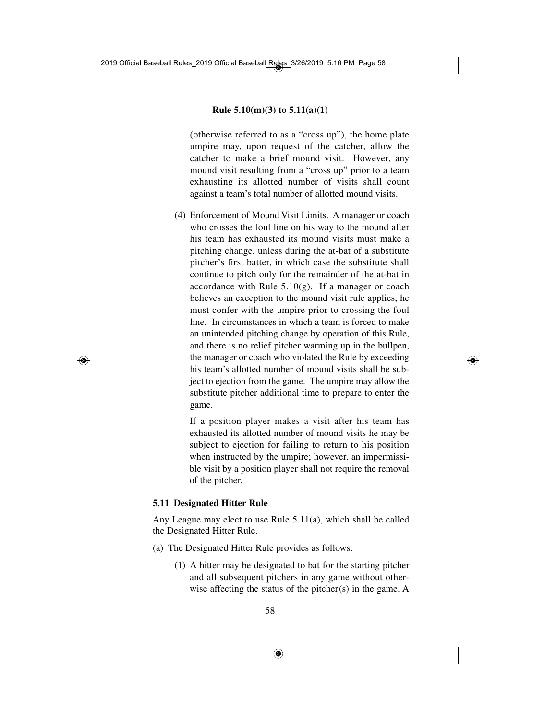### **Rule 5.10(m)(3) to 5.11(a)(1)**

(otherwise referred to as a "cross up"), the home plate umpire may, upon request of the catcher, allow the catcher to make a brief mound visit. However, any mound visit resulting from a "cross up" prior to a team exhausting its allotted number of visits shall count against a team's total number of allotted mound visits.

(4) Enforcement of Mound Visit Limits. A manager or coach who crosses the foul line on his way to the mound after his team has exhausted its mound visits must make a pitching change, unless during the at-bat of a substitute pitcher's first batter, in which case the substitute shall continue to pitch only for the remainder of the at-bat in accordance with Rule  $5.10(g)$ . If a manager or coach believes an exception to the mound visit rule applies, he must confer with the umpire prior to crossing the foul line. In circumstances in which a team is forced to make an unintended pitching change by operation of this Rule, and there is no relief pitcher warming up in the bullpen, the manager or coach who violated the Rule by exceeding his team's allotted number of mound visits shall be subject to ejection from the game. The umpire may allow the substitute pitcher additional time to prepare to enter the game.

If a position player makes a visit after his team has exhausted its allotted number of mound visits he may be subject to ejection for failing to return to his position when instructed by the umpire; however, an impermissible visit by a position player shall not require the removal of the pitcher.

### **5.11 Designated Hitter Rule**

Any League may elect to use Rule 5.11(a), which shall be called the Designated Hitter Rule.

- (a) The Designated Hitter Rule provides as follows:
	- (1) A hitter may be designated to bat for the starting pitcher and all subsequent pitchers in any game without otherwise affecting the status of the pitcher(s) in the game. A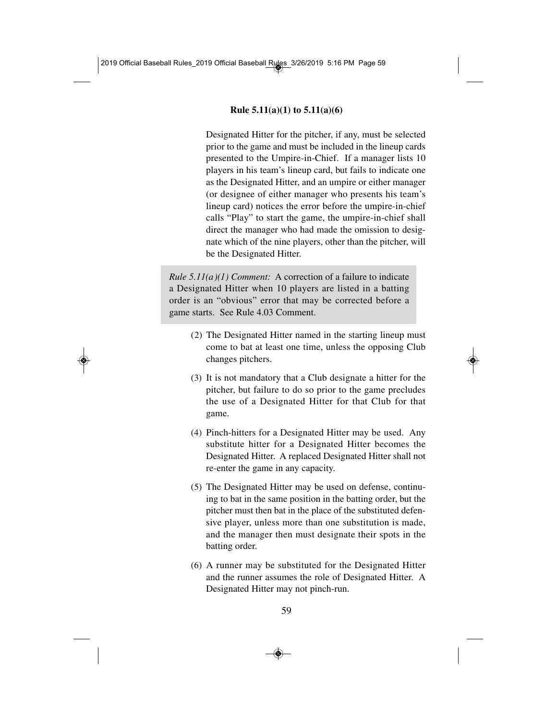## **Rule 5.11(a)(1) to 5.11(a)(6)**

Designated Hitter for the pitcher, if any, must be selected prior to the game and must be included in the lineup cards presented to the Umpire-in-Chief. If a manager lists 10 players in his team's lineup card, but fails to indicate one as the Designated Hitter, and an umpire or either manager (or designee of either manager who presents his team's lineup card) notices the error before the umpire-in-chief calls "Play" to start the game, the umpire-in-chief shall direct the manager who had made the omission to designate which of the nine players, other than the pitcher, will be the Designated Hitter.

*Rule 5.11(a)(1) Comment:* A correction of a failure to indicate a Designated Hitter when 10 players are listed in a batting order is an "obvious" error that may be corrected before a game starts. See Rule 4.03 Comment.

- (2) The Designated Hitter named in the starting lineup must come to bat at least one time, unless the opposing Club changes pitchers.
- (3) It is not mandatory that a Club designate a hitter for the pitcher, but failure to do so prior to the game precludes the use of a Designated Hitter for that Club for that game.
- (4) Pinch-hitters for a Designated Hitter may be used. Any substitute hitter for a Designated Hitter becomes the Designated Hitter. A replaced Designated Hitter shall not re-enter the game in any capacity.
- (5) The Designated Hitter may be used on defense, continuing to bat in the same position in the batting order, but the pitcher must then bat in the place of the substituted defensive player, unless more than one substitution is made, and the manager then must designate their spots in the batting order.
- (6) A runner may be substituted for the Designated Hitter and the runner assumes the role of Designated Hitter. A Designated Hitter may not pinch-run.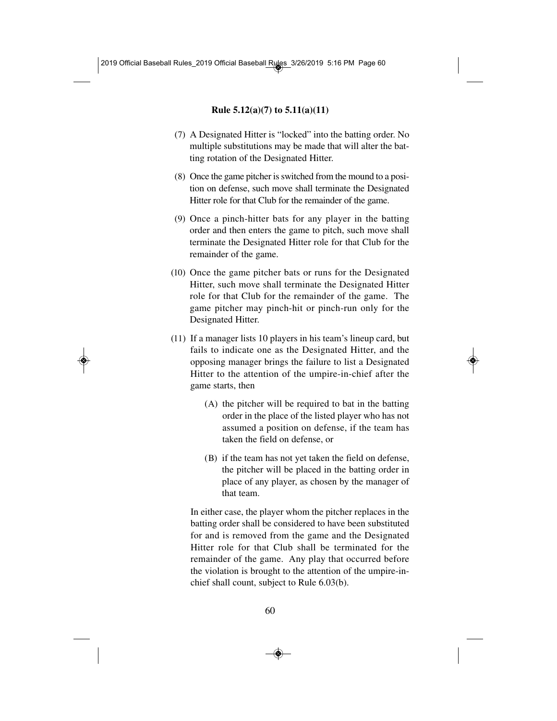### **Rule 5.12(a)(7) to 5.11(a)(11)**

- (7) A Designated Hitter is "locked" into the batting order. No multiple substitutions may be made that will alter the batting rotation of the Designated Hitter.
- (8) Once the game pitcher is switched from the mound to a position on defense, such move shall terminate the Designated Hitter role for that Club for the remainder of the game.
- (9) Once a pinch-hitter bats for any player in the batting order and then enters the game to pitch, such move shall terminate the Designated Hitter role for that Club for the remainder of the game.
- (10) Once the game pitcher bats or runs for the Designated Hitter, such move shall terminate the Designated Hitter role for that Club for the remainder of the game. The game pitcher may pinch-hit or pinch-run only for the Designated Hitter.
- (11) If a manager lists 10 players in his team's lineup card, but fails to indicate one as the Designated Hitter, and the opposing manager brings the failure to list a Designated Hitter to the attention of the umpire-in-chief after the game starts, then
	- (A) the pitcher will be required to bat in the batting order in the place of the listed player who has not assumed a position on defense, if the team has taken the field on defense, or
	- (B) if the team has not yet taken the field on defense, the pitcher will be placed in the batting order in place of any player, as chosen by the manager of that team.

In either case, the player whom the pitcher replaces in the batting order shall be considered to have been substituted for and is removed from the game and the Designated Hitter role for that Club shall be terminated for the remainder of the game. Any play that occurred before the violation is brought to the attention of the umpire-inchief shall count, subject to Rule 6.03(b).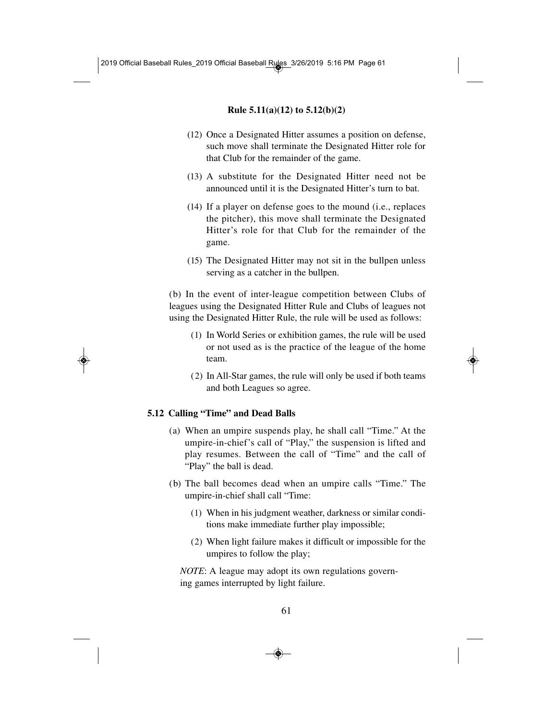#### **Rule 5.11(a)(12) to 5.12(b)(2)**

- (12) Once a Designated Hitter assumes a position on defense, such move shall terminate the Designated Hitter role for that Club for the remainder of the game.
- (13) A substitute for the Designated Hitter need not be announced until it is the Designated Hitter's turn to bat.
- (14) If a player on defense goes to the mound (i.e., replaces the pitcher), this move shall terminate the Designated Hitter's role for that Club for the remainder of the game.
- (15) The Designated Hitter may not sit in the bullpen unless serving as a catcher in the bullpen.

(b) In the event of inter-league competition between Clubs of leagues using the Designated Hitter Rule and Clubs of leagues not using the Designated Hitter Rule, the rule will be used as follows:

- (1) In World Series or exhibition games, the rule will be used or not used as is the practice of the league of the home team.
- (2) In All-Star games, the rule will only be used if both teams and both Leagues so agree.

### **5.12 Calling "Time" and Dead Balls**

- (a) When an umpire suspends play, he shall call "Time." At the umpire-in-chief's call of "Play," the suspension is lifted and play resumes. Between the call of "Time" and the call of "Play" the ball is dead.
- (b) The ball becomes dead when an umpire calls "Time." The umpire-in-chief shall call "Time:
	- (1) When in his judgment weather, darkness or similar conditions make immediate further play impossible;
	- (2) When light failure makes it difficult or impossible for the umpires to follow the play;

*NOTE*: A league may adopt its own regulations governing games interrupted by light failure.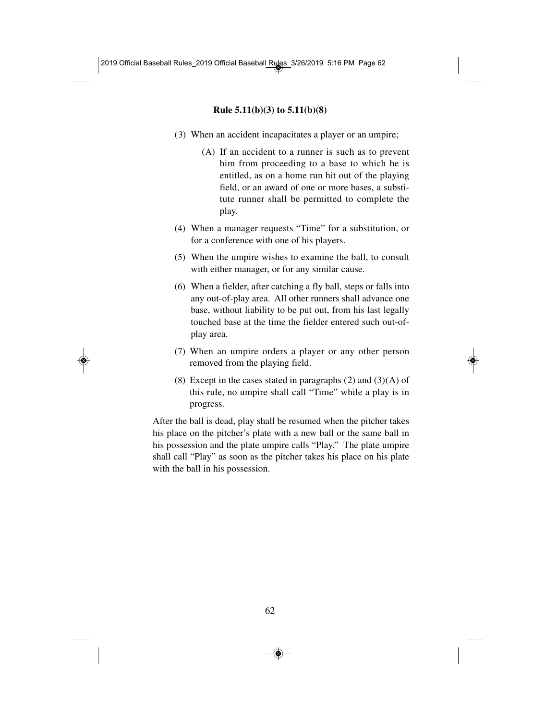- (3) When an accident incapacitates a player or an umpire;
	- (A) If an accident to a runner is such as to prevent him from proceeding to a base to which he is entitled, as on a home run hit out of the playing field, or an award of one or more bases, a substitute runner shall be permitted to complete the play.
- (4) When a manager requests "Time" for a substitution, or for a conference with one of his players.
- (5) When the umpire wishes to examine the ball, to consult with either manager, or for any similar cause.
- (6) When a fielder, after catching a fly ball, steps or falls into any out-of-play area. All other runners shall advance one base, without liability to be put out, from his last legally touched base at the time the fielder entered such out-ofplay area.
- (7) When an umpire orders a player or any other person removed from the playing field.
- (8) Except in the cases stated in paragraphs  $(2)$  and  $(3)(A)$  of this rule, no umpire shall call "Time" while a play is in progress.

After the ball is dead, play shall be resumed when the pitcher takes his place on the pitcher's plate with a new ball or the same ball in his possession and the plate umpire calls "Play." The plate umpire shall call "Play" as soon as the pitcher takes his place on his plate with the ball in his possession.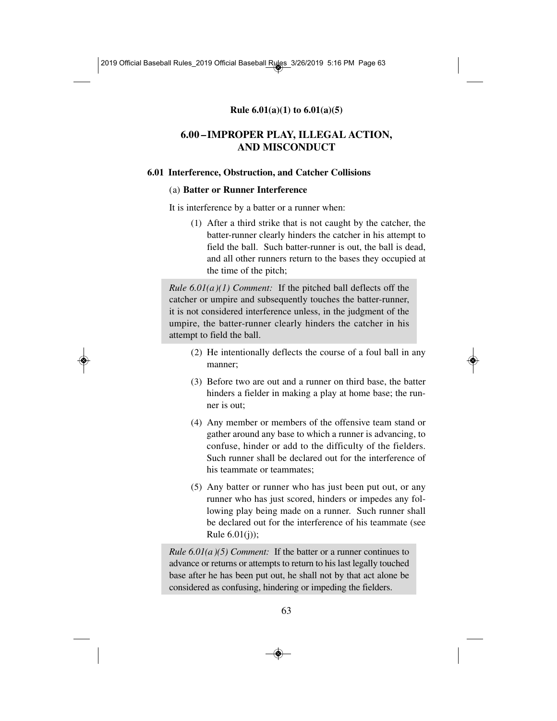# **6.00 –IMPROPER PLAY, ILLEGAL ACTION, AND MISCONDUCT**

## **6.01 Interference, Obstruction, and Catcher Collisions**

### (a) **Batter or Runner Interference**

It is interference by a batter or a runner when:

(1) After a third strike that is not caught by the catcher, the batter-runner clearly hinders the catcher in his attempt to field the ball. Such batter-runner is out, the ball is dead, and all other runners return to the bases they occupied at the time of the pitch;

*Rule 6.01(a)(1) Comment:* If the pitched ball deflects off the catcher or umpire and subsequently touches the batter-runner, it is not considered interference unless, in the judgment of the umpire, the batter-runner clearly hinders the catcher in his attempt to field the ball.

- (2) He intentionally deflects the course of a foul ball in any manner;
- (3) Before two are out and a runner on third base, the batter hinders a fielder in making a play at home base; the runner is out;
- (4) Any member or members of the offensive team stand or gather around any base to which a runner is advancing, to confuse, hinder or add to the difficulty of the fielders. Such runner shall be declared out for the interference of his teammate or teammates;
- (5) Any batter or runner who has just been put out, or any runner who has just scored, hinders or impedes any following play being made on a runner. Such runner shall be declared out for the interference of his teammate (see Rule  $6.01(i)$ :

*Rule 6.01(a )(5) Comment:* If the batter or a runner continues to advance or returns or attempts to return to his last legally touched base after he has been put out, he shall not by that act alone be considered as confusing, hindering or impeding the fielders.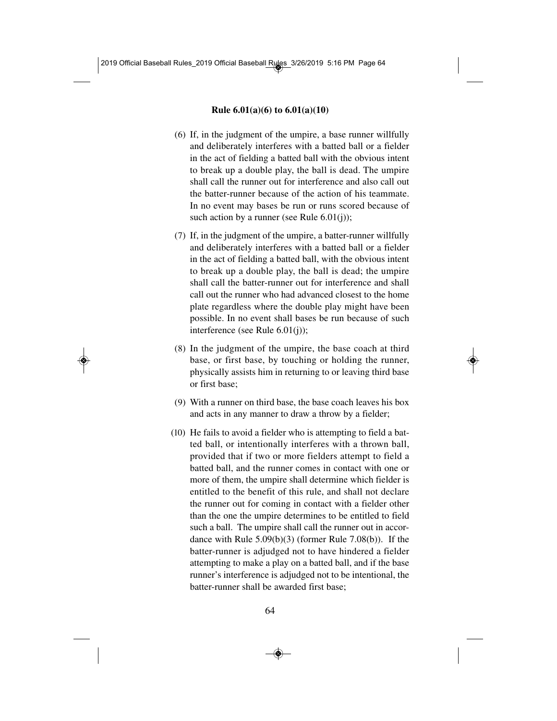#### **Rule 6.01(a)(6) to 6.01(a)(10)**

- (6) If, in the judgment of the umpire, a base runner willfully and deliberately interferes with a batted ball or a fielder in the act of fielding a batted ball with the obvious intent to break up a double play, the ball is dead. The umpire shall call the runner out for interference and also call out the batter-runner because of the action of his teammate. In no event may bases be run or runs scored because of such action by a runner (see Rule  $6.01(i)$ );
- (7) If, in the judgment of the umpire, a batter-runner willfully and deliberately interferes with a batted ball or a fielder in the act of fielding a batted ball, with the obvious intent to break up a double play, the ball is dead; the umpire shall call the batter-runner out for interference and shall call out the runner who had advanced closest to the home plate regardless where the double play might have been possible. In no event shall bases be run because of such interference (see Rule 6.01(j));
- (8) In the judgment of the umpire, the base coach at third base, or first base, by touching or holding the runner, physically assists him in returning to or leaving third base or first base;
- (9) With a runner on third base, the base coach leaves his box and acts in any manner to draw a throw by a fielder;
- (10) He fails to avoid a fielder who is attempting to field a batted ball, or intentionally interferes with a thrown ball, provided that if two or more fielders attempt to field a batted ball, and the runner comes in contact with one or more of them, the umpire shall determine which fielder is entitled to the benefit of this rule, and shall not declare the runner out for coming in contact with a fielder other than the one the umpire determines to be entitled to field such a ball. The umpire shall call the runner out in accordance with Rule 5.09(b)(3) (former Rule 7.08(b)). If the batter-runner is adjudged not to have hindered a fielder attempting to make a play on a batted ball, and if the base runner's interference is adjudged not to be intentional, the batter-runner shall be awarded first base;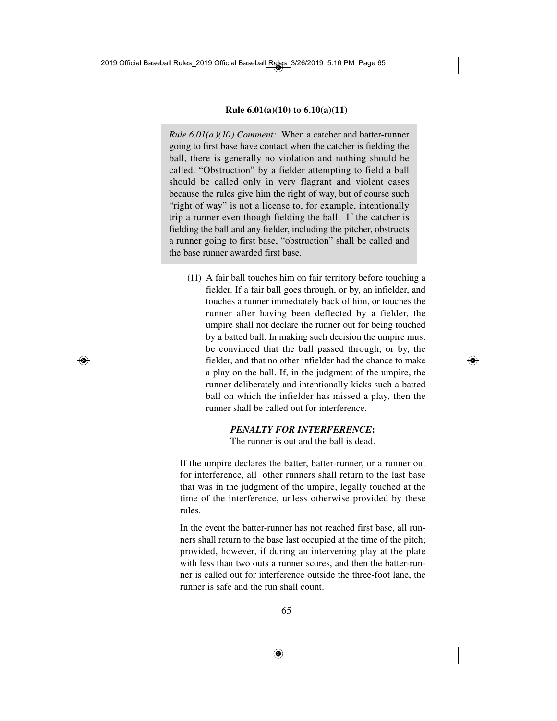*Rule 6.01(a )(10) Comment:* When a catcher and batter-runner going to first base have contact when the catcher is fielding the ball, there is generally no violation and nothing should be called. "Obstruction" by a fielder attempting to field a ball should be called only in very flagrant and violent cases because the rules give him the right of way, but of course such "right of way" is not a license to, for example, intentionally trip a runner even though fielding the ball. If the catcher is fielding the ball and any fielder, including the pitcher, obstructs a runner going to first base, "obstruction" shall be called and the base runner awarded first base.

(11) A fair ball touches him on fair territory before touching a fielder. If a fair ball goes through, or by, an infielder, and touches a runner immediately back of him, or touches the runner after having been deflected by a fielder, the umpire shall not declare the runner out for being touched by a batted ball. In making such decision the umpire must be convinced that the ball passed through, or by, the fielder, and that no other infielder had the chance to make a play on the ball. If, in the judgment of the umpire, the runner deliberately and intentionally kicks such a batted ball on which the infielder has missed a play, then the runner shall be called out for interference.

# *PENALTY FOR INTERFERENCE***:**

The runner is out and the ball is dead.

If the umpire declares the batter, batter-runner, or a runner out for interference, all other runners shall return to the last base that was in the judgment of the umpire, legally touched at the time of the interference, unless otherwise provided by these rules.

In the event the batter-runner has not reached first base, all runners shall return to the base last occupied at the time of the pitch; provided, however, if during an intervening play at the plate with less than two outs a runner scores, and then the batter-runner is called out for interference outside the three-foot lane, the runner is safe and the run shall count.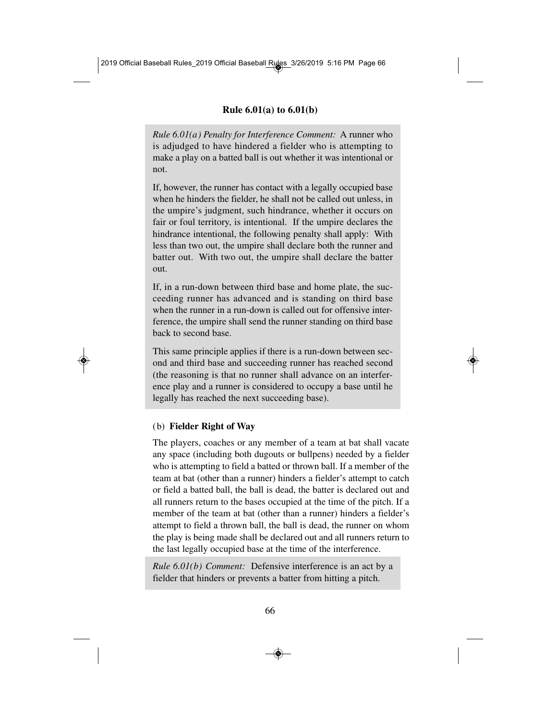*Rule 6.01(a) Penalty for Interference Comment:* A runner who is adjudged to have hindered a fielder who is attempting to make a play on a batted ball is out whether it was intentional or not.

If, however, the runner has contact with a legally occupied base when he hinders the fielder, he shall not be called out unless, in the umpire's judgment, such hindrance, whether it occurs on fair or foul territory, is intentional. If the umpire declares the hindrance intentional, the following penalty shall apply: With less than two out, the umpire shall declare both the runner and batter out. With two out, the umpire shall declare the batter out.

If, in a run-down between third base and home plate, the succeeding runner has advanced and is standing on third base when the runner in a run-down is called out for offensive interference, the umpire shall send the runner standing on third base back to second base.

This same principle applies if there is a run-down between second and third base and succeeding runner has reached second (the reasoning is that no runner shall advance on an interference play and a runner is considered to occupy a base until he legally has reached the next succeeding base).

# (b) **Fielder Right of Way**

The players, coaches or any member of a team at bat shall vacate any space (including both dugouts or bullpens) needed by a fielder who is attempting to field a batted or thrown ball. If a member of the team at bat (other than a runner) hinders a fielder's attempt to catch or field a batted ball, the ball is dead, the batter is declared out and all runners return to the bases occupied at the time of the pitch. If a member of the team at bat (other than a runner) hinders a fielder's attempt to field a thrown ball, the ball is dead, the runner on whom the play is being made shall be declared out and all runners return to the last legally occupied base at the time of the interference.

*Rule 6.01(b) Comment:* Defensive interference is an act by a fielder that hinders or prevents a batter from hitting a pitch.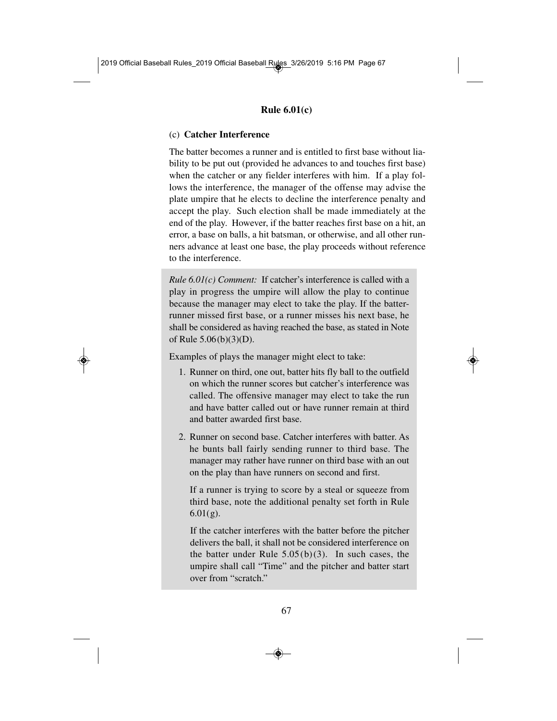### (c) **Catcher Interference**

The batter becomes a runner and is entitled to first base without liability to be put out (provided he advances to and touches first base) when the catcher or any fielder interferes with him. If a play follows the interference, the manager of the offense may advise the plate umpire that he elects to decline the interference penalty and accept the play. Such election shall be made immediately at the end of the play. However, if the batter reaches first base on a hit, an error, a base on balls, a hit batsman, or otherwise, and all other runners advance at least one base, the play proceeds without reference to the interference.

*Rule 6.01(c) Comment:* If catcher's interference is called with a play in progress the umpire will allow the play to continue because the manager may elect to take the play. If the batterrunner missed first base, or a runner misses his next base, he shall be considered as having reached the base, as stated in Note of Rule 5.06(b)(3)(D).

Examples of plays the manager might elect to take:

- 1. Runner on third, one out, batter hits fly ball to the outfield on which the runner scores but catcher's interference was called. The offensive manager may elect to take the run and have batter called out or have runner remain at third and batter awarded first base.
- 2. Runner on second base. Catcher interferes with batter. As he bunts ball fairly sending runner to third base. The manager may rather have runner on third base with an out on the play than have runners on second and first.

If a runner is trying to score by a steal or squeeze from third base, note the additional penalty set forth in Rule  $6.01(g)$ .

If the catcher interferes with the batter before the pitcher delivers the ball, it shall not be considered interference on the batter under Rule  $5.05(b)(3)$ . In such cases, the umpire shall call "Time" and the pitcher and batter start over from "scratch."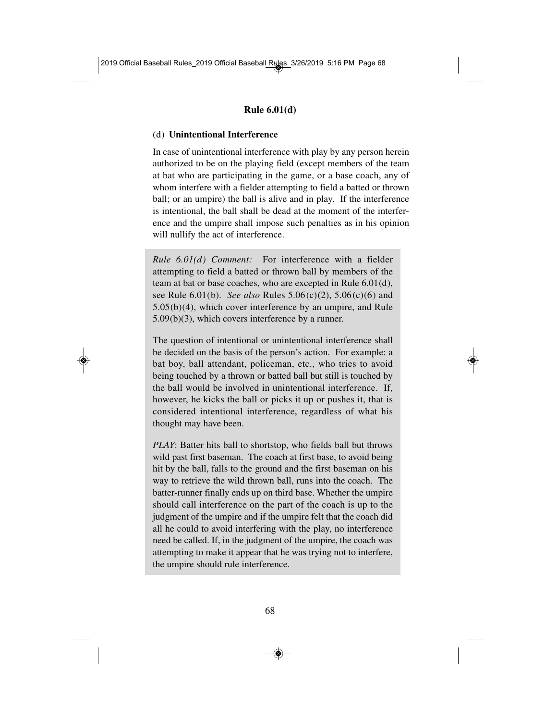### (d) **Unintentional Interference**

In case of unintentional interference with play by any person herein authorized to be on the playing field (except members of the team at bat who are participating in the game, or a base coach, any of whom interfere with a fielder attempting to field a batted or thrown ball; or an umpire) the ball is alive and in play. If the interference is intentional, the ball shall be dead at the moment of the interference and the umpire shall impose such penalties as in his opinion will nullify the act of interference.

*Rule 6.01(d) Comment:* For interference with a fielder attempting to field a batted or thrown ball by members of the team at bat or base coaches, who are excepted in Rule 6.01(d), see Rule 6.01(b). *See also* Rules 5.06(c)(2), 5.06(c)(6) and 5.05(b)(4), which cover interference by an umpire, and Rule 5.09(b)(3), which covers interference by a runner.

The question of intentional or unintentional interference shall be decided on the basis of the person's action. For example: a bat boy, ball attendant, policeman, etc., who tries to avoid being touched by a thrown or batted ball but still is touched by the ball would be involved in unintentional interference. If, however, he kicks the ball or picks it up or pushes it, that is considered intentional interference, regardless of what his thought may have been.

*PLAY*: Batter hits ball to shortstop, who fields ball but throws wild past first baseman. The coach at first base, to avoid being hit by the ball, falls to the ground and the first baseman on his way to retrieve the wild thrown ball, runs into the coach. The batter-runner finally ends up on third base. Whether the umpire should call interference on the part of the coach is up to the judgment of the umpire and if the umpire felt that the coach did all he could to avoid interfering with the play, no interference need be called. If, in the judgment of the umpire, the coach was attempting to make it appear that he was trying not to interfere, the umpire should rule interference.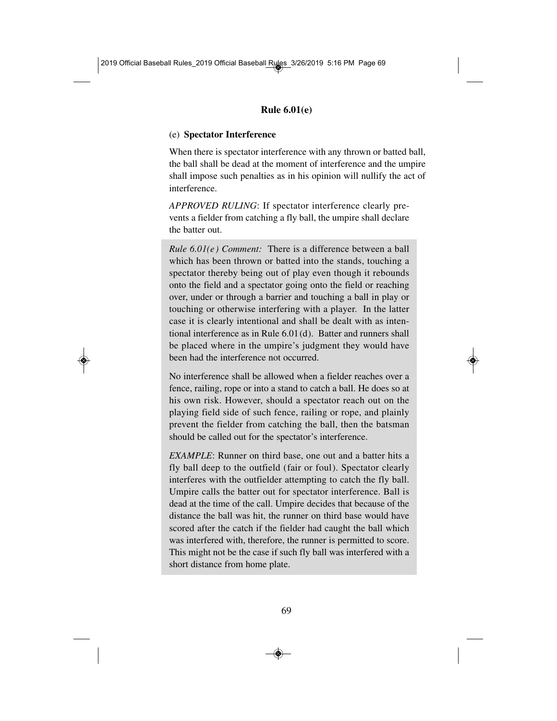### (e) **Spectator Interference**

When there is spectator interference with any thrown or batted ball, the ball shall be dead at the moment of interference and the umpire shall impose such penalties as in his opinion will nullify the act of interference.

*APPROVED RULING*: If spectator interference clearly prevents a fielder from catching a fly ball, the umpire shall declare the batter out.

*Rule 6.01(e) Comment:* There is a difference between a ball which has been thrown or batted into the stands, touching a spectator thereby being out of play even though it rebounds onto the field and a spectator going onto the field or reaching over, under or through a barrier and touching a ball in play or touching or otherwise interfering with a player. In the latter case it is clearly intentional and shall be dealt with as intentional interference as in Rule 6.01(d). Batter and runners shall be placed where in the umpire's judgment they would have been had the interference not occurred.

No interference shall be allowed when a fielder reaches over a fence, railing, rope or into a stand to catch a ball. He does so at his own risk. However, should a spectator reach out on the playing field side of such fence, railing or rope, and plainly prevent the fielder from catching the ball, then the batsman should be called out for the spectator's interference.

*EXAMPLE*: Runner on third base, one out and a batter hits a fly ball deep to the outfield (fair or foul). Spectator clearly interferes with the outfielder attempting to catch the fly ball. Umpire calls the batter out for spectator interference. Ball is dead at the time of the call. Umpire decides that because of the distance the ball was hit, the runner on third base would have scored after the catch if the fielder had caught the ball which was interfered with, therefore, the runner is permitted to score. This might not be the case if such fly ball was interfered with a short distance from home plate.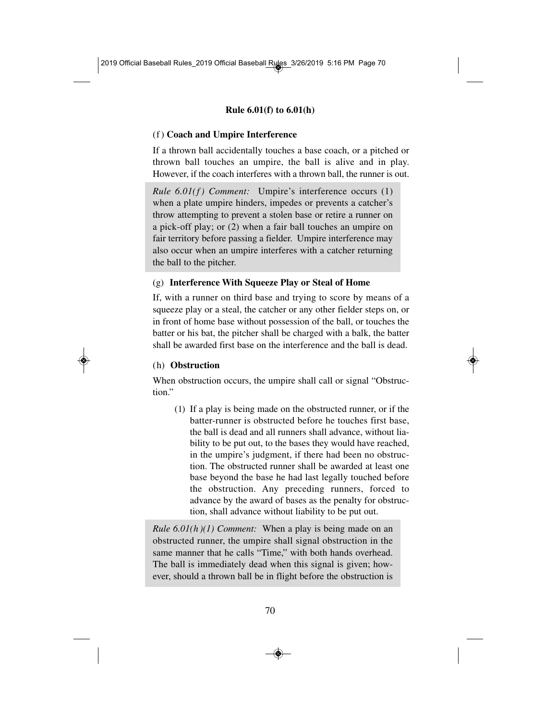# (f ) **Coach and Umpire Interference**

If a thrown ball accidentally touches a base coach, or a pitched or thrown ball touches an umpire, the ball is alive and in play. However, if the coach interferes with a thrown ball, the runner is out.

*Rule 6.01(f) Comment:* Umpire's interference occurs (1) when a plate umpire hinders, impedes or prevents a catcher's throw attempting to prevent a stolen base or retire a runner on a pick-off play; or (2) when a fair ball touches an umpire on fair territory before passing a fielder. Umpire interference may also occur when an umpire interferes with a catcher returning the ball to the pitcher.

# (g) **Interference With Squeeze Play or Steal of Home**

If, with a runner on third base and trying to score by means of a squeeze play or a steal, the catcher or any other fielder steps on, or in front of home base without possession of the ball, or touches the batter or his bat, the pitcher shall be charged with a balk, the batter shall be awarded first base on the interference and the ball is dead.

# (h) **Obstruction**

When obstruction occurs, the umpire shall call or signal "Obstruction."

(1) If a play is being made on the obstructed runner, or if the batter-runner is obstructed before he touches first base, the ball is dead and all runners shall advance, without liability to be put out, to the bases they would have reached, in the umpire's judgment, if there had been no obstruction. The obstructed runner shall be awarded at least one base beyond the base he had last legally touched before the obstruction. Any preceding runners, forced to advance by the award of bases as the penalty for obstruction, shall advance without liability to be put out.

*Rule 6.01(h )(1) Comment:* When a play is being made on an obstructed runner, the umpire shall signal obstruction in the same manner that he calls "Time," with both hands overhead. The ball is immediately dead when this signal is given; however, should a thrown ball be in flight before the obstruction is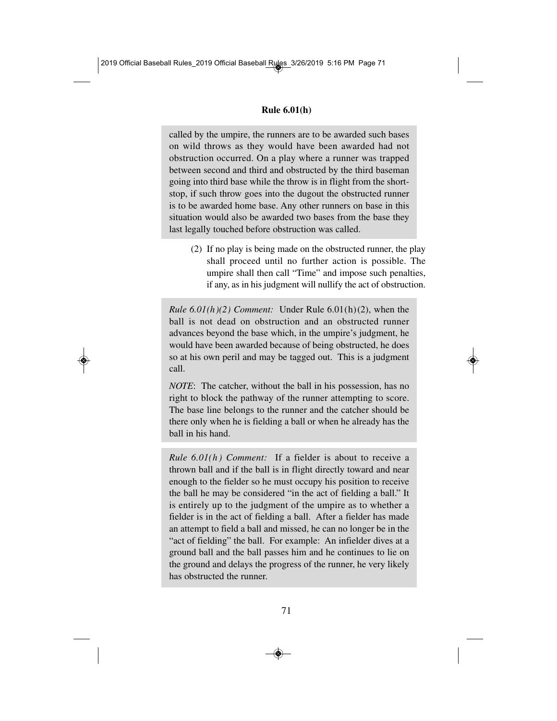called by the umpire, the runners are to be awarded such bases on wild throws as they would have been awarded had not obstruction occurred. On a play where a runner was trapped between second and third and obstructed by the third baseman going into third base while the throw is in flight from the shortstop, if such throw goes into the dugout the obstructed runner is to be awarded home base. Any other runners on base in this situation would also be awarded two bases from the base they last legally touched before obstruction was called.

(2) If no play is being made on the obstructed runner, the play shall proceed until no further action is possible. The umpire shall then call "Time" and impose such penalties, if any, as in his judgment will nullify the act of obstruction.

*Rule 6.01(h)(2) Comment:* Under Rule 6.01(h)(2), when the ball is not dead on obstruction and an obstructed runner advances beyond the base which, in the umpire's judgment, he would have been awarded because of being obstructed, he does so at his own peril and may be tagged out. This is a judgment call.

*NOTE*: The catcher, without the ball in his possession, has no right to block the pathway of the runner attempting to score. The base line belongs to the runner and the catcher should be there only when he is fielding a ball or when he already has the ball in his hand.

*Rule 6.01(h ) Comment:* If a fielder is about to receive a thrown ball and if the ball is in flight directly toward and near enough to the fielder so he must occupy his position to receive the ball he may be considered "in the act of fielding a ball." It is entirely up to the judgment of the umpire as to whether a fielder is in the act of fielding a ball. After a fielder has made an attempt to field a ball and missed, he can no longer be in the "act of fielding" the ball. For example: An infielder dives at a ground ball and the ball passes him and he continues to lie on the ground and delays the progress of the runner, he very likely has obstructed the runner.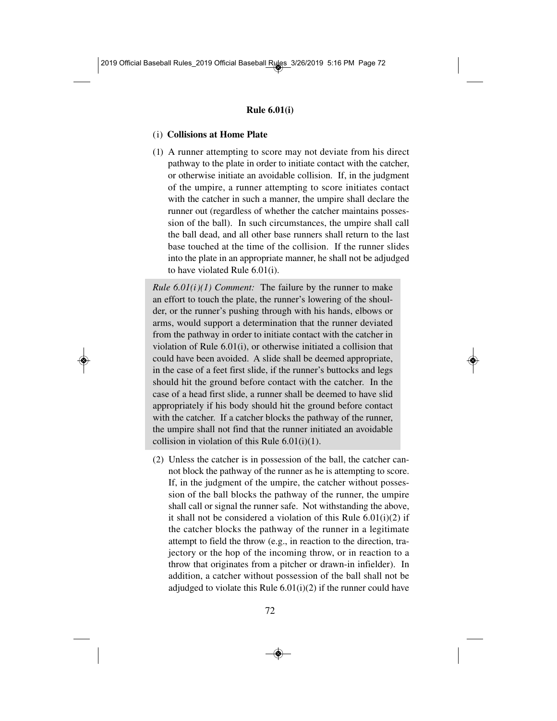#### (i) **Collisions at Home Plate**

(1) A runner attempting to score may not deviate from his direct pathway to the plate in order to initiate contact with the catcher, or otherwise initiate an avoidable collision. If, in the judgment of the umpire, a runner attempting to score initiates contact with the catcher in such a manner, the umpire shall declare the runner out (regardless of whether the catcher maintains possession of the ball). In such circumstances, the umpire shall call the ball dead, and all other base runners shall return to the last base touched at the time of the collision. If the runner slides into the plate in an appropriate manner, he shall not be adjudged to have violated Rule 6.01(i).

*Rule 6.01(i)(1) Comment:* The failure by the runner to make an effort to touch the plate, the runner's lowering of the shoulder, or the runner's pushing through with his hands, elbows or arms, would support a determination that the runner deviated from the pathway in order to initiate contact with the catcher in violation of Rule 6.01(i), or otherwise initiated a collision that could have been avoided. A slide shall be deemed appropriate, in the case of a feet first slide, if the runner's buttocks and legs should hit the ground before contact with the catcher. In the case of a head first slide, a runner shall be deemed to have slid appropriately if his body should hit the ground before contact with the catcher. If a catcher blocks the pathway of the runner, the umpire shall not find that the runner initiated an avoidable collision in violation of this Rule 6.01(i)(1).

(2) Unless the catcher is in possession of the ball, the catcher cannot block the pathway of the runner as he is attempting to score. If, in the judgment of the umpire, the catcher without possession of the ball blocks the pathway of the runner, the umpire shall call or signal the runner safe. Not withstanding the above, it shall not be considered a violation of this Rule  $6.01(i)(2)$  if the catcher blocks the pathway of the runner in a legitimate attempt to field the throw (e.g., in reaction to the direction, trajectory or the hop of the incoming throw, or in reaction to a throw that originates from a pitcher or drawn-in infielder). In addition, a catcher without possession of the ball shall not be adjudged to violate this Rule  $6.01(i)(2)$  if the runner could have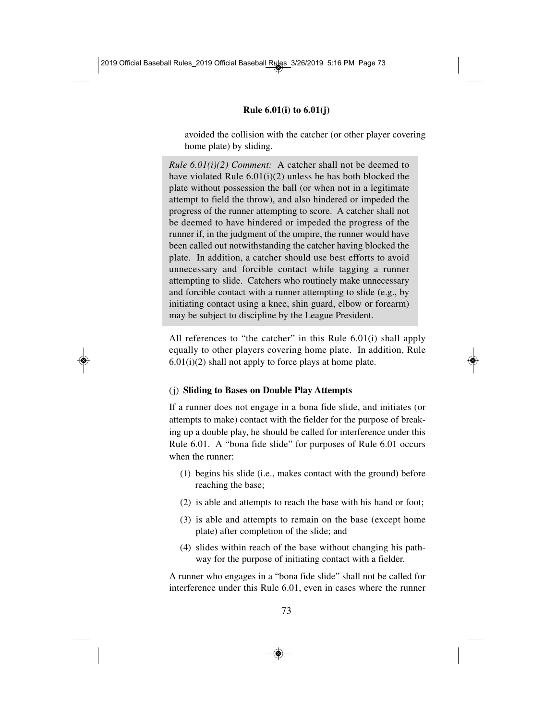### **Rule 6.01(i) to 6.01(j)**

avoided the collision with the catcher (or other player covering home plate) by sliding.

*Rule 6.01(i)(2) Comment:* A catcher shall not be deemed to have violated Rule 6.01(i)(2) unless he has both blocked the plate without possession the ball (or when not in a legitimate attempt to field the throw), and also hindered or impeded the progress of the runner attempting to score. A catcher shall not be deemed to have hindered or impeded the progress of the runner if, in the judgment of the umpire, the runner would have been called out notwithstanding the catcher having blocked the plate. In addition, a catcher should use best efforts to avoid unnecessary and forcible contact while tagging a runner attempting to slide. Catchers who routinely make unnecessary and forcible contact with a runner attempting to slide (e.g., by initiating contact using a knee, shin guard, elbow or forearm) may be subject to discipline by the League President.

All references to "the catcher" in this Rule 6.01(i) shall apply equally to other players covering home plate. In addition, Rule  $6.01(i)(2)$  shall not apply to force plays at home plate.

#### (j) **Sliding to Bases on Double Play Attempts**

If a runner does not engage in a bona fide slide, and initiates (or attempts to make) contact with the fielder for the purpose of breaking up a double play, he should be called for interference under this Rule 6.01. A "bona fide slide" for purposes of Rule 6.01 occurs when the runner:

- (1) begins his slide (i.e., makes contact with the ground) before reaching the base;
- (2) is able and attempts to reach the base with his hand or foot;
- (3) is able and attempts to remain on the base (except home plate) after completion of the slide; and
- (4) slides within reach of the base without changing his pathway for the purpose of initiating contact with a fielder.

A runner who engages in a "bona fide slide" shall not be called for interference under this Rule 6.01, even in cases where the runner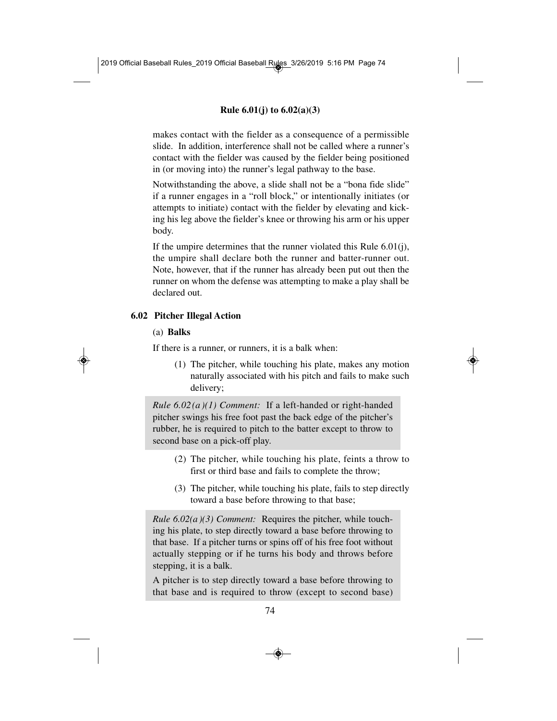makes contact with the fielder as a consequence of a permissible slide. In addition, interference shall not be called where a runner's contact with the fielder was caused by the fielder being positioned in (or moving into) the runner's legal pathway to the base.

Notwithstanding the above, a slide shall not be a "bona fide slide" if a runner engages in a "roll block," or intentionally initiates (or attempts to initiate) contact with the fielder by elevating and kicking his leg above the fielder's knee or throwing his arm or his upper body.

If the umpire determines that the runner violated this Rule 6.01(j), the umpire shall declare both the runner and batter-runner out. Note, however, that if the runner has already been put out then the runner on whom the defense was attempting to make a play shall be declared out.

# **6.02 Pitcher Illegal Action**

### (a) **Balks**

If there is a runner, or runners, it is a balk when:

(1) The pitcher, while touching his plate, makes any motion naturally associated with his pitch and fails to make such delivery;

*Rule 6.02(a )(1) Comment:* If a left-handed or right-handed pitcher swings his free foot past the back edge of the pitcher's rubber, he is required to pitch to the batter except to throw to second base on a pick-off play.

- (2) The pitcher, while touching his plate, feints a throw to first or third base and fails to complete the throw;
- (3) The pitcher, while touching his plate, fails to step directly toward a base before throwing to that base;

*Rule 6.02(a )(3) Comment:* Requires the pitcher, while touching his plate, to step directly toward a base before throwing to that base. If a pitcher turns or spins off of his free foot without actually stepping or if he turns his body and throws before stepping, it is a balk.

A pitcher is to step directly toward a base before throwing to that base and is required to throw (except to second base)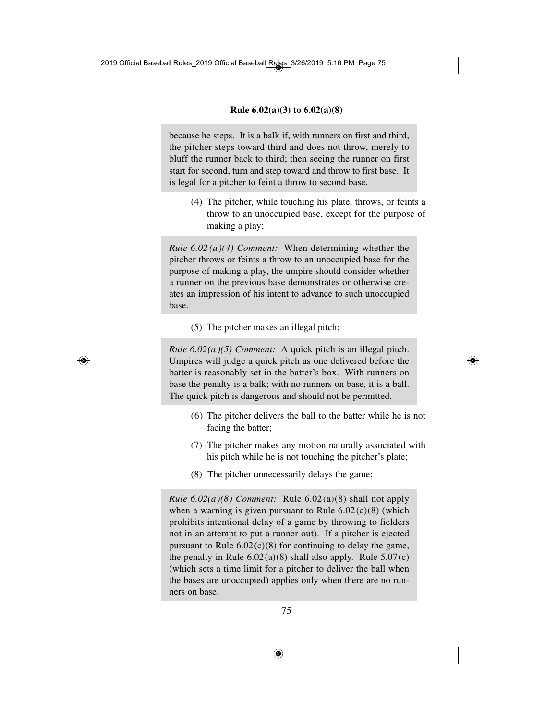because he steps. It is a balk if, with runners on first and third, the pitcher steps toward third and does not throw, merely to bluff the runner back to third; then seeing the runner on first start for second, turn and step toward and throw to first base. It is legal for a pitcher to feint a throw to second base.

(4) The pitcher, while touching his plate, throws, or feints a throw to an unoccupied base, except for the purpose of making a play;

*Rule 6.02 (a)(4) Comment:* When determining whether the pitcher throws or feints a throw to an unoccupied base for the purpose of making a play, the umpire should consider whether a runner on the previous base demonstrates or otherwise creates an impression of his intent to advance to such unoccupied base.

(5) The pitcher makes an illegal pitch;

*Rule 6.02(a )(5) Comment:* A quick pitch is an illegal pitch. Umpires will judge a quick pitch as one delivered before the batter is reasonably set in the batter's box. With runners on base the penalty is a balk; with no runners on base, it is a ball. The quick pitch is dangerous and should not be permitted.

- (6) The pitcher delivers the ball to the batter while he is not facing the batter;
- (7) The pitcher makes any motion naturally associated with his pitch while he is not touching the pitcher's plate;
- (8) The pitcher unnecessarily delays the game;

*Rule 6.02(a)(8) Comment:* Rule 6.02(a)(8) shall not apply when a warning is given pursuant to Rule  $6.02(c)(8)$  (which prohibits intentional delay of a game by throwing to fielders not in an attempt to put a runner out). If a pitcher is ejected pursuant to Rule  $6.02(c)(8)$  for continuing to delay the game, the penalty in Rule  $6.02(a)(8)$  shall also apply. Rule  $5.07(c)$ (which sets a time limit for a pitcher to deliver the ball when the bases are unoccupied) applies only when there are no runners on base.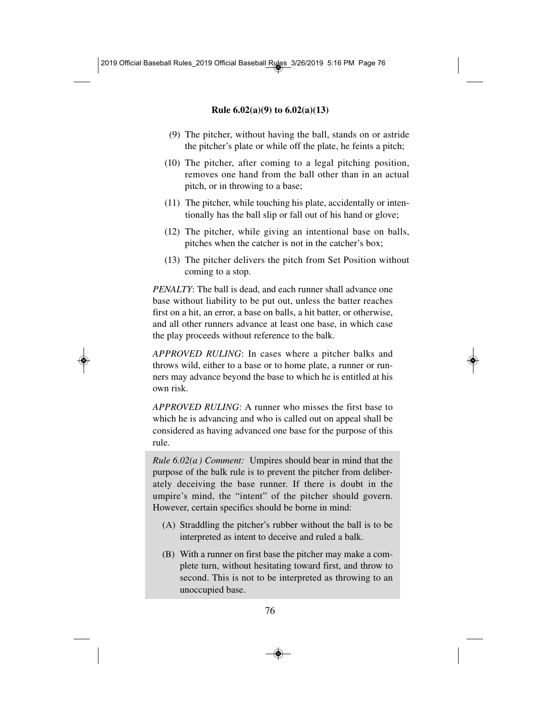- (9) The pitcher, without having the ball, stands on or astride the pitcher's plate or while off the plate, he feints a pitch;
- (10) The pitcher, after coming to a legal pitching position, removes one hand from the ball other than in an actual pitch, or in throwing to a base;
- (11) The pitcher, while touching his plate, accidentally or intentionally has the ball slip or fall out of his hand or glove;
- (12) The pitcher, while giving an intentional base on balls, pitches when the catcher is not in the catcher's box;
- (13) The pitcher delivers the pitch from Set Position without coming to a stop.

*PENALTY*: The ball is dead, and each runner shall advance one base without liability to be put out, unless the batter reaches first on a hit, an error, a base on balls, a hit batter, or otherwise, and all other runners advance at least one base, in which case the play proceeds without reference to the balk.

*APPROVED RULING*: In cases where a pitcher balks and throws wild, either to a base or to home plate, a runner or runners may advance beyond the base to which he is entitled at his own risk.

*APPROVED RULING*: A runner who misses the first base to which he is advancing and who is called out on appeal shall be considered as having advanced one base for the purpose of this rule.

*Rule 6.02(a ) Comment:* Umpires should bear in mind that the purpose of the balk rule is to prevent the pitcher from deliberately deceiving the base runner. If there is doubt in the umpire's mind, the "intent" of the pitcher should govern. However, certain specifics should be borne in mind:

- (A) Straddling the pitcher's rubber without the ball is to be interpreted as intent to deceive and ruled a balk.
- (B) With a runner on first base the pitcher may make a complete turn, without hesitating toward first, and throw to second. This is not to be interpreted as throwing to an unoccupied base.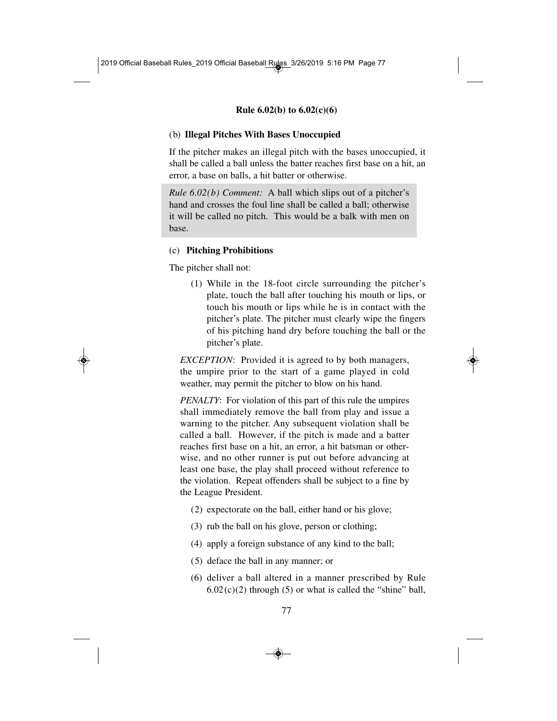## (b) **Illegal Pitches With Bases Unoccupied**

If the pitcher makes an illegal pitch with the bases unoccupied, it shall be called a ball unless the batter reaches first base on a hit, an error, a base on balls, a hit batter or otherwise.

*Rule 6.02(b) Comment:* A ball which slips out of a pitcher's hand and crosses the foul line shall be called a ball; otherwise it will be called no pitch. This would be a balk with men on base.

## (c) **Pitching Prohibitions**

The pitcher shall not:

(1) While in the 18-foot circle surrounding the pitcher's plate, touch the ball after touching his mouth or lips, or touch his mouth or lips while he is in contact with the pitcher's plate. The pitcher must clearly wipe the fingers of his pitching hand dry before touching the ball or the pitcher's plate.

*EXCEPTION*: Provided it is agreed to by both managers, the umpire prior to the start of a game played in cold weather, may permit the pitcher to blow on his hand.

*PENALTY*: For violation of this part of this rule the umpires shall immediately remove the ball from play and issue a warning to the pitcher. Any subsequent violation shall be called a ball. However, if the pitch is made and a batter reaches first base on a hit, an error, a hit batsman or otherwise, and no other runner is put out before advancing at least one base, the play shall proceed without reference to the violation. Repeat offenders shall be subject to a fine by the League President.

- (2) expectorate on the ball, either hand or his glove;
- (3) rub the ball on his glove, person or clothing;
- (4) apply a foreign substance of any kind to the ball;
- (5) deface the ball in any manner; or
- (6) deliver a ball altered in a manner prescribed by Rule  $6.02(c)(2)$  through (5) or what is called the "shine" ball,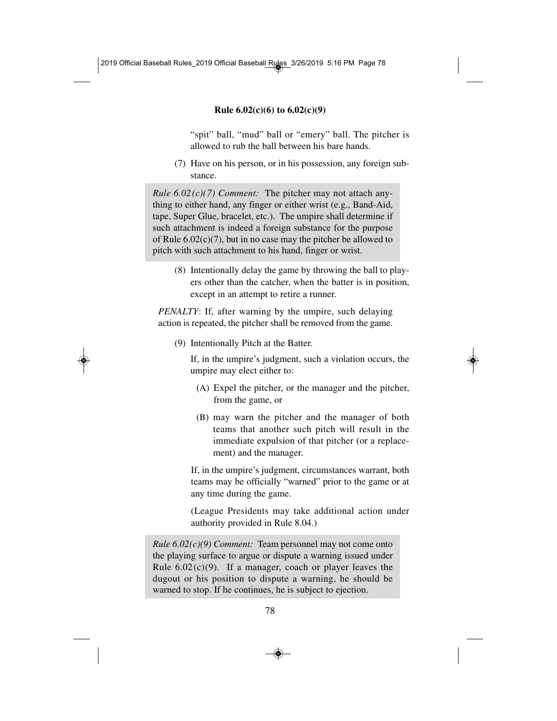"spit" ball, "mud" ball or "emery" ball. The pitcher is allowed to rub the ball between his bare hands.

(7) Have on his person, or in his possession, any foreign substance.

*Rule 6.02(c)(7) Comment:* The pitcher may not attach anything to either hand, any finger or either wrist (e.g., Band-Aid, tape, Super Glue, bracelet, etc.). The umpire shall determine if such attachment is indeed a foreign substance for the purpose of Rule  $6.02(c)(7)$ , but in no case may the pitcher be allowed to pitch with such attachment to his hand, finger or wrist.

(8) Intentionally delay the game by throwing the ball to players other than the catcher, when the batter is in position, except in an attempt to retire a runner.

*PENALTY*: If, after warning by the umpire, such delaying action is repeated, the pitcher shall be removed from the game.

(9) Intentionally Pitch at the Batter.

If, in the umpire's judgment, such a violation occurs, the umpire may elect either to:

- (A) Expel the pitcher, or the manager and the pitcher, from the game, or
- (B) may warn the pitcher and the manager of both teams that another such pitch will result in the immediate expulsion of that pitcher (or a replacement) and the manager.

If, in the umpire's judgment, circumstances warrant, both teams may be officially "warned" prior to the game or at any time during the game.

(League Presidents may take additional action under authority provided in Rule 8.04.)

*Rule 6.02(c)(9) Comment:* Team personnel may not come onto the playing surface to argue or dispute a warning issued under Rule  $6.02(c)(9)$ . If a manager, coach or player leaves the dugout or his position to dispute a warning, he should be warned to stop. If he continues, he is subject to ejection.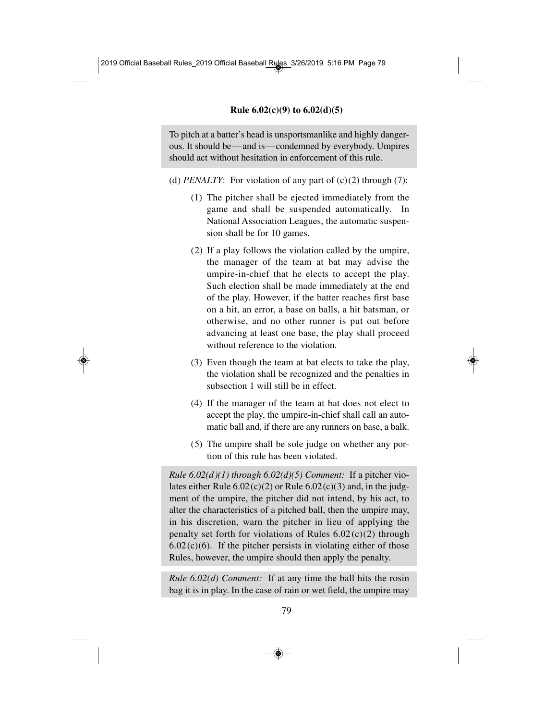To pitch at a batter's head is unsportsmanlike and highly dangerous. It should be—and is—condemned by everybody. Umpires should act without hesitation in enforcement of this rule.

### (d) *PENALTY*: For violation of any part of  $(c)(2)$  through  $(7)$ :

- (1) The pitcher shall be ejected immediately from the game and shall be suspended automatically. In National Association Leagues, the automatic suspension shall be for 10 games.
- (2) If a play follows the violation called by the umpire, the manager of the team at bat may advise the umpire-in-chief that he elects to accept the play. Such election shall be made immediately at the end of the play. However, if the batter reaches first base on a hit, an error, a base on balls, a hit batsman, or otherwise, and no other runner is put out before advancing at least one base, the play shall proceed without reference to the violation.
- (3) Even though the team at bat elects to take the play, the violation shall be recognized and the penalties in subsection 1 will still be in effect.
- (4) If the manager of the team at bat does not elect to accept the play, the umpire-in-chief shall call an automatic ball and, if there are any runners on base, a balk.
- (5) The umpire shall be sole judge on whether any portion of this rule has been violated.

*Rule 6.02(d)(1) through 6.02(d)(5) Comment:* If a pitcher violates either Rule  $6.02(c)(2)$  or Rule  $6.02(c)(3)$  and, in the judgment of the umpire, the pitcher did not intend, by his act, to alter the characteristics of a pitched ball, then the umpire may, in his discretion, warn the pitcher in lieu of applying the penalty set forth for violations of Rules  $6.02(c)(2)$  through  $6.02(c)(6)$ . If the pitcher persists in violating either of those Rules, however, the umpire should then apply the penalty.

*Rule 6.02(d) Comment:* If at any time the ball hits the rosin bag it is in play. In the case of rain or wet field, the umpire may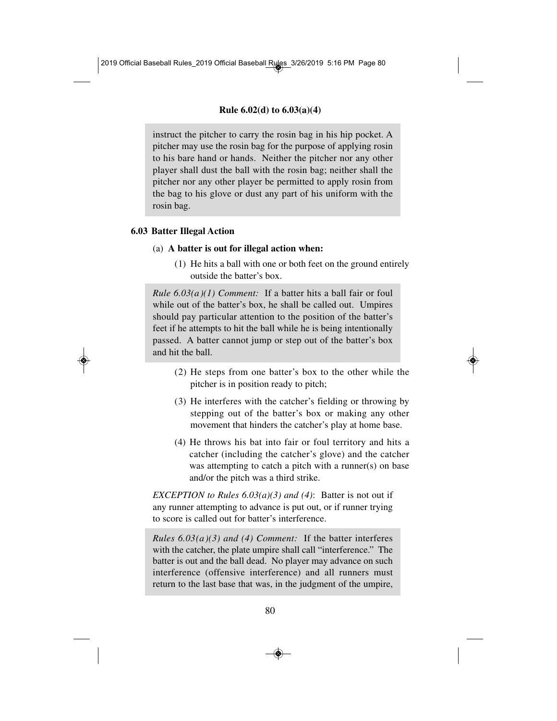instruct the pitcher to carry the rosin bag in his hip pocket. A pitcher may use the rosin bag for the purpose of applying rosin to his bare hand or hands. Neither the pitcher nor any other player shall dust the ball with the rosin bag; neither shall the pitcher nor any other player be permitted to apply rosin from the bag to his glove or dust any part of his uniform with the rosin bag.

### **6.03 Batter Illegal Action**

#### (a) **A batter is out for illegal action when:**

(1) He hits a ball with one or both feet on the ground entirely outside the batter's box.

*Rule 6.03(a)(1) Comment:* If a batter hits a ball fair or foul while out of the batter's box, he shall be called out. Umpires should pay particular attention to the position of the batter's feet if he attempts to hit the ball while he is being intentionally passed. A batter cannot jump or step out of the batter's box and hit the ball.

- (2) He steps from one batter's box to the other while the pitcher is in position ready to pitch;
- (3) He interferes with the catcher's fielding or throwing by stepping out of the batter's box or making any other movement that hinders the catcher's play at home base.
- (4) He throws his bat into fair or foul territory and hits a catcher (including the catcher's glove) and the catcher was attempting to catch a pitch with a runner(s) on base and/or the pitch was a third strike.

*EXCEPTION to Rules 6.03(a)(3) and (4)*: Batter is not out if any runner attempting to advance is put out, or if runner trying to score is called out for batter's interference.

*Rules 6.03(a)(3) and (4) Comment:* If the batter interferes with the catcher, the plate umpire shall call "interference." The batter is out and the ball dead. No player may advance on such interference (offensive interference) and all runners must return to the last base that was, in the judgment of the umpire,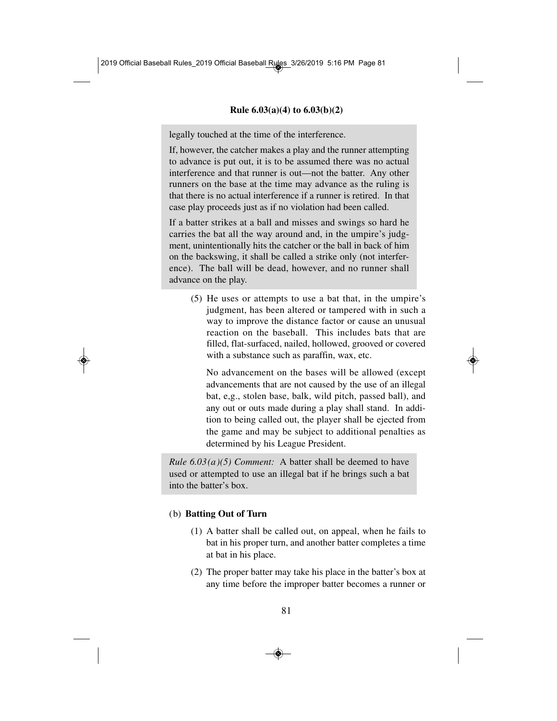legally touched at the time of the interference.

If, however, the catcher makes a play and the runner attempting to advance is put out, it is to be assumed there was no actual interference and that runner is out—not the batter. Any other runners on the base at the time may advance as the ruling is that there is no actual interference if a runner is retired. In that case play proceeds just as if no violation had been called.

If a batter strikes at a ball and misses and swings so hard he carries the bat all the way around and, in the umpire's judgment, unintentionally hits the catcher or the ball in back of him on the backswing, it shall be called a strike only (not interference). The ball will be dead, however, and no runner shall advance on the play.

(5) He uses or attempts to use a bat that, in the umpire's judgment, has been altered or tampered with in such a way to improve the distance factor or cause an unusual reaction on the baseball. This includes bats that are filled, flat-surfaced, nailed, hollowed, grooved or covered with a substance such as paraffin, wax, etc.

No advancement on the bases will be allowed (except advancements that are not caused by the use of an illegal bat, e,g., stolen base, balk, wild pitch, passed ball), and any out or outs made during a play shall stand. In addition to being called out, the player shall be ejected from the game and may be subject to additional penalties as determined by his League President.

*Rule 6.03(a)(5) Comment:* A batter shall be deemed to have used or attempted to use an illegal bat if he brings such a bat into the batter's box.

#### (b) **Batting Out of Turn**

- (1) A batter shall be called out, on appeal, when he fails to bat in his proper turn, and another batter completes a time at bat in his place.
- (2) The proper batter may take his place in the batter's box at any time before the improper batter becomes a runner or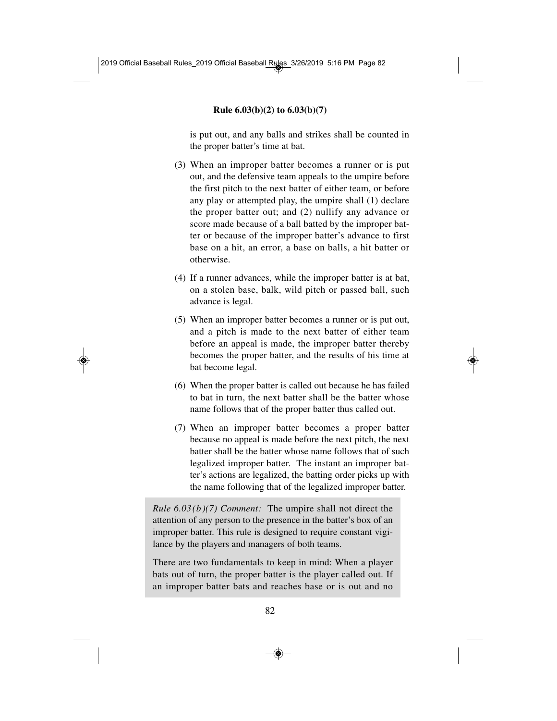### **Rule 6.03(b)(2) to 6.03(b)(7)**

is put out, and any balls and strikes shall be counted in the proper batter's time at bat.

- (3) When an improper batter becomes a runner or is put out, and the defensive team appeals to the umpire before the first pitch to the next batter of either team, or before any play or attempted play, the umpire shall (1) declare the proper batter out; and (2) nullify any advance or score made because of a ball batted by the improper batter or because of the improper batter's advance to first base on a hit, an error, a base on balls, a hit batter or otherwise.
- (4) If a runner advances, while the improper batter is at bat, on a stolen base, balk, wild pitch or passed ball, such advance is legal.
- (5) When an improper batter becomes a runner or is put out, and a pitch is made to the next batter of either team before an appeal is made, the improper batter thereby becomes the proper batter, and the results of his time at bat become legal.
- (6) When the proper batter is called out because he has failed to bat in turn, the next batter shall be the batter whose name follows that of the proper batter thus called out.
- (7) When an improper batter becomes a proper batter because no appeal is made before the next pitch, the next batter shall be the batter whose name follows that of such legalized improper batter. The instant an improper batter's actions are legalized, the batting order picks up with the name following that of the legalized improper batter.

*Rule 6.03(b)(7) Comment:* The umpire shall not direct the attention of any person to the presence in the batter's box of an improper batter. This rule is designed to require constant vigilance by the players and managers of both teams.

There are two fundamentals to keep in mind: When a player bats out of turn, the proper batter is the player called out. If an improper batter bats and reaches base or is out and no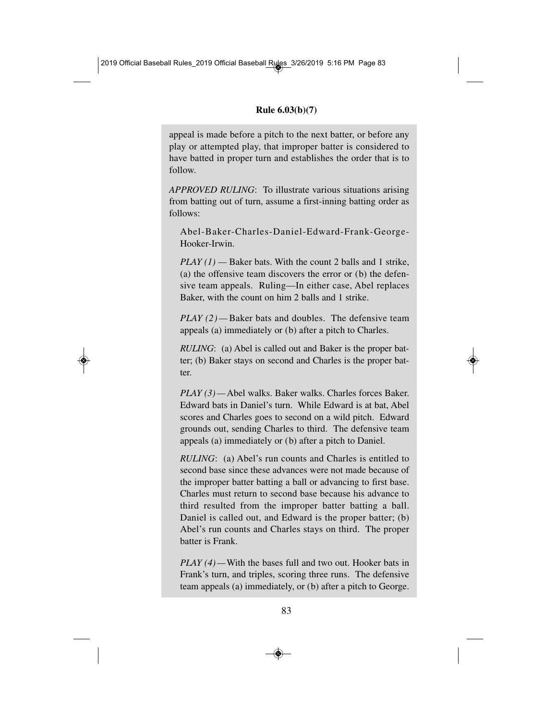appeal is made before a pitch to the next batter, or before any play or attempted play, that improper batter is considered to have batted in proper turn and establishes the order that is to follow.

*APPROVED RULING*: To illustrate various situations arising from batting out of turn, assume a first-inning batting order as follows:

Abel-Baker-Charles-Daniel-Edward-Frank-George-Hooker-Irwin.

*PLAY (1)* — Baker bats. With the count 2 balls and 1 strike, (a) the offensive team discovers the error or (b) the defensive team appeals. Ruling—In either case, Abel replaces Baker, with the count on him 2 balls and 1 strike.

*PLAY (2)* — Baker bats and doubles. The defensive team appeals (a) immediately or (b) after a pitch to Charles.

*RULING*: (a) Abel is called out and Baker is the proper batter; (b) Baker stays on second and Charles is the proper batter.

*PLAY (3)* — Abel walks. Baker walks. Charles forces Baker. Edward bats in Daniel's turn. While Edward is at bat, Abel scores and Charles goes to second on a wild pitch. Edward grounds out, sending Charles to third. The defensive team appeals (a) immediately or (b) after a pitch to Daniel.

*RULING*: (a) Abel's run counts and Charles is entitled to second base since these advances were not made because of the improper batter batting a ball or advancing to first base. Charles must return to second base because his advance to third resulted from the improper batter batting a ball. Daniel is called out, and Edward is the proper batter; (b) Abel's run counts and Charles stays on third. The proper batter is Frank.

*PLAY (4)* — With the bases full and two out. Hooker bats in Frank's turn, and triples, scoring three runs. The defensive team appeals (a) immediately, or (b) after a pitch to George.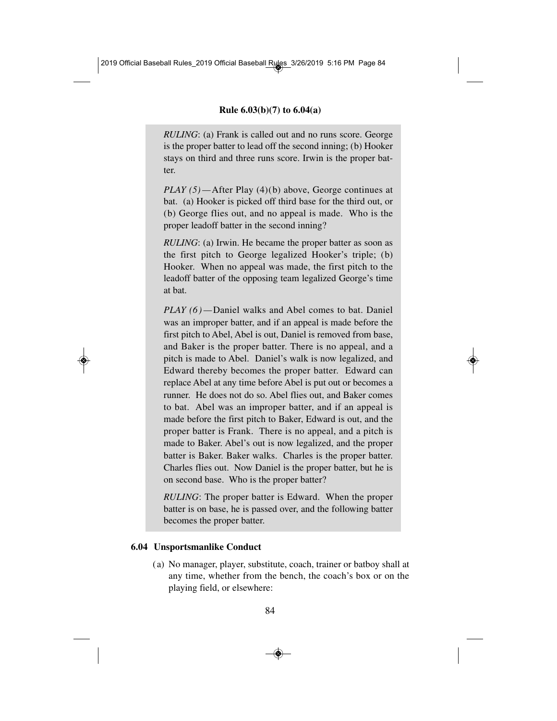*RULING*: (a) Frank is called out and no runs score. George is the proper batter to lead off the second inning; (b) Hooker stays on third and three runs score. Irwin is the proper batter.

*PLAY (5)* — After Play (4)(b) above, George continues at bat. (a) Hooker is picked off third base for the third out, or (b) George flies out, and no appeal is made. Who is the proper leadoff batter in the second inning?

*RULING*: (a) Irwin. He became the proper batter as soon as the first pitch to George legalized Hooker's triple; (b) Hooker. When no appeal was made, the first pitch to the leadoff batter of the opposing team legalized George's time at bat.

*PLAY (6) —*Daniel walks and Abel comes to bat. Daniel was an improper batter, and if an appeal is made before the first pitch to Abel, Abel is out, Daniel is removed from base, and Baker is the proper batter. There is no appeal, and a pitch is made to Abel. Daniel's walk is now legalized, and Edward thereby becomes the proper batter. Edward can replace Abel at any time before Abel is put out or becomes a runner. He does not do so. Abel flies out, and Baker comes to bat. Abel was an improper batter, and if an appeal is made before the first pitch to Baker, Edward is out, and the proper batter is Frank. There is no appeal, and a pitch is made to Baker. Abel's out is now legalized, and the proper batter is Baker. Baker walks. Charles is the proper batter. Charles flies out. Now Daniel is the proper batter, but he is on second base. Who is the proper batter?

*RULING*: The proper batter is Edward. When the proper batter is on base, he is passed over, and the following batter becomes the proper batter.

### **6.04 Unsportsmanlike Conduct**

(a) No manager, player, substitute, coach, trainer or batboy shall at any time, whether from the bench, the coach's box or on the playing field, or elsewhere: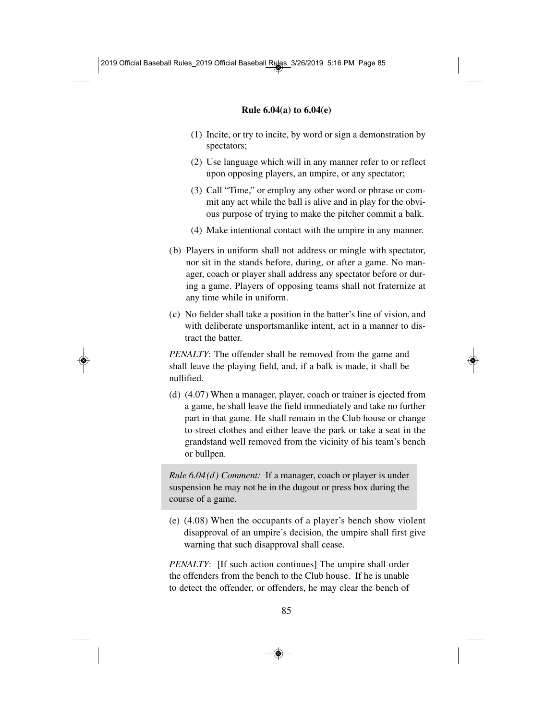- (1) Incite, or try to incite, by word or sign a demonstration by spectators;
- (2) Use language which will in any manner refer to or reflect upon opposing players, an umpire, or any spectator;
- (3) Call "Time," or employ any other word or phrase or commit any act while the ball is alive and in play for the obvious purpose of trying to make the pitcher commit a balk.
- (4) Make intentional contact with the umpire in any manner.
- (b) Players in uniform shall not address or mingle with spectator, nor sit in the stands before, during, or after a game. No manager, coach or player shall address any spectator before or during a game. Players of opposing teams shall not fraternize at any time while in uniform.
- (c) No fielder shall take a position in the batter's line of vision, and with deliberate unsportsmanlike intent, act in a manner to distract the batter.

*PENALTY*: The offender shall be removed from the game and shall leave the playing field, and, if a balk is made, it shall be nullified.

(d) (4.07) When a manager, player, coach or trainer is ejected from a game, he shall leave the field immediately and take no further part in that game. He shall remain in the Club house or change to street clothes and either leave the park or take a seat in the grandstand well removed from the vicinity of his team's bench or bullpen.

*Rule 6.04(d) Comment:* If a manager, coach or player is under suspension he may not be in the dugout or press box during the course of a game.

(e) (4.08) When the occupants of a player's bench show violent disapproval of an umpire's decision, the umpire shall first give warning that such disapproval shall cease.

*PENALTY*: If such action continues The umpire shall order the offenders from the bench to the Club house. If he is unable to detect the offender, or offenders, he may clear the bench of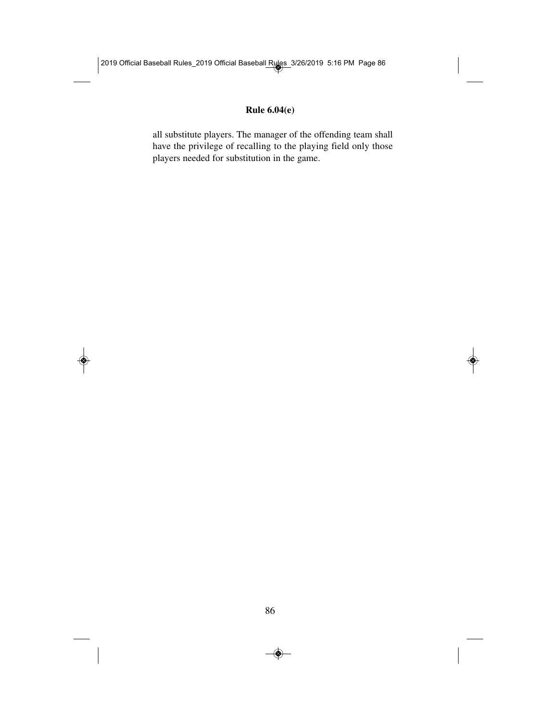# **Rule 6.04(e)**

all substitute players. The manager of the offending team shall have the privilege of recalling to the playing field only those players needed for substitution in the game.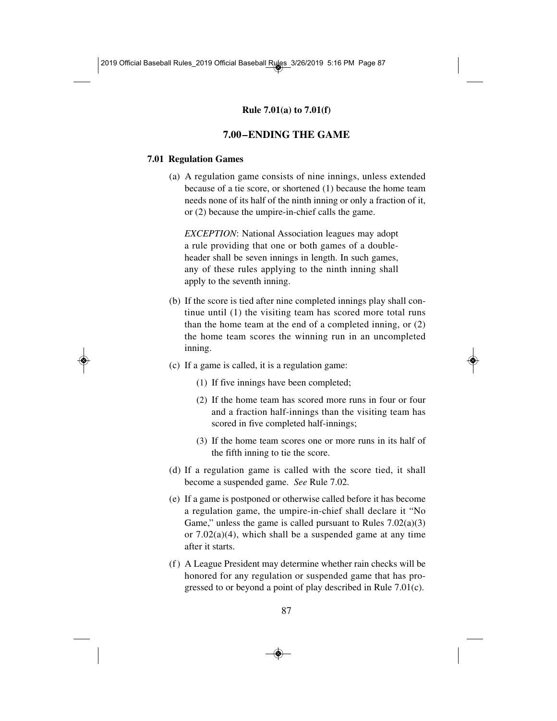#### **Rule 7.01(a) to 7.01(f)**

### **7.00–ENDING THE GAME**

#### **7.01 Regulation Games**

(a) A regulation game consists of nine innings, unless extended because of a tie score, or shortened (1) because the home team needs none of its half of the ninth inning or only a fraction of it, or (2) because the umpire-in-chief calls the game.

*EXCEPTION*: National Association leagues may adopt a rule providing that one or both games of a doubleheader shall be seven innings in length. In such games, any of these rules applying to the ninth inning shall apply to the seventh inning.

- (b) If the score is tied after nine completed innings play shall continue until (1) the visiting team has scored more total runs than the home team at the end of a completed inning, or (2) the home team scores the winning run in an uncompleted inning.
- (c) If a game is called, it is a regulation game:
	- (1) If five innings have been completed;
	- (2) If the home team has scored more runs in four or four and a fraction half-innings than the visiting team has scored in five completed half-innings;
	- (3) If the home team scores one or more runs in its half of the fifth inning to tie the score.
- (d) If a regulation game is called with the score tied, it shall become a suspended game. *See* Rule 7.02.
- (e) If a game is postponed or otherwise called before it has become a regulation game, the umpire-in-chief shall declare it "No Game," unless the game is called pursuant to Rules  $7.02(a)(3)$ or  $7.02(a)(4)$ , which shall be a suspended game at any time after it starts.
- (f ) A League President may determine whether rain checks will be honored for any regulation or suspended game that has progressed to or beyond a point of play described in Rule 7.01(c).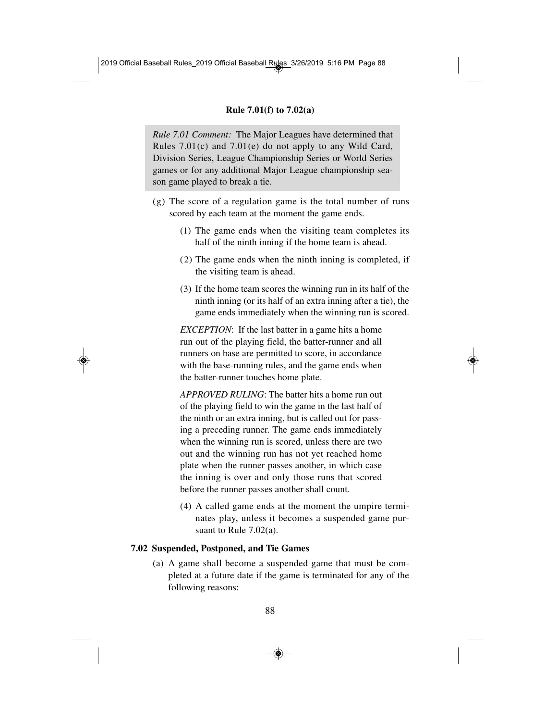*Rule 7.01 Comment:* The Major Leagues have determined that Rules 7.01(c) and 7.01(e) do not apply to any Wild Card, Division Series, League Championship Series or World Series games or for any additional Major League championship season game played to break a tie.

- (g) The score of a regulation game is the total number of runs scored by each team at the moment the game ends.
	- (1) The game ends when the visiting team completes its half of the ninth inning if the home team is ahead.
	- (2) The game ends when the ninth inning is completed, if the visiting team is ahead.
	- (3) If the home team scores the winning run in its half of the ninth inning (or its half of an extra inning after a tie), the game ends immediately when the winning run is scored.

*EXCEPTION*: If the last batter in a game hits a home run out of the playing field, the batter-runner and all runners on base are permitted to score, in accordance with the base-running rules, and the game ends when the batter-runner touches home plate.

*APPROVED RULING*: The batter hits a home run out of the playing field to win the game in the last half of the ninth or an extra inning, but is called out for passing a preceding runner. The game ends immediately when the winning run is scored, unless there are two out and the winning run has not yet reached home plate when the runner passes another, in which case the inning is over and only those runs that scored before the runner passes another shall count.

(4) A called game ends at the moment the umpire terminates play, unless it becomes a suspended game pursuant to Rule 7.02(a).

#### **7.02 Suspended, Postponed, and Tie Games**

(a) A game shall become a suspended game that must be completed at a future date if the game is terminated for any of the following reasons: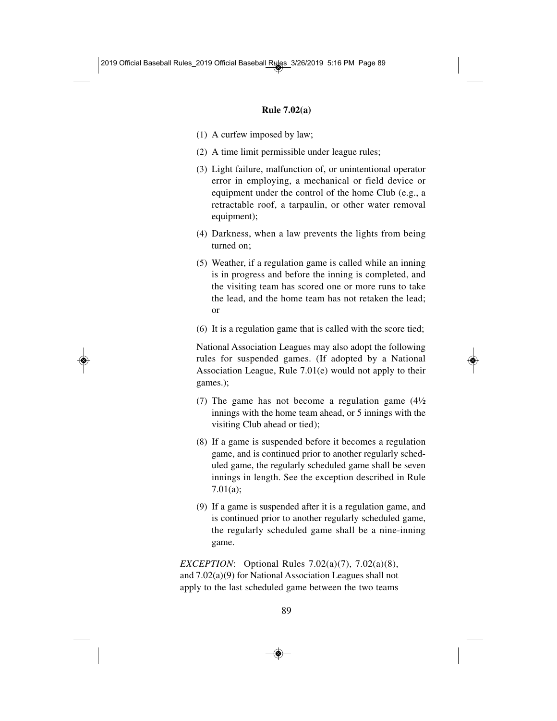- (1) A curfew imposed by law;
- (2) A time limit permissible under league rules;
- (3) Light failure, malfunction of, or unintentional operator error in employing, a mechanical or field device or equipment under the control of the home Club (e.g., a retractable roof, a tarpaulin, or other water removal equipment);
- (4) Darkness, when a law prevents the lights from being turned on;
- (5) Weather, if a regulation game is called while an inning is in progress and before the inning is completed, and the visiting team has scored one or more runs to take the lead, and the home team has not retaken the lead; or
- (6) It is a regulation game that is called with the score tied;

National Association Leagues may also adopt the following rules for suspended games. (If adopted by a National Association League, Rule 7.01(e) would not apply to their games.);

- (7) The game has not become a regulation game  $(4\frac{1}{2})$ innings with the home team ahead, or 5 innings with the visiting Club ahead or tied);
- (8) If a game is suspended before it becomes a regulation game, and is continued prior to another regularly scheduled game, the regularly scheduled game shall be seven innings in length. See the exception described in Rule 7.01(a);
- (9) If a game is suspended after it is a regulation game, and is continued prior to another regularly scheduled game, the regularly scheduled game shall be a nine-inning game.

*EXCEPTION*: Optional Rules 7.02(a)(7), 7.02(a)(8), and 7.02(a)(9) for National Association Leagues shall not apply to the last scheduled game between the two teams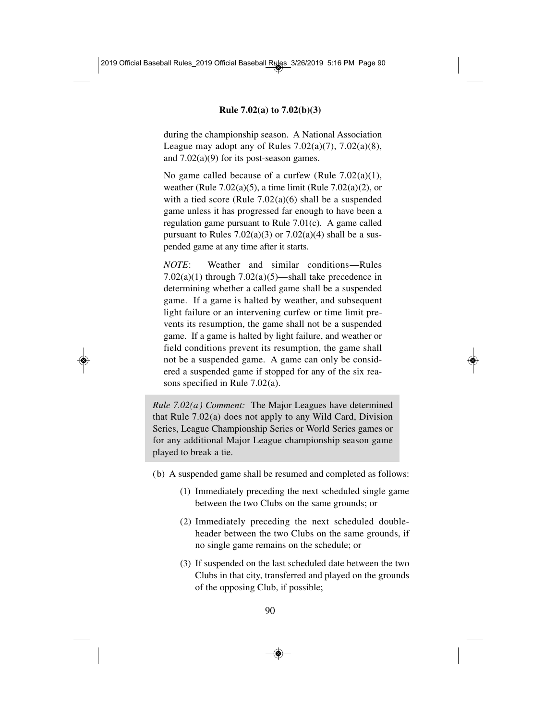during the championship season. A National Association League may adopt any of Rules  $7.02(a)(7)$ ,  $7.02(a)(8)$ , and  $7.02(a)(9)$  for its post-season games.

No game called because of a curfew (Rule  $7.02(a)(1)$ , weather (Rule  $7.02(a)(5)$ , a time limit (Rule  $7.02(a)(2)$ , or with a tied score (Rule  $7.02(a)(6)$  shall be a suspended game unless it has progressed far enough to have been a regulation game pursuant to Rule 7.01(c). A game called pursuant to Rules  $7.02(a)(3)$  or  $7.02(a)(4)$  shall be a suspended game at any time after it starts.

*NOTE*: Weather and similar conditions—Rules 7.02(a)(1) through  $7.02(a)(5)$ —shall take precedence in determining whether a called game shall be a suspended game. If a game is halted by weather, and subsequent light failure or an intervening curfew or time limit prevents its resumption, the game shall not be a suspended game. If a game is halted by light failure, and weather or field conditions prevent its resumption, the game shall not be a suspended game. A game can only be considered a suspended game if stopped for any of the six reasons specified in Rule 7.02(a).

*Rule 7.02(a ) Comment:* The Major Leagues have determined that Rule 7.02(a) does not apply to any Wild Card, Division Series, League Championship Series or World Series games or for any additional Major League championship season game played to break a tie.

- (b) A suspended game shall be resumed and completed as follows:
	- (1) Immediately preceding the next scheduled single game between the two Clubs on the same grounds; or
	- (2) Immediately preceding the next scheduled doubleheader between the two Clubs on the same grounds, if no single game remains on the schedule; or
	- (3) If suspended on the last scheduled date between the two Clubs in that city, transferred and played on the grounds of the opposing Club, if possible;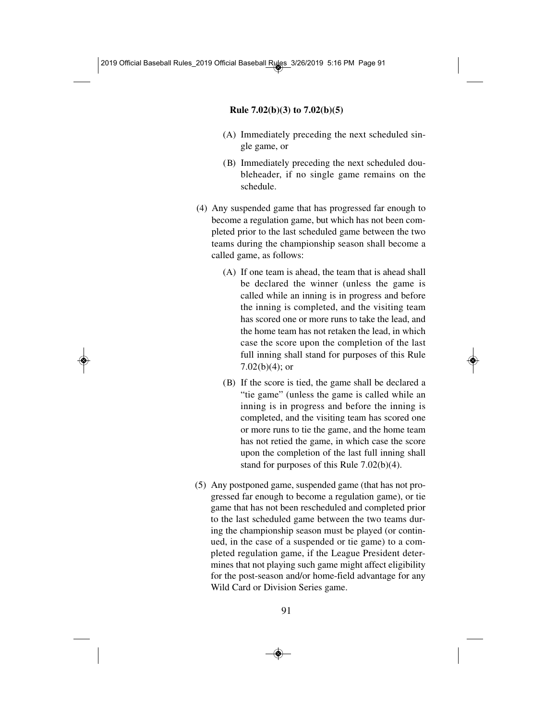#### **Rule 7.02(b)(3) to 7.02(b)(5)**

- (A) Immediately preceding the next scheduled single game, or
- (B) Immediately preceding the next scheduled doubleheader, if no single game remains on the schedule.
- (4) Any suspended game that has progressed far enough to become a regulation game, but which has not been completed prior to the last scheduled game between the two teams during the championship season shall become a called game, as follows:
	- (A) If one team is ahead, the team that is ahead shall be declared the winner (unless the game is called while an inning is in progress and before the inning is completed, and the visiting team has scored one or more runs to take the lead, and the home team has not retaken the lead, in which case the score upon the completion of the last full inning shall stand for purposes of this Rule  $7.02(b)(4)$ ; or
	- (B) If the score is tied, the game shall be declared a "tie game" (unless the game is called while an inning is in progress and before the inning is completed, and the visiting team has scored one or more runs to tie the game, and the home team has not retied the game, in which case the score upon the completion of the last full inning shall stand for purposes of this Rule 7.02(b)(4).
- (5) Any postponed game, suspended game (that has not progressed far enough to become a regulation game), or tie game that has not been rescheduled and completed prior to the last scheduled game between the two teams during the championship season must be played (or continued, in the case of a suspended or tie game) to a completed regulation game, if the League President determines that not playing such game might affect eligibility for the post-season and/or home-field advantage for any Wild Card or Division Series game.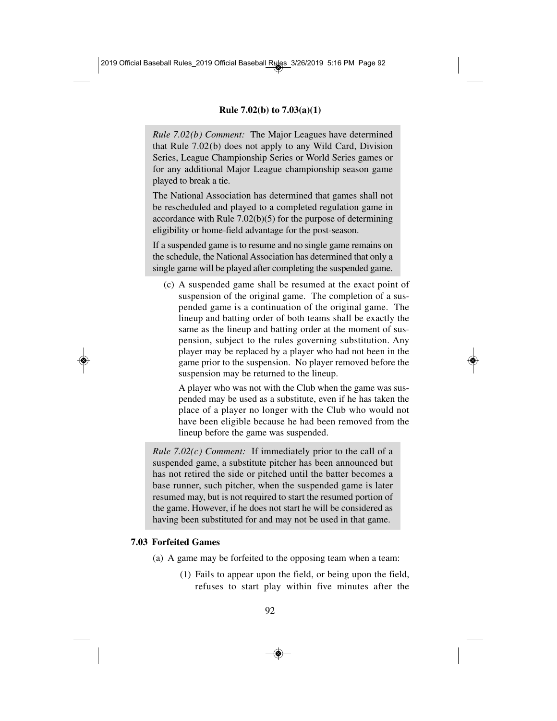*Rule 7.02(b) Comment:* The Major Leagues have determined that Rule 7.02(b) does not apply to any Wild Card, Division Series, League Championship Series or World Series games or for any additional Major League championship season game played to break a tie.

The National Association has determined that games shall not be rescheduled and played to a completed regulation game in accordance with Rule 7.02(b)(5) for the purpose of determining eligibility or home-field advantage for the post-season.

If a suspended game is to resume and no single game remains on the schedule, the National Association has determined that only a single game will be played after completing the suspended game.

(c) A suspended game shall be resumed at the exact point of suspension of the original game. The completion of a suspended game is a continuation of the original game. The lineup and batting order of both teams shall be exactly the same as the lineup and batting order at the moment of suspension, subject to the rules governing substitution. Any player may be replaced by a player who had not been in the game prior to the suspension. No player removed before the suspension may be returned to the lineup.

A player who was not with the Club when the game was suspended may be used as a substitute, even if he has taken the place of a player no longer with the Club who would not have been eligible because he had been removed from the lineup before the game was suspended.

*Rule 7.02(c) Comment:* If immediately prior to the call of a suspended game, a substitute pitcher has been announced but has not retired the side or pitched until the batter becomes a base runner, such pitcher, when the suspended game is later resumed may, but is not required to start the resumed portion of the game. However, if he does not start he will be considered as having been substituted for and may not be used in that game.

#### **7.03 Forfeited Games**

- (a) A game may be forfeited to the opposing team when a team:
	- (1) Fails to appear upon the field, or being upon the field, refuses to start play within five minutes after the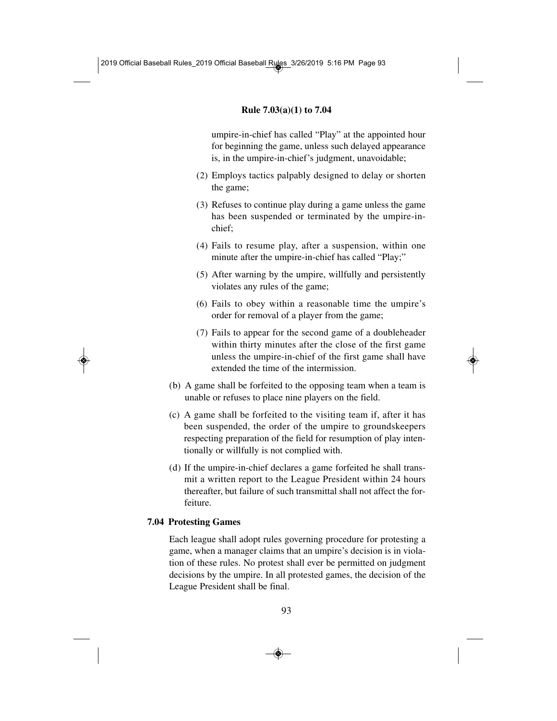umpire -in-chief has called "Play" at the appointed hour for beginning the game, unless such delayed appearance is, in the umpire-in-chief's judgment, unavoidable;

- (2) Employs tactics palpably designed to delay or shorten the game;
- (3) Refuses to continue play during a game unless the game has been suspended or terminated by the umpire-inchief;
- (4) Fails to resume play, after a suspension, within one minute after the umpire-in-chief has called "Play;"
- (5) After warning by the umpire, willfully and persistently violates any rules of the game;
- (6) Fails to obey within a reasonable time the umpire's order for removal of a player from the game;
- (7) Fails to appear for the second game of a doubleheader within thirty minutes after the close of the first game unless the umpire-in-chief of the first game shall have extended the time of the intermission.
- (b) A game shall be forfeited to the opposing team when a team is unable or refuses to place nine players on the field.
- (c) A game shall be forfeited to the visiting team if, after it has been suspended, the order of the umpire to groundskeepers respecting preparation of the field for resumption of play intentionally or willfully is not complied with.
- (d) If the umpire-in-chief declares a game forfeited he shall transmit a written report to the League President within 24 hours thereafter, but failure of such transmittal shall not affect the forfeiture.

### **7.04 Protesting Games**

Each league shall adopt rules governing procedure for protesting a game, when a manager claims that an umpire's decision is in violation of these rules. No protest shall ever be permitted on judgment decisions by the umpire. In all protested games, the decision of the League President shall be final.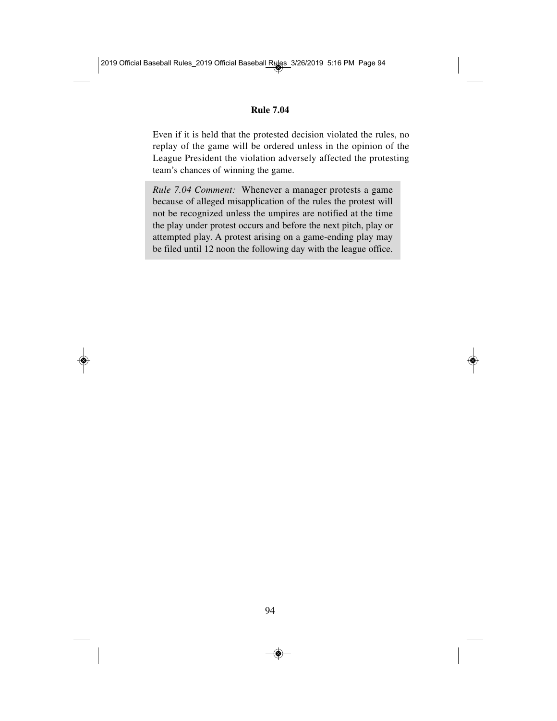### **Rule 7.04**

Even if it is held that the protested decision violated the rules, no replay of the game will be ordered unless in the opinion of the League President the violation adversely affected the protesting team's chances of winning the game.

*Rule 7.04 Comment:* Whenever a manager protests a game because of alleged misapplication of the rules the protest will not be recognized unless the umpires are notified at the time the play under protest occurs and before the next pitch, play or attempted play. A protest arising on a game-ending play may be filed until 12 noon the following day with the league office.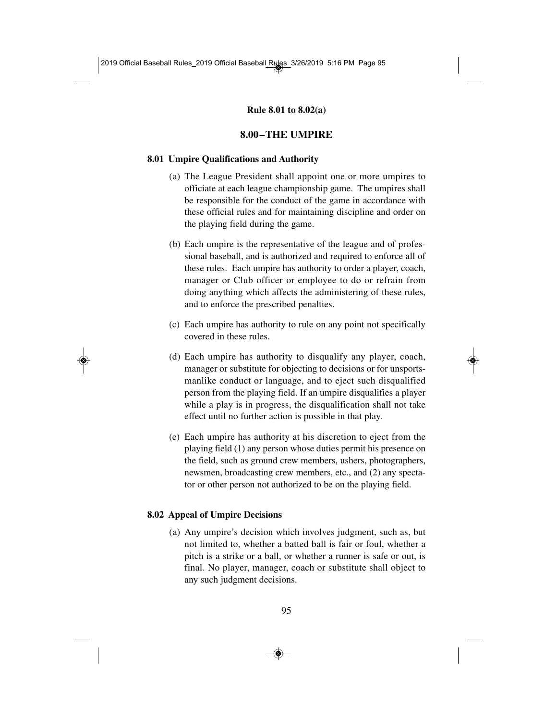### **Rule 8.01 to 8.02(a)**

### **8.00–THE UMPIRE**

#### **8.01 Umpire Qualifications and Authority**

- (a) The League President shall appoint one or more umpires to officiate at each league championship game. The umpires shall be responsible for the conduct of the game in accordance with these official rules and for maintaining discipline and order on the playing field during the game.
- (b) Each umpire is the representative of the league and of professional baseball, and is authorized and required to enforce all of these rules. Each umpire has authority to order a player, coach, manager or Club officer or employee to do or refrain from doing anything which affects the administering of these rules, and to enforce the prescribed penalties.
- (c) Each umpire has authority to rule on any point not specifically covered in these rules.
- (d) Each umpire has authority to disqualify any player, coach, manager or substitute for objecting to decisions or for unsportsmanlike conduct or language, and to eject such disqualified person from the playing field. If an umpire disqualifies a player while a play is in progress, the disqualification shall not take effect until no further action is possible in that play.
- (e) Each umpire has authority at his discretion to eject from the playing field (1) any person whose duties permit his presence on the field, such as ground crew members, ushers, photographers, newsmen, broadcasting crew members, etc., and (2) any spectator or other person not authorized to be on the playing field.

#### **8.02 Appeal of Umpire Decisions**

(a) Any umpire's decision which involves judgment, such as, but not limited to, whether a batted ball is fair or foul, whether a pitch is a strike or a ball, or whether a runner is safe or out, is final. No player, manager, coach or substitute shall object to any such judgment decisions.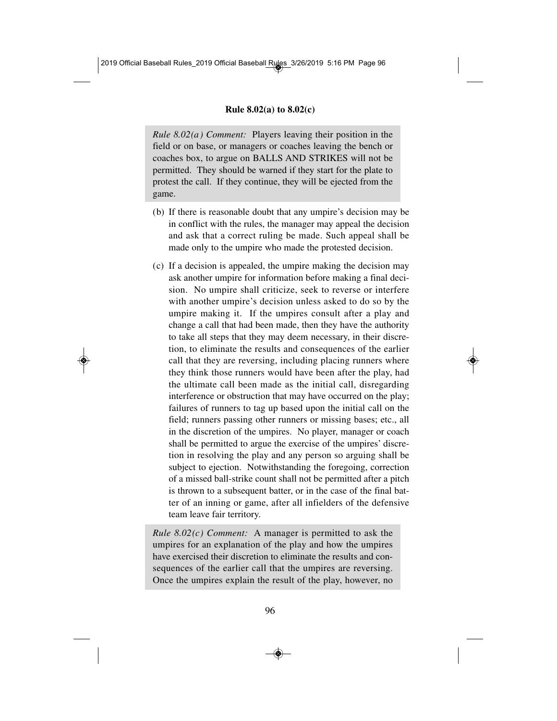*Rule 8.02(a) Comment:* Players leaving their position in the field or on base, or managers or coaches leaving the bench or coaches box, to argue on BALLS AND STRIKES will not be permitted. They should be warned if they start for the plate to protest the call. If they continue, they will be ejected from the game.

- (b) If there is reasonable doubt that any umpire's decision may be in conflict with the rules, the manager may appeal the decision and ask that a correct ruling be made. Such appeal shall be made only to the umpire who made the protested decision.
- (c) If a decision is appealed, the umpire making the decision may ask another umpire for information before making a final decision. No umpire shall criticize, seek to reverse or interfere with another umpire's decision unless asked to do so by the umpire making it. If the umpires consult after a play and change a call that had been made, then they have the authority to take all steps that they may deem necessary, in their discretion, to eliminate the results and consequences of the earlier call that they are reversing, including placing runners where they think those runners would have been after the play, had the ultimate call been made as the initial call, disregarding interference or obstruction that may have occurred on the play; failures of runners to tag up based upon the initial call on the field; runners passing other runners or missing bases; etc., all in the discretion of the umpires. No player, manager or coach shall be permitted to argue the exercise of the umpires' discretion in resolving the play and any person so arguing shall be subject to ejection. Notwithstanding the foregoing, correction of a missed ball-strike count shall not be permitted after a pitch is thrown to a subsequent batter, or in the case of the final batter of an inning or game, after all infielders of the defensive team leave fair territory.

*Rule 8.02(c) Comment:* A manager is permitted to ask the umpires for an explanation of the play and how the umpires have exercised their discretion to eliminate the results and consequences of the earlier call that the umpires are reversing. Once the umpires explain the result of the play, however, no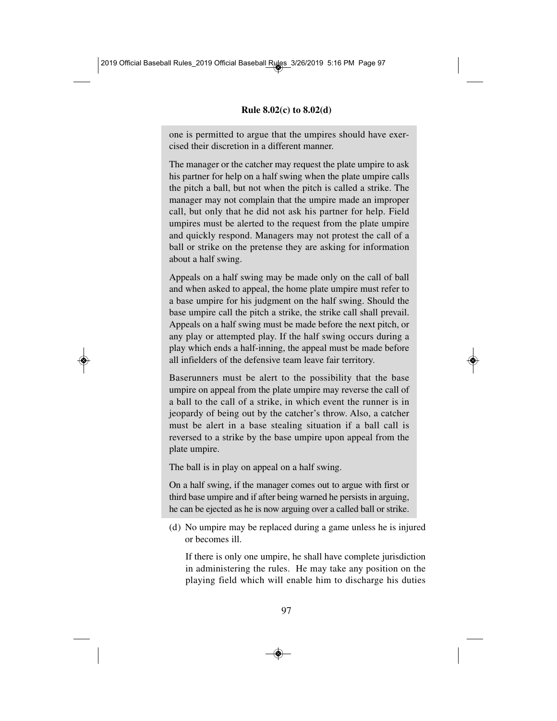one is permitted to argue that the umpires should have exercised their discretion in a different manner.

The manager or the catcher may request the plate umpire to ask his partner for help on a half swing when the plate umpire calls the pitch a ball, but not when the pitch is called a strike. The manager may not complain that the umpire made an improper call, but only that he did not ask his partner for help. Field umpires must be alerted to the request from the plate umpire and quickly respond. Managers may not protest the call of a ball or strike on the pretense they are asking for information about a half swing.

Appeals on a half swing may be made only on the call of ball and when asked to appeal, the home plate umpire must refer to a base umpire for his judgment on the half swing. Should the base umpire call the pitch a strike, the strike call shall prevail. Appeals on a half swing must be made before the next pitch, or any play or attempted play. If the half swing occurs during a play which ends a half-inning, the appeal must be made before all infielders of the defensive team leave fair territory.

Baserunners must be alert to the possibility that the base umpire on appeal from the plate umpire may reverse the call of a ball to the call of a strike, in which event the runner is in jeopardy of being out by the catcher's throw. Also, a catcher must be alert in a base stealing situation if a ball call is reversed to a strike by the base umpire upon appeal from the plate umpire.

The ball is in play on appeal on a half swing.

On a half swing, if the manager comes out to argue with first or third base umpire and if after being warned he persists in arguing, he can be ejected as he is now arguing over a called ball or strike.

(d) No umpire may be replaced during a game unless he is injured or becomes ill.

If there is only one umpire, he shall have complete jurisdiction in administering the rules. He may take any position on the playing field which will enable him to discharge his duties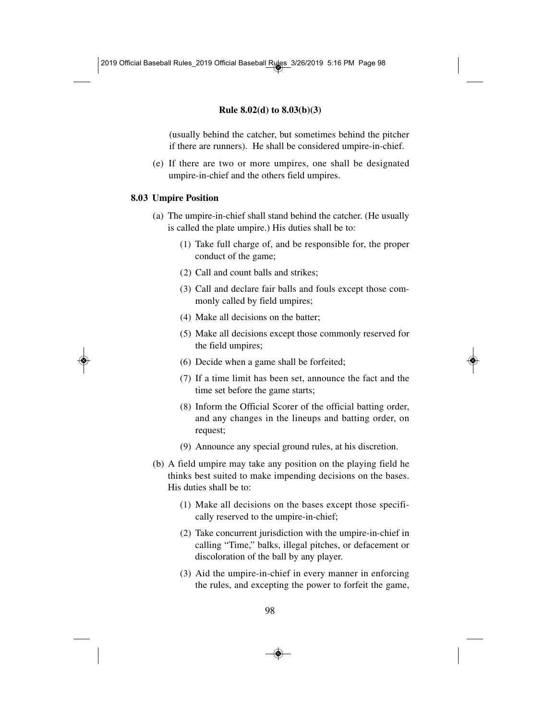(usually behind the catcher, but sometimes behind the pitcher if there are runners). He shall be considered umpire-in-chief.

(e) If there are two or more umpires, one shall be designated umpire-in-chief and the others field umpires.

# **8.03 Umpire Position**

- (a) The umpire-in-chief shall stand behind the catcher. (He usually is called the plate umpire.) His duties shall be to:
	- (1) Take full charge of, and be responsible for, the proper conduct of the game;
	- (2) Call and count balls and strikes;
	- (3) Call and declare fair balls and fouls except those commonly called by field umpires;
	- (4) Make all decisions on the batter;
	- (5) Make all decisions except those commonly reserved for the field umpires;
	- (6) Decide when a game shall be forfeited;
	- (7) If a time limit has been set, announce the fact and the time set before the game starts;
	- (8) Inform the Official Scorer of the official batting order, and any changes in the lineups and batting order, on request;
	- (9) Announce any special ground rules, at his discretion.
- (b) A field umpire may take any position on the playing field he thinks best suited to make impending decisions on the bases. His duties shall be to:
	- (1) Make all decisions on the bases except those specifically reserved to the umpire-in-chief;
	- (2) Take concurrent jurisdiction with the umpire-in-chief in calling "Time," balks, illegal pitches, or defacement or discoloration of the ball by any player.
	- (3) Aid the umpire-in-chief in every manner in enforcing the rules, and excepting the power to forfeit the game,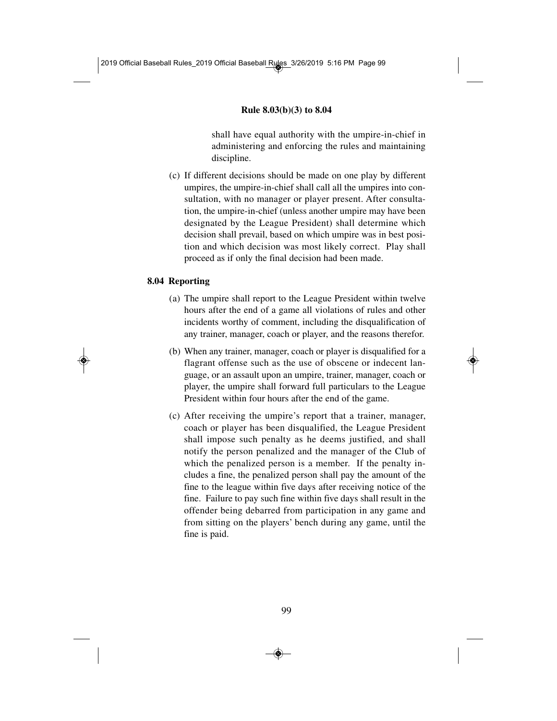#### **Rule 8.03(b)(3) to 8.04**

shall have equal authority with the umpire-in-chief in administering and enforcing the rules and maintaining discipline.

(c) If different decisions should be made on one play by different umpires, the umpire-in-chief shall call all the umpires into consultation, with no manager or player present. After consultation, the umpire-in-chief (unless another umpire may have been designated by the League President) shall determine which decision shall prevail, based on which umpire was in best position and which decision was most likely correct. Play shall proceed as if only the final decision had been made.

#### **8.04 Reporting**

- (a) The umpire shall report to the League President within twelve hours after the end of a game all violations of rules and other incidents worthy of comment, including the disqualification of any trainer, manager, coach or player, and the reasons therefor.
- (b) When any trainer, manager, coach or player is disqualified for a flagrant offense such as the use of obscene or indecent language, or an assault upon an umpire, trainer, manager, coach or player, the umpire shall forward full particulars to the League President within four hours after the end of the game.
- (c) After receiving the umpire's report that a trainer, manager, coach or player has been disqualified, the League President shall impose such penalty as he deems justified, and shall notify the person penalized and the manager of the Club of which the penalized person is a member. If the penalty includes a fine, the penalized person shall pay the amount of the fine to the league within five days after receiving notice of the fine. Failure to pay such fine within five days shall result in the offender being debarred from participation in any game and from sitting on the players' bench during any game, until the fine is paid.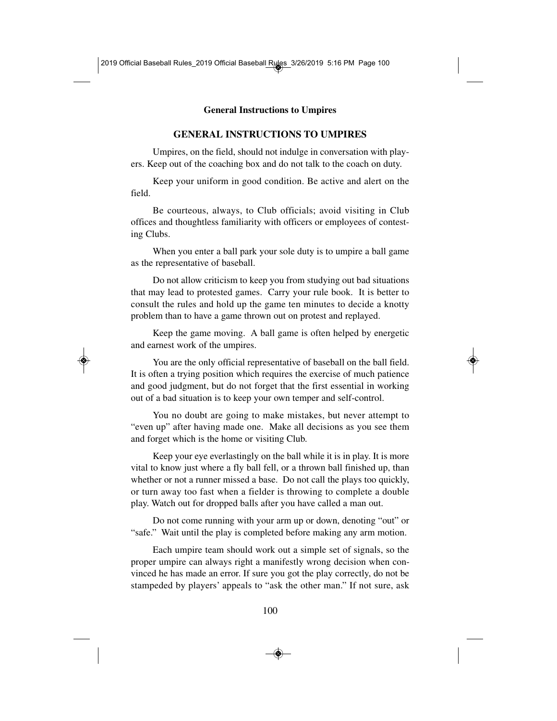#### **General Instructions to Umpires**

#### **GENERAL INSTRUCTIONS TO UMPIRES**

Umpires, on the field, should not indulge in conversation with players. Keep out of the coaching box and do not talk to the coach on duty.

Keep your uniform in good condition. Be active and alert on the field.

Be courteous, always, to Club officials; avoid visiting in Club offices and thoughtless familiarity with officers or employees of contesting Clubs.

When you enter a ball park your sole duty is to umpire a ball game as the representative of baseball.

Do not allow criticism to keep you from studying out bad situations that may lead to protested games. Carry your rule book. It is better to consult the rules and hold up the game ten minutes to decide a knotty problem than to have a game thrown out on protest and replayed.

Keep the game moving. A ball game is often helped by energetic and earnest work of the umpires.

You are the only official representative of baseball on the ball field. It is often a trying position which requires the exercise of much patience and good judgment, but do not forget that the first essential in working out of a bad situation is to keep your own temper and self-control.

You no doubt are going to make mistakes, but never attempt to "even up" after having made one. Make all decisions as you see them and forget which is the home or visiting Club.

Keep your eye everlastingly on the ball while it is in play. It is more vital to know just where a fly ball fell, or a thrown ball finished up, than whether or not a runner missed a base. Do not call the plays too quickly, or turn away too fast when a fielder is throwing to complete a double play. Watch out for dropped balls after you have called a man out.

Do not come running with your arm up or down, denoting "out" or "safe." Wait until the play is completed before making any arm motion.

Each umpire team should work out a simple set of signals, so the proper umpire can always right a manifestly wrong decision when convinced he has made an error. If sure you got the play correctly, do not be stampeded by players' appeals to "ask the other man." If not sure, ask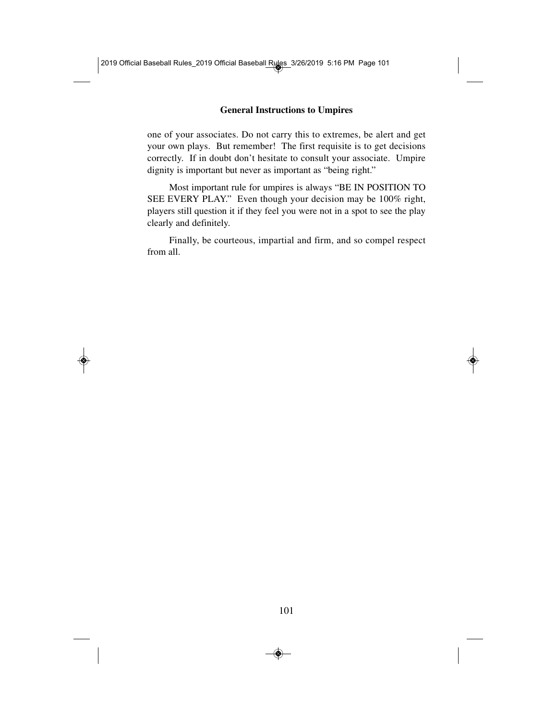# **General Instructions to Umpires**

one of your associates. Do not carry this to extremes, be alert and get your own plays. But remember! The first requisite is to get decisions correctly. If in doubt don't hesitate to consult your associate. Umpire dignity is important but never as important as "being right."

Most important rule for umpires is always "BE IN POSITION TO SEE EVERY PLAY." Even though your decision may be 100% right, players still question it if they feel you were not in a spot to see the play clearly and definitely.

Finally, be courteous, impartial and firm, and so compel respect from all.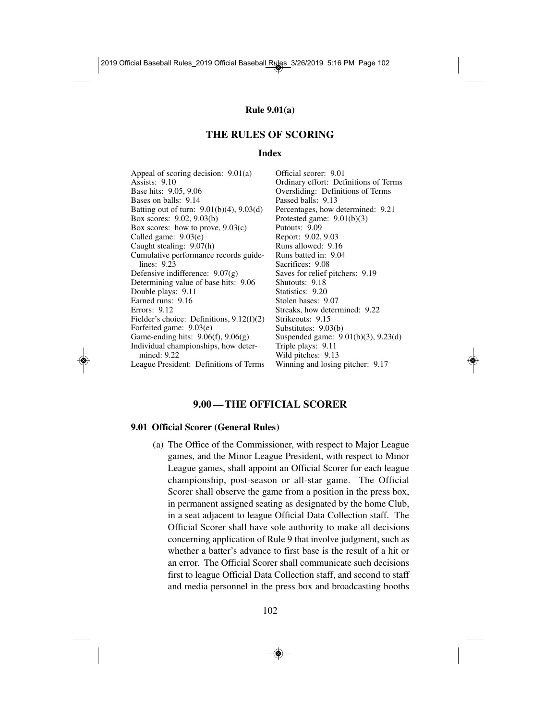#### **Rule 9.01(a)**

# **THE RULES OF SCORING**

#### **Index**

Appeal of scoring decision: 9.01(a) Assists: 9.10 Base hits: 9.05, 9.06 Bases on balls: 9.14 Batting out of turn: 9.01(b)(4), 9.03(d) Box scores: 9.02, 9.03(b) Box scores: how to prove, 9.03(c) Called game: 9.03(e) Caught stealing: 9.07(h) Cumulative performance records guidelines: 9.23 Defensive indifference: 9.07(g) Determining value of base hits: 9.06 Double plays: 9.11 Earned runs: 9.16 Errors: 9.12 Fielder's choice: Definitions, 9.12(f)(2) Forfeited game: 9.03(e) Game-ending hits:  $9.06(f)$ ,  $9.06(g)$ Individual championships, how determined: 9.22 League President: Definitions of Terms Official scorer: 9.01 Ordinary effort: Definitions of Terms Oversliding: Definitions of Terms Passed balls: 9.13 Percentages, how determined: 9.21 Protested game: 9.01(b)(3) Putouts: 9.09 Report: 9.02, 9.03 Runs allowed: 9.16 Runs batted in: 9.04 Sacrifices: 9.08 Saves for relief pitchers: 9.19 Shutouts: 9.18 Statistics: 9.20 Stolen bases: 9.07 Streaks, how determined: 9.22 Strikeouts: 9.15 Substitutes: 9.03(b) Suspended game: 9.01(b)(3), 9.23(d) Triple plays: 9.11 Wild pitches: 9.13 Winning and losing pitcher: 9.17

#### **9.00 —THE OFFICIAL SCORER**

#### **9.01 Official Scorer (General Rules)**

(a) The Office of the Commissioner, with respect to Major League games, and the Minor League President, with respect to Minor League games, shall appoint an Official Scorer for each league championship, post-season or all-star game. The Official Scorer shall observe the game from a position in the press box, in permanent assigned seating as designated by the home Club, in a seat adjacent to league Official Data Collection staff. The Official Scorer shall have sole authority to make all decisions concerning application of Rule 9 that involve judgment, such as whether a batter's advance to first base is the result of a hit or an error. The Official Scorer shall communicate such decisions first to league Official Data Collection staff, and second to staff and media personnel in the press box and broadcasting booths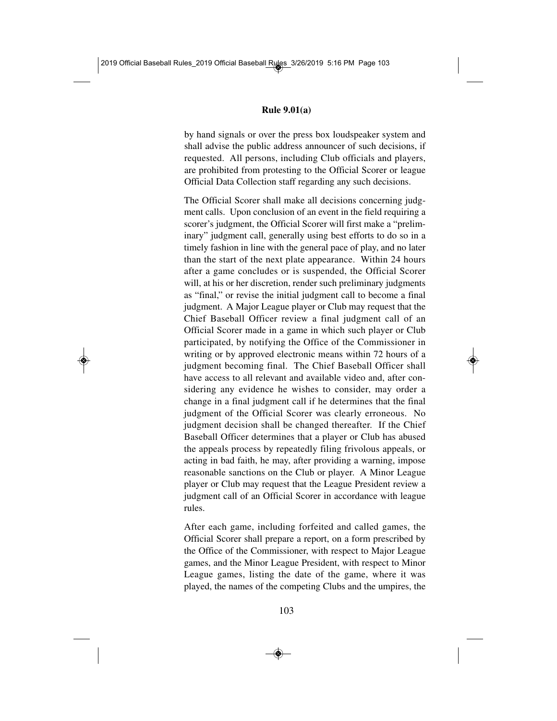#### **Rule 9.01(a)**

by hand signals or over the press box loudspeaker system and shall advise the public address announcer of such decisions, if requested. All persons, including Club officials and players, are prohibited from protesting to the Official Scorer or league Official Data Collection staff regarding any such decisions.

The Official Scorer shall make all decisions concerning judgment calls. Upon conclusion of an event in the field requiring a scorer's judgment, the Official Scorer will first make a "preliminary" judgment call, generally using best efforts to do so in a timely fashion in line with the general pace of play, and no later than the start of the next plate appearance. Within 24 hours after a game concludes or is suspended, the Official Scorer will, at his or her discretion, render such preliminary judgments as "final," or revise the initial judgment call to become a final judgment. A Major League player or Club may request that the Chief Baseball Officer review a final judgment call of an Official Scorer made in a game in which such player or Club participated, by notifying the Office of the Commissioner in writing or by approved electronic means within 72 hours of a judgment becoming final. The Chief Baseball Officer shall have access to all relevant and available video and, after considering any evidence he wishes to consider, may order a change in a final judgment call if he determines that the final judgment of the Official Scorer was clearly erroneous. No judgment decision shall be changed thereafter. If the Chief Baseball Officer determines that a player or Club has abused the appeals process by repeatedly filing frivolous appeals, or acting in bad faith, he may, after providing a warning, impose reasonable sanctions on the Club or player. A Minor League player or Club may request that the League President review a judgment call of an Official Scorer in accordance with league rules.

After each game, including forfeited and called games, the Official Scorer shall prepare a report, on a form prescribed by the Office of the Commissioner, with respect to Major League games, and the Minor League President, with respect to Minor League games, listing the date of the game, where it was played, the names of the competing Clubs and the umpires, the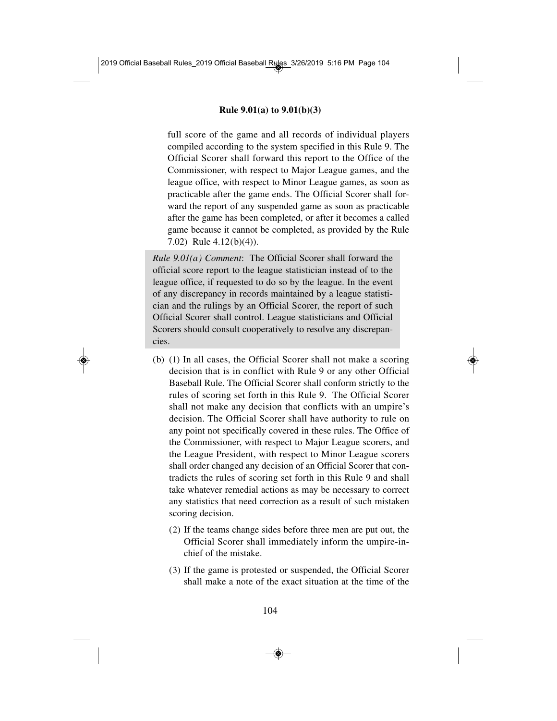full score of the game and all records of individual players compiled according to the system specified in this Rule 9. The Official Scorer shall forward this report to the Office of the Commissioner, with respect to Major League games, and the league office, with respect to Minor League games, as soon as practicable after the game ends. The Official Scorer shall forward the report of any suspended game as soon as practicable after the game has been completed, or after it becomes a called game because it cannot be completed, as provided by the Rule 7.02) Rule 4.12(b)(4)).

*Rule 9.01(a) Comment*: The Official Scorer shall forward the official score report to the league statistician instead of to the league office, if requested to do so by the league. In the event of any discrepancy in records maintained by a league statistician and the rulings by an Official Scorer, the report of such Official Scorer shall control. League statisticians and Official Scorers should consult cooperatively to resolve any discrepancies.

- (b) (1) In all cases, the Official Scorer shall not make a scoring decision that is in conflict with Rule 9 or any other Official Baseball Rule. The Official Scorer shall conform strictly to the rules of scoring set forth in this Rule 9. The Official Scorer shall not make any decision that conflicts with an umpire's decision. The Official Scorer shall have authority to rule on any point not specifically covered in these rules. The Office of the Commissioner, with respect to Major League scorers, and the League President, with respect to Minor League scorers shall order changed any decision of an Official Scorer that contradicts the rules of scoring set forth in this Rule 9 and shall take whatever remedial actions as may be necessary to correct any statistics that need correction as a result of such mistaken scoring decision.
	- $(2)$  If the teams change sides before three men are put out, the Official Scorer shall immediately inform the umpire-inchief of the mistake.
	- (b) (3) If the game is protested or suspended, the Official Scorer shall make a note of the exact situation at the time of the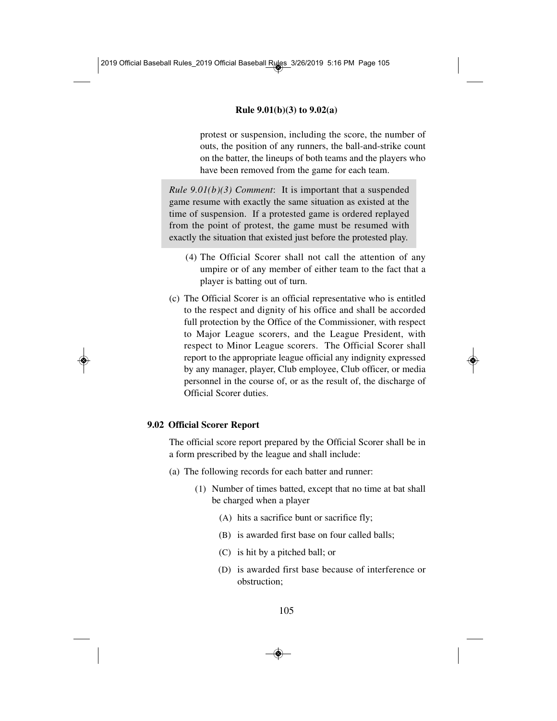protest or suspension, including the score, the number of outs, the position of any runners, the ball-and-strike count on the batter, the lineups of both teams and the players who have been removed from the game for each team.

*Rule 9.01(b)(3) Comment*: It is important that a suspended game resume with exactly the same situation as existed at the time of suspension. If a protested game is ordered replayed from the point of protest, the game must be resumed with exactly the situation that existed just before the protested play.

- (b) (4) The Official Scorer shall not call the attention of any umpire or of any member of either team to the fact that a player is batting out of turn.
- (c) The Official Scorer is an official representative who is entitled to the respect and dignity of his office and shall be accorded full protection by the Office of the Commissioner, with respect to Major League scorers, and the League President, with respect to Minor League scorers. The Official Scorer shall report to the appropriate league official any indignity expressed by any manager, player, Club employee, Club officer, or media personnel in the course of, or as the result of, the discharge of Official Scorer duties.

## **9.02 Official Scorer Report**

The official score report prepared by the Official Scorer shall be in a form prescribed by the league and shall include:

- (a) The following records for each batter and runner:
	- (1) Number of times batted, except that no time at bat shall be charged when a player
		- (A) hits a sacrifice bunt or sacrifice fly;
		- (B) is awarded first base on four called balls;
		- (C) is hit by a pitched ball; or
		- (D) is awarded first base because of interference or obstruction;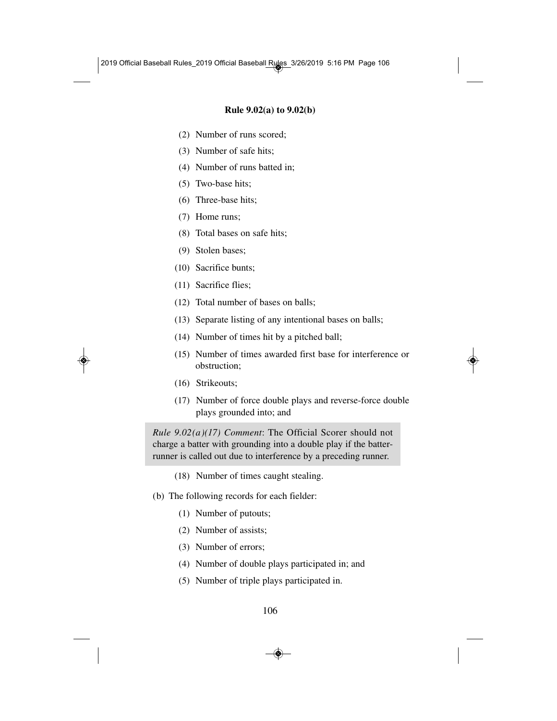#### **Rule 9.02(a) to 9.02(b)**

- (2) Number of runs scored;
- (3) Number of safe hits;
- (4) Number of runs batted in;
- (5) Two-base hits;
- (6) Three-base hits;
- (7) Home runs;
- (8) Total bases on safe hits;
- (9) Stolen bases;
- (10) Sacrifice bunts;
- (11) Sacrifice flies;
- (12) Total number of bases on balls;
- (13) Separate listing of any intentional bases on balls;
- (14) Number of times hit by a pitched ball;
- (15) Number of times awarded first base for interference or obstruction;
- (16) Strikeouts;
- (17) Number of force double plays and reverse-force double plays grounded into; and

*Rule 9.02(a)(17) Comment*: The Official Scorer should not charge a batter with grounding into a double play if the batterrunner is called out due to interference by a preceding runner.

- (18) Number of times caught stealing.
- (b) The following records for each fielder:
	- (1) Number of putouts;
	- (2) Number of assists;
	- (3) Number of errors;
	- (4) Number of double plays participated in; and
	- (5) Number of triple plays participated in.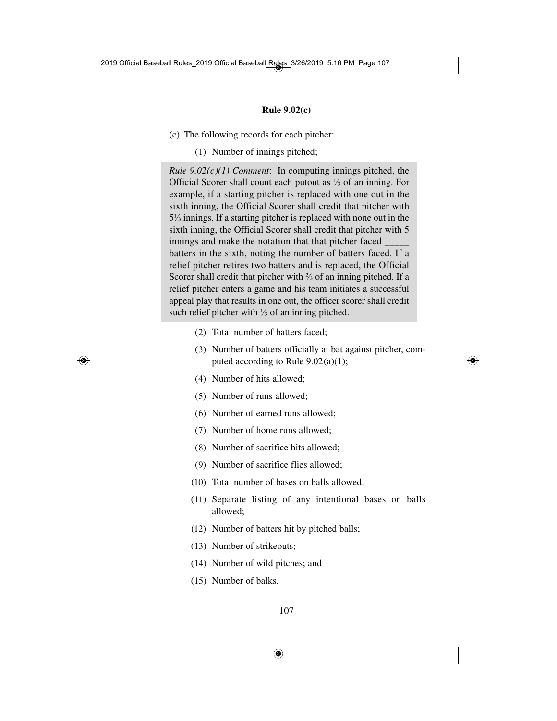- (c) The following records for each pitcher:
	- (1) Number of innings pitched;

*Rule 9.02(c)(1) Comment*: In computing innings pitched, the Official Scorer shall count each putout as ⅓ of an inning. For example, if a starting pitcher is replaced with one out in the sixth inning, the Official Scorer shall credit that pitcher with 5⅓ innings. If a starting pitcher is replaced with none out in the sixth inning, the Official Scorer shall credit that pitcher with 5 innings and make the notation that that pitcher faced batters in the sixth, noting the number of batters faced. If a relief pitcher retires two batters and is replaced, the Official Scorer shall credit that pitcher with ⅔ of an inning pitched. If a relief pitcher enters a game and his team initiates a successful appeal play that results in one out, the officer scorer shall credit such relief pitcher with ⅓ of an inning pitched.

- (2) Total number of batters faced;
- (3) Number of batters officially at bat against pitcher, computed according to Rule  $9.02(a)(1)$ ;
- (4) Number of hits allowed;
- (5) Number of runs allowed;
- (6) Number of earned runs allowed;
- (7) Number of home runs allowed;
- (8) Number of sacrifice hits allowed;
- (9) Number of sacrifice flies allowed;
- (10) Total number of bases on balls allowed;
- (11) Separate listing of any intentional bases on balls allowed;
- (12) Number of batters hit by pitched balls;
- (13) Number of strikeouts;
- (14) Number of wild pitches; and
- (15) Number of balks.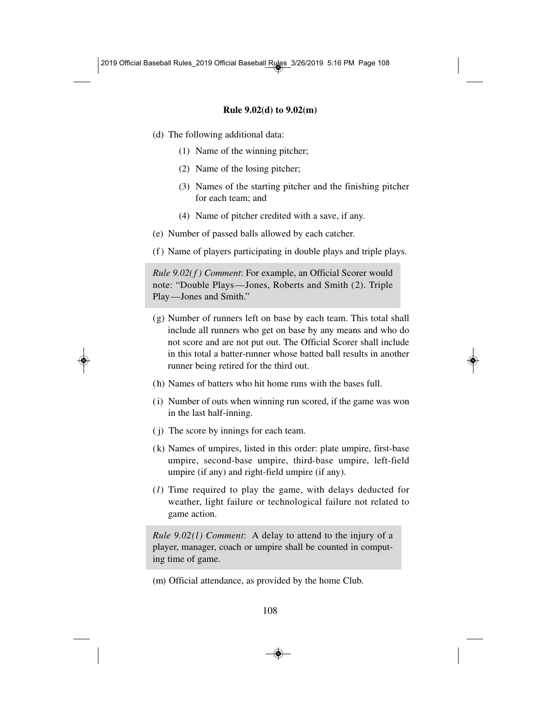- (d) The following additional data:
	- (1) Name of the winning pitcher;
	- (2) Name of the losing pitcher;
	- (3) Names of the starting pitcher and the finishing pitcher for each team; and
	- (4) Name of pitcher credited with a save, if any.
- (e) Number of passed balls allowed by each catcher.
- (f ) Name of players participating in double plays and triple plays.

*Rule 9.02( f ) Comment*: For example, an Official Scorer would note: "Double Plays—Jones, Roberts and Smith (2). Triple Play—Jones and Smith."

- (g) Number of runners left on base by each team. This total shall include all runners who get on base by any means and who do not score and are not put out. The Official Scorer shall include in this total a batter-runner whose batted ball results in another runner being retired for the third out.
- (h) Names of batters who hit home runs with the bases full.
- ( i) Number of outs when winning run scored, if the game was won in the last half-inning.
- ( j) The score by innings for each team.
- (k) Names of umpires, listed in this order: plate umpire, first-base umpire, second-base umpire, third-base umpire, left-field umpire (if any) and right-field umpire (if any).
- (*l*) Time required to play the game, with delays deducted for weather, light failure or technological failure not related to game action.

*Rule 9.02(l) Comment*: A delay to attend to the injury of a player, manager, coach or umpire shall be counted in computing time of game.

(m) Official attendance, as provided by the home Club.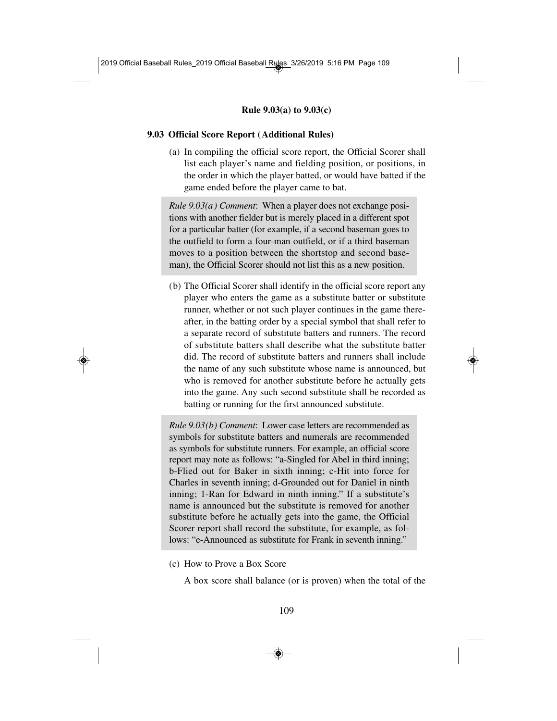# **9.03 Official Score Report (Additional Rules)**

(a) In compiling the official score report, the Official Scorer shall list each player's name and fielding position, or positions, in the order in which the player batted, or would have batted if the game ended before the player came to bat.

*Rule 9.03(a) Comment*: When a player does not exchange positions with another fielder but is merely placed in a different spot for a particular batter (for example, if a second baseman goes to the outfield to form a four-man outfield, or if a third baseman moves to a position between the shortstop and second baseman), the Official Scorer should not list this as a new position.

(b) The Official Scorer shall identify in the official score report any player who enters the game as a substitute batter or substitute runner, whether or not such player continues in the game thereafter, in the batting order by a special symbol that shall refer to a separate record of substitute batters and runners. The record of substitute batters shall describe what the substitute batter did. The record of substitute batters and runners shall include the name of any such substitute whose name is announced, but who is removed for another substitute before he actually gets into the game. Any such second substitute shall be recorded as batting or running for the first announced substitute.

*Rule 9.03(b) Comment*: Lower case letters are recommended as symbols for substitute batters and numerals are recommended as symbols for substitute runners. For example, an official score report may note as follows: "a-Singled for Abel in third inning; b-Flied out for Baker in sixth inning; c-Hit into force for Charles in seventh inning; d-Grounded out for Daniel in ninth inning; 1-Ran for Edward in ninth inning." If a substitute's name is announced but the substitute is removed for another substitute before he actually gets into the game, the Official Scorer report shall record the substitute, for example, as follows: "e-Announced as substitute for Frank in seventh inning."

(c) How to Prove a Box Score

A box score shall balance (or is proven) when the total of the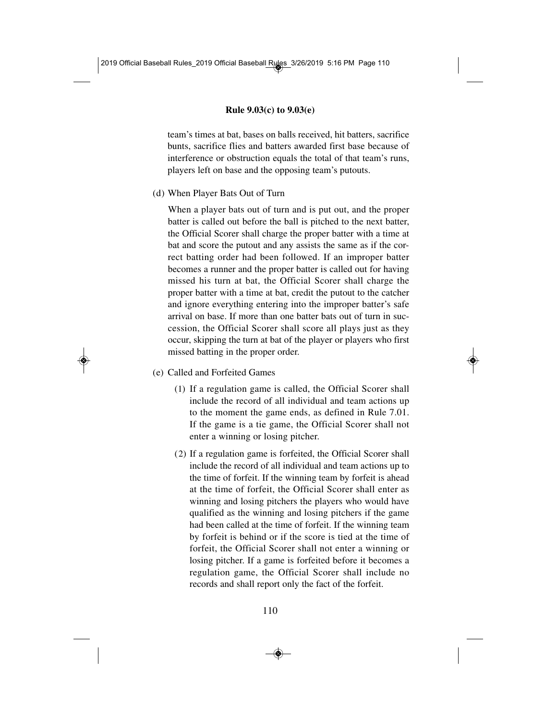team's times at bat, bases on balls received, hit batters, sacrifice bunts, sacrifice flies and batters awarded first base because of interference or obstruction equals the total of that team's runs, players left on base and the opposing team's putouts.

(d) When Player Bats Out of Turn

When a player bats out of turn and is put out, and the proper batter is called out before the ball is pitched to the next batter, the Official Scorer shall charge the proper batter with a time at bat and score the putout and any assists the same as if the correct batting order had been followed. If an improper batter becomes a runner and the proper batter is called out for having missed his turn at bat, the Official Scorer shall charge the proper batter with a time at bat, credit the putout to the catcher and ignore everything entering into the improper batter's safe arrival on base. If more than one batter bats out of turn in succession, the Official Scorer shall score all plays just as they occur, skipping the turn at bat of the player or players who first missed batting in the proper order.

- (e) Called and Forfeited Games
	- (1) If a regulation game is called, the Official Scorer shall include the record of all individual and team actions up to the moment the game ends, as defined in Rule 7.01. If the game is a tie game, the Official Scorer shall not enter a winning or losing pitcher.
	- (2) If a regulation game is forfeited, the Official Scorer shall include the record of all individual and team actions up to the time of forfeit. If the winning team by forfeit is ahead at the time of forfeit, the Official Scorer shall enter as winning and losing pitchers the players who would have qualified as the winning and losing pitchers if the game had been called at the time of forfeit. If the winning team by forfeit is behind or if the score is tied at the time of forfeit, the Official Scorer shall not enter a winning or losing pitcher. If a game is forfeited before it becomes a regulation game, the Official Scorer shall include no records and shall report only the fact of the forfeit.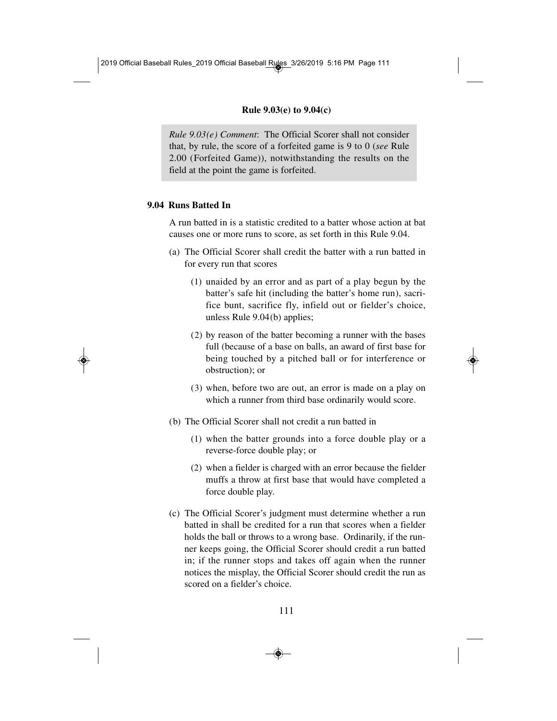*Rule 9.03(e) Comment*: The Official Scorer shall not consider that, by rule, the score of a forfeited game is 9 to 0 (*see* Rule 2.00 (Forfeited Game)), notwithstanding the results on the field at the point the game is forfeited.

## **9.04 Runs Batted In**

A run batted in is a statistic credited to a batter whose action at bat causes one or more runs to score, as set forth in this Rule 9.04.

- (a) The Official Scorer shall credit the batter with a run batted in for every run that scores
	- (1) unaided by an error and as part of a play begun by the batter's safe hit (including the batter's home run), sacrifice bunt, sacrifice fly, infield out or fielder's choice, unless Rule 9.04(b) applies;
	- (2) by reason of the batter becoming a runner with the bases full (because of a base on balls, an award of first base for being touched by a pitched ball or for interference or obstruction); or
	- (3) when, before two are out, an error is made on a play on which a runner from third base ordinarily would score.
- (b) The Official Scorer shall not credit a run batted in
	- (1) when the batter grounds into a force double play or a reverse-force double play; or
	- (2) when a fielder is charged with an error because the fielder muffs a throw at first base that would have completed a force double play.
- (c) The Official Scorer's judgment must determine whether a run batted in shall be credited for a run that scores when a fielder holds the ball or throws to a wrong base. Ordinarily, if the runner keeps going, the Official Scorer should credit a run batted in; if the runner stops and takes off again when the runner notices the misplay, the Official Scorer should credit the run as scored on a fielder's choice.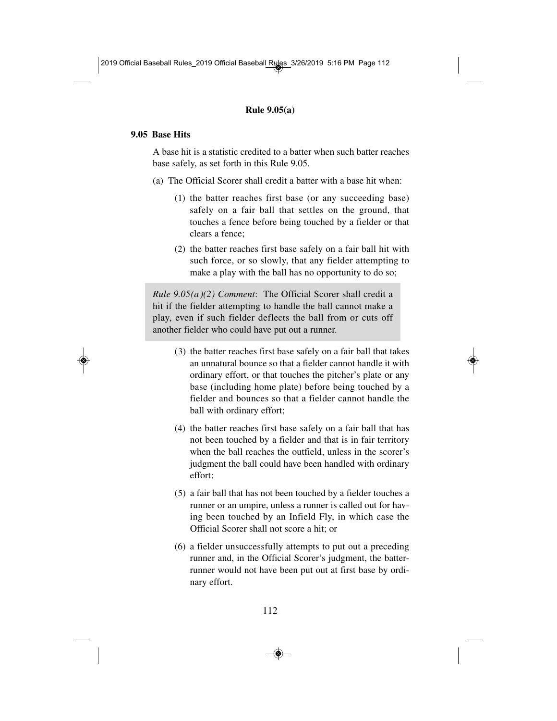# **9.05 Base Hits**

A base hit is a statistic credited to a batter when such batter reaches base safely, as set forth in this Rule 9.05.

- (a) The Official Scorer shall credit a batter with a base hit when:
	- (1) the batter reaches first base (or any succeeding base) safely on a fair ball that settles on the ground, that touches a fence before being touched by a fielder or that clears a fence;
	- (2) the batter reaches first base safely on a fair ball hit with such force, or so slowly, that any fielder attempting to make a play with the ball has no opportunity to do so;

*Rule 9.05(a)(2) Comment*: The Official Scorer shall credit a hit if the fielder attempting to handle the ball cannot make a play, even if such fielder deflects the ball from or cuts off another fielder who could have put out a runner.

- (3) the batter reaches first base safely on a fair ball that takes an unnatural bounce so that a fielder cannot handle it with ordinary effort, or that touches the pitcher's plate or any base (including home plate) before being touched by a fielder and bounces so that a fielder cannot handle the ball with ordinary effort;
- (4) the batter reaches first base safely on a fair ball that has not been touched by a fielder and that is in fair territory when the ball reaches the outfield, unless in the scorer's judgment the ball could have been handled with ordinary effort;
- (5) a fair ball that has not been touched by a fielder touches a runner or an umpire, unless a runner is called out for having been touched by an Infield Fly, in which case the Official Scorer shall not score a hit; or
- (6) a fielder unsuccessfully attempts to put out a preceding runner and, in the Official Scorer's judgment, the batterrunner would not have been put out at first base by ordinary effort.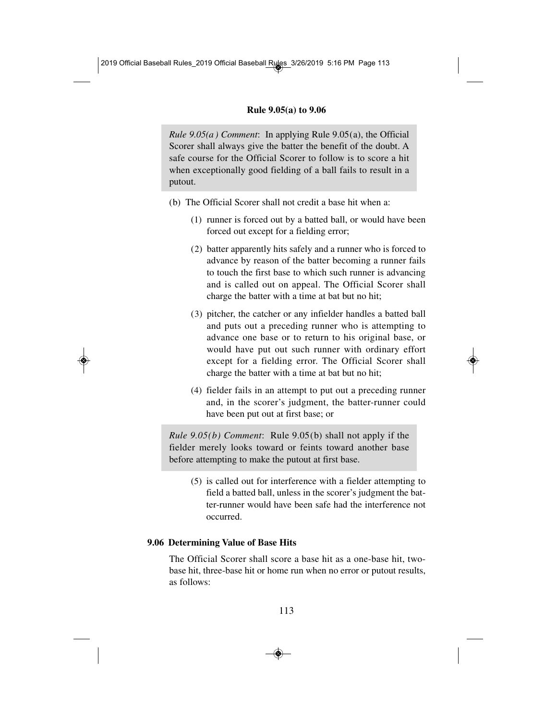*Rule 9.05(a ) Comment*: In applying Rule 9.05(a), the Official Scorer shall always give the batter the benefit of the doubt. A safe course for the Official Scorer to follow is to score a hit when exceptionally good fielding of a ball fails to result in a putout.

- (b) The Official Scorer shall not credit a base hit when a:
	- (1) runner is forced out by a batted ball, or would have been forced out except for a fielding error;
	- (2) batter apparently hits safely and a runner who is forced to advance by reason of the batter becoming a runner fails to touch the first base to which such runner is advancing and is called out on appeal. The Official Scorer shall charge the batter with a time at bat but no hit;
	- (3) pitcher, the catcher or any infielder handles a batted ball and puts out a preceding runner who is attempting to advance one base or to return to his original base, or would have put out such runner with ordinary effort except for a fielding error. The Official Scorer shall charge the batter with a time at bat but no hit;
	- (4) fielder fails in an attempt to put out a preceding runner and, in the scorer's judgment, the batter-runner could have been put out at first base; or

*Rule 9.05(b) Comment*: Rule 9.05(b) shall not apply if the fielder merely looks toward or feints toward another base before attempting to make the putout at first base.

(5) is called out for interference with a fielder attempting to field a batted ball, unless in the scorer's judgment the batter-runner would have been safe had the interference not occurred.

## **9.06 Determining Value of Base Hits**

The Official Scorer shall score a base hit as a one-base hit, twobase hit, three-base hit or home run when no error or putout results, as follows: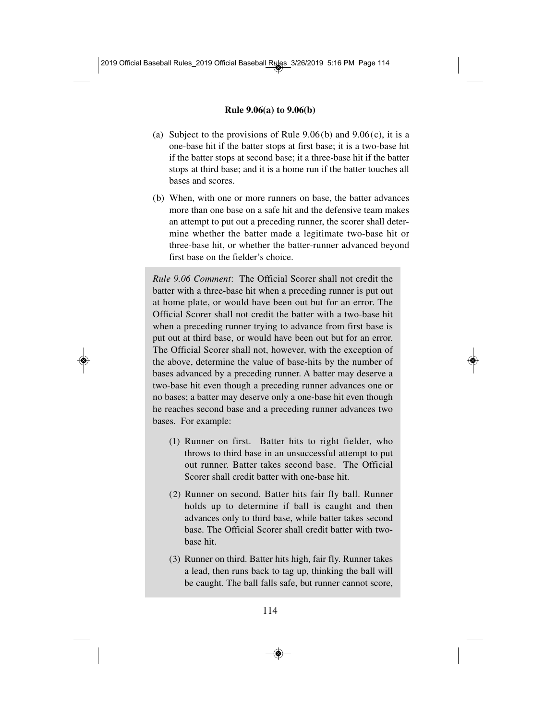- (a) Subject to the provisions of Rule  $9.06(b)$  and  $9.06(c)$ , it is a one-base hit if the batter stops at first base; it is a two-base hit if the batter stops at second base; it a three-base hit if the batter stops at third base; and it is a home run if the batter touches all bases and scores.
- (b) When, with one or more runners on base, the batter advances more than one base on a safe hit and the defensive team makes an attempt to put out a preceding runner, the scorer shall determine whether the batter made a legitimate two-base hit or three-base hit, or whether the batter-runner advanced beyond first base on the fielder's choice.

*Rule 9.06 Comment*: The Official Scorer shall not credit the batter with a three-base hit when a preceding runner is put out at home plate, or would have been out but for an error. The Official Scorer shall not credit the batter with a two-base hit when a preceding runner trying to advance from first base is put out at third base, or would have been out but for an error. The Official Scorer shall not, however, with the exception of the above, determine the value of base-hits by the number of bases advanced by a preceding runner. A batter may deserve a two-base hit even though a preceding runner advances one or no bases; a batter may deserve only a one-base hit even though he reaches second base and a preceding runner advances two bases. For example:

- (1) Runner on first. Batter hits to right fielder, who throws to third base in an unsuccessful attempt to put out runner. Batter takes second base. The Official Scorer shall credit batter with one-base hit.
- (2) Runner on second. Batter hits fair fly ball. Runner holds up to determine if ball is caught and then advances only to third base, while batter takes second base. The Official Scorer shall credit batter with twobase hit.
- (3) Runner on third. Batter hits high, fair fly. Runner takes a lead, then runs back to tag up, thinking the ball will be caught. The ball falls safe, but runner cannot score,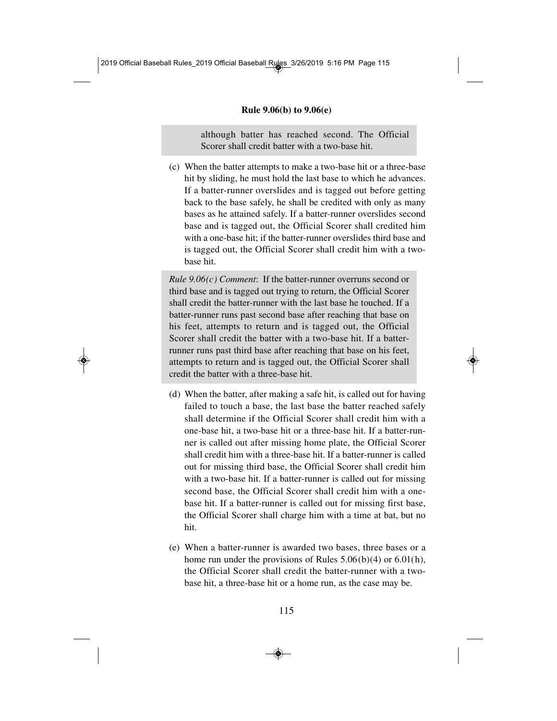although batter has reached second. The Official Scorer shall credit batter with a two-base hit.

(c) When the batter attempts to make a two-base hit or a three-base hit by sliding, he must hold the last base to which he advances. If a batter-runner overslides and is tagged out before getting back to the base safely, he shall be credited with only as many bases as he attained safely. If a batter-runner overslides second base and is tagged out, the Official Scorer shall credited him with a one-base hit; if the batter-runner overslides third base and is tagged out, the Official Scorer shall credit him with a twobase hit.

*Rule 9.06(c) Comment*: If the batter-runner overruns second or third base and is tagged out trying to return, the Official Scorer shall credit the batter-runner with the last base he touched. If a batter-runner runs past second base after reaching that base on his feet, attempts to return and is tagged out, the Official Scorer shall credit the batter with a two-base hit. If a batterrunner runs past third base after reaching that base on his feet, attempts to return and is tagged out, the Official Scorer shall credit the batter with a three-base hit.

- (d) When the batter, after making a safe hit, is called out for having failed to touch a base, the last base the batter reached safely shall determine if the Official Scorer shall credit him with a one-base hit, a two-base hit or a three-base hit. If a batter-runner is called out after missing home plate, the Official Scorer shall credit him with a three-base hit. If a batter-runner is called out for missing third base, the Official Scorer shall credit him with a two-base hit. If a batter-runner is called out for missing second base, the Official Scorer shall credit him with a onebase hit. If a batter-runner is called out for missing first base, the Official Scorer shall charge him with a time at bat, but no hit.
- (e) When a batter-runner is awarded two bases, three bases or a home run under the provisions of Rules  $5.06(b)(4)$  or  $6.01(h)$ , the Official Scorer shall credit the batter-runner with a twobase hit, a three-base hit or a home run, as the case may be.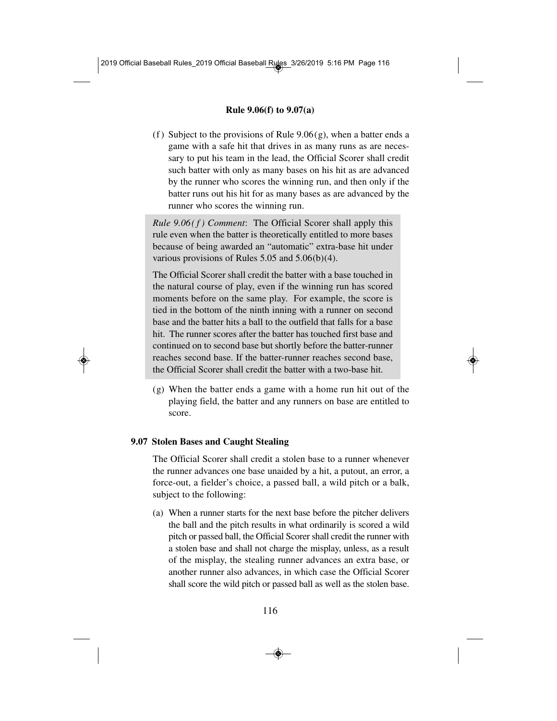(f) Subject to the provisions of Rule  $9.06(g)$ , when a batter ends a game with a safe hit that drives in as many runs as are necessary to put his team in the lead, the Official Scorer shall credit such batter with only as many bases on his hit as are advanced by the runner who scores the winning run, and then only if the batter runs out his hit for as many bases as are advanced by the runner who scores the winning run.

*Rule 9.06(* $f$ *) Comment*: The Official Scorer shall apply this rule even when the batter is theoretically entitled to more bases because of being awarded an "automatic" extra-base hit under various provisions of Rules 5.05 and 5.06(b)(4).

The Official Scorer shall credit the batter with a base touched in the natural course of play, even if the winning run has scored moments before on the same play. For example, the score is tied in the bottom of the ninth inning with a runner on second base and the batter hits a ball to the outfield that falls for a base hit. The runner scores after the batter has touched first base and continued on to second base but shortly before the batter-runner reaches second base. If the batter-runner reaches second base, the Official Scorer shall credit the batter with a two-base hit.

(g) When the batter ends a game with a home run hit out of the playing field, the batter and any runners on base are entitled to score.

# **9.07 Stolen Bases and Caught Stealing**

The Official Scorer shall credit a stolen base to a runner whenever the runner advances one base unaided by a hit, a putout, an error, a force-out, a fielder's choice, a passed ball, a wild pitch or a balk, subject to the following:

(a) When a runner starts for the next base before the pitcher delivers the ball and the pitch results in what ordinarily is scored a wild pitch or passed ball, the Official Scorer shall credit the runner with a stolen base and shall not charge the misplay, unless, as a result of the misplay, the stealing runner advances an extra base, or another runner also advances, in which case the Official Scorer shall score the wild pitch or passed ball as well as the stolen base.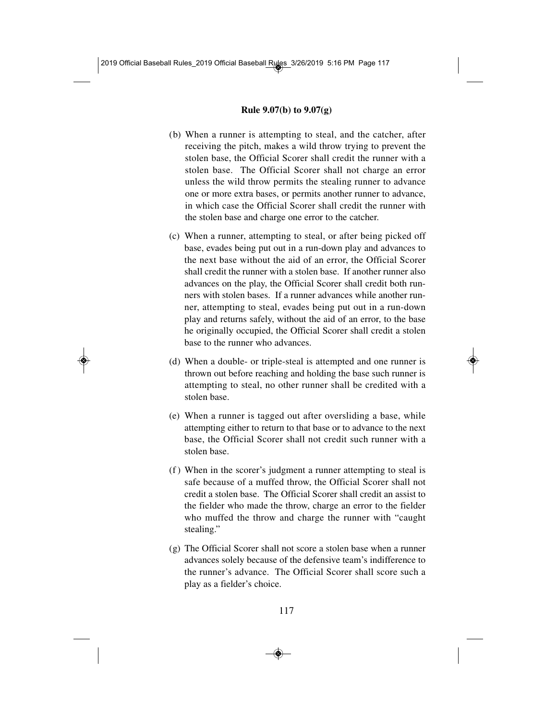- (b) When a runner is attempting to steal, and the catcher, after receiving the pitch, makes a wild throw trying to prevent the stolen base, the Official Scorer shall credit the runner with a stolen base. The Official Scorer shall not charge an error unless the wild throw permits the stealing runner to advance one or more extra bases, or permits another runner to advance, in which case the Official Scorer shall credit the runner with the stolen base and charge one error to the catcher.
- (c) When a runner, attempting to steal, or after being picked off base, evades being put out in a run-down play and advances to the next base without the aid of an error, the Official Scorer shall credit the runner with a stolen base. If another runner also advances on the play, the Official Scorer shall credit both runners with stolen bases. If a runner advances while another runner, attempting to steal, evades being put out in a run-down play and returns safely, without the aid of an error, to the base he originally occupied, the Official Scorer shall credit a stolen base to the runner who advances.
- (d) When a double- or triple-steal is attempted and one runner is thrown out before reaching and holding the base such runner is attempting to steal, no other runner shall be credited with a stolen base.
- (e) When a runner is tagged out after oversliding a base, while attempting either to return to that base or to advance to the next base, the Official Scorer shall not credit such runner with a stolen base.
- (f ) When in the scorer's judgment a runner attempting to steal is safe because of a muffed throw, the Official Scorer shall not credit a stolen base. The Official Scorer shall credit an assist to the fielder who made the throw, charge an error to the fielder who muffed the throw and charge the runner with "caught stealing."
- (g) The Official Scorer shall not score a stolen base when a runner advances solely because of the defensive team's indifference to the runner's advance. The Official Scorer shall score such a play as a fielder's choice.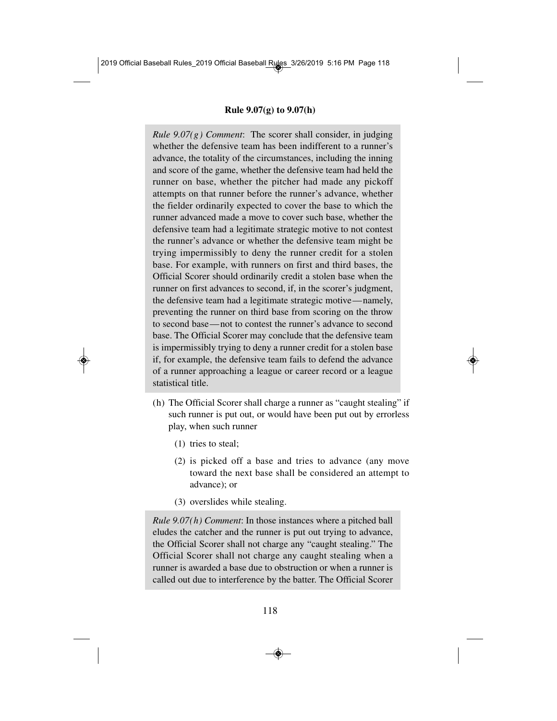*Rule 9.07(g) Comment*: The scorer shall consider, in judging whether the defensive team has been indifferent to a runner's advance, the totality of the circumstances, including the inning and score of the game, whether the defensive team had held the runner on base, whether the pitcher had made any pickoff attempts on that runner before the runner's advance, whether the fielder ordinarily expected to cover the base to which the runner advanced made a move to cover such base, whether the defensive team had a legitimate strategic motive to not contest the runner's advance or whether the defensive team might be trying impermissibly to deny the runner credit for a stolen base. For example, with runners on first and third bases, the Official Scorer should ordinarily credit a stolen base when the runner on first advances to second, if, in the scorer's judgment, the defensive team had a legitimate strategic motive—namely, preventing the runner on third base from scoring on the throw to second base—not to contest the runner's advance to second base. The Official Scorer may conclude that the defensive team is impermissibly trying to deny a runner credit for a stolen base if, for example, the defensive team fails to defend the advance of a runner approaching a league or career record or a league statistical title.

- (h) The Official Scorer shall charge a runner as "caught stealing" if such runner is put out, or would have been put out by errorless play, when such runner
	- (1) tries to steal;
	- (2) is picked off a base and tries to advance (any move toward the next base shall be considered an attempt to advance); or
	- (3) overslides while stealing.

*Rule 9.07(h) Comment*: In those instances where a pitched ball eludes the catcher and the runner is put out trying to advance, the Official Scorer shall not charge any "caught stealing." The Official Scorer shall not charge any caught stealing when a runner is awarded a base due to obstruction or when a runner is called out due to interference by the batter. The Official Scorer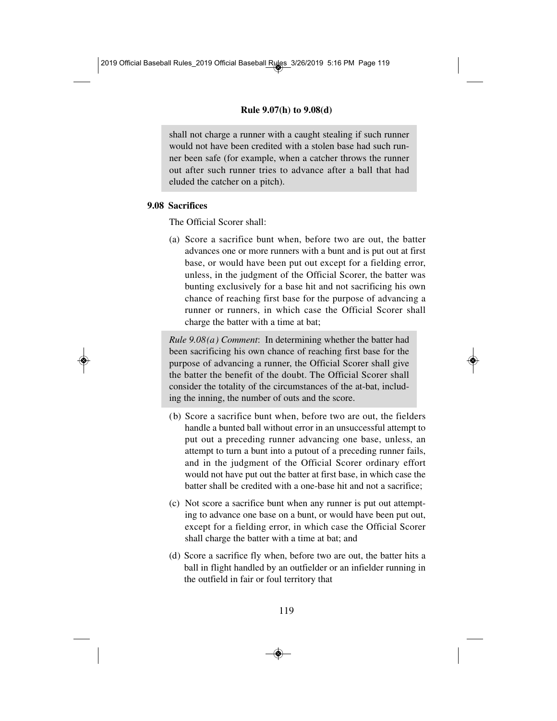shall not charge a runner with a caught stealing if such runner would not have been credited with a stolen base had such runner been safe (for example, when a catcher throws the runner out after such runner tries to advance after a ball that had eluded the catcher on a pitch).

#### **9.08 Sacrifices**

The Official Scorer shall:

(a) Score a sacrifice bunt when, before two are out, the batter advances one or more runners with a bunt and is put out at first base, or would have been put out except for a fielding error, unless, in the judgment of the Official Scorer, the batter was bunting exclusively for a base hit and not sacrificing his own chance of reaching first base for the purpose of advancing a runner or runners, in which case the Official Scorer shall charge the batter with a time at bat;

*Rule 9.08(a) Comment*: In determining whether the batter had been sacrificing his own chance of reaching first base for the purpose of advancing a runner, the Official Scorer shall give the batter the benefit of the doubt. The Official Scorer shall consider the totality of the circumstances of the at-bat, including the inning, the number of outs and the score.

- (b) Score a sacrifice bunt when, before two are out, the fielders handle a bunted ball without error in an unsuccessful attempt to put out a preceding runner advancing one base, unless, an attempt to turn a bunt into a putout of a preceding runner fails, and in the judgment of the Official Scorer ordinary effort would not have put out the batter at first base, in which case the batter shall be credited with a one-base hit and not a sacrifice;
- (c) Not score a sacrifice bunt when any runner is put out attempting to advance one base on a bunt, or would have been put out, except for a fielding error, in which case the Official Scorer shall charge the batter with a time at bat; and
- (d) Score a sacrifice fly when, before two are out, the batter hits a ball in flight handled by an outfielder or an infielder running in the outfield in fair or foul territory that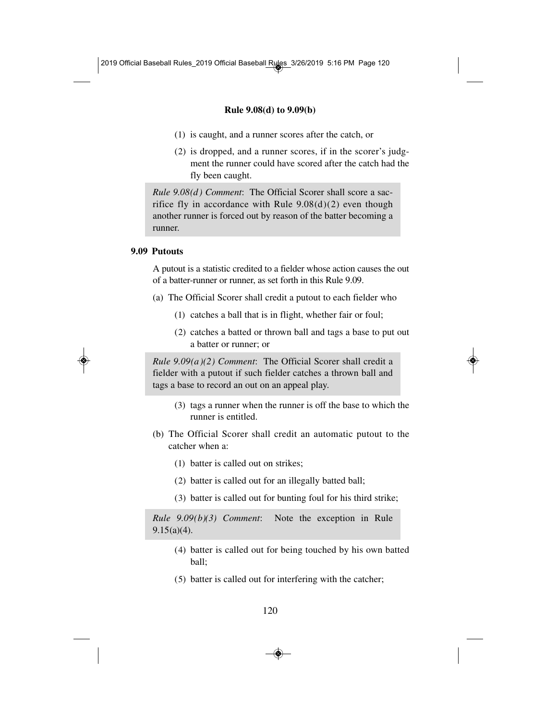- (1) is caught, and a runner scores after the catch, or
- (2) is dropped, and a runner scores, if in the scorer's judgment the runner could have scored after the catch had the fly been caught.

*Rule 9.08(d) Comment*: The Official Scorer shall score a sacrifice fly in accordance with Rule  $9.08(d)(2)$  even though another runner is forced out by reason of the batter becoming a runner.

#### **9.09 Putouts**

A putout is a statistic credited to a fielder whose action causes the out of a batter-runner or runner, as set forth in this Rule 9.09.

- (a) The Official Scorer shall credit a putout to each fielder who
	- (1) catches a ball that is in flight, whether fair or foul;
	- (2) catches a batted or thrown ball and tags a base to put out a batter or runner; or

*Rule 9.09(a)(2) Comment*: The Official Scorer shall credit a fielder with a putout if such fielder catches a thrown ball and tags a base to record an out on an appeal play.

- (3) tags a runner when the runner is off the base to which the runner is entitled.
- (b) The Official Scorer shall credit an automatic putout to the catcher when a:
	- (1) batter is called out on strikes;
	- (2) batter is called out for an illegally batted ball;
	- (3) batter is called out for bunting foul for his third strike;

*Rule 9.09(b)(3) Comment*: Note the exception in Rule  $9.15(a)(4)$ .

- (4) batter is called out for being touched by his own batted ball;
- (5) batter is called out for interfering with the catcher;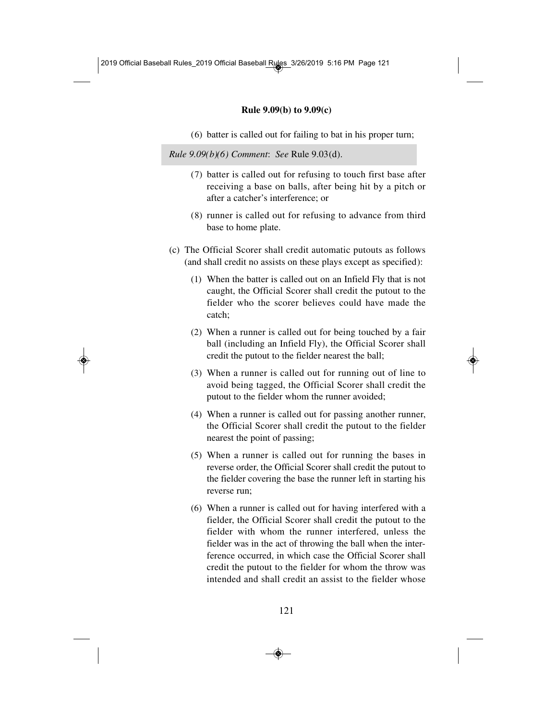#### **Rule 9.09(b) to 9.09(c)**

(6) batter is called out for failing to bat in his proper turn;

*Rule 9.09(b)(6) Comment*: *See* Rule 9.03(d).

- (7) batter is called out for refusing to touch first base after receiving a base on balls, after being hit by a pitch or after a catcher's interference; or
- (8) runner is called out for refusing to advance from third base to home plate.
- (c) The Official Scorer shall credit automatic putouts as follows (and shall credit no assists on these plays except as specified):
	- (1) When the batter is called out on an Infield Fly that is not caught, the Official Scorer shall credit the putout to the fielder who the scorer believes could have made the catch;
	- (2) When a runner is called out for being touched by a fair ball (including an Infield Fly), the Official Scorer shall credit the putout to the fielder nearest the ball;
	- (3) When a runner is called out for running out of line to avoid being tagged, the Official Scorer shall credit the putout to the fielder whom the runner avoided;
	- (4) When a runner is called out for passing another runner, the Official Scorer shall credit the putout to the fielder nearest the point of passing;
	- (5) When a runner is called out for running the bases in reverse order, the Official Scorer shall credit the putout to the fielder covering the base the runner left in starting his reverse run;
	- (6) When a runner is called out for having interfered with a fielder, the Official Scorer shall credit the putout to the fielder with whom the runner interfered, unless the fielder was in the act of throwing the ball when the interference occurred, in which case the Official Scorer shall credit the putout to the fielder for whom the throw was intended and shall credit an assist to the fielder whose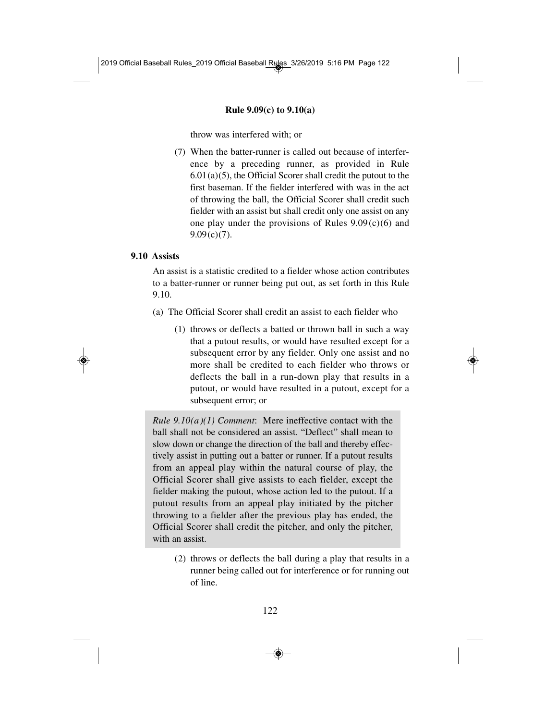throw was interfered with; or

(7) When the batter-runner is called out because of interference by a preceding runner, as provided in Rule  $6.01(a)(5)$ , the Official Scorer shall credit the putout to the first baseman. If the fielder interfered with was in the act of throwing the ball, the Official Scorer shall credit such fielder with an assist but shall credit only one assist on any one play under the provisions of Rules  $9.09(c)(6)$  and  $9.09(c)(7)$ .

# **9.10 Assists**

An assist is a statistic credited to a fielder whose action contributes to a batter-runner or runner being put out, as set forth in this Rule 9.10.

- (a) The Official Scorer shall credit an assist to each fielder who
	- (1) throws or deflects a batted or thrown ball in such a way that a putout results, or would have resulted except for a subsequent error by any fielder. Only one assist and no more shall be credited to each fielder who throws or deflects the ball in a run-down play that results in a putout, or would have resulted in a putout, except for a subsequent error; or

*Rule 9.10(a)(1) Comment*: Mere ineffective contact with the ball shall not be considered an assist. "Deflect" shall mean to slow down or change the direction of the ball and thereby effectively assist in putting out a batter or runner. If a putout results from an appeal play within the natural course of play, the Official Scorer shall give assists to each fielder, except the fielder making the putout, whose action led to the putout. If a putout results from an appeal play initiated by the pitcher throwing to a fielder after the previous play has ended, the Official Scorer shall credit the pitcher, and only the pitcher, with an assist.

(2) throws or deflects the ball during a play that results in a runner being called out for interference or for running out of line.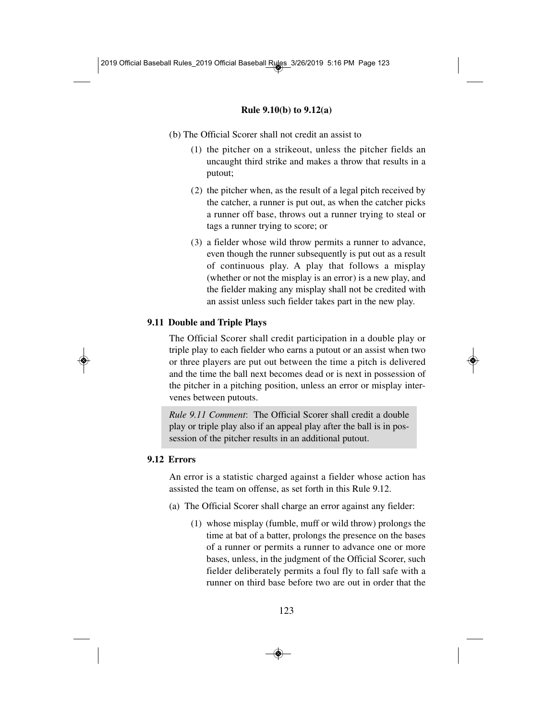- (b) The Official Scorer shall not credit an assist to
	- (1) the pitcher on a strikeout, unless the pitcher fields an uncaught third strike and makes a throw that results in a putout;
	- (2) the pitcher when, as the result of a legal pitch received by the catcher, a runner is put out, as when the catcher picks a runner off base, throws out a runner trying to steal or tags a runner trying to score; or
	- (3) a fielder whose wild throw permits a runner to advance, even though the runner subsequently is put out as a result of continuous play. A play that follows a misplay (whether or not the misplay is an error) is a new play, and the fielder making any misplay shall not be credited with an assist unless such fielder takes part in the new play.

# **9.11 Double and Triple Plays**

The Official Scorer shall credit participation in a double play or triple play to each fielder who earns a putout or an assist when two or three players are put out between the time a pitch is delivered and the time the ball next becomes dead or is next in possession of the pitcher in a pitching position, unless an error or misplay intervenes between putouts.

*Rule 9.11 Comment*: The Official Scorer shall credit a double play or triple play also if an appeal play after the ball is in possession of the pitcher results in an additional putout.

## **9.12 Errors**

An error is a statistic charged against a fielder whose action has assisted the team on offense, as set forth in this Rule 9.12.

- (a) The Official Scorer shall charge an error against any fielder:
	- (1) whose misplay (fumble, muff or wild throw) prolongs the time at bat of a batter, prolongs the presence on the bases of a runner or permits a runner to advance one or more bases, unless, in the judgment of the Official Scorer, such fielder deliberately permits a foul fly to fall safe with a runner on third base before two are out in order that the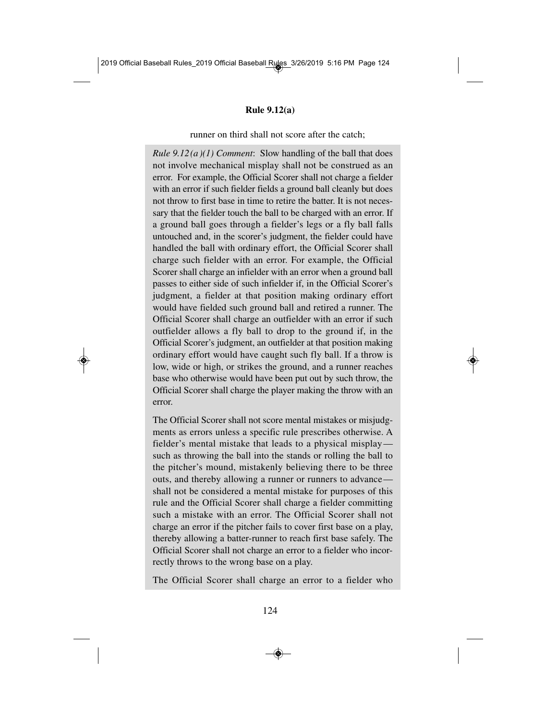## **Rule 9.12(a)**

runner on third shall not score after the catch;

*Rule 9.12(a )(1) Comment*: Slow handling of the ball that does not involve mechanical misplay shall not be construed as an error. For example, the Official Scorer shall not charge a fielder with an error if such fielder fields a ground ball cleanly but does not throw to first base in time to retire the batter. It is not necessary that the fielder touch the ball to be charged with an error. If a ground ball goes through a fielder's legs or a fly ball falls untouched and, in the scorer's judgment, the fielder could have handled the ball with ordinary effort, the Official Scorer shall charge such fielder with an error. For example, the Official Scorer shall charge an infielder with an error when a ground ball passes to either side of such infielder if, in the Official Scorer's judgment, a fielder at that position making ordinary effort would have fielded such ground ball and retired a runner. The Official Scorer shall charge an outfielder with an error if such outfielder allows a fly ball to drop to the ground if, in the Official Scorer's judgment, an outfielder at that position making ordinary effort would have caught such fly ball. If a throw is low, wide or high, or strikes the ground, and a runner reaches base who otherwise would have been put out by such throw, the Official Scorer shall charge the player making the throw with an error.

The Official Scorer shall not score mental mistakes or misjudgments as errors unless a specific rule prescribes otherwise. A fielder's mental mistake that leads to a physical misplay such as throwing the ball into the stands or rolling the ball to the pitcher's mound, mistakenly believing there to be three outs, and thereby allowing a runner or runners to advance shall not be considered a mental mistake for purposes of this rule and the Official Scorer shall charge a fielder committing such a mistake with an error. The Official Scorer shall not charge an error if the pitcher fails to cover first base on a play, thereby allowing a batter-runner to reach first base safely. The Official Scorer shall not charge an error to a fielder who incorrectly throws to the wrong base on a play.

The Official Scorer shall charge an error to a fielder who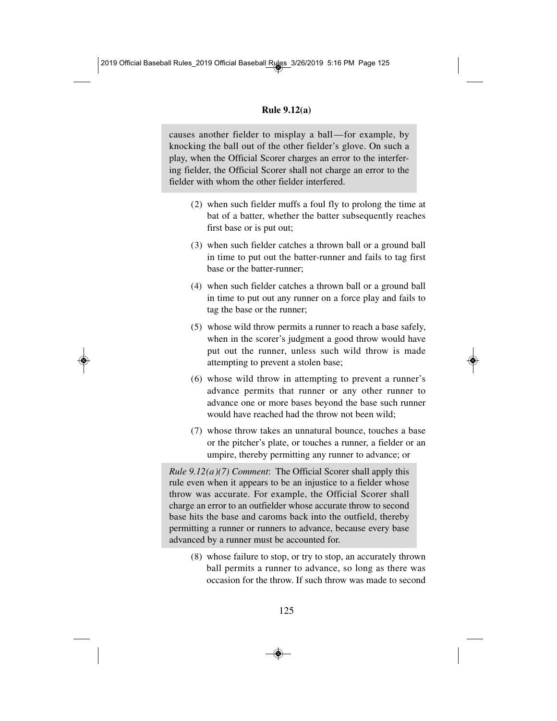causes another fielder to misplay a ball—for example, by knocking the ball out of the other fielder's glove. On such a play, when the Official Scorer charges an error to the interfering fielder, the Official Scorer shall not charge an error to the fielder with whom the other fielder interfered.

- (2) when such fielder muffs a foul fly to prolong the time at bat of a batter, whether the batter subsequently reaches first base or is put out;
- (3) when such fielder catches a thrown ball or a ground ball in time to put out the batter-runner and fails to tag first base or the batter-runner;
- (4) when such fielder catches a thrown ball or a ground ball in time to put out any runner on a force play and fails to tag the base or the runner;
- (5) whose wild throw permits a runner to reach a base safely, when in the scorer's judgment a good throw would have put out the runner, unless such wild throw is made attempting to prevent a stolen base;
- (6) whose wild throw in attempting to prevent a runner's advance permits that runner or any other runner to advance one or more bases beyond the base such runner would have reached had the throw not been wild;
- (7) whose throw takes an unnatural bounce, touches a base or the pitcher's plate, or touches a runner, a fielder or an umpire, thereby permitting any runner to advance; or

*Rule 9.12(a)(7) Comment*: The Official Scorer shall apply this rule even when it appears to be an injustice to a fielder whose throw was accurate. For example, the Official Scorer shall charge an error to an outfielder whose accurate throw to second base hits the base and caroms back into the outfield, thereby permitting a runner or runners to advance, because every base advanced by a runner must be accounted for.

(8) whose failure to stop, or try to stop, an accurately thrown ball permits a runner to advance, so long as there was occasion for the throw. If such throw was made to second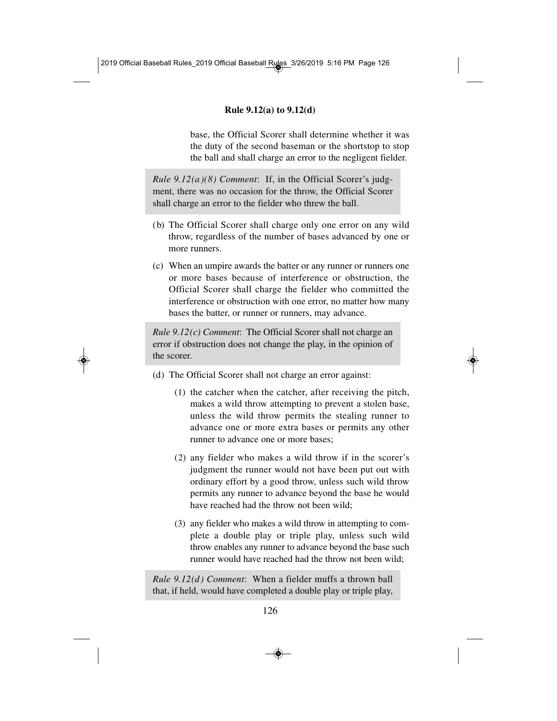# **Rule 9.12(a) to 9.12(d)**

base, the Official Scorer shall determine whether it was the duty of the second baseman or the shortstop to stop the ball and shall charge an error to the negligent fielder.

*Rule 9.12(a)(8) Comment*: If, in the Official Scorer's judgment, there was no occasion for the throw, the Official Scorer shall charge an error to the fielder who threw the ball.

- (b) The Official Scorer shall charge only one error on any wild throw, regardless of the number of bases advanced by one or more runners.
- (c) When an umpire awards the batter or any runner or runners one or more bases because of interference or obstruction, the Official Scorer shall charge the fielder who committed the interference or obstruction with one error, no matter how many bases the batter, or runner or runners, may advance.

*Rule 9.12(c) Comment*: The Official Scorer shall not charge an error if obstruction does not change the play, in the opinion of the scorer.

- (d) The Official Scorer shall not charge an error against:
	- (1) the catcher when the catcher, after receiving the pitch, makes a wild throw attempting to prevent a stolen base, unless the wild throw permits the stealing runner to advance one or more extra bases or permits any other runner to advance one or more bases;
	- (2) any fielder who makes a wild throw if in the scorer's judgment the runner would not have been put out with ordinary effort by a good throw, unless such wild throw permits any runner to advance beyond the base he would have reached had the throw not been wild;
	- (3) any fielder who makes a wild throw in attempting to complete a double play or triple play, unless such wild throw enables any runner to advance beyond the base such runner would have reached had the throw not been wild;

*Rule 9.12(d) Comment*: When a fielder muffs a thrown ball that, if held, would have completed a double play or triple play,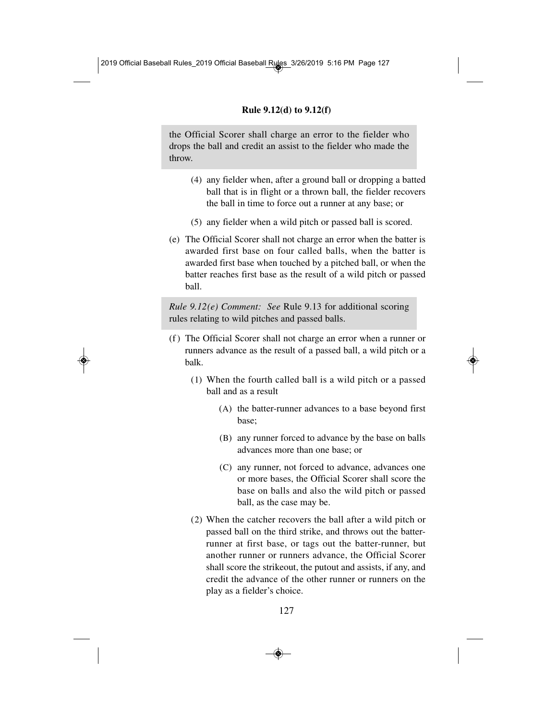the Official Scorer shall charge an error to the fielder who drops the ball and credit an assist to the fielder who made the throw.

- (4) any fielder when, after a ground ball or dropping a batted ball that is in flight or a thrown ball, the fielder recovers the ball in time to force out a runner at any base; or
- (5) any fielder when a wild pitch or passed ball is scored.
- (e) The Official Scorer shall not charge an error when the batter is awarded first base on four called balls, when the batter is awarded first base when touched by a pitched ball, or when the batter reaches first base as the result of a wild pitch or passed ball.

*Rule 9.12(e) Comment: See* Rule 9.13 for additional scoring rules relating to wild pitches and passed balls.

- (f ) The Official Scorer shall not charge an error when a runner or runners advance as the result of a passed ball, a wild pitch or a balk.
	- (1) When the fourth called ball is a wild pitch or a passed ball and as a result
		- (A) the batter-runner advances to a base beyond first base;
		- (B) any runner forced to advance by the base on balls advances more than one base; or
		- (C) any runner, not forced to advance, advances one or more bases, the Official Scorer shall score the base on balls and also the wild pitch or passed ball, as the case may be.
	- (2) When the catcher recovers the ball after a wild pitch or passed ball on the third strike, and throws out the batterrunner at first base, or tags out the batter-runner, but another runner or runners advance, the Official Scorer shall score the strikeout, the putout and assists, if any, and credit the advance of the other runner or runners on the play as a fielder's choice.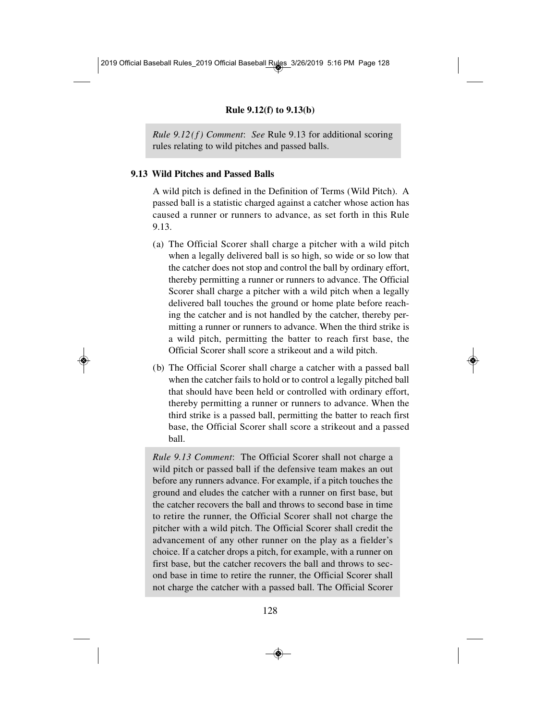*Rule 9.12(f) Comment: See* Rule 9.13 for additional scoring rules relating to wild pitches and passed balls.

# **9.13 Wild Pitches and Passed Balls**

A wild pitch is defined in the Definition of Terms (Wild Pitch). A passed ball is a statistic charged against a catcher whose action has caused a runner or runners to advance, as set forth in this Rule 9.13.

- (a) The Official Scorer shall charge a pitcher with a wild pitch when a legally delivered ball is so high, so wide or so low that the catcher does not stop and control the ball by ordinary effort, thereby permitting a runner or runners to advance. The Official Scorer shall charge a pitcher with a wild pitch when a legally delivered ball touches the ground or home plate before reaching the catcher and is not handled by the catcher, thereby permitting a runner or runners to advance. When the third strike is a wild pitch, permitting the batter to reach first base, the Official Scorer shall score a strikeout and a wild pitch.
- (b) The Official Scorer shall charge a catcher with a passed ball when the catcher fails to hold or to control a legally pitched ball that should have been held or controlled with ordinary effort, thereby permitting a runner or runners to advance. When the third strike is a passed ball, permitting the batter to reach first base, the Official Scorer shall score a strikeout and a passed ball.

*Rule 9.13 Comment*: The Official Scorer shall not charge a wild pitch or passed ball if the defensive team makes an out before any runners advance. For example, if a pitch touches the ground and eludes the catcher with a runner on first base, but the catcher recovers the ball and throws to second base in time to retire the runner, the Official Scorer shall not charge the pitcher with a wild pitch. The Official Scorer shall credit the advancement of any other runner on the play as a fielder's choice. If a catcher drops a pitch, for example, with a runner on first base, but the catcher recovers the ball and throws to second base in time to retire the runner, the Official Scorer shall not charge the catcher with a passed ball. The Official Scorer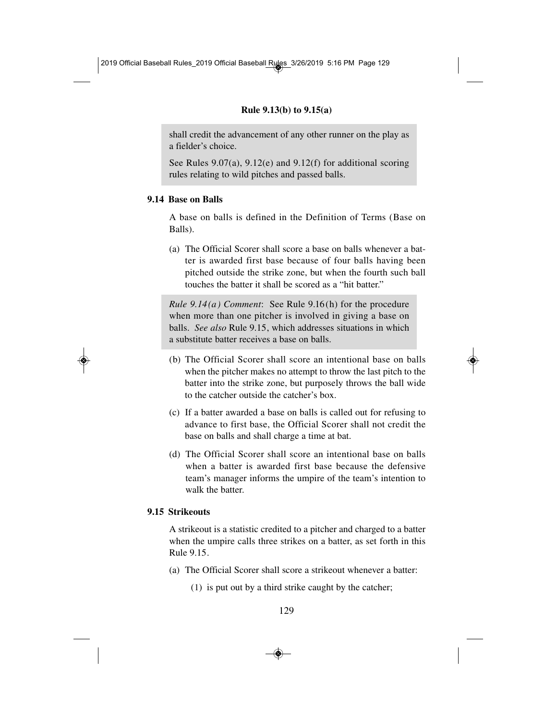shall credit the advancement of any other runner on the play as a fielder's choice.

See Rules 9.07(a), 9.12(e) and 9.12(f) for additional scoring rules relating to wild pitches and passed balls.

# **9.14 Base on Balls**

A base on balls is defined in the Definition of Terms (Base on Balls).

(a) The Official Scorer shall score a base on balls whenever a batter is awarded first base because of four balls having been pitched outside the strike zone, but when the fourth such ball touches the batter it shall be scored as a "hit batter."

*Rule 9.14(a) Comment*: See Rule 9.16(h) for the procedure when more than one pitcher is involved in giving a base on balls. *See also* Rule 9.15, which addresses situations in which a substitute batter receives a base on balls.

- (b) The Official Scorer shall score an intentional base on balls when the pitcher makes no attempt to throw the last pitch to the batter into the strike zone, but purposely throws the ball wide to the catcher outside the catcher's box.
- (c) If a batter awarded a base on balls is called out for refusing to advance to first base, the Official Scorer shall not credit the base on balls and shall charge a time at bat.
- (d) The Official Scorer shall score an intentional base on balls when a batter is awarded first base because the defensive team's manager informs the umpire of the team's intention to walk the batter.

# **9.15 Strikeouts**

A strikeout is a statistic credited to a pitcher and charged to a batter when the umpire calls three strikes on a batter, as set forth in this  $Rule 9.15.$ 

- (a) The Official Scorer shall score a strikeout whenever a batter:
	- (1) is put out by a third strike caught by the catcher;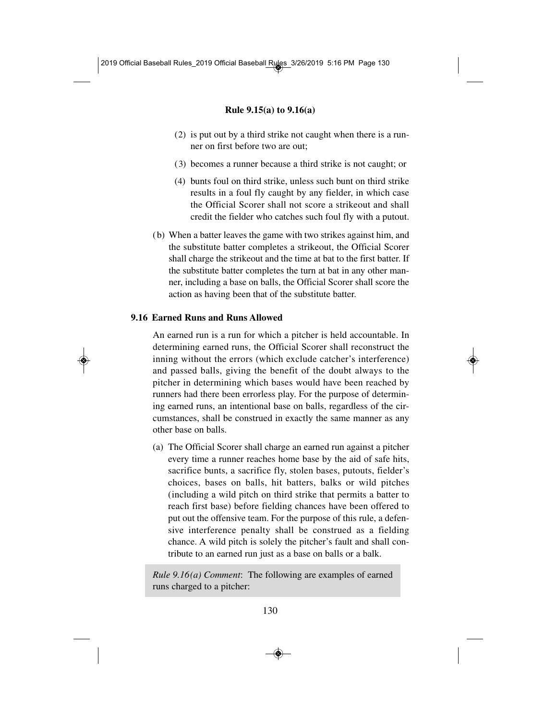- (2) is put out by a third strike not caught when there is a runner on first before two are out;
- (3) becomes a runner because a third strike is not caught; or
- (4) bunts foul on third strike, unless such bunt on third strike results in a foul fly caught by any fielder, in which case the Official Scorer shall not score a strikeout and shall credit the fielder who catches such foul fly with a putout.
- (b) When a batter leaves the game with two strikes against him, and the substitute batter completes a strikeout, the Official Scorer shall charge the strikeout and the time at bat to the first batter. If the substitute batter completes the turn at bat in any other manner, including a base on balls, the Official Scorer shall score the action as having been that of the substitute batter.

# **9.16 Earned Runs and Runs Allowed**

An earned run is a run for which a pitcher is held accountable. In determining earned runs, the Official Scorer shall reconstruct the inning without the errors (which exclude catcher's interference) and passed balls, giving the benefit of the doubt always to the pitcher in determining which bases would have been reached by runners had there been errorless play. For the purpose of determining earned runs, an intentional base on balls, regardless of the circumstances, shall be construed in exactly the same manner as any other base on balls.

(a) The Official Scorer shall charge an earned run against a pitcher every time a runner reaches home base by the aid of safe hits, sacrifice bunts, a sacrifice fly, stolen bases, putouts, fielder's choices, bases on balls, hit batters, balks or wild pitches (including a wild pitch on third strike that permits a batter to reach first base) before fielding chances have been offered to put out the offensive team. For the purpose of this rule, a defensive interference penalty shall be construed as a fielding chance. A wild pitch is solely the pitcher's fault and shall contribute to an earned run just as a base on balls or a balk.

*Rule 9.16(a) Comment*: The following are examples of earned runs charged to a pitcher: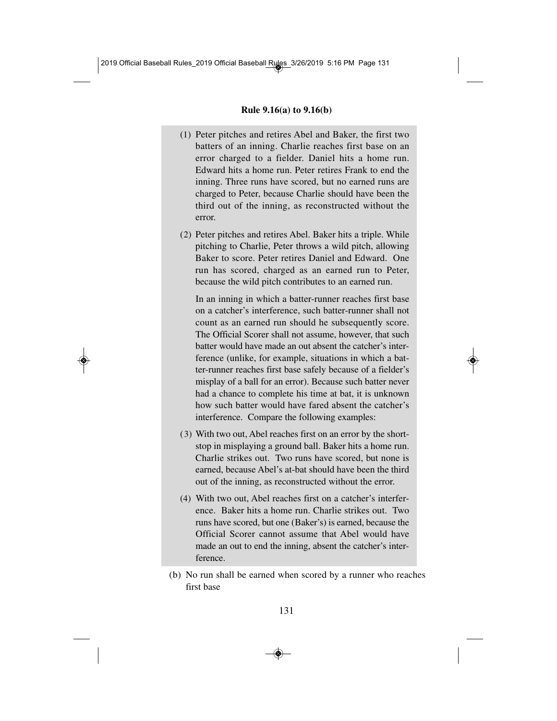- (1) Peter pitches and retires Abel and Baker, the first two batters of an inning. Charlie reaches first base on an error charged to a fielder. Daniel hits a home run. Edward hits a home run. Peter retires Frank to end the inning. Three runs have scored, but no earned runs are charged to Peter, because Charlie should have been the third out of the inning, as reconstructed without the error.
- (2) Peter pitches and retires Abel. Baker hits a triple. While pitching to Charlie, Peter throws a wild pitch, allowing Baker to score. Peter retires Daniel and Edward. One run has scored, charged as an earned run to Peter, because the wild pitch contributes to an earned run.

In an inning in which a batter-runner reaches first base on a catcher's interference, such batter-runner shall not count as an earned run should he subsequently score. The Official Scorer shall not assume, however, that such batter would have made an out absent the catcher's interference (unlike, for example, situations in which a batter-runner reaches first base safely because of a fielder's misplay of a ball for an error). Because such batter never had a chance to complete his time at bat, it is unknown how such batter would have fared absent the catcher's interference. Compare the following examples:

- (3) With two out, Abel reaches first on an error by the shortstop in misplaying a ground ball. Baker hits a home run. Charlie strikes out. Two runs have scored, but none is earned, because Abel's at-bat should have been the third out of the inning, as reconstructed without the error.
- (4) With two out, Abel reaches first on a catcher's interference. Baker hits a home run. Charlie strikes out. Two runs have scored, but one (Baker's) is earned, because the Official Scorer cannot assume that Abel would have made an out to end the inning, absent the catcher's interference.
- (b) No run shall be earned when scored by a runner who reaches first base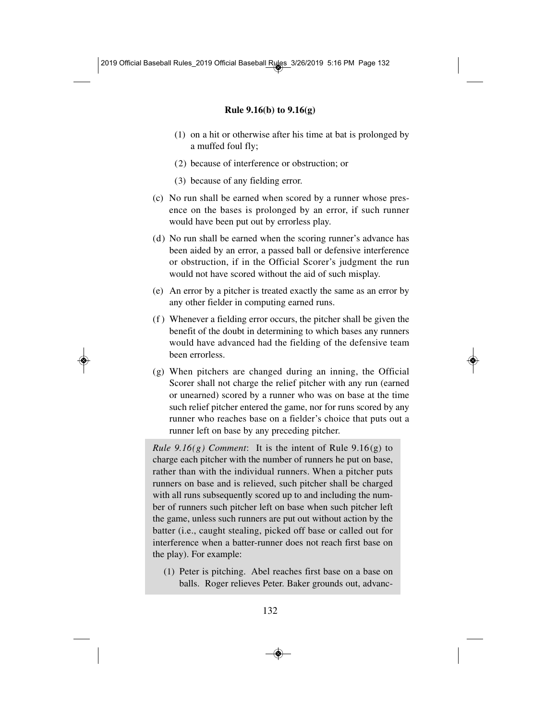- (1) on a hit or otherwise after his time at bat is prolonged by a muffed foul fly;
- (2) because of interference or obstruction; or
- (3) because of any fielding error.
- (c) No run shall be earned when scored by a runner whose presence on the bases is prolonged by an error, if such runner would have been put out by errorless play.
- (d) No run shall be earned when the scoring runner's advance has been aided by an error, a passed ball or defensive interference or obstruction, if in the Official Scorer's judgment the run would not have scored without the aid of such misplay.
- (e) An error by a pitcher is treated exactly the same as an error by any other fielder in computing earned runs.
- (f ) Whenever a fielding error occurs, the pitcher shall be given the benefit of the doubt in determining to which bases any runners would have advanced had the fielding of the defensive team been errorless.
- (g) When pitchers are changed during an inning, the Official Scorer shall not charge the relief pitcher with any run (earned or unearned) scored by a runner who was on base at the time such relief pitcher entered the game, nor for runs scored by any runner who reaches base on a fielder's choice that puts out a runner left on base by any preceding pitcher.

*Rule 9.16(g) Comment*: It is the intent of Rule 9.16(g) to charge each pitcher with the number of runners he put on base, rather than with the individual runners. When a pitcher puts runners on base and is relieved, such pitcher shall be charged with all runs subsequently scored up to and including the number of runners such pitcher left on base when such pitcher left the game, unless such runners are put out without action by the batter (i.e., caught stealing, picked off base or called out for interference when a batter-runner does not reach first base on the play). For example:

(1) Peter is pitching. Abel reaches first base on a base on balls. Roger relieves Peter. Baker grounds out, advanc-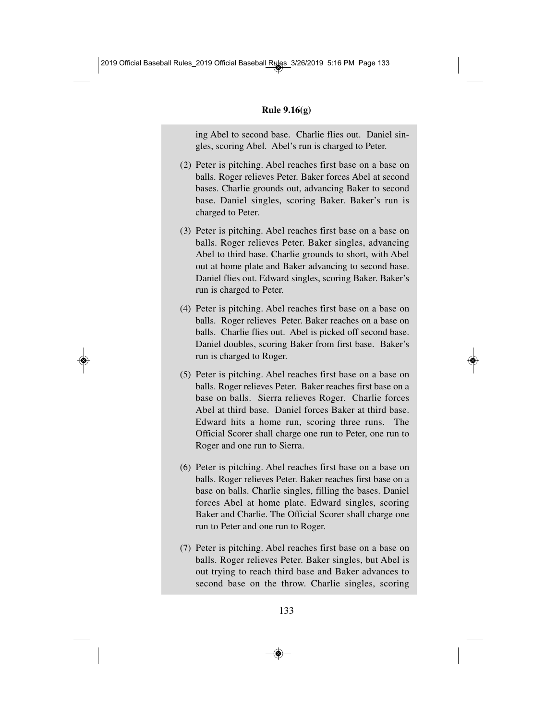ing Abel to second base. Charlie flies out. Daniel singles, scoring Abel. Abel's run is charged to Peter.

- (2) Peter is pitching. Abel reaches first base on a base on balls. Roger relieves Peter. Baker forces Abel at second bases. Charlie grounds out, advancing Baker to second base. Daniel singles, scoring Baker. Baker's run is charged to Peter.
- (3) Peter is pitching. Abel reaches first base on a base on balls. Roger relieves Peter. Baker singles, advancing Abel to third base. Charlie grounds to short, with Abel out at home plate and Baker advancing to second base. Daniel flies out. Edward singles, scoring Baker. Baker's run is charged to Peter.
- (4) Peter is pitching. Abel reaches first base on a base on balls. Roger relieves Peter. Baker reaches on a base on balls. Charlie flies out. Abel is picked off second base. Daniel doubles, scoring Baker from first base. Baker's run is charged to Roger.
- (5) Peter is pitching. Abel reaches first base on a base on balls. Roger relieves Peter. Baker reaches first base on a base on balls. Sierra relieves Roger. Charlie forces Abel at third base. Daniel forces Baker at third base. Edward hits a home run, scoring three runs. The Official Scorer shall charge one run to Peter, one run to Roger and one run to Sierra.
- (6) Peter is pitching. Abel reaches first base on a base on balls. Roger relieves Peter. Baker reaches first base on a base on balls. Charlie singles, filling the bases. Daniel forces Abel at home plate. Edward singles, scoring Baker and Charlie. The Official Scorer shall charge one run to Peter and one run to Roger.
- (7) Peter is pitching. Abel reaches first base on a base on balls. Roger relieves Peter. Baker singles, but Abel is out trying to reach third base and Baker advances to second base on the throw. Charlie singles, scoring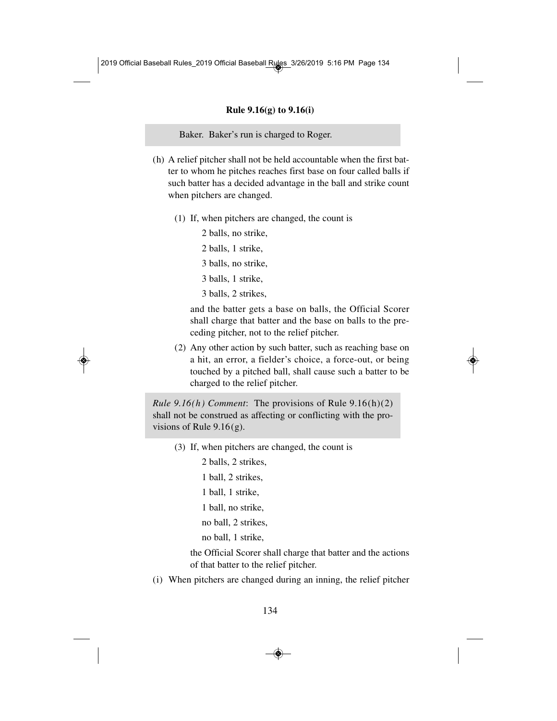Baker. Baker's run is charged to Roger.

- (h) A relief pitcher shall not be held accountable when the first batter to whom he pitches reaches first base on four called balls if such batter has a decided advantage in the ball and strike count when pitchers are changed.
	- (1) If, when pitchers are changed, the count is
		- 2 balls, no strike,
		- 2 balls, 1 strike,
		- 3 balls, no strike,
		- 3 balls, 1 strike,
		- 3 balls, 2 strikes,

and the batter gets a base on balls, the Official Scorer shall charge that batter and the base on balls to the preceding pitcher, not to the relief pitcher.

(2) Any other action by such batter, such as reaching base on a hit, an error, a fielder's choice, a force-out, or being touched by a pitched ball, shall cause such a batter to be charged to the relief pitcher.

*Rule 9.16(h) Comment*: The provisions of Rule 9.16(h)(2) shall not be construed as affecting or conflicting with the provisions of Rule  $9.16(g)$ .

(3) If, when pitchers are changed, the count is

2 balls, 2 strikes,

- 1 ball, 2 strikes,
- 1 ball, 1 strike,
- 1 ball, no strike,

no ball, 2 strikes,

no ball, 1 strike,

(1) the Official Scorer shall charge that batter and the actions of that batter to the relief pitcher.

(i) When pitchers are changed during an inning, the relief pitcher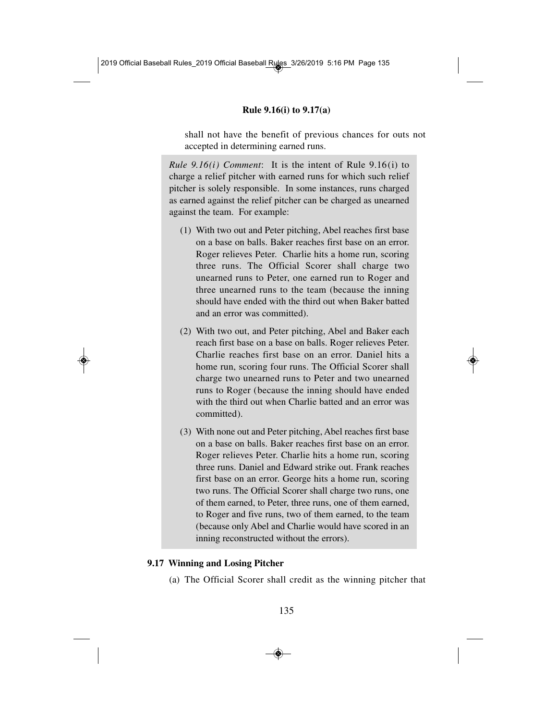shall not have the benefit of previous chances for outs not accepted in determining earned runs.

*Rule 9.16(i) Comment*: It is the intent of Rule 9.16(i) to charge a relief pitcher with earned runs for which such relief pitcher is solely responsible. In some instances, runs charged as earned against the relief pitcher can be charged as unearned against the team. For example:

- (1) With two out and Peter pitching, Abel reaches first base on a base on balls. Baker reaches first base on an error. Roger relieves Peter. Charlie hits a home run, scoring three runs. The Official Scorer shall charge two unearned runs to Peter, one earned run to Roger and three unearned runs to the team (because the inning should have ended with the third out when Baker batted and an error was committed).
- (2) With two out, and Peter pitching, Abel and Baker each reach first base on a base on balls. Roger relieves Peter. Charlie reaches first base on an error. Daniel hits a home run, scoring four runs. The Official Scorer shall charge two unearned runs to Peter and two unearned runs to Roger (because the inning should have ended with the third out when Charlie batted and an error was committed).
- (3) With none out and Peter pitching, Abel reaches first base on a base on balls. Baker reaches first base on an error. Roger relieves Peter. Charlie hits a home run, scoring three runs. Daniel and Edward strike out. Frank reaches first base on an error. George hits a home run, scoring two runs. The Official Scorer shall charge two runs, one of them earned, to Peter, three runs, one of them earned, to Roger and five runs, two of them earned, to the team (because only Abel and Charlie would have scored in an inning reconstructed without the errors).

## **9.17 Winning and Losing Pitcher**

(a) The Official Scorer shall credit as the winning pitcher that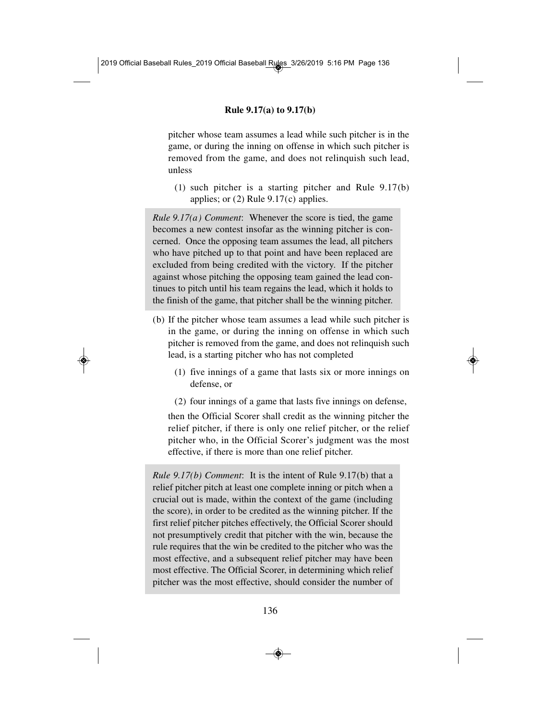pitcher whose team assumes a lead while such pitcher is in the game, or during the inning on offense in which such pitcher is removed from the game, and does not relinquish such lead, unless

(1) such pitcher is a starting pitcher and Rule 9.17(b) applies; or  $(2)$  Rule 9.17 $(c)$  applies.

*Rule 9.17(a) Comment*: Whenever the score is tied, the game becomes a new contest insofar as the winning pitcher is concerned. Once the opposing team assumes the lead, all pitchers who have pitched up to that point and have been replaced are excluded from being credited with the victory. If the pitcher against whose pitching the opposing team gained the lead continues to pitch until his team regains the lead, which it holds to the finish of the game, that pitcher shall be the winning pitcher.

- (b) If the pitcher whose team assumes a lead while such pitcher is in the game, or during the inning on offense in which such pitcher is removed from the game, and does not relinquish such lead, is a starting pitcher who has not completed
	- (1) five innings of a game that lasts six or more innings on defense, or
	- (2) four innings of a game that lasts five innings on defense,

then the Official Scorer shall credit as the winning pitcher the relief pitcher, if there is only one relief pitcher, or the relief pitcher who, in the Official Scorer's judgment was the most effective, if there is more than one relief pitcher.

*Rule 9.17(b) Comment*: It is the intent of Rule 9.17(b) that a relief pitcher pitch at least one complete inning or pitch when a crucial out is made, within the context of the game (including the score), in order to be credited as the winning pitcher. If the first relief pitcher pitches effectively, the Official Scorer should not presumptively credit that pitcher with the win, because the rule requires that the win be credited to the pitcher who was the most effective, and a subsequent relief pitcher may have been most effective. The Official Scorer, in determining which relief pitcher was the most effective, should consider the number of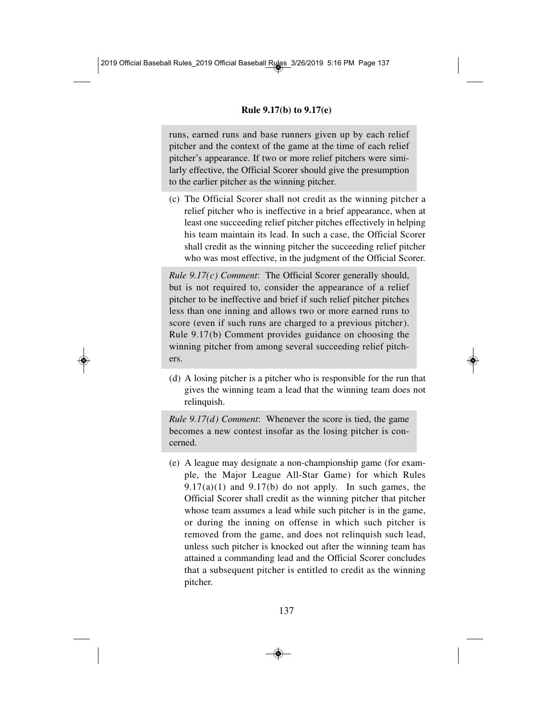runs, earned runs and base runners given up by each relief pitcher and the context of the game at the time of each relief pitcher's appearance. If two or more relief pitchers were similarly effective, the Official Scorer should give the presumption to the earlier pitcher as the winning pitcher.

(c) The Official Scorer shall not credit as the winning pitcher a relief pitcher who is ineffective in a brief appearance, when at least one succeeding relief pitcher pitches effectively in helping his team maintain its lead. In such a case, the Official Scorer shall credit as the winning pitcher the succeeding relief pitcher who was most effective, in the judgment of the Official Scorer.

*Rule 9.17(c) Comment*: The Official Scorer generally should, but is not required to, consider the appearance of a relief pitcher to be ineffective and brief if such relief pitcher pitches less than one inning and allows two or more earned runs to score (even if such runs are charged to a previous pitcher). Rule 9.17(b) Comment provides guidance on choosing the winning pitcher from among several succeeding relief pitchers.

(d) A losing pitcher is a pitcher who is responsible for the run that gives the winning team a lead that the winning team does not relinquish.

*Rule 9.17(d) Comment*: Whenever the score is tied, the game becomes a new contest insofar as the losing pitcher is concerned.

(e) A league may designate a non-championship game (for example, the Major League All-Star Game) for which Rules  $9.17(a)(1)$  and  $9.17(b)$  do not apply. In such games, the Official Scorer shall credit as the winning pitcher that pitcher whose team assumes a lead while such pitcher is in the game, or during the inning on offense in which such pitcher is removed from the game, and does not relinquish such lead, unless such pitcher is knocked out after the winning team has attained a commanding lead and the Official Scorer concludes that a subsequent pitcher is entitled to credit as the winning pitcher.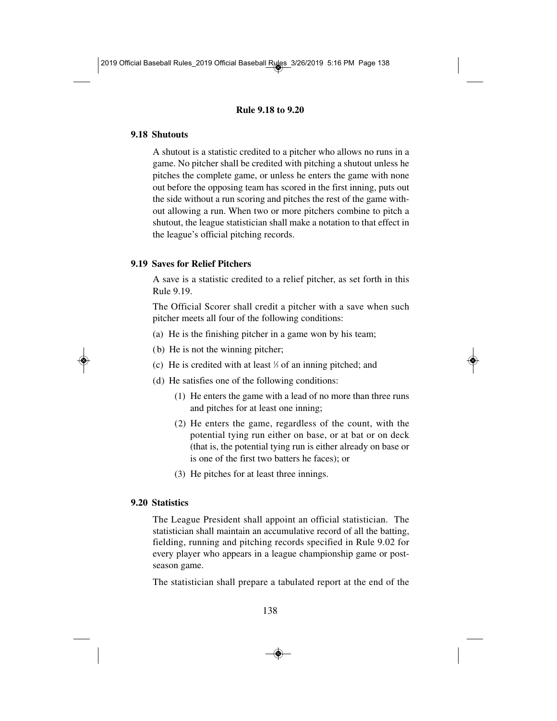#### **9.18 Shutouts**

A shutout is a statistic credited to a pitcher who allows no runs in a game. No pitcher shall be credited with pitching a shutout unless he pitches the complete game, or unless he enters the game with none out before the opposing team has scored in the first inning, puts out the side without a run scoring and pitches the rest of the game without allowing a run. When two or more pitchers combine to pitch a shutout, the league statistician shall make a notation to that effect in the league's official pitching records.

#### **9.19 Saves for Relief Pitchers**

A save is a statistic credited to a relief pitcher, as set forth in this Rule 9.19.

The Official Scorer shall credit a pitcher with a save when such pitcher meets all four of the following conditions:

- (a) He is the finishing pitcher in a game won by his team;
- (b) He is not the winning pitcher;
- (c) He is credited with at least  $\frac{1}{3}$  of an inning pitched; and
- (d) He satisfies one of the following conditions:
	- (1) He enters the game with a lead of no more than three runs and pitches for at least one inning;
	- (2) He enters the game, regardless of the count, with the potential tying run either on base, or at bat or on deck (that is, the potential tying run is either already on base or is one of the first two batters he faces); or
	- (3) He pitches for at least three innings.

## **9.20 Statistics**

The League President shall appoint an official statistician. The statistician shall maintain an accumulative record of all the batting, fielding, running and pitching records specified in Rule 9.02 for every player who appears in a league championship game or postseason game.

The statistician shall prepare a tabulated report at the end of the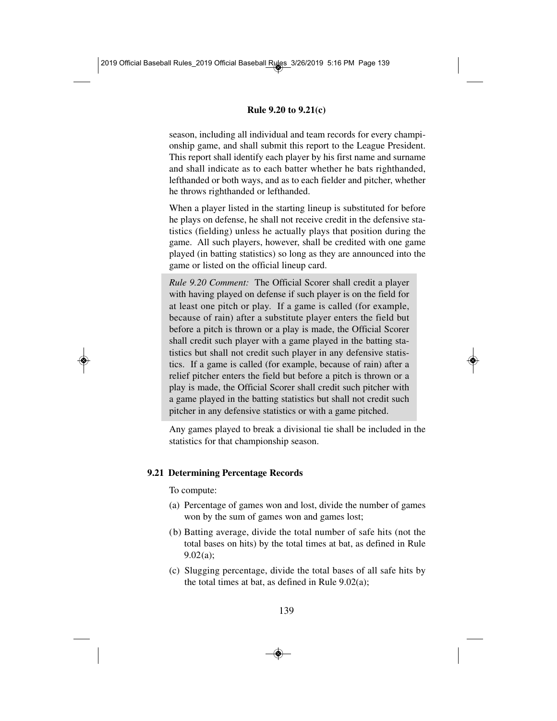season, including all individual and team records for every championship game, and shall submit this report to the League President. This report shall identify each player by his first name and surname and shall indicate as to each batter whether he bats righthanded, lefthanded or both ways, and as to each fielder and pitcher, whether he throws righthanded or lefthanded.

When a player listed in the starting lineup is substituted for before he plays on defense, he shall not receive credit in the defensive statistics (fielding) unless he actually plays that position during the game. All such players, however, shall be credited with one game played (in batting statistics) so long as they are announced into the game or listed on the official lineup card.

*Rule 9.20 Comment:* The Official Scorer shall credit a player with having played on defense if such player is on the field for at least one pitch or play. If a game is called (for example, because of rain) after a substitute player enters the field but before a pitch is thrown or a play is made, the Official Scorer shall credit such player with a game played in the batting statistics but shall not credit such player in any defensive statistics. If a game is called (for example, because of rain) after a relief pitcher enters the field but before a pitch is thrown or a play is made, the Official Scorer shall credit such pitcher with a game played in the batting statistics but shall not credit such pitcher in any defensive statistics or with a game pitched.

Any games played to break a divisional tie shall be included in the statistics for that championship season.

## **9.21 Determining Percentage Records**

To compute:

- (a) Percentage of games won and lost, divide the number of games won by the sum of games won and games lost;
- (b) Batting average, divide the total number of safe hits (not the total bases on hits) by the total times at bat, as defined in Rule 9.02(a);
- (c) Slugging percentage, divide the total bases of all safe hits by the total times at bat, as defined in Rule 9.02(a);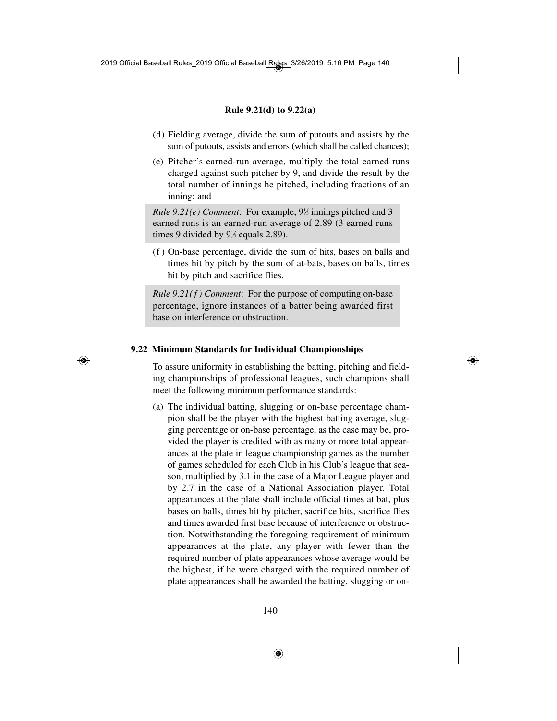- (d) Fielding average, divide the sum of putouts and assists by the sum of putouts, assists and errors (which shall be called chances);
- (e) Pitcher's earned-run average, multiply the total earned runs charged against such pitcher by 9, and divide the result by the total number of innings he pitched, including fractions of an inning; and

*Rule 9.21(e) Comment*: For example, 9<sup>1/3</sup> innings pitched and 3 earned runs is an earned-run average of 2.89 (3 earned runs times 9 divided by  $9\frac{1}{2}$  equals 2.89).

(f ) On-base percentage, divide the sum of hits, bases on balls and times hit by pitch by the sum of at-bats, bases on balls, times hit by pitch and sacrifice flies.

*Rule 9.21(f) Comment*: For the purpose of computing on-base percentage, ignore instances of a batter being awarded first base on interference or obstruction.

## **9.22 Minimum Standards for Individual Championships**

To assure uniformity in establishing the batting, pitching and fielding championships of professional leagues, such champions shall meet the following minimum performance standards:

(a) The individual batting, slugging or on-base percentage champion shall be the player with the highest batting average, slugging percentage or on-base percentage, as the case may be, provided the player is credited with as many or more total appearances at the plate in league championship games as the number of games scheduled for each Club in his Club's league that season, multiplied by 3.1 in the case of a Major League player and by 2.7 in the case of a National Association player. Total appearances at the plate shall include official times at bat, plus bases on balls, times hit by pitcher, sacrifice hits, sacrifice flies and times awarded first base because of interference or obstruction. Notwithstanding the foregoing requirement of minimum appearances at the plate, any player with fewer than the required number of plate appearances whose average would be the highest, if he were charged with the required number of plate appearances shall be awarded the batting, slugging or on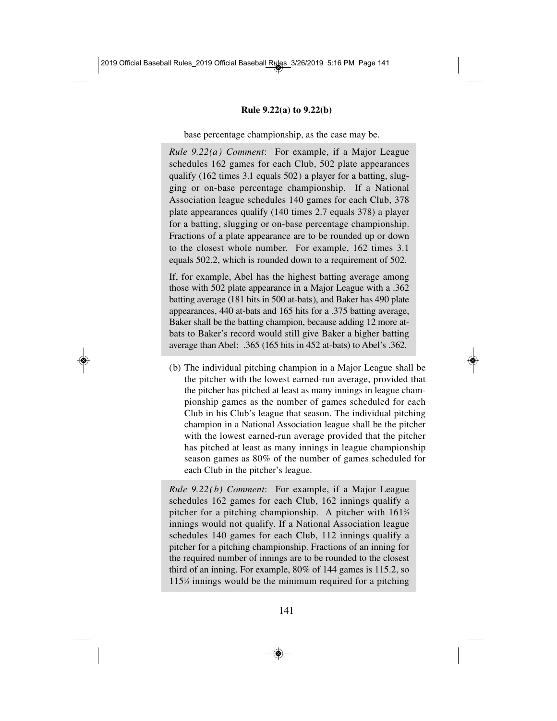base percentage championship, as the case may be.

*Rule 9.22(a) Comment*: For example, if a Major League schedules 162 games for each Club, 502 plate appearances qualify (162 times 3.1 equals 502) a player for a batting, slugging or on-base percentage championship. If a National Association league schedules 140 games for each Club, 378 plate appearances qualify (140 times 2.7 equals 378) a player for a batting, slugging or on-base percentage championship. Fractions of a plate appearance are to be rounded up or down to the closest whole number. For example, 162 times 3.1 equals 502.2, which is rounded down to a requirement of 502.

If, for example, Abel has the highest batting average among those with 502 plate appearance in a Major League with a .362 batting average (181 hits in 500 at-bats), and Baker has 490 plate appearances, 440 at-bats and 165 hits for a .375 batting average, Baker shall be the batting champion, because adding 12 more atbats to Baker's record would still give Baker a higher batting average than Abel: .365 (165 hits in 452 at-bats) to Abel's .362.

(b) The individual pitching champion in a Major League shall be the pitcher with the lowest earned-run average, provided that the pitcher has pitched at least as many innings in league championship games as the number of games scheduled for each Club in his Club's league that season. The individual pitching champion in a National Association league shall be the pitcher with the lowest earned-run average provided that the pitcher has pitched at least as many innings in league championship season games as 80% of the number of games scheduled for each Club in the pitcher's league.

*Rule 9.22(b) Comment*: For example, if a Major League schedules 162 games for each Club, 162 innings qualify a pitcher for a pitching championship. A pitcher with 161<sup>2</sup>/<sub>3</sub> innings would not qualify. If a National Association league schedules 140 games for each Club, 112 innings qualify a pitcher for a pitching championship. Fractions of an inning for the required number of innings are to be rounded to the closest third of an inning. For example, 80% of 144 games is 115.2, so 115% innings would be the minimum required for a pitching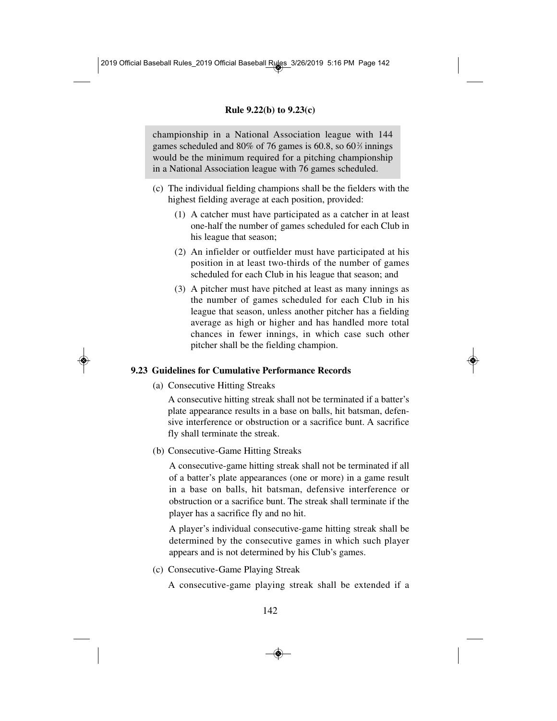championship in a National Association league with 144 games scheduled and 80% of 76 games is 60.8, so 60% innings would be the minimum required for a pitching championship in a National Association league with 76 games scheduled.

- (c) The individual fielding champions shall be the fielders with the highest fielding average at each position, provided:
	- (1) A catcher must have participated as a catcher in at least one-half the number of games scheduled for each Club in his league that season;
	- (2) An infielder or outfielder must have participated at his position in at least two-thirds of the number of games scheduled for each Club in his league that season; and
	- (3) A pitcher must have pitched at least as many innings as the number of games scheduled for each Club in his league that season, unless another pitcher has a fielding average as high or higher and has handled more total chances in fewer innings, in which case such other pitcher shall be the fielding champion.

## **9.23 Guidelines for Cumulative Performance Records**

(a) Consecutive Hitting Streaks

A consecutive hitting streak shall not be terminated if a batter's plate appearance results in a base on balls, hit batsman, defensive interference or obstruction or a sacrifice bunt. A sacrifice fly shall terminate the streak.

(b) Consecutive-Game Hitting Streaks

A consecutive-game hitting streak shall not be terminated if all of a batter's plate appearances (one or more) in a game result in a base on balls, hit batsman, defensive interference or obstruction or a sacrifice bunt. The streak shall terminate if the player has a sacrifice fly and no hit.

(b) A player's individual consecutive-game hitting streak shall be determined by the consecutive games in which such player appears and is not determined by his Club's games.

(c) Consecutive-Game Playing Streak

A consecutive-game playing streak shall be extended if a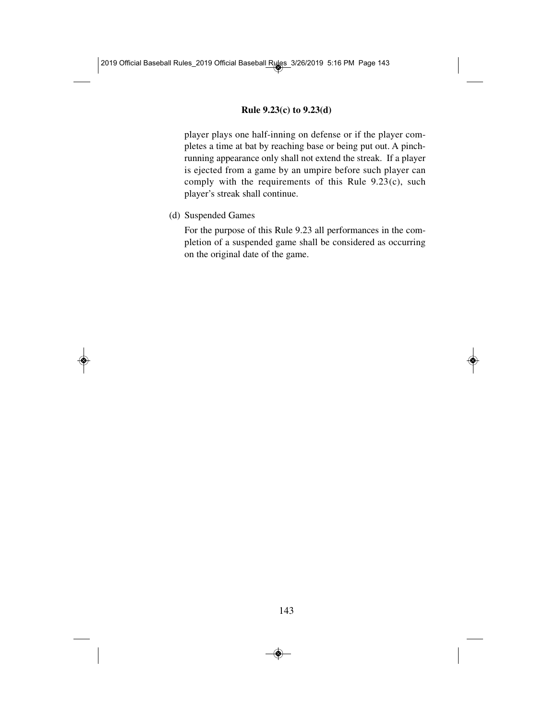player plays one half-inning on defense or if the player completes a time at bat by reaching base or being put out. A pinchrunning appearance only shall not extend the streak. If a player is ejected from a game by an umpire before such player can comply with the requirements of this Rule 9.23(c), such player's streak shall continue.

(d) Suspended Games

For the purpose of this Rule 9.23 all performances in the completion of a suspended game shall be considered as occurring on the original date of the game.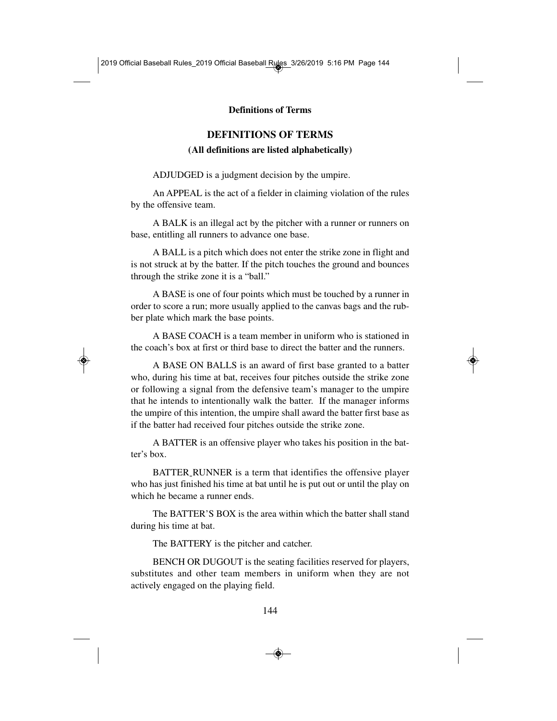# **DEFINITIONS OF TERMS (All definitions are listed alphabetically)**

ADJUDGED is a judgment decision by the umpire.

An APPEAL is the act of a fielder in claiming violation of the rules by the offensive team.

A BALK is an illegal act by the pitcher with a runner or runners on base, entitling all runners to advance one base.

A BALL is a pitch which does not enter the strike zone in flight and is not struck at by the batter. If the pitch touches the ground and bounces through the strike zone it is a "ball."

A BASE is one of four points which must be touched by a runner in order to score a run; more usually applied to the canvas bags and the rubber plate which mark the base points.

A BASE COACH is a team member in uniform who is stationed in the coach's box at first or third base to direct the batter and the runners.

A BASE ON BALLS is an award of first base granted to a batter who, during his time at bat, receives four pitches outside the strike zone or following a signal from the defensive team's manager to the umpire that he intends to intentionally walk the batter. If the manager informs the umpire of this intention, the umpire shall award the batter first base as if the batter had received four pitches outside the strike zone.

A BATTER is an offensive player who takes his position in the batter's box.

BATTER-RUNNER is a term that identifies the offensive player who has just finished his time at bat until he is put out or until the play on which he became a runner ends.

The BATTER'S BOX is the area within which the batter shall stand during his time at bat.

The BATTERY is the pitcher and catcher.

BENCH OR DUGOUT is the seating facilities reserved for players, substitutes and other team members in uniform when they are not actively engaged on the playing field.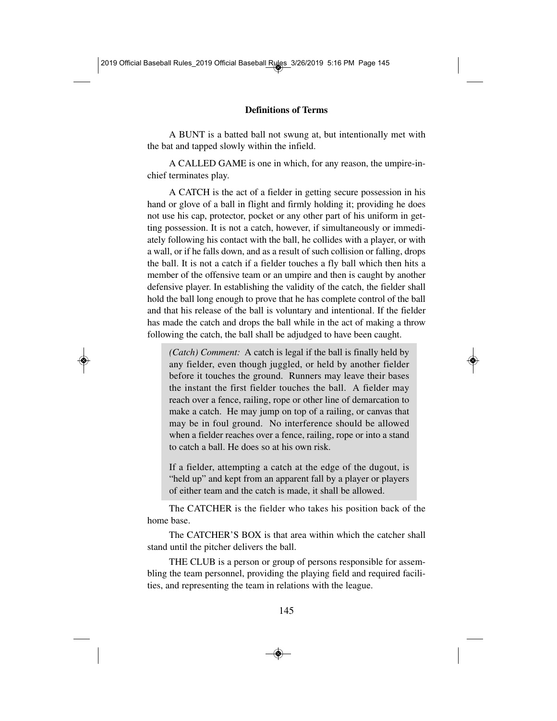A BUNT is a batted ball not swung at, but intentionally met with the bat and tapped slowly within the infield.

A CALLED GAME is one in which, for any reason, the umpire-inchief terminates play.

A CATCH is the act of a fielder in getting secure possession in his hand or glove of a ball in flight and firmly holding it; providing he does not use his cap, protector, pocket or any other part of his uniform in getting possession. It is not a catch, however, if simultaneously or immediately following his contact with the ball, he collides with a player, or with a wall, or if he falls down, and as a result of such collision or falling, drops the ball. It is not a catch if a fielder touches a fly ball which then hits a member of the offensive team or an umpire and then is caught by another defensive player. In establishing the validity of the catch, the fielder shall hold the ball long enough to prove that he has complete control of the ball and that his release of the ball is voluntary and intentional. If the fielder has made the catch and drops the ball while in the act of making a throw following the catch, the ball shall be adjudged to have been caught.

*(Catch) Comment:* A catch is legal if the ball is finally held by any fielder, even though juggled, or held by another fielder before it touches the ground. Runners may leave their bases the instant the first fielder touches the ball. A fielder may reach over a fence, railing, rope or other line of demarcation to make a catch. He may jump on top of a railing, or canvas that may be in foul ground. No interference should be allowed when a fielder reaches over a fence, railing, rope or into a stand to catch a ball. He does so at his own risk.

If a fielder, attempting a catch at the edge of the dugout, is "held up" and kept from an apparent fall by a player or players of either team and the catch is made, it shall be allowed.

The CATCHER is the fielder who takes his position back of the home base.

The CATCHER'S BOX is that area within which the catcher shall stand until the pitcher delivers the ball.

THE CLUB is a person or group of persons responsible for assembling the team personnel, providing the playing field and required facilities, and representing the team in relations with the league.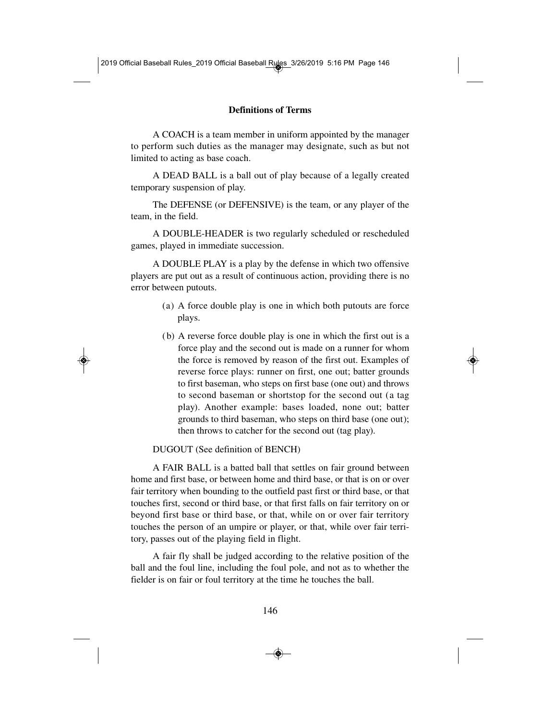A COACH is a team member in uniform appointed by the manager to perform such duties as the manager may designate, such as but not limited to acting as base coach.

A DEAD BALL is a ball out of play because of a legally created temporary suspension of play.

The DEFENSE (or DEFENSIVE) is the team, or any player of the team, in the field.

A DOUBLE-HEADER is two regularly scheduled or rescheduled games, played in immediate succession.

A DOUBLE PLAY is a play by the defense in which two offensive players are put out as a result of continuous action, providing there is no error between putouts.

- (a) A force double play is one in which both putouts are force plays.
- (b) A reverse force double play is one in which the first out is a force play and the second out is made on a runner for whom the force is removed by reason of the first out. Examples of reverse force plays: runner on first, one out; batter grounds to first baseman, who steps on first base (one out) and throws to second baseman or shortstop for the second out (a tag play). Another example: bases loaded, none out; batter grounds to third baseman, who steps on third base (one out); then throws to catcher for the second out (tag play).

DUGOUT (See definition of BENCH)

A FAIR BALL is a batted ball that settles on fair ground between home and first base, or between home and third base, or that is on or over fair territory when bounding to the outfield past first or third base, or that touches first, second or third base, or that first falls on fair territory on or beyond first base or third base, or that, while on or over fair territory touches the person of an umpire or player, or that, while over fair territory, passes out of the playing field in flight.

A fair fly shall be judged according to the relative position of the ball and the foul line, including the foul pole, and not as to whether the fielder is on fair or foul territory at the time he touches the ball.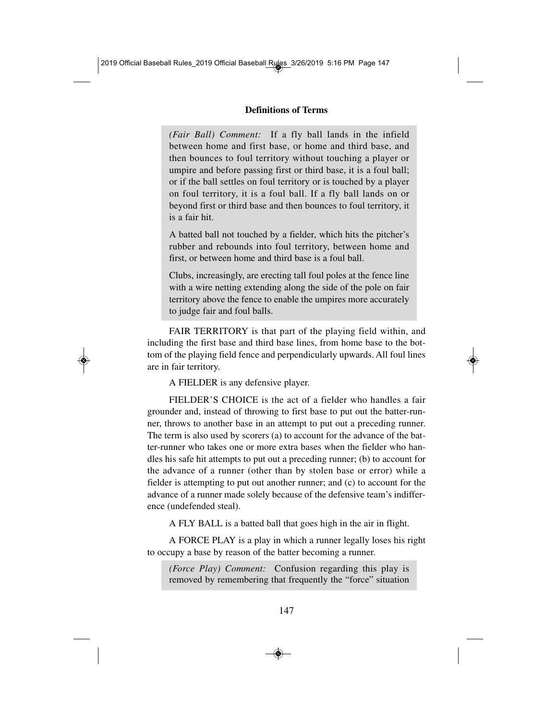*(Fair Ball) Comment:* If a fly ball lands in the infield between home and first base, or home and third base, and then bounces to foul territory without touching a player or umpire and before passing first or third base, it is a foul ball; or if the ball settles on foul territory or is touched by a player on foul territory, it is a foul ball. If a fly ball lands on or beyond first or third base and then bounces to foul territory, it is a fair hit.

A batted ball not touched by a fielder, which hits the pitcher's rubber and rebounds into foul territory, between home and first, or between home and third base is a foul ball.

Clubs, increasingly, are erecting tall foul poles at the fence line with a wire netting extending along the side of the pole on fair territory above the fence to enable the umpires more accurately to judge fair and foul balls.

FAIR TERRITORY is that part of the playing field within, and including the first base and third base lines, from home base to the bottom of the playing field fence and perpendicularly upwards. All foul lines are in fair territory.

A FIELDER is any defensive player.

FIELDER'S CHOICE is the act of a fielder who handles a fair grounder and, instead of throwing to first base to put out the batter-runner, throws to another base in an attempt to put out a preceding runner. The term is also used by scorers (a) to account for the advance of the batter-runner who takes one or more extra bases when the fielder who handles his safe hit attempts to put out a preceding runner; (b) to account for the advance of a runner (other than by stolen base or error) while a fielder is attempting to put out another runner; and (c) to account for the advance of a runner made solely because of the defensive team's indifference (undefended steal).

A FLY BALL is a batted ball that goes high in the air in flight.

A FORCE PLAY is a play in which a runner legally loses his right to occupy a base by reason of the batter becoming a runner.

*(Force Play) Comment:* Confusion regarding this play is removed by remembering that frequently the "force" situation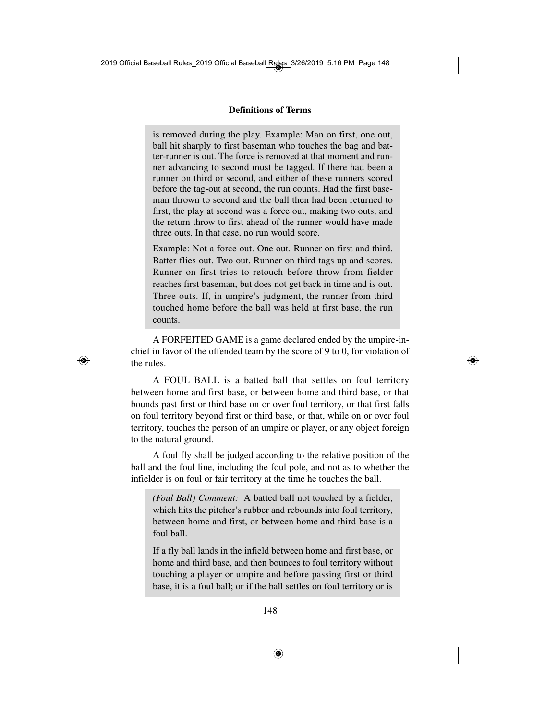is removed during the play. Example: Man on first, one out, ball hit sharply to first baseman who touches the bag and batter-runner is out. The force is removed at that moment and runner advancing to second must be tagged. If there had been a runner on third or second, and either of these runners scored before the tag-out at second, the run counts. Had the first baseman thrown to second and the ball then had been returned to first, the play at second was a force out, making two outs, and the return throw to first ahead of the runner would have made three outs. In that case, no run would score.

Example: Not a force out. One out. Runner on first and third. Batter flies out. Two out. Runner on third tags up and scores. Runner on first tries to retouch before throw from fielder reaches first baseman, but does not get back in time and is out. Three outs. If, in umpire's judgment, the runner from third touched home before the ball was held at first base, the run counts.

A FORFEITED GAME is a game declared ended by the umpire-inchief in favor of the offended team by the score of 9 to 0, for violation of the rules.

A FOUL BALL is a batted ball that settles on foul territory between home and first base, or between home and third base, or that bounds past first or third base on or over foul territory, or that first falls on foul territory beyond first or third base, or that, while on or over foul territory, touches the person of an umpire or player, or any object foreign to the natural ground.

A foul fly shall be judged according to the relative position of the ball and the foul line, including the foul pole, and not as to whether the infielder is on foul or fair territory at the time he touches the ball.

*(Foul Ball) Comment:* A batted ball not touched by a fielder, which hits the pitcher's rubber and rebounds into foul territory, between home and first, or between home and third base is a foul ball.

If a fly ball lands in the infield between home and first base, or home and third base, and then bounces to foul territory without touching a player or umpire and before passing first or third base, it is a foul ball; or if the ball settles on foul territory or is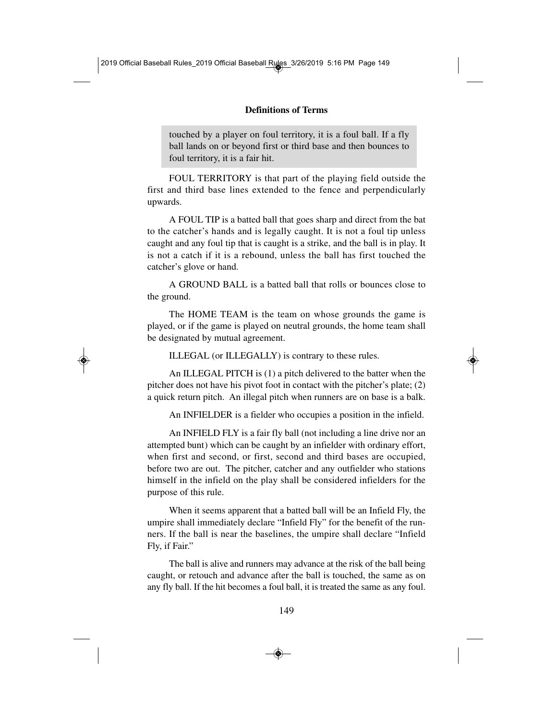touched by a player on foul territory, it is a foul ball. If a fly ball lands on or beyond first or third base and then bounces to foul territory, it is a fair hit.

FOUL TERRITORY is that part of the playing field outside the first and third base lines extended to the fence and perpendicularly upwards.

A FOUL TIP is a batted ball that goes sharp and direct from the bat to the catcher's hands and is legally caught. It is not a foul tip unless caught and any foul tip that is caught is a strike, and the ball is in play. It is not a catch if it is a rebound, unless the ball has first touched the catcher's glove or hand.

A GROUND BALL is a batted ball that rolls or bounces close to the ground.

The HOME TEAM is the team on whose grounds the game is played, or if the game is played on neutral grounds, the home team shall be designated by mutual agreement.

ILLEGAL (or ILLEGALLY) is contrary to these rules.

An ILLEGAL PITCH is (1) a pitch delivered to the batter when the pitcher does not have his pivot foot in contact with the pitcher's plate; (2) a quick return pitch. An illegal pitch when runners are on base is a balk.

An INFIELDER is a fielder who occupies a position in the infield.

An INFIELD FLY is a fair fly ball (not including a line drive nor an attempted bunt) which can be caught by an infielder with ordinary effort, when first and second, or first, second and third bases are occupied, before two are out. The pitcher, catcher and any outfielder who stations himself in the infield on the play shall be considered infielders for the purpose of this rule.

When it seems apparent that a batted ball will be an Infield Fly, the umpire shall immediately declare "Infield Fly" for the benefit of the runners. If the ball is near the baselines, the umpire shall declare "Infield Fly, if Fair."

The ball is alive and runners may advance at the risk of the ball being caught, or retouch and advance after the ball is touched, the same as on any fly ball. If the hit becomes a foul ball, it is treated the same as any foul.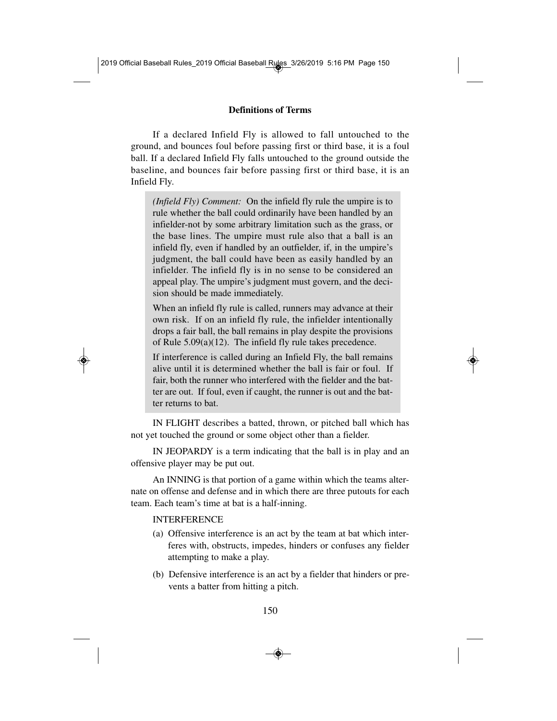If a declared Infield Fly is allowed to fall untouched to the ground, and bounces foul before passing first or third base, it is a foul ball. If a declared Infield Fly falls untouched to the ground outside the baseline, and bounces fair before passing first or third base, it is an Infield Fly.

*(Infield Fly) Comment:* On the infield fly rule the umpire is to rule whether the ball could ordinarily have been handled by an infielder-not by some arbitrary limitation such as the grass, or the base lines. The umpire must rule also that a ball is an infield fly, even if handled by an outfielder, if, in the umpire's judgment, the ball could have been as easily handled by an infielder. The infield fly is in no sense to be considered an appeal play. The umpire's judgment must govern, and the decision should be made immediately.

When an infield fly rule is called, runners may advance at their own risk. If on an infield fly rule, the infielder intentionally drops a fair ball, the ball remains in play despite the provisions of Rule 5.09(a)(12). The infield fly rule takes precedence.

If interference is called during an Infield Fly, the ball remains alive until it is determined whether the ball is fair or foul. If fair, both the runner who interfered with the fielder and the batter are out. If foul, even if caught, the runner is out and the batter returns to bat.

IN FLIGHT describes a batted, thrown, or pitched ball which has not yet touched the ground or some object other than a fielder.

IN JEOPARDY is a term indicating that the ball is in play and an offensive player may be put out.

An INNING is that portion of a game within which the teams alternate on offense and defense and in which there are three putouts for each team. Each team's time at bat is a half-inning.

#### INTERFERENCE

- (a) Offensive interference is an act by the team at bat which interferes with, obstructs, impedes, hinders or confuses any fielder attempting to make a play.
- (b) Defensive interference is an act by a fielder that hinders or prevents a batter from hitting a pitch.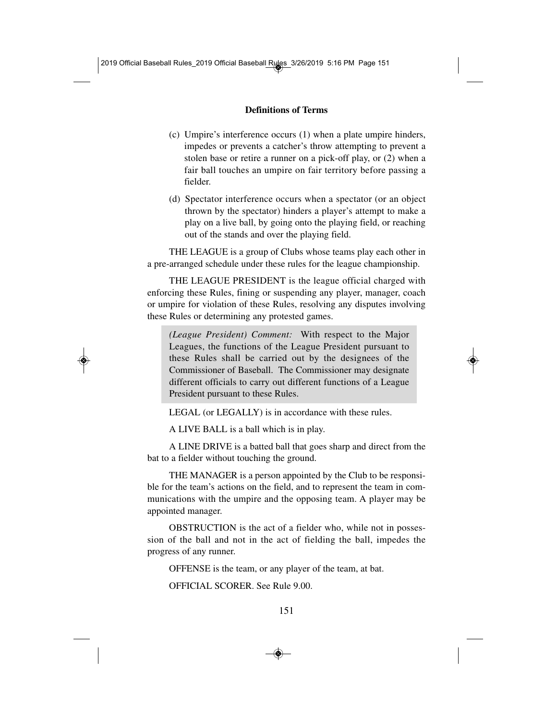- (c) Umpire's interference occurs (1) when a plate umpire hinders, impedes or prevents a catcher's throw attempting to prevent a stolen base or retire a runner on a pick-off play, or (2) when a fair ball touches an umpire on fair territory before passing a fielder.
- (d) Spectator interference occurs when a spectator (or an object thrown by the spectator) hinders a player's attempt to make a play on a live ball, by going onto the playing field, or reaching out of the stands and over the playing field.

THE LEAGUE is a group of Clubs whose teams play each other in a pre-arranged schedule under these rules for the league championship.

THE LEAGUE PRESIDENT is the league official charged with enforcing these Rules, fining or suspending any player, manager, coach or umpire for violation of these Rules, resolving any disputes involving these Rules or determining any protested games.

*(League President) Comment:* With respect to the Major Leagues, the functions of the League President pursuant to these Rules shall be carried out by the designees of the Commissioner of Baseball. The Commissioner may designate different officials to carry out different functions of a League President pursuant to these Rules.

LEGAL (or LEGALLY) is in accordance with these rules.

A LIVE BALL is a ball which is in play.

A LINE DRIVE is a batted ball that goes sharp and direct from the bat to a fielder without touching the ground.

THE MANAGER is a person appointed by the Club to be responsible for the team's actions on the field, and to represent the team in communications with the umpire and the opposing team. A player may be appointed manager.

OBSTRUCTION is the act of a fielder who, while not in possession of the ball and not in the act of fielding the ball, impedes the progress of any runner.

OFFENSE is the team, or any player of the team, at bat.

OFFICIAL SCORER. See Rule 9.00.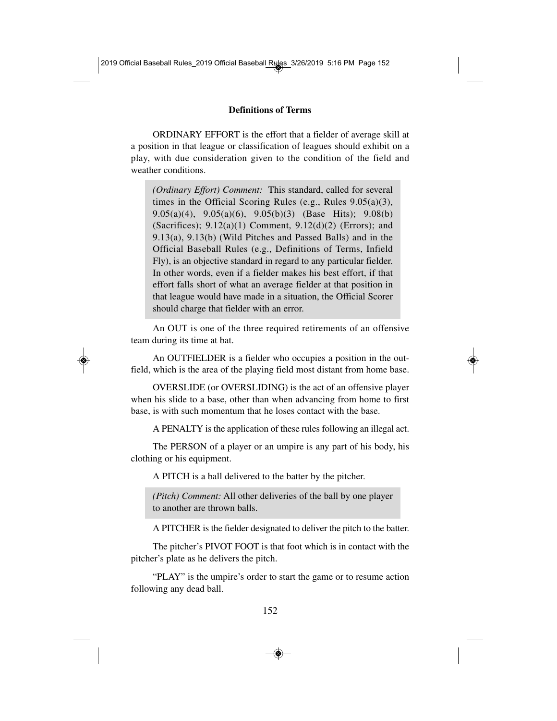ORDINARY EFFORT is the effort that a fielder of average skill at a position in that league or classification of leagues should exhibit on a play, with due consideration given to the condition of the field and weather conditions.

*(Ordinary Effort) Comment:* This standard, called for several times in the Official Scoring Rules (e.g., Rules 9.05(a)(3), 9.05(a)(4), 9.05(a)(6), 9.05(b)(3) (Base Hits); 9.08(b) (Sacrifices);  $9.12(a)(1)$  Comment,  $9.12(d)(2)$  (Errors); and 9.13(a), 9.13(b) (Wild Pitches and Passed Balls) and in the Official Baseball Rules (e.g., Definitions of Terms, Infield Fly), is an objective standard in regard to any particular fielder. In other words, even if a fielder makes his best effort, if that effort falls short of what an average fielder at that position in that league would have made in a situation, the Official Scorer should charge that fielder with an error.

An OUT is one of the three required retirements of an offensive team during its time at bat.

An OUTFIELDER is a fielder who occupies a position in the outfield, which is the area of the playing field most distant from home base.

OVERSLIDE (or OVERSLIDING) is the act of an offensive player when his slide to a base, other than when advancing from home to first base, is with such momentum that he loses contact with the base.

A PENALTY is the application of these rules following an illegal act.

The PERSON of a player or an umpire is any part of his body, his clothing or his equipment.

A PITCH is a ball delivered to the batter by the pitcher.

*(Pitch) Comment:* All other deliveries of the ball by one player to another are thrown balls.

A PITCHER is the fielder designated to deliver the pitch to the batter.

The pitcher's PIVOT FOOT is that foot which is in contact with the pitcher's plate as he delivers the pitch.

"PLAY" is the umpire's order to start the game or to resume action following any dead ball.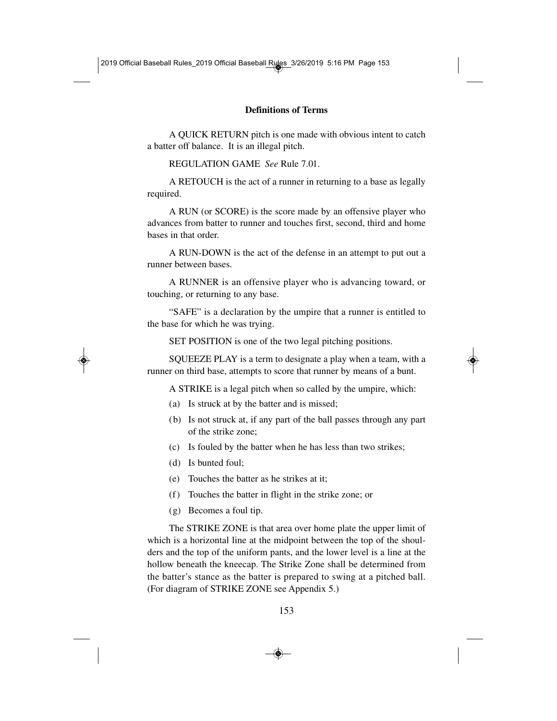A QUICK RETURN pitch is one made with obvious intent to catch a batter off balance. It is an illegal pitch.

REGULATION GAME *See* Rule 7.01.

A RETOUCH is the act of a runner in returning to a base as legally required.

A RUN (or SCORE) is the score made by an offensive player who advances from batter to runner and touches first, second, third and home bases in that order.

A RUN-DOWN is the act of the defense in an attempt to put out a runner between bases.

A RUNNER is an offensive player who is advancing toward, or touching, or returning to any base.

"SAFE" is a declaration by the umpire that a runner is entitled to the base for which he was trying.

SET POSITION is one of the two legal pitching positions.

SQUEEZE PLAY is a term to designate a play when a team, with a runner on third base, attempts to score that runner by means of a bunt.

A STRIKE is a legal pitch when so called by the umpire, which:

- (a) Is struck at by the batter and is missed;
- (b) Is not struck at, if any part of the ball passes through any part of the strike zone;
- (c) Is fouled by the batter when he has less than two strikes;
- (d) Is bunted foul;
- (e) Touches the batter as he strikes at it;
- (f) Touches the batter in flight in the strike zone; or
- (g) Becomes a foul tip.

The STRIKE ZONE is that area over home plate the upper limit of which is a horizontal line at the midpoint between the top of the shoulders and the top of the uniform pants, and the lower level is a line at the hollow beneath the kneecap. The Strike Zone shall be determined from the batter's stance as the batter is prepared to swing at a pitched ball. (For diagram of STRIKE ZONE see Appendix 5.)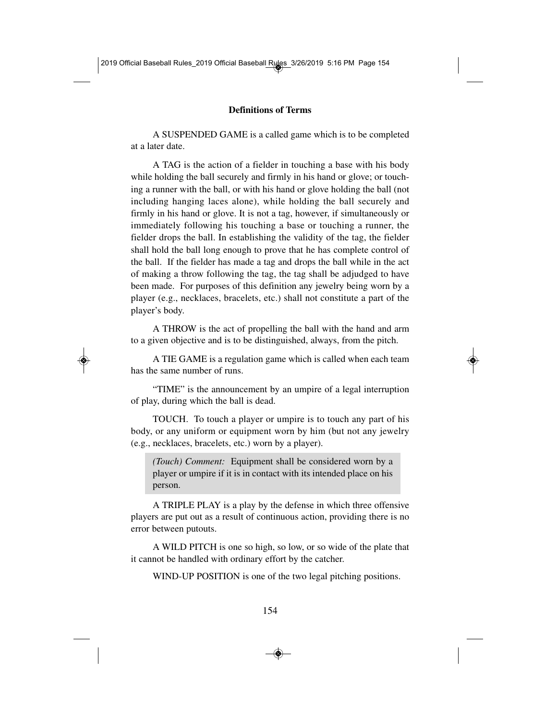A SUSPENDED GAME is a called game which is to be completed at a later date.

A TAG is the action of a fielder in touching a base with his body while holding the ball securely and firmly in his hand or glove; or touching a runner with the ball, or with his hand or glove holding the ball (not including hanging laces alone), while holding the ball securely and firmly in his hand or glove. It is not a tag, however, if simultaneously or immediately following his touching a base or touching a runner, the fielder drops the ball. In establishing the validity of the tag, the fielder shall hold the ball long enough to prove that he has complete control of the ball. If the fielder has made a tag and drops the ball while in the act of making a throw following the tag, the tag shall be adjudged to have been made. For purposes of this definition any jewelry being worn by a player (e.g., necklaces, bracelets, etc.) shall not constitute a part of the player's body.

A THROW is the act of propelling the ball with the hand and arm to a given objective and is to be distinguished, always, from the pitch.

A TIE GAME is a regulation game which is called when each team has the same number of runs.

"TIME" is the announcement by an umpire of a legal interruption of play, during which the ball is dead.

TOUCH. To touch a player or umpire is to touch any part of his body, or any uniform or equipment worn by him (but not any jewelry (e.g., necklaces, bracelets, etc.) worn by a player).

*(Touch) Comment:* Equipment shall be considered worn by a player or umpire if it is in contact with its intended place on his person.

A TRIPLE PLAY is a play by the defense in which three offensive players are put out as a result of continuous action, providing there is no error between putouts.

A WILD PITCH is one so high, so low, or so wide of the plate that it cannot be handled with ordinary effort by the catcher.

WIND-UP POSITION is one of the two legal pitching positions.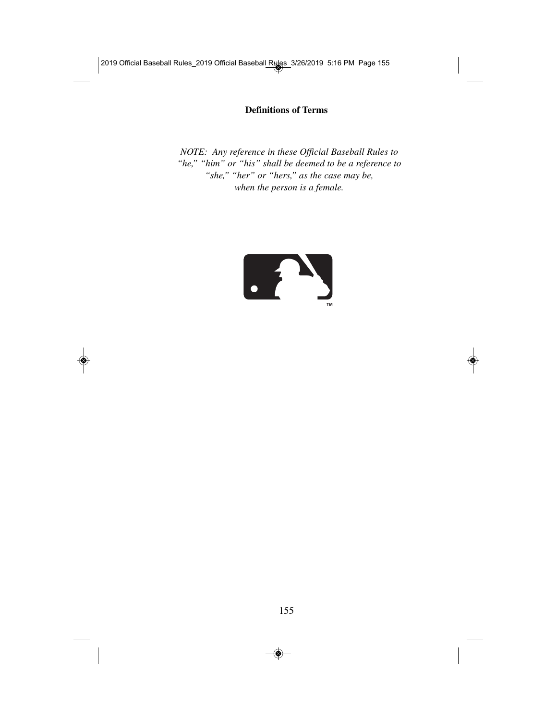*NOTE: Any reference in these Official Baseball Rules to "he," "him" or "his" shall be deemed to be a reference to "she," "her" or "hers," as the case may be, when the person is a female.*

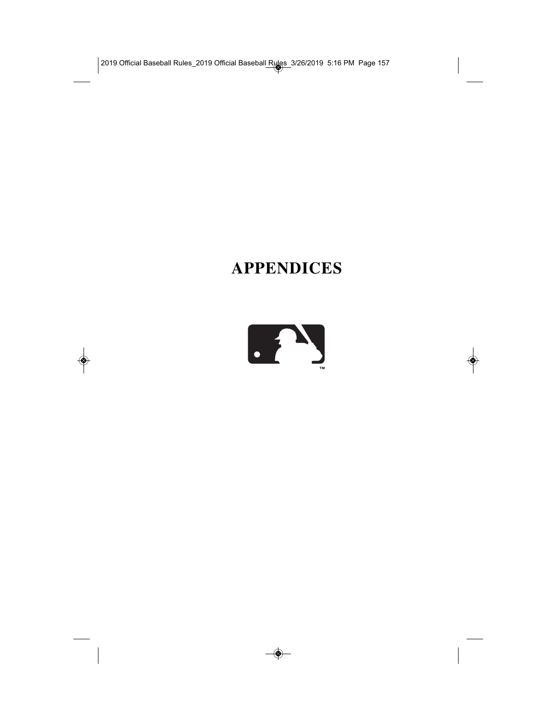# **APPENDICES**

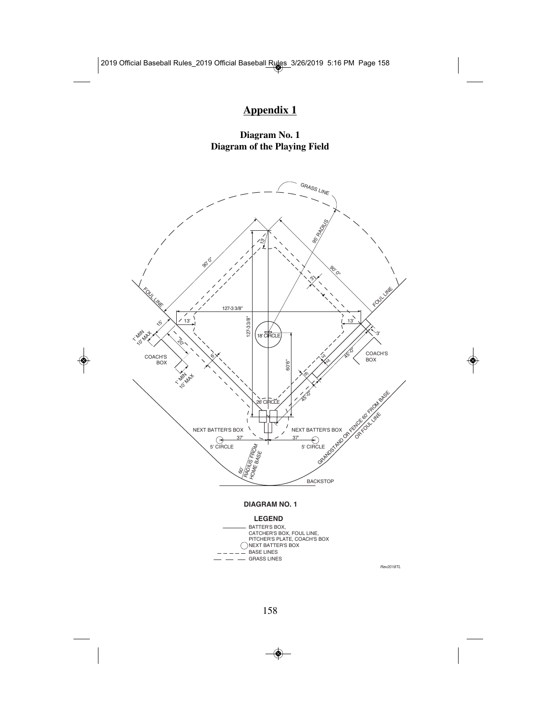## **Diagram No. 1 Diagram of the Playing Field**



*Rev2018TL*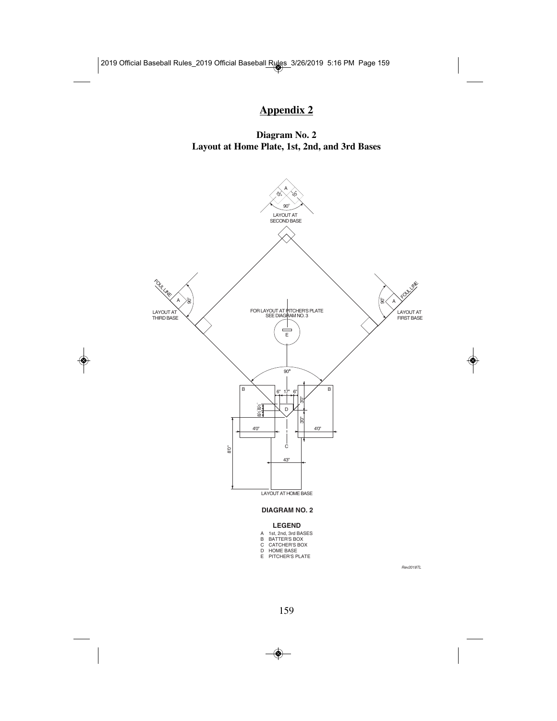#### **Diagram No. 2 Layout at Home Plate, 1st, 2nd, and 3rd Bases**



- A 1st, 2nd, 3rd BASES
- BATTER'S BOX CATCHER'S BOX HOME BASE B C D
- 
- 
- E PITCHER'S PLATE

*Rev2018TL*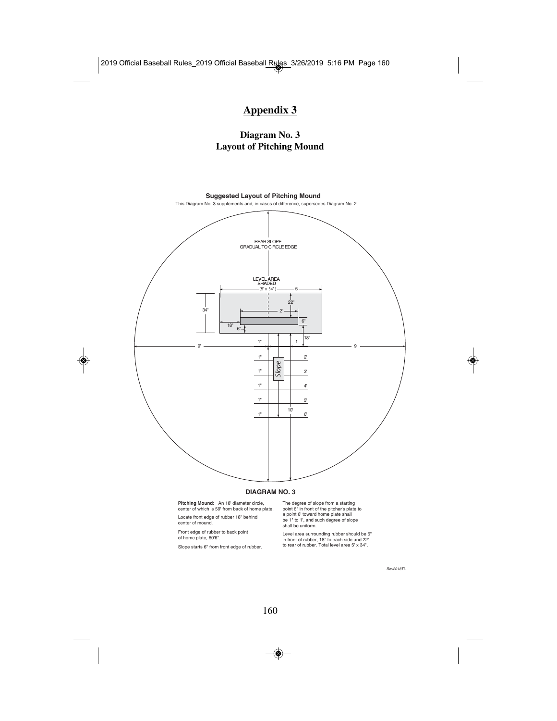## **Diagram No. 3 Layout of Pitching Mound**



Front edge of rubber to back point of home plate, 60'6".

Slope starts 6" from front edge of rubber.

shall be uniform.

Level area surrounding rubber should be 6" in front of rubber, 18" to each side and 22" to rear of rubber. Total level area 5' x 34".

*Rev2018TL*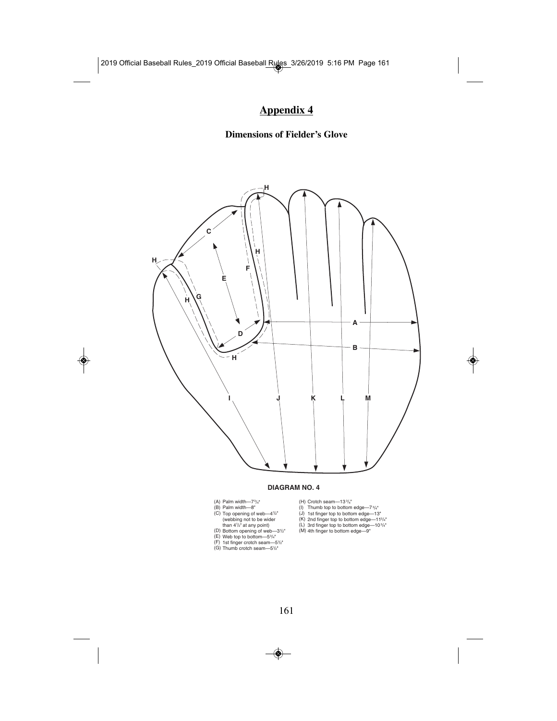## **Dimensions of Fielder's Glove**



#### **DIAGRAM NO. 4**

- (A) Palm width—7 $\frac{3}{4}$ "
- (B) Palm width-8"
- Top opening of web—4 $\frac{1}{2}$ <br>(webbing not to be wider<br>than 4 $\frac{1}{2}$ " at any point)  $\frac{1}{2}$ "  $\frac{1}{2}$ " (C)
- (D) Bottom opening of web-31/2"
- 
- (E) Web top to bottom—5 $\frac{3}{4}$ "<br>(F) 1st finger crotch seam—5 $\frac{1}{2}$ "
- (G) Thumb crotch seam-51/2"
- (H) Crotch seam- $13\frac{3}{4}$ "
- $3/4"$
- Thumb top to bottom edge—7 1st finger top to bottom edge—13" 2nd finger top to bottom edge—11 (I) Thumb top to bottom edge—73/4"<br>(J) 1st finger top to bottom edge—13"<br>(K) 2nd finger top to bottom edge—11<sup>3/</sup>4"
- 
- (L) 3rd finger top to bottom edge—10 $\frac{3}{4}$ "<br>(M) 4th finger to bottom edge—9"
-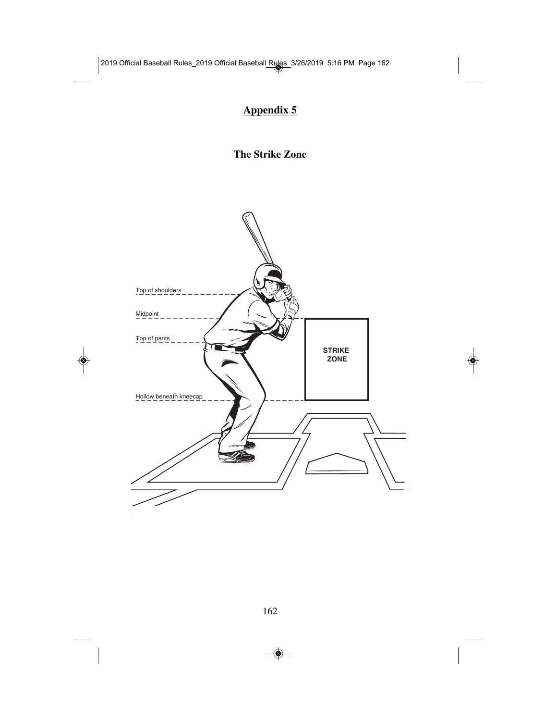# **The Strike Zone**

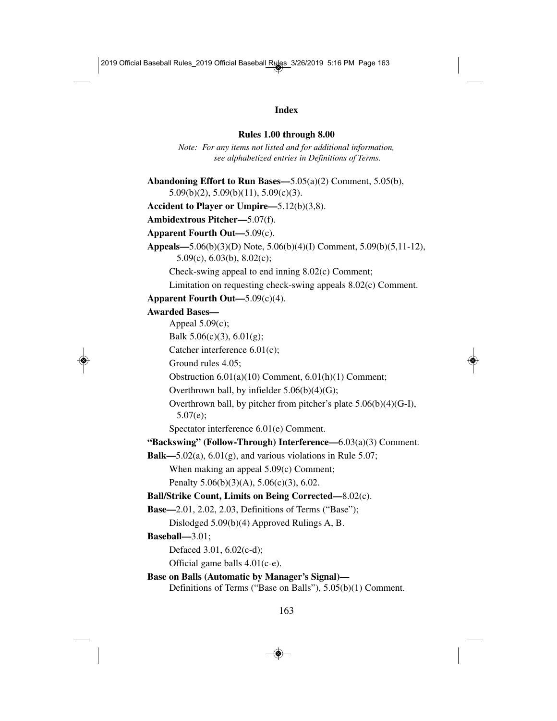#### **Rules 1.00 through 8.00**

*Note: For any items not listed and for additional information, see alphabetized entries in Definitions of Terms.*

**Abandoning Effort to Run Bases—**5.05(a)(2) Comment, 5.05(b),  $5.09(b)(2)$ ,  $5.09(b)(11)$ ,  $5.09(c)(3)$ . **Accident to Player or Umpire—**5.12(b)(3,8). **Ambidextrous Pitcher—**5.07(f). **Apparent Fourth Out—**5.09(c). **Appeals—**5.06(b)(3)(D) Note, 5.06(b)(4)(I) Comment, 5.09(b)(5,11-12), 5.09(c), 6.03(b), 8.02(c); Check-swing appeal to end inning 8.02(c) Comment; Limitation on requesting check-swing appeals 8.02(c) Comment. **Apparent Fourth Out—**5.09(c)(4). **Awarded Bases—** Appeal  $5.09(c)$ ; Balk  $5.06(c)(3)$ ,  $6.01(g)$ ; Catcher interference 6.01(c); Ground rules 4.05; Obstruction 6.01(a)(10) Comment, 6.01(h)(1) Comment; Overthrown ball, by infielder  $5.06(b)(4)(G)$ ; Overthrown ball, by pitcher from pitcher's plate 5.06(b)(4)(G-I), 5.07(e); Spectator interference 6.01(e) Comment. **"Backswing" (Follow-Through) Interference—**6.03(a)(3) Comment. **Balk—**5.02(a), 6.01(g), and various violations in Rule 5.07; When making an appeal 5.09(c) Comment; Penalty 5.06(b)(3)(A), 5.06(c)(3), 6.02. **Ball/Strike Count, Limits on Being Corrected—**8.02(c). **Base—**2.01, 2.02, 2.03, Definitions of Terms ("Base"); Dislodged 5.09(b)(4) Approved Rulings A, B. **Baseball—**3.01; Defaced 3.01, 6.02(c-d); Official game balls 4.01(c-e). **Base on Balls (Automatic by Manager's Signal)—** Definitions of Terms ("Base on Balls"), 5.05(b)(1) Comment.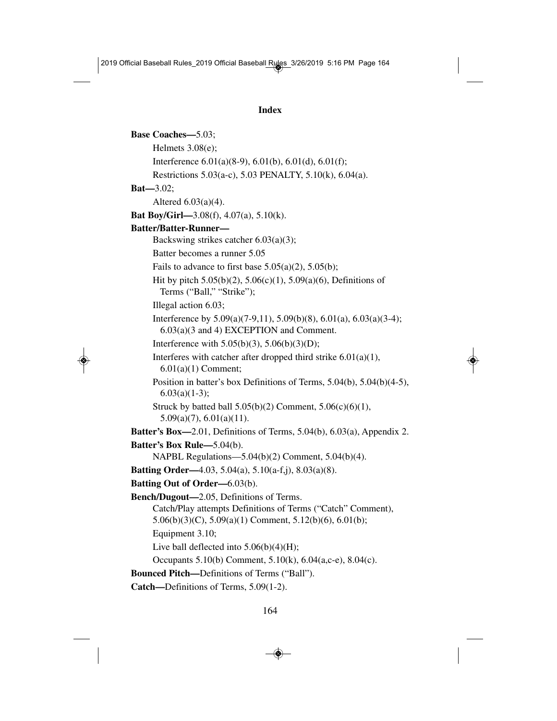**Base Coaches—**5.03; Helmets 3.08(e); Interference 6.01(a)(8-9), 6.01(b), 6.01(d), 6.01(f); Restrictions 5.03(a-c), 5.03 PENALTY, 5.10(k), 6.04(a).  $Bat = 3.02$ Altered 6.03(a)(4). **Bat Boy/Girl—**3.08(f), 4.07(a), 5.10(k). **Batter/Batter-Runner—** Backswing strikes catcher 6.03(a)(3); Batter becomes a runner 5.05 Fails to advance to first base  $5.05(a)(2)$ ,  $5.05(b)$ ; Hit by pitch 5.05(b)(2), 5.06(c)(1), 5.09(a)(6), Definitions of Terms ("Ball," "Strike"); Illegal action 6.03; Interference by 5.09(a)(7-9,11), 5.09(b)(8), 6.01(a), 6.03(a)(3-4); 6.03(a)(3 and 4) EXCEPTION and Comment. Interference with  $5.05(b)(3)$ ,  $5.06(b)(3)(D)$ ; Interferes with catcher after dropped third strike 6.01(a)(1), 6.01(a)(1) Comment; Position in batter's box Definitions of Terms, 5.04(b), 5.04(b)(4-5),  $6.03(a)(1-3);$ Struck by batted ball  $5.05(b)(2)$  Comment,  $5.06(c)(6)(1)$ ,  $5.09(a)(7)$ ,  $6.01(a)(11)$ . **Batter's Box—**2.01, Definitions of Terms, 5.04(b), 6.03(a), Appendix 2. **Batter's Box Rule—**5.04(b). NAPBL Regulations—5.04(b)(2) Comment, 5.04(b)(4). **Batting Order—**4.03, 5.04(a), 5.10(a-f,j), 8.03(a)(8). **Batting Out of Order—**6.03(b). **Bench/Dugout—**2.05, Definitions of Terms. Catch/Play attempts Definitions of Terms ("Catch" Comment), 5.06(b)(3)(C), 5.09(a)(1) Comment, 5.12(b)(6), 6.01(b); Equipment 3.10; Live ball deflected into  $5.06(b)(4)(H)$ ; Occupants 5.10(b) Comment, 5.10(k), 6.04(a,c-e), 8.04(c). **Bounced Pitch—**Definitions of Terms ("Ball"). **Catch—**Definitions of Terms, 5.09(1-2).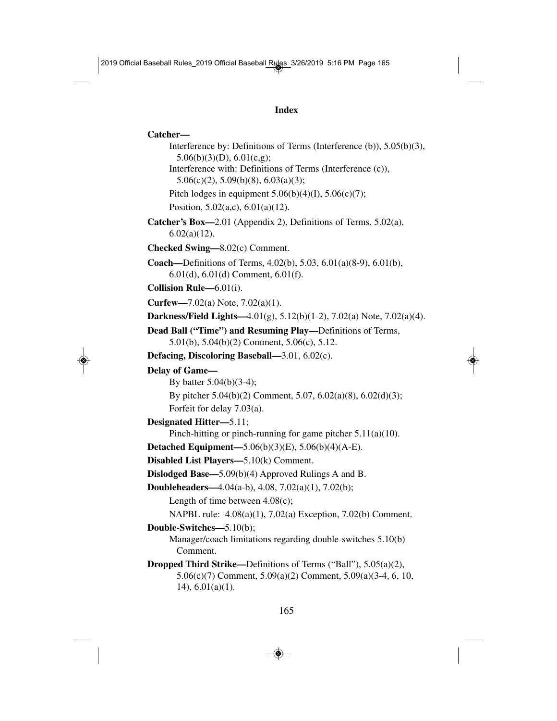**Catcher—**

- Interference by: Definitions of Terms (Interference (b)), 5.05(b)(3),  $5.06(b)(3)(D)$ ,  $6.01(c,g)$ ;
- Interference with: Definitions of Terms (Interference (c)),  $5.06(c)(2)$ ,  $5.09(b)(8)$ ,  $6.03(a)(3)$ ;

Pitch lodges in equipment  $5.06(b)(4)(I)$ ,  $5.06(c)(7)$ ;

Position, 5.02(a,c), 6.01(a)(12).

- **Catcher's Box—**2.01 (Appendix 2), Definitions of Terms, 5.02(a),  $6.02(a)(12)$ .
- **Checked Swing—**8.02(c) Comment.
- **Coach—**Definitions of Terms, 4.02(b), 5.03, 6.01(a)(8-9), 6.01(b), 6.01(d), 6.01(d) Comment, 6.01(f).
- **Collision Rule—**6.01(i).
- **Curfew—**7.02(a) Note, 7.02(a)(1).
- **Darkness/Field Lights—**4.01(g), 5.12(b)(1-2), 7.02(a) Note, 7.02(a)(4).
- **Dead Ball ("Time") and Resuming Play—**Definitions of Terms, 5.01(b), 5.04(b)(2) Comment, 5.06(c), 5.12.
- **Defacing, Discoloring Baseball—**3.01, 6.02(c).
- **Delay of Game—**
	- By batter 5.04(b)(3-4);
	- By pitcher 5.04(b)(2) Comment, 5.07, 6.02(a)(8), 6.02(d)(3); Forfeit for delay 7.03(a).
- **Designated Hitter—**5.11;

Pinch-hitting or pinch-running for game pitcher  $5.11(a)(10)$ .

**Detached Equipment—**5.06(b)(3)(E), 5.06(b)(4)(A-E).

- **Disabled List Players—**5.10(k) Comment.
- **Dislodged Base—**5.09(b)(4) Approved Rulings A and B.
- **Doubleheaders—**4.04(a-b), 4.08, 7.02(a)(1), 7.02(b);

Length of time between 4.08(c);

NAPBL rule: 4.08(a)(1), 7.02(a) Exception, 7.02(b) Comment.

**Double-Switches—**5.10(b);

Manager/coach limitations regarding double-switches 5.10(b) Comment.

**Dropped Third Strike—**Definitions of Terms ("Ball"), 5.05(a)(2), 5.06(c)(7) Comment, 5.09(a)(2) Comment, 5.09(a)(3-4, 6, 10, 14), 6.01(a)(1).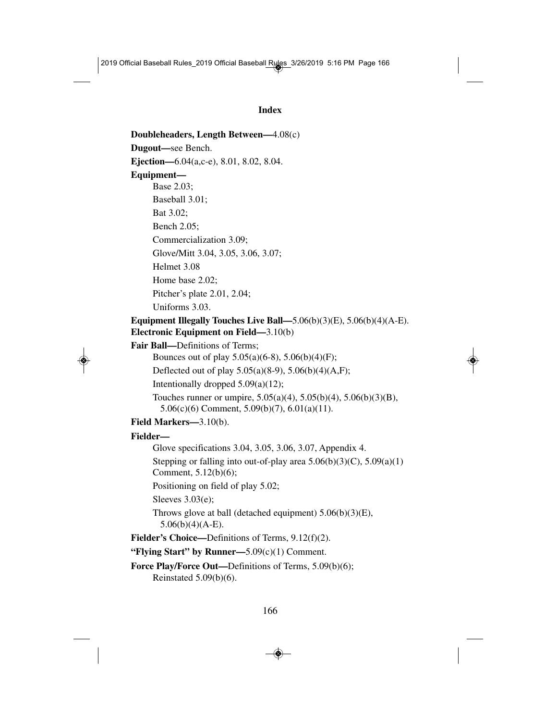# **Doubleheaders, Length Between—**4.08(c) **Dugout—**see Bench. **Ejection—**6.04(a,c-e), 8.01, 8.02, 8.04. **Equipment—** Base 2.03; Baseball 3.01; Bat 3.02; Bench 2.05; Commercialization 3.09; Glove/Mitt 3.04, 3.05, 3.06, 3.07; Helmet 3.08 Home base 2.02; Pitcher's plate 2.01, 2.04; Uniforms 3.03. **Equipment Illegally Touches Live Ball—**5.06(b)(3)(E), 5.06(b)(4)(A-E). **Electronic Equipment on Field—**3.10(b) **Fair Ball—**Definitions of Terms; Bounces out of play  $5.05(a)(6-8)$ ,  $5.06(b)(4)(F)$ ; Deflected out of play  $5.05(a)(8-9)$ ,  $5.06(b)(4)(A,F)$ ; Intentionally dropped 5.09(a)(12); Touches runner or umpire, 5.05(a)(4), 5.05(b)(4), 5.06(b)(3)(B), 5.06(c)(6) Comment, 5.09(b)(7), 6.01(a)(11). **Field Markers—**3.10(b). **Fielder—** Glove specifications 3.04, 3.05, 3.06, 3.07, Appendix 4. Stepping or falling into out-of-play area  $5.06(b)(3)(C)$ ,  $5.09(a)(1)$ Comment, 5.12(b)(6); Positioning on field of play 5.02; Sleeves 3.03(e); Throws glove at ball (detached equipment) 5.06(b)(3)(E),  $5.06(b)(4)(A-E)$ . **Fielder's Choice—**Definitions of Terms, 9.12(f)(2). **"Flying Start" by Runner—**5.09(c)(1) Comment. **Force Play/Force Out—**Definitions of Terms, 5.09(b)(6); Reinstated 5.09(b)(6).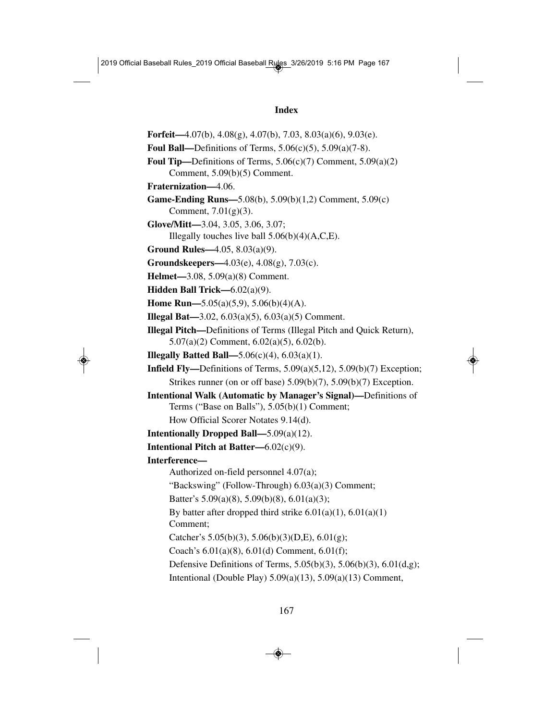- **Forfeit—**4.07(b), 4.08(g), 4.07(b), 7.03, 8.03(a)(6), 9.03(e).
- **Foul Ball—**Definitions of Terms, 5.06(c)(5), 5.09(a)(7-8).
- **Foul Tip—**Definitions of Terms, 5.06(c)(7) Comment, 5.09(a)(2) Comment, 5.09(b)(5) Comment.
- **Fraternization—**4.06.
- **Game-Ending Runs—**5.08(b), 5.09(b)(1,2) Comment, 5.09(c) Comment,  $7.01(g)(3)$ .
- **Glove/Mitt—**3.04, 3.05, 3.06, 3.07; Illegally touches live ball  $5.06(b)(4)(A, C, E)$ .
- **Ground Rules—**4.05, 8.03(a)(9).
- **Groundskeepers—**4.03(e), 4.08(g), 7.03(c).
- **Helmet—**3.08, 5.09(a)(8) Comment.
- **Hidden Ball Trick—**6.02(a)(9).
- **Home Run—**5.05(a)(5,9), 5.06(b)(4)(A).
- **Illegal Bat—**3.02, 6.03(a)(5), 6.03(a)(5) Comment.
- **Illegal Pitch—**Definitions of Terms (Illegal Pitch and Quick Return), 5.07(a)(2) Comment, 6.02(a)(5), 6.02(b).
- **Illegally Batted Ball—**5.06(c)(4), 6.03(a)(1).
- **Infield Fly—**Definitions of Terms, 5.09(a)(5,12), 5.09(b)(7) Exception; Strikes runner (on or off base) 5.09(b)(7), 5.09(b)(7) Exception.
- **Intentional Walk (Automatic by Manager's Signal)—**Definitions of Terms ("Base on Balls"), 5.05(b)(1) Comment;

How Official Scorer Notates 9.14(d).

- **Intentionally Dropped Ball—**5.09(a)(12).
- **Intentional Pitch at Batter—**6.02(c)(9).

**Interference—**

Authorized on-field personnel 4.07(a);

"Backswing" (Follow-Through) 6.03(a)(3) Comment;

Batter's 5.09(a)(8), 5.09(b)(8), 6.01(a)(3);

By batter after dropped third strike  $6.01(a)(1)$ ,  $6.01(a)(1)$ 

Comment;

Catcher's  $5.05(b)(3)$ ,  $5.06(b)(3)(D,E)$ ,  $6.01(g)$ ;

Coach's 6.01(a)(8), 6.01(d) Comment, 6.01(f);

Defensive Definitions of Terms,  $5.05(b)(3)$ ,  $5.06(b)(3)$ ,  $6.01(d,g)$ ;

Intentional (Double Play) 5.09(a)(13), 5.09(a)(13) Comment,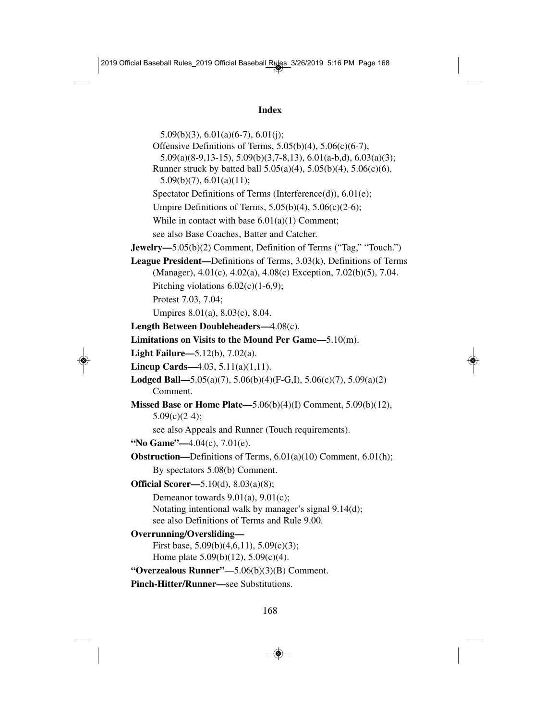5.09(b)(3), 6.01(a)(6-7), 6.01(j);

- Offensive Definitions of Terms,  $5.05(b)(4)$ ,  $5.06(c)(6-7)$ , 5.09(a)(8-9,13-15), 5.09(b)(3,7-8,13), 6.01(a-b,d), 6.03(a)(3);
- Runner struck by batted ball  $5.05(a)(4)$ ,  $5.05(b)(4)$ ,  $5.06(c)(6)$ ,
	- $5.09(b)(7)$ ,  $6.01(a)(11)$ ;
- Spectator Definitions of Terms (Interference(d)), 6.01(e);
- Umpire Definitions of Terms,  $5.05(b)(4)$ ,  $5.06(c)(2-6)$ ;
- While in contact with base 6.01(a)(1) Comment;
- see also Base Coaches, Batter and Catcher.
- **Jewelry—5.05(b)(2) Comment, Definition of Terms ("Tag," "Touch.")**
- **League President—**Definitions of Terms, 3.03(k), Definitions of Terms (Manager), 4.01(c), 4.02(a), 4.08(c) Exception, 7.02(b)(5), 7.04. Pitching violations  $6.02(c)(1-6,9)$ ;
	- Protest 7.03, 7.04;

Umpires 8.01(a), 8.03(c), 8.04.

- **Length Between Doubleheaders—**4.08(c).
- **Limitations on Visits to the Mound Per Game—**5.10(m).
- **Light Failure—**5.12(b), 7.02(a).
- **Lineup Cards—**4.03, 5.11(a)(1,11).
- **Lodged Ball—**5.05(a)(7), 5.06(b)(4)(F-G,I), 5.06(c)(7), 5.09(a)(2) Comment.
- **Missed Base or Home Plate—**5.06(b)(4)(I) Comment, 5.09(b)(12),  $5.09(c)(2-4);$

see also Appeals and Runner (Touch requirements).

- **"No Game"—**4.04(c), 7.01(e).
- **Obstruction—**Definitions of Terms, 6.01(a)(10) Comment, 6.01(h); By spectators 5.08(b) Comment.
- **Official Scorer—**5.10(d), 8.03(a)(8);
	- Demeanor towards 9.01(a), 9.01(c);
	- Notating intentional walk by manager's signal 9.14(d); see also Definitions of Terms and Rule 9.00.
- **Overrunning/Oversliding—**
	- First base, 5.09(b)(4,6,11), 5.09(c)(3); Home plate 5.09(b)(12), 5.09(c)(4).
- **"Overzealous Runner"**—5.06(b)(3)(B) Comment.
- **Pinch-Hitter/Runner—**see Substitutions.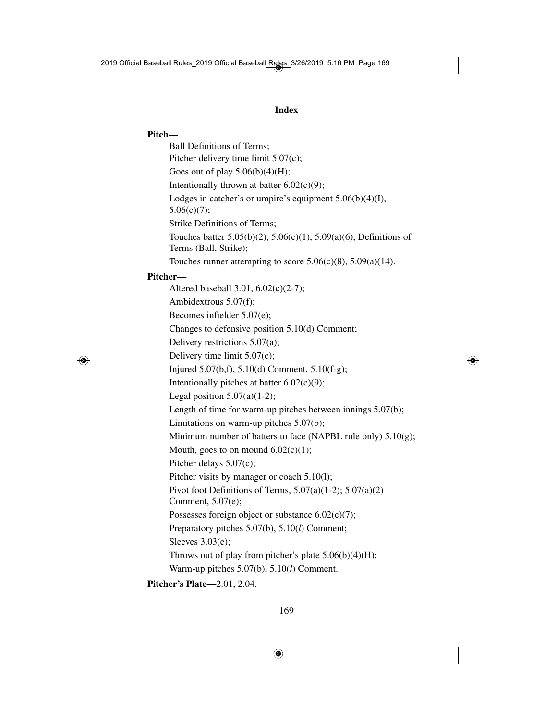## **Pitch—**

Ball Definitions of Terms; Pitcher delivery time limit 5.07(c); Goes out of play  $5.06(b)(4)(H);$ Intentionally thrown at batter  $6.02(c)(9)$ ; Lodges in catcher's or umpire's equipment  $5.06(b)(4)(I)$ , 5.06(c)(7); Strike Definitions of Terms; Touches batter 5.05(b)(2), 5.06(c)(1), 5.09(a)(6), Definitions of Terms (Ball, Strike); Touches runner attempting to score  $5.06(c)(8)$ ,  $5.09(a)(14)$ . **Pitcher—** Altered baseball 3.01, 6.02(c)(2-7); Ambidextrous 5.07(f); Becomes infielder 5.07(e); Changes to defensive position 5.10(d) Comment; Delivery restrictions 5.07(a); Delivery time limit 5.07(c); Injured 5.07(b,f), 5.10(d) Comment, 5.10(f-g); Intentionally pitches at batter  $6.02(c)(9)$ ; Legal position  $5.07(a)(1-2)$ ; Length of time for warm-up pitches between innings 5.07(b); Limitations on warm-up pitches 5.07(b); Minimum number of batters to face (NAPBL rule only)  $5.10(g)$ ; Mouth, goes to on mound  $6.02(c)(1)$ ; Pitcher delays 5.07(c); Pitcher visits by manager or coach 5.10(1); Pivot foot Definitions of Terms,  $5.07(a)(1-2)$ ;  $5.07(a)(2)$ Comment, 5.07(e); Possesses foreign object or substance 6.02(c)(7); Preparatory pitches 5.07(b), 5.10(*l*) Comment; Sleeves 3.03(e); Throws out of play from pitcher's plate  $5.06(b)(4)(H)$ ; Warm-up pitches 5.07(b), 5.10(*l*) Comment.

**Pitcher's Plate—**2.01, 2.04.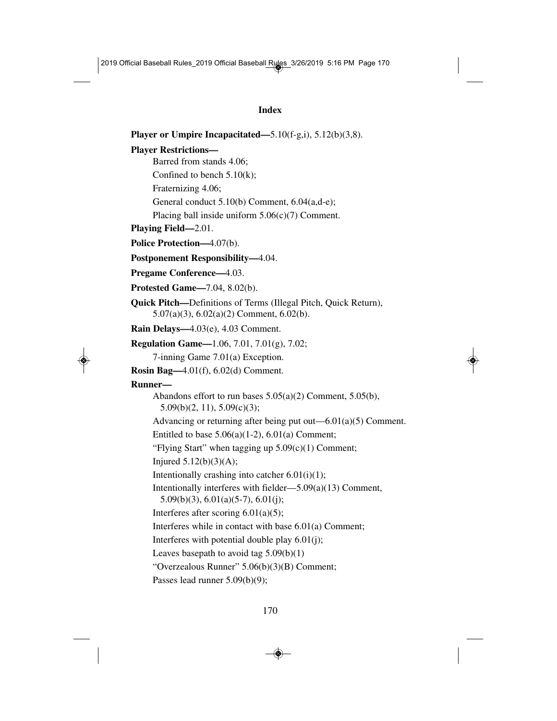**Player or Umpire Incapacitated—**5.10(f-g,i), 5.12(b)(3,8).

# **Player Restrictions—**

- Barred from stands 4.06;
- Confined to bench 5.10(k);
- Fraternizing 4.06;
- General conduct 5.10(b) Comment, 6.04(a,d-e);
- Placing ball inside uniform 5.06(c)(7) Comment.
- **Playing Field—**2.01.
- **Police Protection—**4.07(b).
- **Postponement Responsibility—**4.04.
- **Pregame Conference—**4.03.
- **Protested Game—**7.04, 8.02(b).
- **Quick Pitch—**Definitions of Terms (Illegal Pitch, Quick Return), 5.07(a)(3), 6.02(a)(2) Comment, 6.02(b).
- **Rain Delays—**4.03(e), 4.03 Comment.
- **Regulation Game—**1.06, 7.01, 7.01(g), 7.02;
	- 7-inning Game 7.01(a) Exception.
- **Rosin Bag—**4.01(f), 6.02(d) Comment.

# **Runner—**

```
Abandons effort to run bases 5.05(a)(2) Comment, 5.05(b),
5.09(b)(2, 11), 5.09(c)(3);
```
- Advancing or returning after being put out—6.01(a)(5) Comment.
- Entitled to base  $5.06(a)(1-2)$ ,  $6.01(a)$  Comment;
- "Flying Start" when tagging up  $5.09(c)(1)$  Comment;
- Injured  $5.12(b)(3)(A);$
- Intentionally crashing into catcher  $6.01(i)(1)$ ;
- Intentionally interferes with fielder—5.09(a)(13) Comment, 5.09(b)(3), 6.01(a)(5-7), 6.01(j);
- Interferes after scoring  $6.01(a)(5)$ ;
- Interferes while in contact with base 6.01(a) Comment;
- Interferes with potential double play 6.01(j);
- Leaves basepath to avoid tag  $5.09(b)(1)$
- "Overzealous Runner" 5.06(b)(3)(B) Comment;
- Passes lead runner 5.09(b)(9);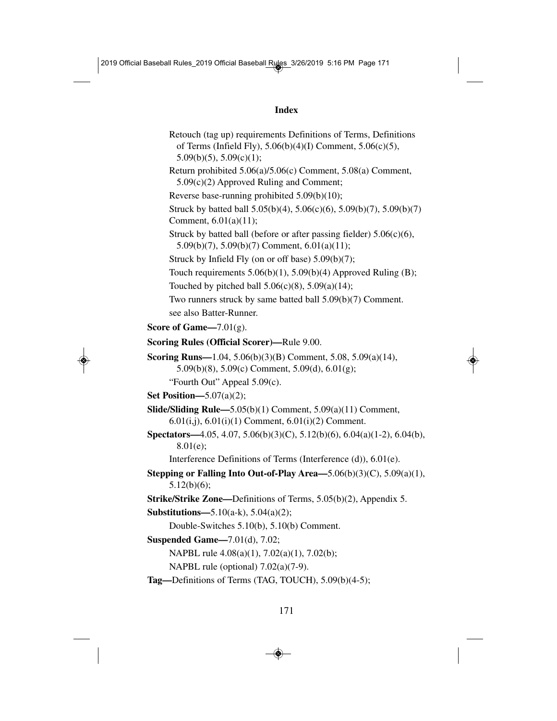Retouch (tag up) requirements Definitions of Terms, Definitions of Terms (Infield Fly), 5.06(b)(4)(I) Comment, 5.06(c)(5), 5.09(b)(5), 5.09(c)(1);

Return prohibited 5.06(a)/5.06(c) Comment, 5.08(a) Comment, 5.09(c)(2) Approved Ruling and Comment;

Reverse base-running prohibited 5.09(b)(10);

Struck by batted ball 5.05(b)(4), 5.06(c)(6), 5.09(b)(7), 5.09(b)(7) Comment, 6.01(a)(11);

Struck by batted ball (before or after passing fielder)  $5.06(c)(6)$ , 5.09(b)(7), 5.09(b)(7) Comment, 6.01(a)(11);

Struck by Infield Fly (on or off base) 5.09(b)(7);

Touch requirements  $5.06(b)(1)$ ,  $5.09(b)(4)$  Approved Ruling (B);

Touched by pitched ball  $5.06(c)(8)$ ,  $5.09(a)(14)$ ;

Two runners struck by same batted ball 5.09(b)(7) Comment.

see also Batter-Runner.

**Score of Game—**7.01(g).

- **Scoring Rules (Official Scorer)—**Rule 9.00.
- **Scoring Runs—**1.04, 5.06(b)(3)(B) Comment, 5.08, 5.09(a)(14), 5.09(b)(8), 5.09(c) Comment, 5.09(d), 6.01(g);

"Fourth Out" Appeal 5.09(c).

- **Set Position—**5.07(a)(2);
- **Slide/Sliding Rule—**5.05(b)(1) Comment, 5.09(a)(11) Comment, 6.01(i,j), 6.01(i)(1) Comment, 6.01(i)(2) Comment.
- **Spectators—**4.05, 4.07, 5.06(b)(3)(C), 5.12(b)(6), 6.04(a)(1-2), 6.04(b), 8.01(e);

Interference Definitions of Terms (Interference (d)), 6.01(e).

**Stepping or Falling Into Out-of-Play Area—**5.06(b)(3)(C), 5.09(a)(1), 5.12(b)(6);

**Strike/Strike Zone—**Definitions of Terms, 5.05(b)(2), Appendix 5.

**Substitutions—**5.10(a-k), 5.04(a)(2);

Double-Switches 5.10(b), 5.10(b) Comment.

**Suspended Game—**7.01(d), 7.02;

NAPBL rule 4.08(a)(1), 7.02(a)(1), 7.02(b);

NAPBL rule (optional) 7.02(a)(7-9).

**Tag—**Definitions of Terms (TAG, TOUCH), 5.09(b)(4-5);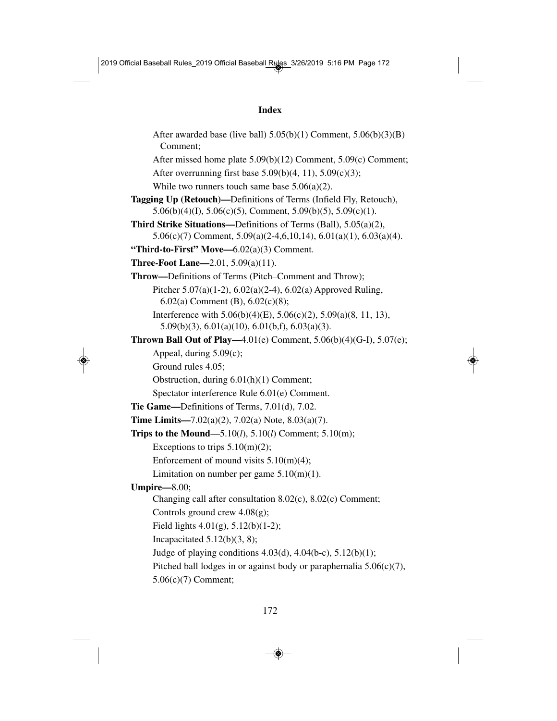| After awarded base (live ball) $5.05(b)(1)$ Comment, $5.06(b)(3)(B)$<br>Comment;                                                             |
|----------------------------------------------------------------------------------------------------------------------------------------------|
| After missed home plate 5.09(b)(12) Comment, 5.09(c) Comment;                                                                                |
| After overrunning first base $5.09(b)(4, 11)$ , $5.09(c)(3)$ ;                                                                               |
| While two runners touch same base $5.06(a)(2)$ .                                                                                             |
| Tagging Up (Retouch)—Definitions of Terms (Infield Fly, Retouch),<br>$5.06(b)(4)(I)$ , $5.06(c)(5)$ , Comment, $5.09(b)(5)$ , $5.09(c)(1)$ . |
| Third Strike Situations—Definitions of Terms (Ball), 5.05(a)(2),                                                                             |
| 5.06(c)(7) Comment, $5.09(a)(2-4,6,10,14)$ , $6.01(a)(1)$ , $6.03(a)(4)$ .                                                                   |
| "Third-to-First" Move— $6.02(a)(3)$ Comment.                                                                                                 |
| Three-Foot Lane- $2.01, 5.09(a)(11)$ .                                                                                                       |
| Throw-Definitions of Terms (Pitch-Comment and Throw);                                                                                        |
| Pitcher 5.07(a)(1-2), 6.02(a)(2-4), 6.02(a) Approved Ruling,<br>6.02(a) Comment (B), $6.02(c)(8)$ ;                                          |
| Interference with $5.06(b)(4)(E)$ , $5.06(c)(2)$ , $5.09(a)(8, 11, 13)$ ,<br>$5.09(b)(3)$ , $6.01(a)(10)$ , $6.01(b,f)$ , $6.03(a)(3)$ .     |
| <b>Thrown Ball Out of Play—4.01(e)</b> Comment, $5.06(b)(4)(G-I)$ , $5.07(e)$ ;                                                              |
| Appeal, during 5.09(c);                                                                                                                      |
| Ground rules 4.05;                                                                                                                           |
| Obstruction, during 6.01(h)(1) Comment;                                                                                                      |
| Spectator interference Rule 6.01(e) Comment.                                                                                                 |
| Tie Game-Definitions of Terms, 7.01(d), 7.02.                                                                                                |
| <b>Time Limits—7.02(a)(2), 7.02(a)</b> Note, 8.03(a)(7).                                                                                     |
| Trips to the Mound—5.10( <i>l</i> ), 5.10( <i>l</i> ) Comment; 5.10(m);                                                                      |
| Exceptions to trips $5.10(m)(2)$ ;                                                                                                           |
| Enforcement of mound visits $5.10(m)(4)$ ;                                                                                                   |
| Limitation on number per game $5.10(m)(1)$ .                                                                                                 |
| <b>Umpire-8.00;</b>                                                                                                                          |
| Changing call after consultation 8.02(c), 8.02(c) Comment;                                                                                   |
| Controls ground crew $4.08(g)$ ;                                                                                                             |
| Field lights $4.01(g)$ , $5.12(b)(1-2)$ ;                                                                                                    |
| Incapacitated $5.12(b)(3, 8)$ ;                                                                                                              |
| Judge of playing conditions $4.03(d)$ , $4.04(b-c)$ , $5.12(b)(1)$ ;                                                                         |
| Pitched ball lodges in or against body or paraphernalia $5.06(c)(7)$ ,                                                                       |
| $5.06(c)(7)$ Comment;                                                                                                                        |
|                                                                                                                                              |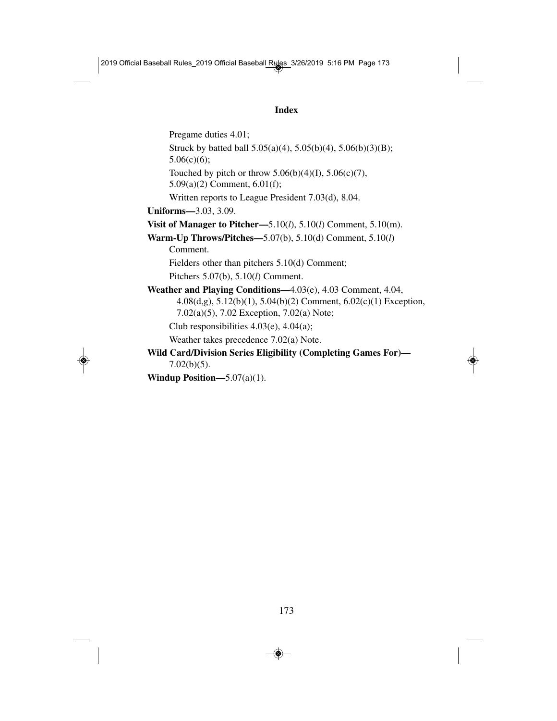Pregame duties 4.01;

Struck by batted ball 5.05(a)(4), 5.05(b)(4), 5.06(b)(3)(B);  $5.06(c)(6);$ 

Touched by pitch or throw  $5.06(b)(4)(I)$ ,  $5.06(c)(7)$ , 5.09(a)(2) Comment, 6.01(f);

Written reports to League President 7.03(d), 8.04.

**Uniforms—**3.03, 3.09.

**Visit of Manager to Pitcher—**5.10(*l*), 5.10(*l*) Comment, 5.10(m).

**Warm-Up Throws/Pitches—**5.07(b), 5.10(d) Comment, 5.10(*l*) Comment.

Fielders other than pitchers 5.10(d) Comment; Pitchers 5.07(b), 5.10(*l*) Comment.

**Weather and Playing Conditions—**4.03(e), 4.03 Comment, 4.04, 4.08(d,g), 5.12(b)(1), 5.04(b)(2) Comment, 6.02(c)(1) Exception, 7.02(a)(5), 7.02 Exception, 7.02(a) Note; Club responsibilities 4.03(e), 4.04(a);

Weather takes precedence 7.02(a) Note.

**Wild Card/Division Series Eligibility (Completing Games For)—**  $7.02(b)(5)$ .

**Windup Position—**5.07(a)(1).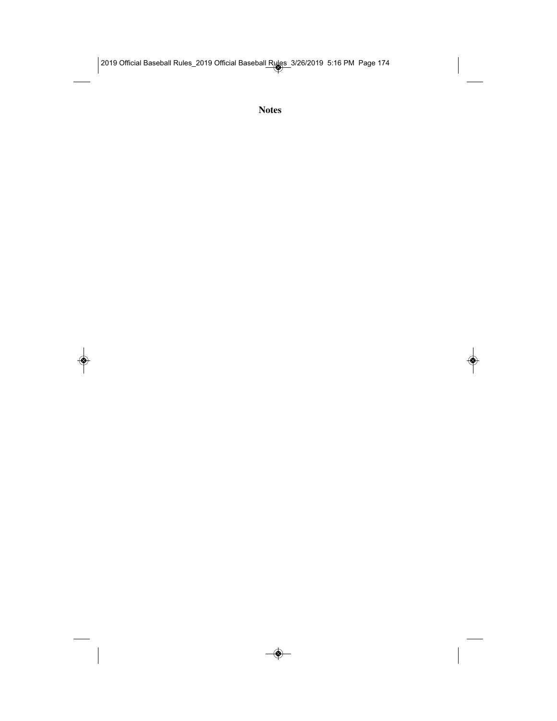## **Notes**